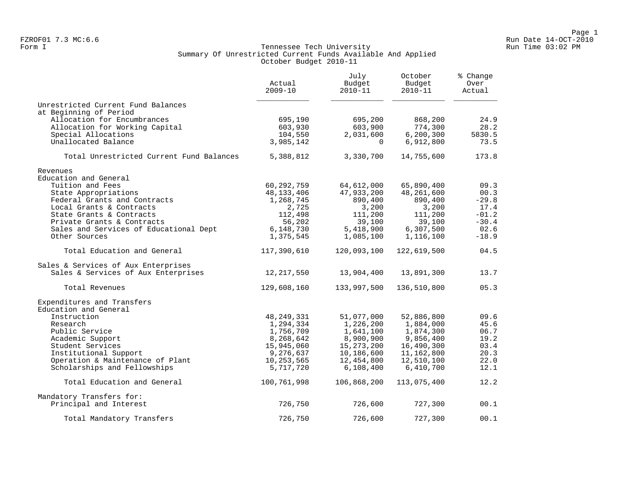#### Form I Georgian Communication of the Communication of Tennessee Tech University Communication Run Time 03:02 PM Summary Of Unrestricted Current Funds Available And Applied October Budget 2010-11

|                                          | Actual<br>$2009 - 10$ | July<br>Budget<br>2010-11 | October<br>Budget<br>$2010 - 11$ | % Change<br>Over<br>Actual |
|------------------------------------------|-----------------------|---------------------------|----------------------------------|----------------------------|
| Unrestricted Current Fund Balances       |                       |                           |                                  |                            |
| at Beginning of Period                   |                       |                           |                                  |                            |
| Allocation for Encumbrances              | 695,190               | 695,200                   | 868,200                          | 24.9                       |
| Allocation for Working Capital           | 603,930               | 603,900                   | 774,300                          | 28.2                       |
| Special Allocations                      | 104,550               | 2,031,600                 | 6, 200, 300                      | 5830.5                     |
| Unallocated Balance                      | 3,985,142             | $\Omega$                  | 6,912,800                        | 73.5                       |
| Total Unrestricted Current Fund Balances | 5,388,812             | 3,330,700                 | 14,755,600                       | 173.8                      |
| Revenues                                 |                       |                           |                                  |                            |
| Education and General                    |                       |                           |                                  |                            |
| Tuition and Fees                         | 60,292,759            | 64,612,000                | 65,890,400                       | 09.3                       |
| State Appropriations                     | 48, 133, 406          | 47,933,200                | 48,261,600                       | 00.3                       |
| Federal Grants and Contracts             | 1,268,745             | 890,400                   | 890,400                          | $-29.8$                    |
| Local Grants & Contracts                 | 2,725                 | 3,200                     | 3,200                            | 17.4                       |
| State Grants & Contracts                 | 112,498               | 111,200                   | 111,200                          | $-01.2$                    |
| Private Grants & Contracts               | 56,202                | 39,100                    | 39,100                           | $-30.4$                    |
| Sales and Services of Educational Dept   | 6,148,730             | 5,418,900                 | 6,307,500                        | 02.6                       |
| Other Sources                            | 1,375,545             | 1,085,100                 | 1,116,100                        | $-18.9$                    |
| Total Education and General              | 117,390,610           | 120,093,100               | 122,619,500                      | 04.5                       |
| Sales & Services of Aux Enterprises      |                       |                           |                                  |                            |
| Sales & Services of Aux Enterprises      | 12,217,550            | 13,904,400                | 13,891,300                       | 13.7                       |
| Total Revenues                           | 129,608,160           | 133,997,500               | 136,510,800                      | 05.3                       |
| Expenditures and Transfers               |                       |                           |                                  |                            |
| Education and General                    |                       |                           |                                  |                            |
| Instruction                              | 48, 249, 331          | 51,077,000                | 52,886,800                       | 09.6                       |
| Research                                 | 1,294,334             | 1,226,200                 | 1,884,000                        | 45.6                       |
| Public Service                           | 1,756,709             | 1,641,100                 | 1,874,300                        | 06.7                       |
| Academic Support                         | 8,268,642             | 8,900,900                 | 9,856,400                        | 19.2                       |
| Student Services                         | 15,945,060            | 15, 273, 200              | 16,490,300                       | 03.4                       |
| Institutional Support                    | 9,276,637             | 10,186,600                | 11,162,800                       | 20.3                       |
| Operation & Maintenance of Plant         | 10,253,565            | 12,454,800                | 12,510,100                       | 22.0                       |
| Scholarships and Fellowships             | 5,717,720             | 6,108,400                 | 6,410,700                        | 12.1                       |
| Total Education and General              | 100,761,998           | 106,868,200               | 113,075,400                      | 12.2                       |
| Mandatory Transfers for:                 |                       |                           |                                  |                            |
| Principal and Interest                   | 726,750               | 726,600                   | 727,300                          | 00.1                       |
| Total Mandatory Transfers                | 726,750               | 726,600                   | 727,300                          | 00.1                       |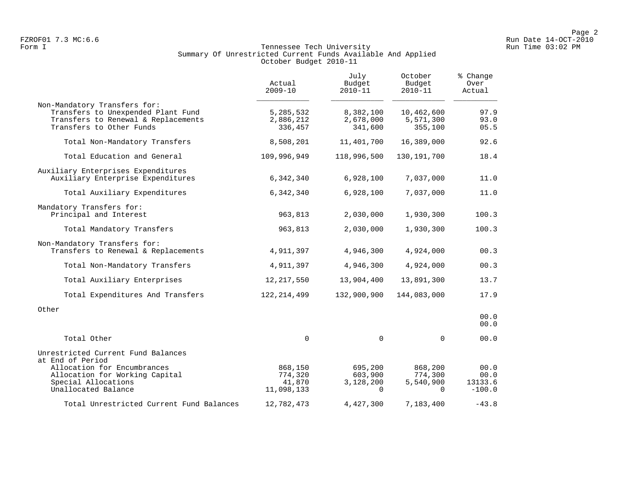## Form I Georgian Communication of the Communication of Tennessee Tech University Communication Run Time 03:02 PM Summary Of Unrestricted Current Funds Available And Applied October Budget 2010-11

|                                                                                                                                       | Actual<br>$2009 - 10$               | July<br>Budget<br>$2010 - 11$     | October<br>Budget<br>$2010 - 11$   | % Change<br>Over<br>Actual |
|---------------------------------------------------------------------------------------------------------------------------------------|-------------------------------------|-----------------------------------|------------------------------------|----------------------------|
| Non-Mandatory Transfers for:<br>Transfers to Unexpended Plant Fund<br>Transfers to Renewal & Replacements<br>Transfers to Other Funds | 5, 285, 532<br>2,886,212<br>336,457 | 8,382,100<br>2,678,000<br>341,600 | 10,462,600<br>5,571,300<br>355,100 | 97.9<br>93.0<br>05.5       |
| Total Non-Mandatory Transfers                                                                                                         | 8,508,201                           | 11,401,700                        | 16,389,000                         | 92.6                       |
| Total Education and General                                                                                                           | 109,996,949                         | 118,996,500                       | 130, 191, 700                      | 18.4                       |
| Auxiliary Enterprises Expenditures<br>Auxiliary Enterprise Expenditures                                                               | 6,342,340                           | 6,928,100                         | 7,037,000                          | 11.0                       |
| Total Auxiliary Expenditures                                                                                                          | 6,342,340                           | 6,928,100                         | 7,037,000                          | 11.0                       |
| Mandatory Transfers for:<br>Principal and Interest                                                                                    | 963,813                             | 2,030,000                         | 1,930,300                          | 100.3                      |
| Total Mandatory Transfers                                                                                                             | 963,813                             | 2,030,000                         | 1,930,300                          | 100.3                      |
| Non-Mandatory Transfers for:<br>Transfers to Renewal & Replacements                                                                   | 4,911,397                           | 4,946,300                         | 4,924,000                          | 00.3                       |
| Total Non-Mandatory Transfers                                                                                                         | 4,911,397                           | 4,946,300                         | 4,924,000                          | 00.3                       |
| Total Auxiliary Enterprises                                                                                                           | 12, 217, 550                        | 13,904,400                        | 13,891,300                         | 13.7                       |
| Total Expenditures And Transfers                                                                                                      | 122, 214, 499                       | 132,900,900                       | 144,083,000                        | 17.9                       |
| Other                                                                                                                                 |                                     |                                   |                                    | 00.0<br>00.0               |
| Total Other                                                                                                                           | $\Omega$                            | $\mathbf 0$                       | $\Omega$                           | 00.0                       |
| Unrestricted Current Fund Balances<br>at End of Period                                                                                |                                     |                                   |                                    |                            |
| Allocation for Encumbrances                                                                                                           | 868,150                             | 695,200                           | 868,200                            | 00.0                       |
| Allocation for Working Capital<br>Special Allocations                                                                                 | 774,320<br>41,870                   | 603,900<br>3,128,200              | 774,300<br>5,540,900               | 00.0<br>13133.6            |
| Unallocated Balance                                                                                                                   | 11,098,133                          | $\Omega$                          | $\Omega$                           | $-100.0$                   |
| Total Unrestricted Current Fund Balances                                                                                              | 12,782,473                          | 4,427,300                         | 7,183,400                          | $-43.8$                    |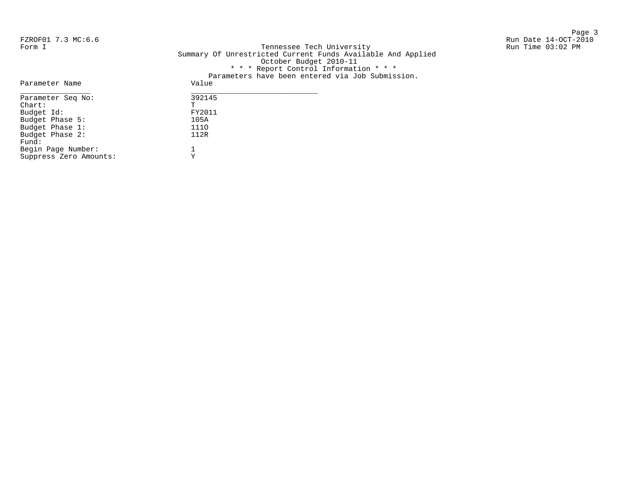Page 3 and 20 and 20 and 20 and 20 and 20 and 20 and 20 and 20 and 20 and 20 and 20 and 20 and 20 and 20 and 20

FZROF01 7.3 MC:6.6 Run Date 14-OCT-2010 Form I Georgian Communication of the Communication of Tennessee Tech University Communication Run Time 03:02 PM Summary Of Unrestricted Current Funds Available And Applied October Budget 2010-11 \* \* \* Report Control Information \* \* \* Parameters have been entered via Job Submission. Parameter Name Value

| L ULUNCCCL INUME       | $\sqrt{2}$ |
|------------------------|------------|
| Parameter Seq No:      | 392145     |
| $chart$ :              | T          |
| Budget Id:             | FY2011     |
| Budget Phase 5:        | 105A       |
| Budget Phase 1:        | 1110       |
| Budget Phase 2:        | 112R       |
| Fund:                  |            |
| Begin Page Number:     |            |
| Suppress Zero Amounts: |            |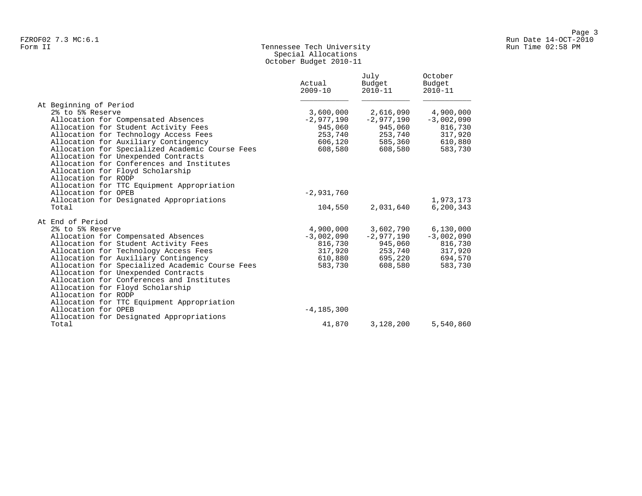# Form II Tennessee Tech University Run Time 02:58 PM Special Allocations October Budget 2010-11

|       |                                                 | Actual<br>$2009 - 10$ | July<br>Budget<br>$2010 - 11$ | October<br>Budget<br>$2010 - 11$ |
|-------|-------------------------------------------------|-----------------------|-------------------------------|----------------------------------|
|       | At Beginning of Period                          |                       |                               |                                  |
|       | 2% to 5% Reserve                                | 3,600,000             | 2,616,090                     | 4,900,000                        |
|       | Allocation for Compensated Absences             | $-2,977,190$          | $-2,977,190$                  | $-3,002,090$                     |
|       | Allocation for Student Activity Fees            | 945,060               | 945,060                       | 816,730                          |
|       | Allocation for Technology Access Fees           | 253,740               | 253,740                       | 317,920                          |
|       | Allocation for Auxiliary Contingency            | 606,120               | 585,360                       | 610,880                          |
|       | Allocation for Specialized Academic Course Fees | 608,580               | 608,580                       | 583,730                          |
|       | Allocation for Unexpended Contracts             |                       |                               |                                  |
|       | Allocation for Conferences and Institutes       |                       |                               |                                  |
|       | Allocation for Floyd Scholarship                |                       |                               |                                  |
|       | Allocation for RODP                             |                       |                               |                                  |
|       | Allocation for TTC Equipment Appropriation      |                       |                               |                                  |
|       | Allocation for OPEB                             | $-2,931,760$          |                               |                                  |
|       | Allocation for Designated Appropriations        |                       |                               | 1,973,173                        |
| Total |                                                 | 104,550               | 2,031,640                     | 6, 200, 343                      |
|       | At End of Period                                |                       |                               |                                  |
|       | 2% to 5% Reserve                                | 4,900,000             | 3,602,790                     | 6,130,000                        |
|       | Allocation for Compensated Absences             | $-3,002,090$          | $-2,977,190$                  | $-3,002,090$                     |
|       | Allocation for Student Activity Fees            | 816,730               | 945,060                       | 816,730                          |
|       | Allocation for Technology Access Fees           | 317,920               | 253,740                       | 317,920                          |
|       | Allocation for Auxiliary Contingency            | 610,880               | 695,220                       | 694,570                          |
|       | Allocation for Specialized Academic Course Fees | 583,730               | 608,580                       | 583,730                          |
|       | Allocation for Unexpended Contracts             |                       |                               |                                  |
|       | Allocation for Conferences and Institutes       |                       |                               |                                  |
|       | Allocation for Floyd Scholarship                |                       |                               |                                  |
|       | Allocation for RODP                             |                       |                               |                                  |
|       | Allocation for TTC Equipment Appropriation      |                       |                               |                                  |
|       | Allocation for OPEB                             | $-4, 185, 300$        |                               |                                  |
|       | Allocation for Designated Appropriations        |                       |                               |                                  |
| Total |                                                 | 41,870                | 3,128,200                     | 5,540,860                        |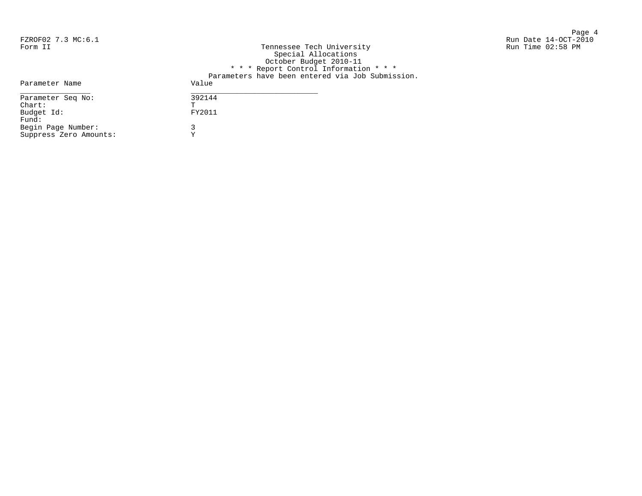Page 4 FZROF02 7.3 MC:6.1 Run Date 14-OCT-2010 Form II Tech University Tech University Run Time 02:58 PM

| Form II                | Tennessee Tech University<br>Special Allocations |
|------------------------|--------------------------------------------------|
|                        | October Budget 2010-11                           |
|                        | * * * Report Control Information * * *           |
|                        | Parameters have been entered via Job Submission. |
| Parameter Name         | Value                                            |
| Parameter Seq No:      | 392144                                           |
| $chart$ :              | Ͳ                                                |
| Budget Id:             | FY2011                                           |
| Fund:                  |                                                  |
| Begin Page Number:     | 3                                                |
| Suppress Zero Amounts: |                                                  |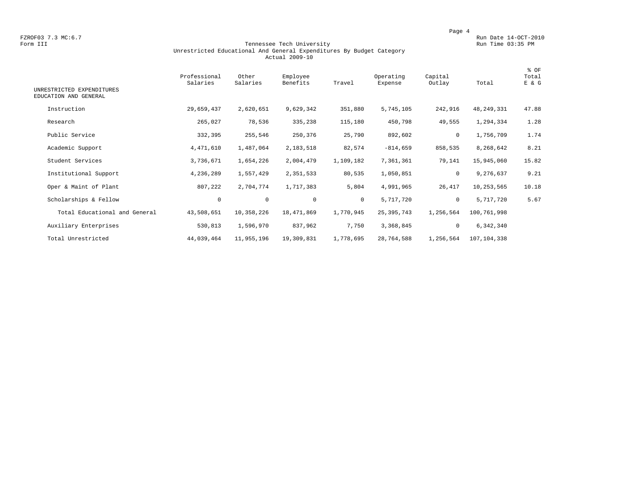FZROF03 7.3 MC:6.7 Run Date 14-OCT-2010<br>Form III Run Date 14-OCT-2010 Run Date 14-OCT-2010 Run Date 14-OCT-2010

#### Form III Tennessee Tech University Run Time 03:35 PM Unrestricted Educational And General Expenditures By Budget Category Actual 2009-10

| UNRESTRICTED EXPENDITURES     | Professional<br>Salaries | Other<br>Salaries | Employee<br>Benefits | Travel       | Operating<br>Expense | Capital<br>Outlay | Total       | % OF<br>Total<br>E & G |
|-------------------------------|--------------------------|-------------------|----------------------|--------------|----------------------|-------------------|-------------|------------------------|
| EDUCATION AND GENERAL         |                          |                   |                      |              |                      |                   |             |                        |
| Instruction                   | 29,659,437               | 2,620,651         | 9,629,342            | 351,880      | 5,745,105            | 242,916           | 48,249,331  | 47.88                  |
| Research                      | 265,027                  | 78,536            | 335,238              | 115,180      | 450,798              | 49,555            | 1,294,334   | 1.28                   |
| Public Service                | 332,395                  | 255,546           | 250,376              | 25,790       | 892,602              | 0                 | 1,756,709   | 1.74                   |
| Academic Support              | 4,471,610                | 1,487,064         | 2,183,518            | 82,574       | $-814,659$           | 858,535           | 8,268,642   | 8.21                   |
| Student Services              | 3,736,671                | 1,654,226         | 2,004,479            | 1,109,182    | 7,361,361            | 79,141            | 15,945,060  | 15.82                  |
| Institutional Support         | 4,236,289                | 1,557,429         | 2,351,533            | 80,535       | 1,050,851            | 0                 | 9,276,637   | 9.21                   |
| Oper & Maint of Plant         | 807,222                  | 2,704,774         | 1,717,383            | 5,804        | 4,991,965            | 26,417            | 10,253,565  | 10.18                  |
| Scholarships & Fellow         | 0                        | $\mathsf{O}$      | $\mathbf 0$          | $\mathbf{0}$ | 5,717,720            | $\circ$           | 5,717,720   | 5.67                   |
| Total Educational and General | 43,508,651               | 10,358,226        | 18,471,869           | 1,770,945    | 25, 395, 743         | 1,256,564         | 100,761,998 |                        |
| Auxiliary Enterprises         | 530,813                  | 1,596,970         | 837,962              | 7,750        | 3,368,845            | $\mathbf 0$       | 6,342,340   |                        |
| Total Unrestricted            | 44,039,464               | 11,955,196        | 19,309,831           | 1,778,695    | 28,764,588           | 1,256,564         | 107,104,338 |                        |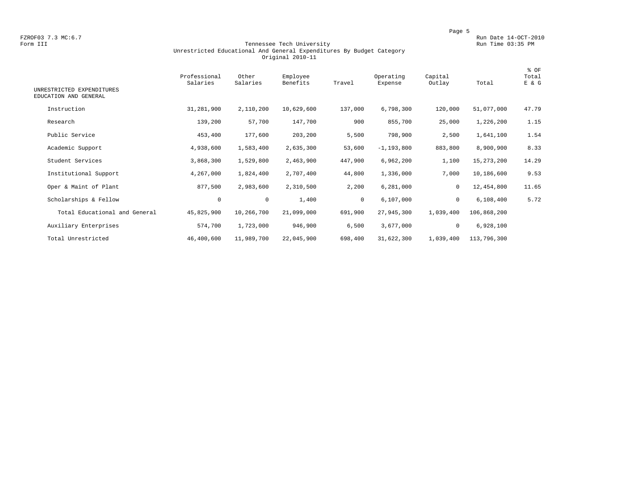FZROF03 7.3 MC:6.7 Run Date 14-OCT-2010<br>Form III Run Date 14-OCT-2010 Run Date 14-OCT-2010 Run Date 14-OCT-2010

#### Form III Tennessee Tech University Run Time 03:35 PM Unrestricted Educational And General Expenditures By Budget Category Original 2010-11

| UNRESTRICTED EXPENDITURES<br>EDUCATION AND GENERAL | Professional<br>Salaries | Other<br>Salaries | Employee<br>Benefits | Travel       | Operating<br>Expense | Capital<br>Outlay | Total        | % OF<br>Total<br>E & G |
|----------------------------------------------------|--------------------------|-------------------|----------------------|--------------|----------------------|-------------------|--------------|------------------------|
| Instruction                                        | 31,281,900               | 2,110,200         | 10,629,600           | 137,000      | 6,798,300            | 120,000           | 51,077,000   | 47.79                  |
| Research                                           | 139,200                  | 57,700            | 147,700              | 900          | 855,700              | 25,000            | 1,226,200    | 1.15                   |
| Public Service                                     | 453,400                  | 177,600           | 203,200              | 5,500        | 798,900              | 2,500             | 1,641,100    | 1.54                   |
| Academic Support                                   | 4,938,600                | 1,583,400         | 2,635,300            | 53,600       | $-1, 193, 800$       | 883,800           | 8,900,900    | 8.33                   |
| Student Services                                   | 3,868,300                | 1,529,800         | 2,463,900            | 447,900      | 6,962,200            | 1,100             | 15, 273, 200 | 14.29                  |
| Institutional Support                              | 4,267,000                | 1,824,400         | 2,707,400            | 44,800       | 1,336,000            | 7,000             | 10,186,600   | 9.53                   |
| Oper & Maint of Plant                              | 877,500                  | 2,983,600         | 2,310,500            | 2,200        | 6,281,000            | 0                 | 12,454,800   | 11.65                  |
| Scholarships & Fellow                              | 0                        | $\mathbf 0$       | 1,400                | $\mathbf{0}$ | 6,107,000            | $\mathbf{0}$      | 6,108,400    | 5.72                   |
| Total Educational and General                      | 45,825,900               | 10,266,700        | 21,099,000           | 691,900      | 27,945,300           | 1,039,400         | 106,868,200  |                        |
| Auxiliary Enterprises                              | 574,700                  | 1,723,000         | 946,900              | 6,500        | 3,677,000            | $\mathbf 0$       | 6,928,100    |                        |
| Total Unrestricted                                 | 46,400,600               | 11,989,700        | 22,045,900           | 698,400      | 31,622,300           | 1,039,400         | 113,796,300  |                        |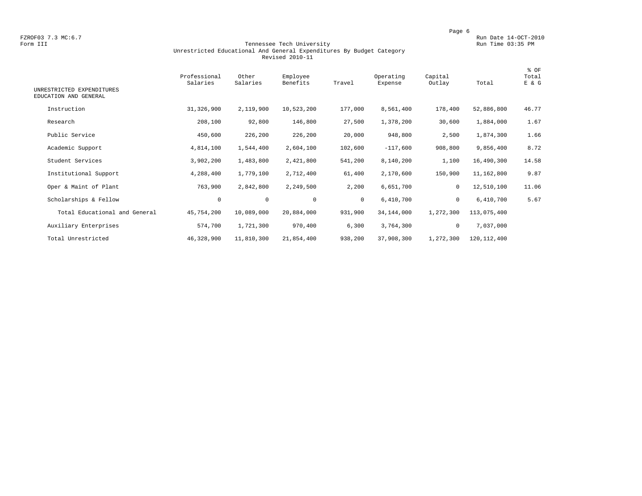FZROF03 7.3 MC:6.7 Run Date 14-OCT-2010<br>Form III Run Date 14-OCT-2010 Run Date 14-OCT-2010 Run Date 14-OCT-2010

#### Form III Tennessee Tech University Run Time 03:35 PM Unrestricted Educational And General Expenditures By Budget Category Revised 2010-11

| UNRESTRICTED EXPENDITURES<br>EDUCATION AND GENERAL | Professional<br>Salaries | Other<br>Salaries | Employee<br>Benefits | Travel       | Operating<br>Expense | Capital<br>Outlay | Total         | % OF<br>Total<br>E & G |
|----------------------------------------------------|--------------------------|-------------------|----------------------|--------------|----------------------|-------------------|---------------|------------------------|
| Instruction                                        | 31,326,900               | 2,119,900         | 10,523,200           | 177,000      | 8,561,400            | 178,400           | 52,886,800    | 46.77                  |
| Research                                           | 208,100                  | 92,800            | 146,800              | 27,500       | 1,378,200            | 30,600            | 1,884,000     | 1.67                   |
| Public Service                                     | 450,600                  | 226,200           | 226,200              | 20,000       | 948,800              | 2,500             | 1,874,300     | 1.66                   |
| Academic Support                                   | 4,814,100                | 1,544,400         | 2,604,100            | 102,600      | $-117,600$           | 908,800           | 9,856,400     | 8.72                   |
| Student Services                                   | 3,902,200                | 1,483,800         | 2,421,800            | 541,200      | 8,140,200            | 1,100             | 16,490,300    | 14.58                  |
| Institutional Support                              | 4,288,400                | 1,779,100         | 2,712,400            | 61,400       | 2,170,600            | 150,900           | 11,162,800    | 9.87                   |
| Oper & Maint of Plant                              | 763,900                  | 2,842,800         | 2,249,500            | 2,200        | 6,651,700            | $\mathbf 0$       | 12,510,100    | 11.06                  |
| Scholarships & Fellow                              | 0                        | $\mathbf 0$       | $\mathbf 0$          | $\mathbf{0}$ | 6,410,700            | $\mathbf 0$       | 6,410,700     | 5.67                   |
| Total Educational and General                      | 45,754,200               | 10,089,000        | 20,884,000           | 931,900      | 34,144,000           | 1,272,300         | 113,075,400   |                        |
| Auxiliary Enterprises                              | 574,700                  | 1,721,300         | 970,400              | 6,300        | 3,764,300            | $\mathbf 0$       | 7,037,000     |                        |
| Total Unrestricted                                 | 46,328,900               | 11,810,300        | 21,854,400           | 938,200      | 37,908,300           | 1,272,300         | 120, 112, 400 |                        |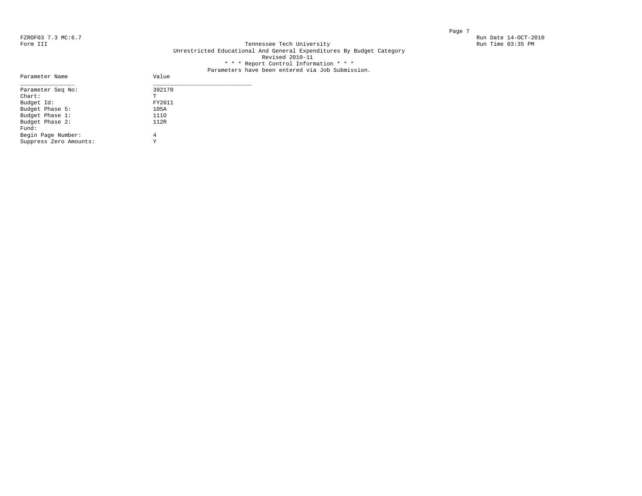Parameter Name

#### FZROF03 7.3 MC:6.7 Run Date 14-OCT-2010<br>Form III Run Date 14-OCT-2010 Run Date 14-OCT-2010 Run Date 14-OCT-2010 Tennessee Tech University Unrestricted Educational And General Expenditures By Budget Category Revised 2010-11 \* \* \* Report Control Information \* \* \*

# Parameters have been entered via Job Submission.<br>Value

| Parameter Seq No:      | 392170 |  |
|------------------------|--------|--|
| $chart$ :              | т      |  |
| Budget Id:             | FY2011 |  |
| Budget Phase 5:        | 105A   |  |
| Budget Phase 1:        | 1110   |  |
| Budget Phase 2:        | 112R   |  |
| Fund:                  |        |  |
| Begin Page Number:     | 4      |  |
| Suppress Zero Amounts: | Y      |  |
|                        |        |  |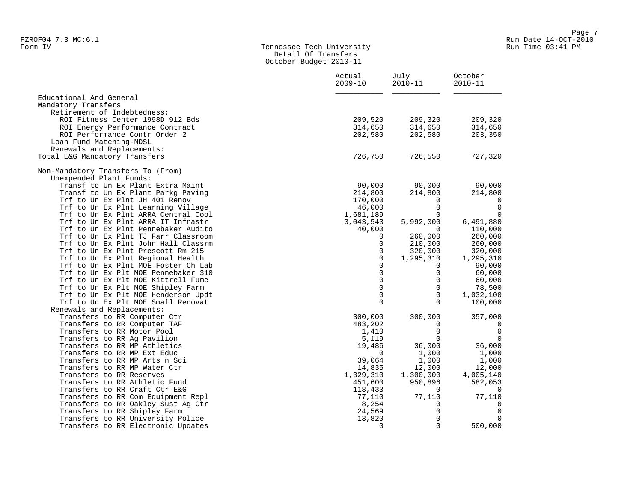#### Form IV Tennessee Tech University Run Time 03:41 PM Detail Of Transfers October Budget 2010-11

|                                     | Actual<br>$2009 - 10$ | July<br>$2010 - 11$ | October<br>2010-11 |
|-------------------------------------|-----------------------|---------------------|--------------------|
| Educational And General             |                       |                     |                    |
| Mandatory Transfers                 |                       |                     |                    |
| Retirement of Indebtedness:         |                       |                     |                    |
| ROI Fitness Center 1998D 912 Bds    | 209,520               | 209,320             | 209,320            |
| ROI Energy Performance Contract     | 314,650               | 314,650             | 314,650            |
| ROI Performance Contr Order 2       | 202,580               | 202,580             | 203,350            |
| Loan Fund Matching-NDSL             |                       |                     |                    |
| Renewals and Replacements:          |                       |                     |                    |
| Total E&G Mandatory Transfers       | 726,750               | 726,550             | 727,320            |
| Non-Mandatory Transfers To (From)   |                       |                     |                    |
| Unexpended Plant Funds:             |                       |                     |                    |
| Transf to Un Ex Plant Extra Maint   | 90,000                | 90,000              | 90,000             |
| Transf to Un Ex Plant Parkg Paving  | 214,800               | 214,800             | 214,800            |
| Trf to Un Ex Plnt JH 401 Renov      | 170,000               | 0                   | $\overline{0}$     |
| Trf to Un Ex Plnt Learning Village  | 46,000                | $\mathbf 0$         | $\mathbf 0$        |
| Trf to Un Ex Plnt ARRA Central Cool | 1,681,189             | $\Omega$            | $\mathbf 0$        |
| Trf to Un Ex Plnt ARRA IT Infrastr  | 3,043,543             | 5,992,000           | 6,491,880          |
| Trf to Un Ex Plnt Pennebaker Audito | 40,000                | $\Omega$            | 110,000            |
| Trf to Un Ex Plnt TJ Farr Classroom | 0                     | 260,000             | 260,000            |
| Trf to Un Ex Plnt John Hall Classrm | 0                     | 210,000             | 260,000            |
| Trf to Un Ex Plnt Prescott Rm 215   | $\mathbf 0$           | 320,000             | 320,000            |
| Trf to Un Ex Plnt Regional Health   | $\mathbf 0$           | 1,295,310           | 1,295,310          |
| Trf to Un Ex Plnt MOE Foster Ch Lab | $\Omega$              | $\Omega$            | 90,000             |
| Trf to Un Ex Plt MOE Pennebaker 310 | 0                     | $\mathbf 0$         | 60,000             |
| Trf to Un Ex Plt MOE Kittrell Fume  | $\Omega$              | $\Omega$            | 60,000             |
| Trf to Un Ex Plt MOE Shipley Farm   | $\mathsf{O}$          | 0                   | 78,500             |
| Trf to Un Ex Plt MOE Henderson Updt | $\mathbf 0$           | $\Omega$            | 1,032,100          |
| Trf to Un Ex Plt MOE Small Renovat  | $\mathbf 0$           | $\Omega$            | 100,000            |
| Renewals and Replacements:          |                       |                     |                    |
| Transfers to RR Computer Ctr        | 300,000               | 300,000             | 357,000            |
| Transfers to RR Computer TAF        | 483,202               | 0                   | 0                  |
| Transfers to RR Motor Pool          | 1,410                 | $\mathbf 0$         | $\overline{0}$     |
| Transfers to RR Ag Pavilion         | 5,119                 | $\Omega$            | $\mathbf 0$        |
| Transfers to RR MP Athletics        | 19,486                | 36,000              | 36,000             |
| Transfers to RR MP Ext Educ         | $\mathbf 0$           | 1,000               | 1,000              |
| Transfers to RR MP Arts n Sci       | 39,064                | 1,000               | 1,000              |
| Transfers to RR MP Water Ctr        | 14,835                | 12,000              | 12,000             |
| Transfers to RR Reserves            | 1,329,310             | 1,300,000           | 4,005,140          |
| Transfers to RR Athletic Fund       | 451,600               | 950,896             | 582,053            |
| Transfers to RR Craft Ctr E&G       | 118,433               | $\Omega$            | 0                  |
| Transfers to RR Com Equipment Repl  | 77,110                | 77,110              | 77,110             |
| Transfers to RR Oakley Sust Aq Ctr  | 8,254                 | $\Omega$            | $\mathbf 0$        |
| Transfers to RR Shipley Farm        | 24,569                | $\mathbf 0$         | $\mathbf 0$        |
| Transfers to RR University Police   | 13,820                | $\Omega$            | $\mathbf 0$        |
| Transfers to RR Electronic Updates  | 0                     | $\mathbf 0$         | 500,000            |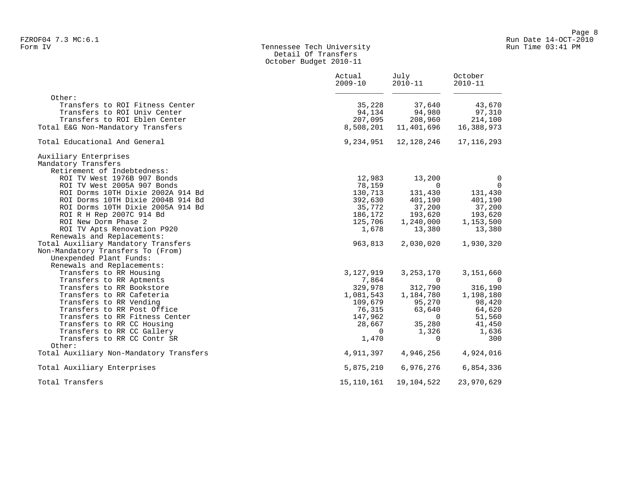# Form IV Tennessee Tech University Run Time 03:41 PM Detail Of Transfers October Budget 2010-11

|                                         | Actual<br>$2009 - 10$ | July<br>$2010 - 11$ | October<br>$2010 - 11$ |
|-----------------------------------------|-----------------------|---------------------|------------------------|
| Other:                                  |                       |                     |                        |
| Transfers to ROI Fitness Center         | 35,228                | 37,640              | 43,670                 |
| Transfers to ROI Univ Center            | 94,134                | 94,980              | 97,310                 |
| Transfers to ROI Eblen Center           | 207,095               | 208,960             | 214,100                |
| Total E&G Non-Mandatory Transfers       | 8,508,201             | 11,401,696          | 16,388,973             |
| Total Educational And General           | 9,234,951             | 12,128,246          | 17, 116, 293           |
| Auxiliary Enterprises                   |                       |                     |                        |
| Mandatory Transfers                     |                       |                     |                        |
| Retirement of Indebtedness:             |                       |                     |                        |
| ROI TV West 1976B 907 Bonds             | 12,983                | 13,200              | $\mathbf 0$            |
| ROI TV West 2005A 907 Bonds             | 78,159                | $\Omega$            | $\mathbf 0$            |
| ROI Dorms 10TH Dixie 2002A 914 Bd       | 130,713               | 131,430             | 131,430                |
| ROI Dorms 10TH Dixie 2004B 914 Bd       | 392,630               | 401,190             | 401,190                |
| ROI Dorms 10TH Dixie 2005A 914 Bd       | 35,772                | 37,200              | 37,200                 |
| ROI R H Rep 2007C 914 Bd                | 186,172               | 193,620             | 193,620                |
| ROI New Dorm Phase 2                    | 125,706               | 1,240,000           | 1,153,500              |
| ROI TV Apts Renovation P920             | 1,678                 | 13,380              | 13,380                 |
| Renewals and Replacements:              |                       |                     |                        |
| Total Auxiliary Mandatory Transfers     | 963,813               | 2,030,020           | 1,930,320              |
| Non-Mandatory Transfers To (From)       |                       |                     |                        |
| Unexpended Plant Funds:                 |                       |                     |                        |
| Renewals and Replacements:              |                       |                     |                        |
| Transfers to RR Housing                 | 3,127,919             | 3, 253, 170         | 3,151,660              |
| Transfers to RR Aptments                | 7,864                 | $\Omega$            | $\overline{0}$         |
| Transfers to RR Bookstore               | 329,978               | 312,790             | 316,190                |
| Transfers to RR Cafeteria               | 1,081,543             | 1,184,780           | 1,198,180              |
| Transfers to RR Vending                 | 109,679               | 95,270              | 98,420                 |
| Transfers to RR Post Office             | 76,315                | 63,640              | 64,620                 |
| Transfers to RR Fitness Center          | 147,962               | $\Omega$            | 51,560                 |
| Transfers to RR CC Housing              | 28,667                | 35,280              | 41,450                 |
| Transfers to RR CC Gallery              | $\overline{0}$        | 1,326               | 1,636                  |
| Transfers to RR CC Contr SR             | 1,470                 | $\Omega$            | 300                    |
| Other:                                  |                       |                     |                        |
| Total Auxiliary Non-Mandatory Transfers | 4,911,397             | 4,946,256           | 4,924,016              |
| Total Auxiliary Enterprises             | 5,875,210             | 6,976,276           | 6,854,336              |
| Total Transfers                         | 15,110,161            | 19,104,522          | 23,970,629             |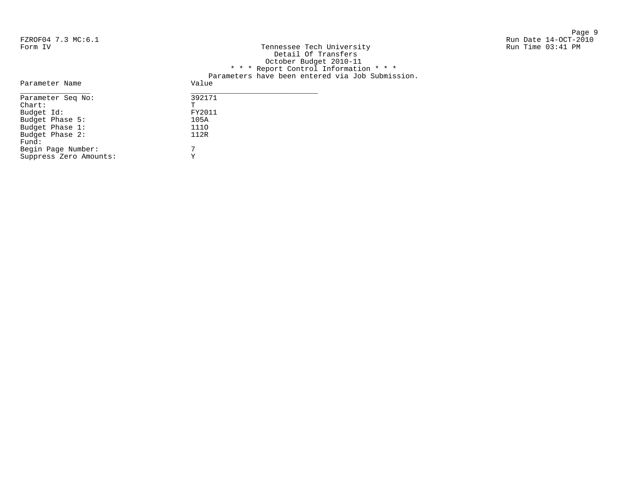Begin Page Number: 7 Suppress Zero Amounts: Y

Page 9 and 2012 12:00 the state of the state of the state of the state of the state of the state of the state o FZROF04 7.3 MC:6.1 Run Date 14-OCT-2010

| Form IV           | Tennessee Tech University<br>Detail Of Transfers<br>October Budget 2010-11<br>* * * Report Control Information * * *<br>Parameters have been entered via Job Submission. | Run Time 03:41 PM |
|-------------------|--------------------------------------------------------------------------------------------------------------------------------------------------------------------------|-------------------|
| Parameter Name    | Value                                                                                                                                                                    |                   |
| Parameter Seq No: | 392171                                                                                                                                                                   |                   |
| Chart:            |                                                                                                                                                                          |                   |
| Budget Id:        | FY2011                                                                                                                                                                   |                   |
| Budget Phase 5:   | 105A                                                                                                                                                                     |                   |
| Budget Phase 1:   | 1110                                                                                                                                                                     |                   |
| Budget Phase 2:   | 112R                                                                                                                                                                     |                   |
| Fund:             |                                                                                                                                                                          |                   |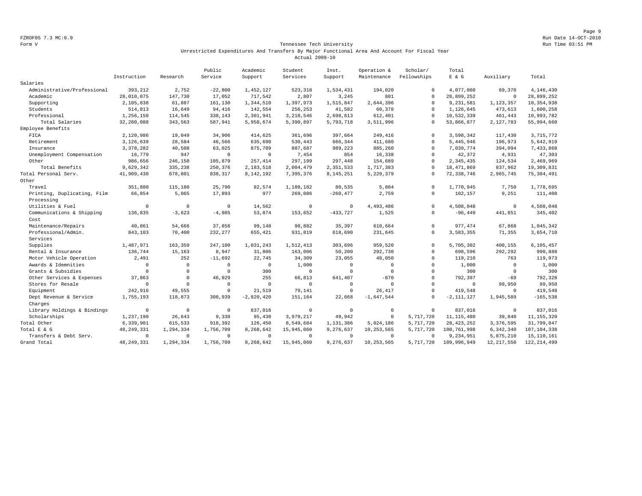Page 9 FZROF05 7.3 MC:6.9 Run Date 14-OCT-2010

#### Form V Tennessee Tech University Run Time 03:51 PM Unrestricted Expenditures And Transfers By Major Functional Area And Account For Fiscal Year Actual 2009-10

|                             |              |             | Public       | Academic     | Student        | Inst.        | Operation &  | Scholar/    | Total          |                |               |
|-----------------------------|--------------|-------------|--------------|--------------|----------------|--------------|--------------|-------------|----------------|----------------|---------------|
|                             | Instruction  | Research    | Service      | Support      | Services       | Support      | Maintenance  | Fellowships | E & G          | Auxiliary      | Total         |
| Salaries                    |              |             |              |              |                |              |              |             |                |                |               |
| Administrative/Professional | 393,212      | 2,752       | $-22,800$    | 1,452,127    | 523,318        | 1,534,431    | 194,020      | $\Omega$    | 4,077,060      | 69,370         | 4,146,430     |
| Academic                    | 28,010,075   | 147,730     | 17,052       | 717,542      | 2,807          | 3,245        | 801          | $^{\circ}$  | 28,899,252     | $\overline{0}$ | 28,899,252    |
| Supporting                  | 2,105,838    | 61,887      | 161,130      | 1,344,510    | 1,397,973      | 1,515,847    | 2,644,396    | $\Omega$    | 9,231,581      | 1,123,357      | 10,354,938    |
| Students                    | 514,813      | 16,649      | 94,416       | 142,554      | 256,253        | 41,582       | 60,378       | $\Omega$    | 1,126,645      | 473,613        | 1,600,258     |
| Professional                | 1,256,150    | 114,545     | 338,143      | 2,301,941    | 3,210,546      | 2,698,613    | 612,401      | $\mathbf 0$ | 10,532,339     | 461,443        | 10,993,782    |
| Total Salaries              | 32,280,088   | 343,563     | 587,941      | 5,958,674    | 5,390,897      | 5,793,718    | 3,511,996    | $\Omega$    | 53,866,877     | 2,127,783      | 55,994,660    |
| Employee Benefits           |              |             |              |              |                |              |              |             |                |                |               |
| FICA                        | 2,120,986    | 19,049      | 34,906       | 414,625      | 361,696        | 397,664      | 249,416      | $\Omega$    | 3,598,342      | 117,430        | 3,715,772     |
| Retirement                  | 3,126,639    | 28,584      | 46,566       | 635,690      | 530,443        | 666,344      | 411,680      | $\mathbf 0$ | 5,445,946      | 196,973        | 5,642,919     |
| Insurance                   | 3, 378, 282  | 40,508      | 63,025       | 875,789      | 807,687        | 989,223      | 885,260      | $\circ$     | 7,039,774      | 394,094        | 7,433,868     |
| Unemployment Compensation   | 16,779       | 947         | $\mathbf 0$  | $\circ$      | 7,454          | 854          | 16,338       | $\mathbf 0$ | 42,372         | 4,931          | 47,303        |
| Other                       | 986,656      | 246,150     | 105,879      | 257,414      | 297.199        | 297.448      | 154,689      | $\Omega$    | 2.345.435      | 124,534        | 2,469,969     |
| Total Benefits              | 9,629,342    | 335,238     | 250,376      | 2,183,518    | 2,004,479      | 2,351,533    | 1,717,383    | $\Omega$    | 18, 471, 869   | 837,962        | 19,309,831    |
| Total Personal Serv.        | 41,909,430   | 678.801     | 838,317      | 8,142,192    | 7,395,376      | 8,145,251    | 5,229,379    | $\mathbf 0$ | 72, 338, 746   | 2,965,745      | 75, 304, 491  |
| Other                       |              |             |              |              |                |              |              |             |                |                |               |
| Travel                      | 351,880      | 115,180     | 25,790       | 82,574       | 1,109,182      | 80,535       | 5,804        | $\Omega$    | 1,770,945      | 7,750          | 1,778,695     |
| Printing, Duplicating, Film | 66,854       | 5,065       | 17,893       | 977          | 269,086        | $-260, 477$  | 2,759        | $^{\circ}$  | 102,157        | 9,251          | 111,408       |
| Processing                  |              |             |              |              |                |              |              |             |                |                |               |
| Utilities & Fuel            | $\Omega$     | $\mathbf 0$ | $\Omega$     | 14.562       | $\circ$        | $\Omega$     | 4,493,486    | $\Omega$    | 4.508.048      | $\Omega$       | 4,508,048     |
| Communications & Shipping   | 136,835      | $-3,623$    | $-4,985$     | 53,874       | 153,652        | $-433,727$   | 1,525        | $\mathbf 0$ | $-96, 449$     | 441,851        | 345,402       |
| Cost                        |              |             |              |              |                |              |              |             |                |                |               |
| Maintenance/Repairs         | 40,861       | 54,666      | 37,856       | 99,148       | 98,882         | 35,397       | 610,664      | $\Omega$    | 977, 474       | 67,868         | 1,045,342     |
| Professional/Admin.         | 843,103      | 70,400      | 232.277      | 655,421      | 931,819        | 618,690      | 231,645      | $\Omega$    | 3,583,355      | 71,355         | 3,654,710     |
| Services                    |              |             |              |              |                |              |              |             |                |                |               |
| Supplies                    | 1,487,971    | 163,359     | 247,100      | 1,031,243    | 1,512,413      | 303,696      | 959,520      | $\circ$     | 5,705,302      | 400,155        | 6,105,457     |
| Rental & Insurance          | 136,744      | 15,163      | 8,947        | 31,806       | 163,006        | 50,200       | 292,730      | $\Omega$    | 698,596        | 292,292        | 990,888       |
| Motor Vehicle Operation     | 2,491        | 252         | $-11,692$    | 22,745       | 34,309         | 23,055       | 48,050       | $\Omega$    | 119,210        | 763            | 119,973       |
| Awards & Idemnities         | $\mathbf 0$  | $^{\circ}$  | $\Omega$     | $\mathbf{0}$ | 1,000          | $\Omega$     | $\Omega$     | $\mathbf 0$ | 1,000          | $\overline{0}$ | 1,000         |
| Grants & Subsidies          | $\Omega$     | $\mathbf 0$ | $\Omega$     | 300          | $\overline{0}$ | $\Omega$     | $\Omega$     | $\Omega$    | 300            | $\mathbf 0$    | 300           |
| Other Services & Expenses   | 37,863       | $\Omega$    | 46,929       | 255          | 66,813         | 641,407      | $-870$       | $\Omega$    | 792,397        | $-69$          | 792,328       |
| Stores for Resale           | $\mathbf{0}$ | $\mathbf 0$ | $\Omega$     | $\mathbf{0}$ | $\overline{0}$ | $^{\circ}$   | $\Omega$     | $\Omega$    | $^{\circ}$     | 99,950         | 99,950        |
| Equipment                   | 242,916      | 49,555      | $\mathbf 0$  | 21,519       | 79,141         | $\mathbf{0}$ | 26,417       | $\mathbf 0$ | 419,548        | $\overline{0}$ | 419,548       |
| Dept Revenue & Service      | 1,755,193    | 118,873     | 308,939      | $-2,820,420$ | 151,164        | 22,668       | $-1,647,544$ | $\mathbf 0$ | $-2, 111, 127$ | 1,945,589      | $-165,538$    |
| Charges                     |              |             |              |              |                |              |              |             |                |                |               |
| Library Holdings & Bindings | $\mathbf{0}$ | $^{\circ}$  | $\mathbf{0}$ | 837,016      | $\overline{0}$ | $^{\circ}$   | $\circ$      | $\mathbf 0$ | 837.016        | $\overline{0}$ | 837.016       |
| Scholarships                | 1,237,190    | 26,643      | 9,338        | 95,430       | 3,979,217      | 49,942       | $\circ$      | 5,717,720   | 11, 115, 480   | 39,840         | 11, 155, 320  |
| Total Other                 | 6,339,901    | 615,533     | 918,392      | 126,450      | 8,549,684      | 1,131,386    | 5,024,186    | 5,717,720   | 28, 423, 252   | 3,376,595      | 31,799,847    |
| Total E & G                 | 48, 249, 331 | 1,294,334   | 1,756,709    | 8,268,642    | 15,945,060     | 9,276,637    | 10,253,565   | 5,717,720   | 100,761,998    | 6,342,340      | 107, 104, 338 |
| Transfers & Debt Serv.      | $\mathbf 0$  | $\mathbb O$ | $\Omega$     | $\mathbf 0$  | $\overline{0}$ | $\circ$      | $\circ$      | $\Omega$    | 9,234,951      | 5,875,210      | 15, 110, 161  |
| Grand Total                 | 48, 249, 331 | 1,294,334   | 1,756,709    | 8.268.642    | 15,945,060     | 9.276.637    | 10,253,565   | 5.717.720   | 109,996,949    | 12, 217, 550   | 122, 214, 499 |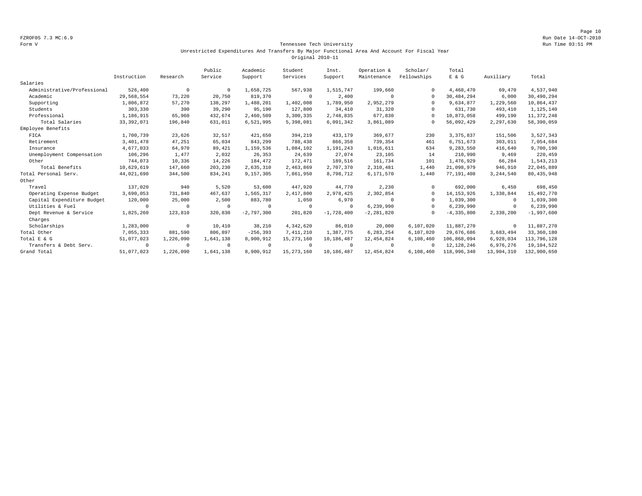Page 10 FZROF05 7.3 MC:6.9 Run Date 14-OCT-2010

#### Form V Tennessee Tech University Run Time 03:51 PM Unrestricted Expenditures And Transfers By Major Functional Area And Account For Fiscal Year Original 2010-11

|                             |              |            | Public     | Academic     | Student      | Inst.        | Operation &    | Scholar/    | Total          |            |              |
|-----------------------------|--------------|------------|------------|--------------|--------------|--------------|----------------|-------------|----------------|------------|--------------|
|                             | Instruction  | Research   | Service    | Support      | Services     | Support      | Maintenance    | Fellowships | E & G          | Auxiliary  | Total        |
| Salaries                    |              |            |            |              |              |              |                |             |                |            |              |
| Administrative/Professional | 526,400      | $^{\circ}$ | $\Omega$   | 1,658,725    | 567,938      | 1,515,747    | 199,660        |             | 4,468,470      | 69,470     | 4,537,940    |
| Academic                    | 29,568,554   | 73,220     | 20,750     | 819,370      | $^{\circ}$   | 2,400        | $\Omega$       | $\Omega$    | 30,484,294     | 6,000      | 30,490,294   |
| Supporting                  | 1,806,872    | 57,270     | 138,297    | 1,488,201    | 1,402,008    | 1,789,950    | 2,952,279      | $\Omega$    | 9,634,877      | 1,229,560  | 10,864,437   |
| Students                    | 303,330      | 390        | 39,290     | 95,190       | 127,800      | 34,410       | 31,320         | $\cap$      | 631,730        | 493,410    | 1,125,140    |
| Professional                | 1,186,915    | 65,960     | 432,674    | 2,460,509    | 3,300,335    | 2,748,835    | 677,830        | $\cap$      | 10,873,058     | 499,190    | 11, 372, 248 |
| Total Salaries              | 33, 392, 071 | 196,840    | 631,011    | 6,521,995    | 5,398,081    | 6,091,342    | 3,861,089      | $\Omega$    | 56,092,429     | 2,297,630  | 58,390,059   |
| Employee Benefits           |              |            |            |              |              |              |                |             |                |            |              |
| FICA                        | 1,700,739    | 23,626     | 32,517     | 421,650      | 394,219      | 433,179      | 369,677        | 230         | 3, 375, 837    | 151,506    | 3,527,343    |
| Retirement                  | 3,401,478    | 47,251     | 65,034     | 843,299      | 788,438      | 866,358      | 739,354        | 461         | 6,751,673      | 303,011    | 7,054,684    |
| Insurance                   | 4,677,033    | 64,970     | 89,421     | 1,159,536    | 1,084,102    | 1,191,243    | 1,016,611      | 634         | 9,283,550      | 416,640    | 9,700,190    |
| Unemployment Compensation   | 106,296      | 1,477      | 2,032      | 26,353       | 24,639       | 27,074       | 23,105         | 14          | 210,990        | 9,469      | 220,459      |
| Other                       | 744,073      | 10,336     | 14,226     | 184,472      | 172,471      | 189,516      | 161,734        | 101         | 1,476,929      | 66,284     | 1,543,213    |
| Total Benefits              | 10,629,619   | 147,660    | 203,230    | 2,635,310    | 2,463,869    | 2,707,370    | 2,310,481      | 1,440       | 21,098,979     | 946,910    | 22,045,889   |
| Total Personal Serv.        | 44,021,690   | 344,500    | 834,241    | 9,157,305    | 7,861,950    | 8,798,712    | 6,171,570      | 1,440       | 77,191,408     | 3,244,540  | 80, 435, 948 |
| Other                       |              |            |            |              |              |              |                |             |                |            |              |
| Travel                      | 137,020      | 940        | 5,520      | 53,600       | 447,920      | 44,770       | 2,230          | $\cap$      | 692,000        | 6,450      | 698,450      |
| Operating Expense Budget    | 3,690,053    | 731,840    | 467,637    | 1,565,317    | 2,417,800    | 2,978,425    | 2,302,854      | $\Omega$    | 14, 153, 926   | 1,338,844  | 15,492,770   |
| Capital Expenditure Budget  | 120,000      | 25,000     | 2,500      | 883,780      | 1,050        | 6,970        | $\Omega$       | $\Omega$    | 1,039,300      | $^{\circ}$ | 1,039,300    |
| Utilities & Fuel            | $\Omega$     | $^{\circ}$ | $\Omega$   | 0            | $^{\circ}$   | $\Omega$     | 6,239,990      | $\Omega$    | 6,239,990      | $^{\circ}$ | 6,239,990    |
| Dept Revenue & Service      | 1,825,260    | 123,810    | 320,830    | $-2,797,300$ | 201,820      | $-1,728,400$ | $-2, 281, 820$ |             | $-4, 335, 800$ | 2,338,200  | $-1,997,600$ |
| Charges                     |              |            |            |              |              |              |                |             |                |            |              |
| Scholarships                | 1,283,000    | $^{\circ}$ | 10,410     | 38,210       | 4,342,620    | 86,010       | 20,000         | 6,107,020   | 11,887,270     | $^{\circ}$ | 11,887,270   |
| Total Other                 | 7,055,333    | 881,590    | 806,897    | $-256, 393$  | 7,411,210    | 1,387,775    | 6,283,254      | 6,107,020   | 29,676,686     | 3,683,494  | 33,360,180   |
| Total E & G                 | 51,077,023   | 1,226,090  | 1,641,138  | 8,900,912    | 15, 273, 160 | 10,186,487   | 12, 454, 824   | 6,108,460   | 106,868,094    | 6,928,034  | 113,796,128  |
| Transfers & Debt Serv.      | $\circ$      | $^{\circ}$ | $^{\circ}$ | 0            | $^{\circ}$   | $^{\circ}$   | $\overline{0}$ | $\cap$      | 12, 128, 246   | 6,976,276  | 19,104,522   |
| Grand Total                 | 51,077,023   | 1,226,090  | 1,641,138  | 8,900,912    | 15, 273, 160 | 10,186,487   | 12, 454, 824   | 6,108,460   | 118,996,340    | 13,904,310 | 132,900,650  |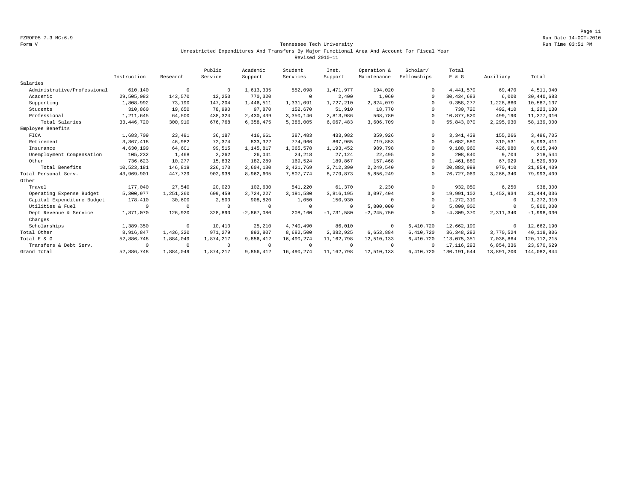#### Form V Tennessee Tech University Run Time 03:51 PM Unrestricted Expenditures And Transfers By Major Functional Area And Account For Fiscal Year Revised 2010-11

|                             |              |            | Public     | Academic     | Student    | Inst.        | Operation &    | Scholar/    | Total         |            |               |
|-----------------------------|--------------|------------|------------|--------------|------------|--------------|----------------|-------------|---------------|------------|---------------|
|                             | Instruction  | Research   | Service    | Support      | Services   | Support      | Maintenance    | Fellowships | E & G         | Auxiliary  | Total         |
| Salaries                    |              |            |            |              |            |              |                |             |               |            |               |
| Administrative/Professional | 610,140      | $^{\circ}$ | $^{\circ}$ | 1,613,335    | 552,098    | 1,471,977    | 194,020        | $\Omega$    | 4, 441, 570   | 69,470     | 4,511,040     |
| Academic                    | 29,505,083   | 143,570    | 12,250     | 770,320      | $^{\circ}$ | 2,400        | 1,060          | $\Omega$    | 30,434,683    | 6.000      | 30,440,683    |
| Supporting                  | 1,808,992    | 73,190     | 147,204    | 1,446,511    | 1,331,091  | 1,727,210    | 2,824,079      | $\Omega$    | 9,358,277     | 1,228,860  | 10,587,137    |
| Students                    | 310,860      | 19,650     | 78,990     | 97,870       | 152,670    | 51,910       | 18,770         | $\Omega$    | 730,720       | 492,410    | 1,223,130     |
| Professional                | 1,211,645    | 64,500     | 438,324    | 2,430,439    | 3,350,146  | 2,813,986    | 568,780        | $\Omega$    | 10,877,820    | 499,190    | 11,377,010    |
| Total Salaries              | 33, 446, 720 | 300,910    | 676,768    | 6,358,475    | 5,386,005  | 6,067,483    | 3,606,709      | $\Omega$    | 55,843,070    | 2,295,930  | 58,139,000    |
| Employee Benefits           |              |            |            |              |            |              |                |             |               |            |               |
| FICA                        | 1,683,709    | 23,491     | 36,187     | 416,661      | 387,483    | 433,982      | 359,926        | $\Omega$    | 3, 341, 439   | 155,266    | 3,496,705     |
| Retirement                  | 3, 367, 418  | 46,982     | 72,374     | 833,322      | 774,966    | 867,965      | 719,853        | $\Omega$    | 6,682,880     | 310,531    | 6,993,411     |
| Insurance                   | 4,630,199    | 64,601     | 99,515     | 1,145,817    | 1,065,578  | 1,193,452    | 989,798        | $\Omega$    | 9,188,960     | 426,980    | 9,615,940     |
| Unemployment Compensation   | 105,232      | 1,468      | 2,262      | 26,041       | 24,218     | 27,124       | 22,495         | $\Omega$    | 208,840       | 9,704      | 218,544       |
| Other                       | 736,623      | 10,277     | 15,832     | 182,289      | 169,524    | 189,867      | 157,468        | $\Omega$    | 1,461,880     | 67,929     | 1,529,809     |
| Total Benefits              | 10,523,181   | 146,819    | 226,170    | 2,604,130    | 2,421,769  | 2,712,390    | 2,249,540      | $\Omega$    | 20,883,999    | 970,410    | 21,854,409    |
| Total Personal Serv.        | 43,969,901   | 447.729    | 902,938    | 8,962,605    | 7,807,774  | 8,779,873    | 5,856,249      | $\Omega$    | 76,727,069    | 3,266,340  | 79,993,409    |
| Other                       |              |            |            |              |            |              |                |             |               |            |               |
| Travel                      | 177,040      | 27,540     | 20,020     | 102,630      | 541,220    | 61,370       | 2,230          | $\Omega$    | 932,050       | 6,250      | 938,300       |
| Operating Expense Budget    | 5,300,977    | 1,251,260  | 609,459    | 2,724,227    | 3,191,580  | 3,816,195    | 3,097,404      | $\Omega$    | 19,991,102    | 1,452,934  | 21, 444, 036  |
| Capital Expenditure Budget  | 178,410      | 30,600     | 2,500      | 908,820      | 1,050      | 150,930      | $\Omega$       | $\Omega$    | 1,272,310     | $^{\circ}$ | 1,272,310     |
| Utilities & Fuel            | $\circ$      | $^{\circ}$ | $\Omega$   | 0            | $^{\circ}$ | $\Omega$     | 5,800,000      | $\Omega$    | 5,800,000     | $\circ$    | 5,800,000     |
| Dept Revenue & Service      | 1,871,070    | 126,920    | 328,890    | $-2,867,080$ | 208,160    | $-1,731,580$ | $-2, 245, 750$ | $\Omega$    | $-4,309,370$  | 2,311,340  | $-1,998,030$  |
| Charges                     |              |            |            |              |            |              |                |             |               |            |               |
| Scholarships                | 1,389,350    | $\circ$    | 10,410     | 25,210       | 4,740,490  | 86,010       | $^{\circ}$     | 6,410,720   | 12,662,190    | $^{\circ}$ | 12,662,190    |
| Total Other                 | 8,916,847    | 1,436,320  | 971,279    | 893,807      | 8,682,500  | 2,382,925    | 6,653,884      | 6,410,720   | 36, 348, 282  | 3,770,524  | 40,118,806    |
| Total E & G                 | 52,886,748   | 1,884,049  | 1,874,217  | 9,856,412    | 16,490,274 | 11, 162, 798 | 12,510,133     | 6,410,720   | 113,075,351   | 7,036,864  | 120, 112, 215 |
| Transfers & Debt Serv.      | $\circ$      | $^{\circ}$ | $^{\circ}$ | $^{\circ}$   | $^{\circ}$ | $\Omega$     | $^{\circ}$     | $\Omega$    | 17, 116, 293  | 6,854,336  | 23,970,629    |
| Grand Total                 | 52,886,748   | 1,884,049  | 1,874,217  | 9,856,412    | 16,490,274 | 11, 162, 798 | 12,510,133     | 6,410,720   | 130, 191, 644 | 13,891,200 | 144,082,844   |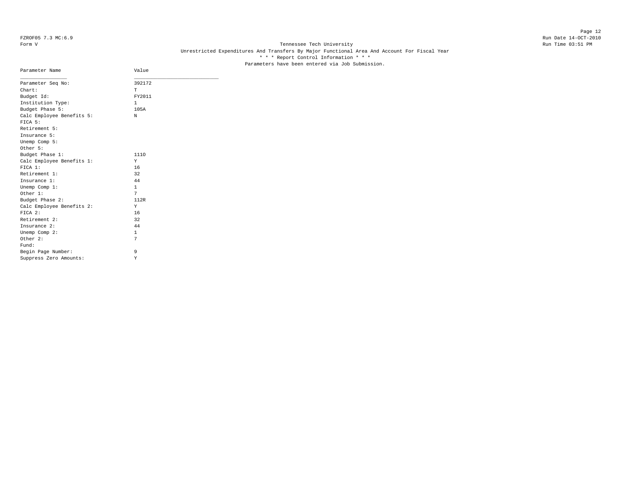Page 12 FZROF05 7.3 MC:6.9 Run Date 14-OCT-2010

# Form V Tennessee Tech University Run Time 03:51 PM Unrestricted Expenditures And Transfers By Major Functional Area And Account For Fiscal Year \* \* \* Report Control Information \* \* \* Parameters have been entered via Job Submission.

| Parameter Name                       | Value        |  |
|--------------------------------------|--------------|--|
| Parameter Seq No:                    | 392172       |  |
| Chart:                               | T.           |  |
| Budget Id:                           | FY2011       |  |
| Institution Type:                    | $\mathbf{1}$ |  |
| Budget Phase 5:                      | 105A         |  |
| Calc Employee Benefits 5:<br>FICA 5: | N            |  |
| Retirement 5:                        |              |  |
| Insurance 5:                         |              |  |
| Unemp Comp 5:                        |              |  |
| Other 5:                             |              |  |
| Budget Phase 1:                      | 1110         |  |
| Calc Employee Benefits 1:            | Y            |  |
| FICA 1:                              | 16           |  |
| Retirement 1:                        | 32           |  |
| Insurance 1:                         | 44           |  |
| Unemp Comp 1:                        | $\mathbf{1}$ |  |
| Other 1:                             | 7            |  |
| Budget Phase 2:                      | 112R         |  |
| Calc Employee Benefits 2:            | Y            |  |
| FICA 2:                              | 16           |  |
| Retirement 2:                        | 32           |  |
| Insurance 2:                         | 44           |  |
| Unemp Comp 2:                        | $\mathbf{1}$ |  |
| Other 2:                             | 7            |  |
| Fund:                                |              |  |
| Begin Page Number:                   | 9            |  |
| Suppress Zero Amounts:               | Υ            |  |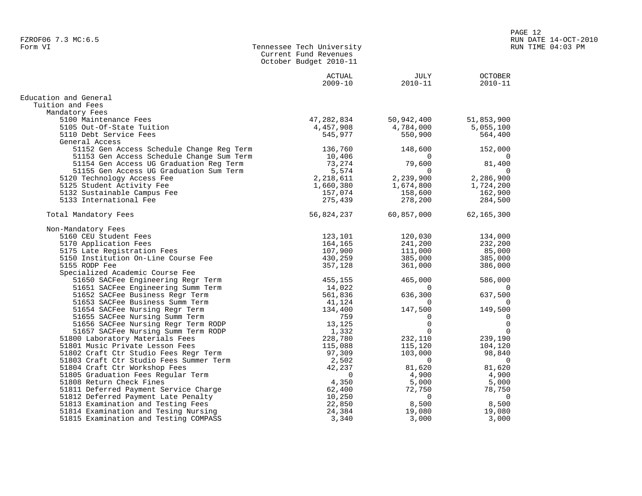|                                           | Current Fund Revenues<br>October Budget 2010-11 |             |                          |
|-------------------------------------------|-------------------------------------------------|-------------|--------------------------|
|                                           | ACTUAL                                          | JULY        | <b>OCTOBER</b>           |
|                                           | $2009 - 10$                                     | $2010 - 11$ | $2010 - 11$              |
| Education and General                     |                                                 |             |                          |
| Tuition and Fees                          |                                                 |             |                          |
| Mandatory Fees                            |                                                 |             |                          |
| 5100 Maintenance Fees                     | 47,282,834                                      | 50,942,400  | 51,853,900               |
| 5105 Out-Of-State Tuition                 | 4,457,908                                       | 4,784,000   | 5,055,100                |
| 5110 Debt Service Fees                    | 545,977                                         | 550,900     | 564,400                  |
| General Access                            |                                                 |             |                          |
| 51152 Gen Access Schedule Change Reg Term | 136,760                                         | 148,600     | 152,000                  |
| 51153 Gen Access Schedule Change Sum Term | 10,406                                          | $\Omega$    | 0                        |
| 51154 Gen Access UG Graduation Reg Term   | 73,274                                          | 79,600      | 81,400                   |
| 51155 Gen Access UG Graduation Sum Term   | 5,574                                           | $\Omega$    | $\Omega$                 |
| 5120 Technology Access Fee                | 2,218,611                                       | 2,239,900   | 2,286,900                |
| 5125 Student Activity Fee                 | 1,660,380                                       | 1,674,800   | 1,724,200                |
| 5132 Sustainable Campus Fee               | 157,074                                         | 158,600     | 162,900                  |
| 5133 International Fee                    | 275,439                                         | 278,200     | 284,500                  |
| Total Mandatory Fees                      | 56,824,237                                      | 60,857,000  | 62,165,300               |
|                                           |                                                 |             |                          |
| Non-Mandatory Fees                        |                                                 |             |                          |
| 5160 CEU Student Fees                     | 123,101                                         | 120,030     | 134,000                  |
| 5170 Application Fees                     | 164,165                                         | 241,200     | 232,200                  |
| 5175 Late Registration Fees               | 107,900                                         | 111,000     | 85,000                   |
| 5150 Institution On-Line Course Fee       | 430,259                                         | 385,000     | 385,000                  |
| 5155 RODP Fee                             | 357,128                                         | 361,000     | 386,000                  |
| Specialized Academic Course Fee           |                                                 |             |                          |
| 51650 SACFee Engineering Regr Term        | 455,155                                         | 465,000     | 586,000                  |
| 51651 SACFee Engineering Summ Term        | 14,022                                          | $\Omega$    | 0                        |
| 51652 SACFee Business Regr Term           | 561,836                                         | 636,300     | 637,500                  |
| 51653 SACFee Business Summ Term           | 41,124                                          | $\Omega$    | 0                        |
| 51654 SACFee Nursing Regr Term            | 134,400                                         | 147,500     | 149,500                  |
| 51655 SACFee Nursing Summ Term            | 759                                             | 0           | 0                        |
| 51656 SACFee Nursing Regr Term RODP       | 13,125                                          | $\Omega$    | $\mathbf 0$              |
| 51657 SACFee Nursing Summ Term RODP       | 1,332                                           | $\Omega$    | $\mathbf 0$              |
| 51800 Laboratory Materials Fees           | 228,780                                         | 232,110     | 239,190                  |
| 51801 Music Private Lesson Fees           | 115,088                                         | 115,120     | 104,120                  |
| 51802 Craft Ctr Studio Fees Regr Term     | 97,309                                          | 103,000     | 98,840                   |
| 51803 Craft Ctr Studio Fees Summer Term   | 2,502                                           | 0           | $\overline{\phantom{0}}$ |
| 51804 Craft Ctr Workshop Fees             | 42,237                                          | 81,620      | 81,620                   |
| 51805 Graduation Fees Regular Term        | $\mathbf 0$                                     | 4,900       | 4,900                    |
| 51808 Return Check Fines                  | 4,350                                           | 5,000       | 5,000                    |
| 51811 Deferred Payment Service Charge     | 62,400                                          | 72,750      | 78,750                   |
| 51812 Deferred Payment Late Penalty       | 10,250                                          | $\Omega$    | $\Omega$                 |
| 51813 Examination and Testing Fees        | 22,850                                          | 8,500       | 8,500                    |
| 51814 Examination and Tesing Nursing      | 24,384                                          | 19,080      | 19,080                   |

51815 Examination and Testing COMPASS 3,340 3,000 3,000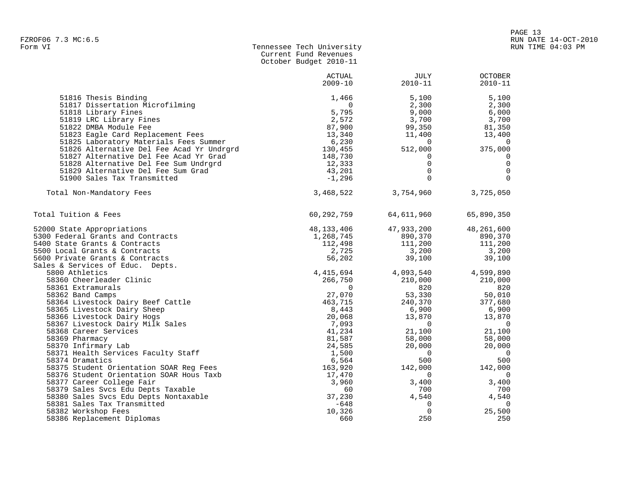| Form VI | Tennessee Tech University |
|---------|---------------------------|
|         | Current Fund Revenues     |
|         | October Budget 2010-11    |

|                                           | <b>ACTUAL</b> | <b>JULY</b>    | <b>OCTOBER</b> |
|-------------------------------------------|---------------|----------------|----------------|
|                                           | $2009 - 10$   | $2010 - 11$    | $2010 - 11$    |
| 51816 Thesis Binding                      | 1,466         | 5,100          | 5,100          |
| 51817 Dissertation Microfilming           | $\mathbf 0$   | 2,300          | 2,300          |
| 51818 Library Fines                       | 5,795         | 9,000          | 6,000          |
| 51819 LRC Library Fines                   | 2,572         | 3,700          | 3,700          |
| 51822 DMBA Module Fee                     | 87,900        | 99,350         | 81,350         |
| 51823 Eagle Card Replacement Fees         | 13,340        | 11,400         | 13,400         |
| 51825 Laboratory Materials Fees Summer    | 6,230         | $\overline{0}$ | $\overline{0}$ |
| 51826 Alternative Del Fee Acad Yr Undrgrd | 130,455       | 512,000        | 375,000        |
| 51827 Alternative Del Fee Acad Yr Grad    | 148,730       | 0              | 0              |
| 51828 Alternative Del Fee Sum Undrgrd     | 12,333        | $\Omega$       | $\mathbf 0$    |
| 51829 Alternative Del Fee Sum Grad        | 43,201        | $\mathbf 0$    | $\overline{0}$ |
| 51900 Sales Tax Transmitted               | $-1,296$      | $\Omega$       | $\Omega$       |
| Total Non-Mandatory Fees                  | 3,468,522     | 3,754,960      | 3,725,050      |
| Total Tuition & Fees                      | 60,292,759    | 64,611,960     | 65,890,350     |
| 52000 State Appropriations                | 48,133,406    | 47,933,200     | 48,261,600     |
| 5300 Federal Grants and Contracts         | 1,268,745     | 890,370        | 890,370        |
| 5400 State Grants & Contracts             | 112,498       | 111,200        | 111,200        |
| 5500 Local Grants & Contracts             | 2,725         | 3,200          | 3,200          |
| 5600 Private Grants & Contracts           | 56,202        | 39,100         | 39,100         |
| Sales & Services of Educ. Depts.          |               |                |                |
| 5800 Athletics                            | 4,415,694     | 4,093,540      | 4,599,890      |
| 58360 Cheerleader Clinic                  | 266,750       | 210,000        | 210,000        |
| 58361 Extramurals                         | $\Omega$      | 820            | 820            |
| 58362 Band Camps                          | 27,070        | 53,330         | 50,010         |
| 58364 Livestock Dairy Beef Cattle         | 463,715       | 240,370        | 377,680        |
| 58365 Livestock Dairy Sheep               | 8,443         | 6,900          | 6,900          |
| 58366 Livestock Dairy Hogs                | 20,068        | 13,870         | 13,870         |
| 58367 Livestock Dairy Milk Sales          | 7,093         | $\overline{0}$ | $\overline{0}$ |
| 58368 Career Services                     | 41,234        | 21,100         | 21,100         |
| 58369 Pharmacy                            | 81,587        | 58,000         | 58,000         |
| 58370 Infirmary Lab                       | 24,585        | 20,000         | 20,000         |
| 58371 Health Services Faculty Staff       | 1,500         | $\Omega$       | $\overline{0}$ |
| 58374 Dramatics                           | 6,564         | 500            | 500            |
| 58375 Student Orientation SOAR Reg Fees   | 163,920       | 142,000        | 142,000        |
| 58376 Student Orientation SOAR Hous Taxb  | 17,470        | $\overline{0}$ | $\overline{0}$ |
| 58377 Career College Fair                 | 3,960         | 3,400          | 3,400          |
| 58379 Sales Svcs Edu Depts Taxable        | 60            | 700            | 700            |
| 58380 Sales Svcs Edu Depts Nontaxable     | 37,230        | 4,540          | 4,540          |
| 58381 Sales Tax Transmitted               | $-648$        | $\mathbf 0$    | $\overline{0}$ |
| 58382 Workshop Fees                       | 10,326        | $\Omega$       | 25,500         |
| 58386 Replacement Diplomas                | 660           | 250            | 250            |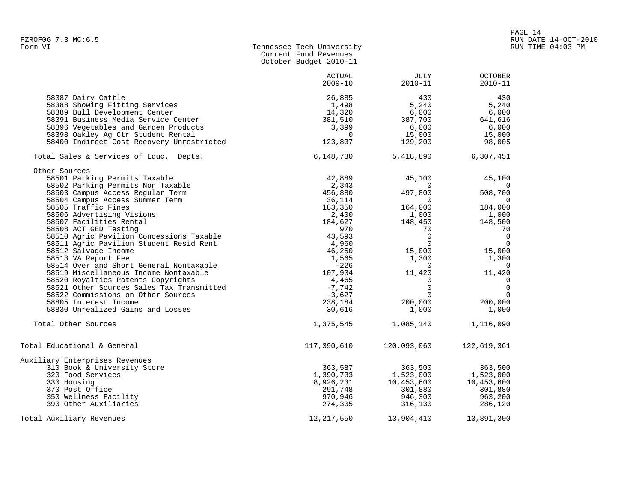|                                                                                       | October Budget 2010-11    |                       |                               |
|---------------------------------------------------------------------------------------|---------------------------|-----------------------|-------------------------------|
|                                                                                       | ACTUAL<br>$2009 - 10$     | JULY<br>$2010 - 11$   | <b>OCTOBER</b><br>$2010 - 11$ |
| 58387 Dairy Cattle<br>58388 Showing Fitting Services<br>58389 Bull Development Center | 26,885<br>1,498<br>14,320 | 430<br>5,240<br>6,000 | 430<br>5,240<br>6,000         |
| 58391 Business Media Service Center                                                   | 381,510                   | 387,700               | 641,616                       |
| 58396 Vegetables and Garden Products                                                  | 3,399                     | 6,000                 | 6,000                         |
| 58398 Oakley Ag Ctr Student Rental                                                    | $\overline{0}$            | 15,000                | 15,000                        |
| 58400 Indirect Cost Recovery Unrestricted                                             | 123,837                   | 129,200               | 98,005                        |
| Total Sales & Services of Educ. Depts.                                                | 6,148,730                 | 5,418,890             | 6,307,451                     |
| Other Sources                                                                         |                           |                       |                               |
| 58501 Parking Permits Taxable                                                         | 42,889                    | 45,100                | 45,100                        |
| 58502 Parking Permits Non Taxable                                                     | 2,343                     | $\Omega$              | $\Omega$                      |
| 58503 Campus Access Regular Term                                                      | 456,880                   | 497,800               | 508,700                       |
| 58504 Campus Access Summer Term                                                       | 36,114                    | $\overline{0}$        | $\overline{0}$                |
| 58505 Traffic Fines                                                                   | 183,350                   | 164,000               | 184,000                       |
| 58506 Advertising Visions                                                             | 2,400                     | 1,000                 | 1,000                         |
| 58507 Facilities Rental                                                               | 184,627                   | 148,450               | 148,500                       |
| 58508 ACT GED Testing                                                                 | 970                       | 70                    | 70                            |
| 58510 Agric Pavilion Concessions Taxable                                              | 43,593                    | $\overline{0}$        | $\overline{0}$                |
| 58511 Agric Pavilion Student Resid Rent                                               | 4,960                     | $\mathbf 0$           | $\overline{0}$                |
| 58512 Salvage Income                                                                  | 46,250                    | 15,000                | 15,000                        |
| 58513 VA Report Fee                                                                   | 1,565                     | 1,300                 | 1,300                         |
| 58514 Over and Short General Nontaxable                                               | -226                      | $\mathbf 0$           | $\overline{0}$                |
| 58519 Miscellaneous Income Nontaxable                                                 | 107,934                   | 11,420                | 11,420                        |
| 58520 Royalties Patents Copyrights                                                    | 4,465                     | $\mathbf 0$           | $\overline{0}$                |
| 58521 Other Sources Sales Tax Transmitted                                             | $-7,742$                  | $\mathbf 0$           | $\overline{0}$                |
| 58522 Commissions on Other Sources                                                    | $-3,627$                  | $\Omega$              | $\overline{0}$                |
| 58805 Interest Income                                                                 | 238,184                   | 200,000               | 200,000                       |
| 58830 Unrealized Gains and Losses                                                     | 30,616                    | 1,000                 | 1,000                         |
| Total Other Sources                                                                   | 1,375,545                 | 1,085,140             | 1,116,090                     |
| Total Educational & General                                                           | 117,390,610               | 120,093,060           | 122,619,361                   |
| Auxiliary Enterprises Revenues                                                        |                           |                       |                               |
| 310 Book & University Store                                                           | 363,587                   | 363,500               | 363,500                       |
| 320 Food Services                                                                     | 1,390,733                 | 1,523,000             | 1,523,000                     |
| 330 Housing                                                                           | 8,926,231                 | 10,453,600            | 10,453,600                    |
| 370 Post Office                                                                       | 291,748                   | 301,880               | 301,880                       |
| 350 Wellness Facility                                                                 | 970,946                   | 946,300               | 963,200                       |
| 390 Other Auxiliaries                                                                 | 274,305                   | 316,130               | 286,120                       |
| Total Auxiliary Revenues                                                              | 12, 217, 550              | 13,904,410            | 13,891,300                    |

Tennessee Tech University Current Fund Revenues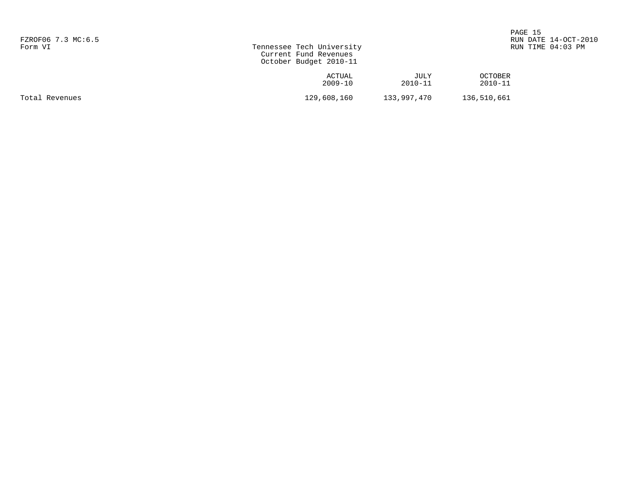| FZROF06 7.3 MC:6.5<br>Form VI | Tennessee Tech University<br>Current Fund Revenues<br>October Budget 2010-11 | PAGE 15<br>RUN DATE 14-OCT-2010<br>RUN TIME 04:03 PM |                               |  |
|-------------------------------|------------------------------------------------------------------------------|------------------------------------------------------|-------------------------------|--|
|                               | ACTUAL<br>$2009 - 10$                                                        | JULY<br>$2010 - 11$                                  | <b>OCTOBER</b><br>$2010 - 11$ |  |
| Total Revenues                | 129,608,160                                                                  | 133,997,470                                          | 136,510,661                   |  |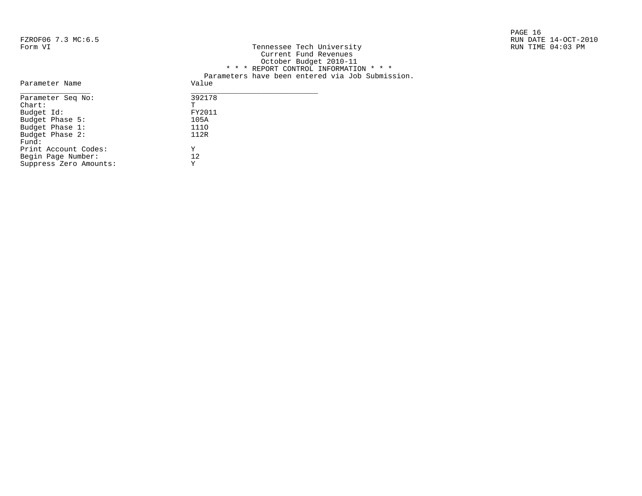|                    |                           | PAGE 16              |
|--------------------|---------------------------|----------------------|
| FZROF06 7.3 MC:6.5 |                           | RUN DATE 14-OCT-2010 |
| Form VI            | Tennessee Tech University | RUN TIME 04:03 PM    |

| FZROFU6 /.3 MC:6.5 |                                                  | RUN DAIE 14-OCT-2 |
|--------------------|--------------------------------------------------|-------------------|
| Form VI            | Tennessee Tech University                        | RUN TIME 04:03 PM |
|                    | Current Fund Revenues                            |                   |
|                    | October Budget 2010-11                           |                   |
|                    | * * * REPORT CONTROL INFORMATION * * *           |                   |
|                    | Parameters have been entered via Job Submission. |                   |
| Parameter Name     | Value                                            |                   |
| Parameter Seq No:  | 392178                                           |                   |
| Chart:             |                                                  |                   |
| Budget Id:         | FY2011                                           |                   |
| Budget Phase 5:    | 105A                                             |                   |
| Budget Phase 1:    | 1110                                             |                   |
| Budget Phase 2:    | 112R                                             |                   |
|                    |                                                  |                   |

| Parameter Seq No:      | 392178 |
|------------------------|--------|
| $chart$ :              | Ͳ      |
| Budget Id:             | FY2011 |
| Budget Phase 5:        | 105A   |
| Budget Phase 1:        | 1110   |
| Budget Phase 2:        | 112R   |
| Fund:                  |        |
| Print Account Codes:   | Y      |
| Begin Page Number:     | 12.    |
| Suppress Zero Amounts: | Y      |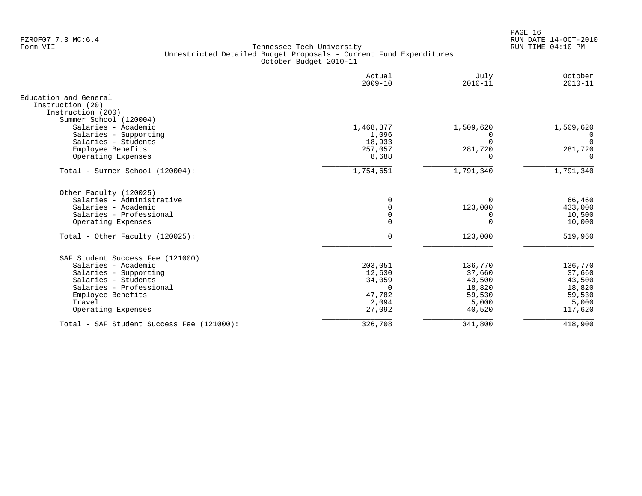PAGE 16 FZROF07 7.3 MC:6.4 RUN DATE 14-OCT-2010

|                                                                | Actual<br>$2009 - 10$      | July<br>$2010 - 11$  | October<br>$2010 - 11$ |
|----------------------------------------------------------------|----------------------------|----------------------|------------------------|
| Education and General<br>Instruction (20)<br>Instruction (200) |                            |                      |                        |
| Summer School (120004)<br>Salaries - Academic                  | 1,468,877                  | 1,509,620            | 1,509,620              |
| Salaries - Supporting                                          | 1,096                      | U                    | 0                      |
| Salaries - Students                                            | 18,933                     | $\Omega$             | $\Omega$               |
| Employee Benefits<br>Operating Expenses                        | 257,057<br>8,688           | 281,720<br>0         | 281,720<br>$\Omega$    |
|                                                                |                            |                      |                        |
| Total - Summer School (120004):                                | 1,754,651                  | 1,791,340            | 1,791,340              |
| Other Faculty (120025)                                         |                            |                      |                        |
| Salaries - Administrative                                      | $\Omega$                   | $\Omega$             | 66,460                 |
| Salaries - Academic                                            | $\Omega$                   | 123,000              | 433,000                |
| Salaries - Professional<br>Operating Expenses                  | $\mathbf 0$<br>$\mathbf 0$ | $\Omega$<br>$\Omega$ | 10,500<br>10,000       |
|                                                                |                            |                      |                        |
| Total - Other Faculty $(120025)$ :                             | $\mathbf{0}$               | 123,000              | 519,960                |
| SAF Student Success Fee (121000)                               |                            |                      |                        |
| Salaries - Academic                                            | 203,051                    | 136,770              | 136,770                |
| Salaries - Supporting                                          | 12,630                     | 37,660               | 37,660                 |
| Salaries - Students                                            | 34,059                     | 43,500               | 43,500                 |
| Salaries - Professional                                        | $\Omega$<br>47,782         | 18,820<br>59,530     | 18,820<br>59,530       |
| Employee Benefits<br>Travel                                    | 2,094                      | 5,000                | 5,000                  |
| Operating Expenses                                             | 27,092                     | 40,520               | 117,620                |
| Total - SAF Student Success Fee (121000):                      | 326,708                    | 341,800              | 418,900                |
|                                                                |                            |                      |                        |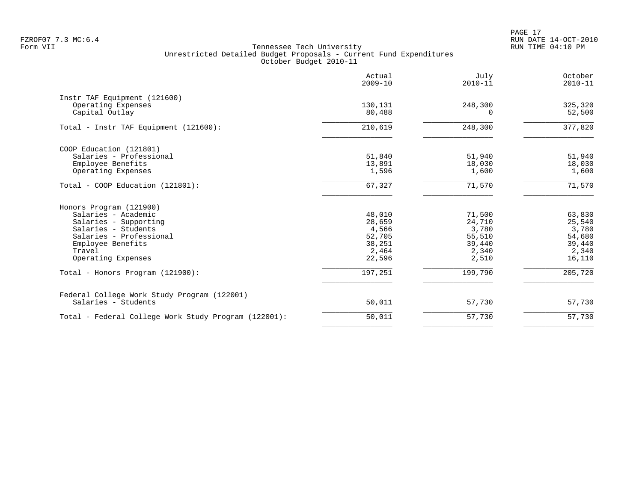PAGE 17 FZROF07 7.3 MC:6.4 RUN DATE 14-OCT-2010

|                                                                      | Actual<br>$2009 - 10$ | July<br>$2010 - 11$ | October<br>$2010 - 11$ |
|----------------------------------------------------------------------|-----------------------|---------------------|------------------------|
| Instr TAF Equipment (121600)<br>Operating Expenses<br>Capital Outlay | 130,131<br>80,488     | 248,300<br>$\Omega$ | 325,320<br>52,500      |
| Total - Instr TAF Equipment (121600):                                | 210,619               | 248,300             | 377,820                |
| COOP Education (121801)                                              |                       |                     |                        |
| Salaries - Professional                                              | 51,840                | 51,940              | 51,940                 |
| Employee Benefits                                                    | 13,891                | 18,030              | 18,030                 |
| Operating Expenses                                                   | 1,596                 | 1,600               | 1,600                  |
| Total - COOP Education (121801):                                     | 67,327                | 71,570              | 71,570                 |
| Honors Program (121900)                                              |                       |                     |                        |
| Salaries - Academic                                                  | 48,010                | 71,500              | 63,830                 |
| Salaries - Supporting                                                | 28,659                | 24,710              | 25,540                 |
| Salaries - Students                                                  | 4,566                 | 3,780               | 3,780                  |
| Salaries - Professional                                              | 52,705                | 55,510              | 54,680                 |
| Employee Benefits                                                    | 38,251                | 39,440              | 39,440                 |
| Travel                                                               | 2,464                 | 2,340               | 2,340                  |
| Operating Expenses                                                   | 22,596                | 2,510               | 16,110                 |
| Total - Honors Program (121900):                                     | 197,251               | 199,790             | 205,720                |
| Federal College Work Study Program (122001)                          |                       |                     |                        |
| Salaries - Students                                                  | 50,011                | 57,730              | 57,730                 |
| Total - Federal College Work Study Program (122001):                 | 50,011                | 57,730              | 57,730                 |
|                                                                      |                       |                     |                        |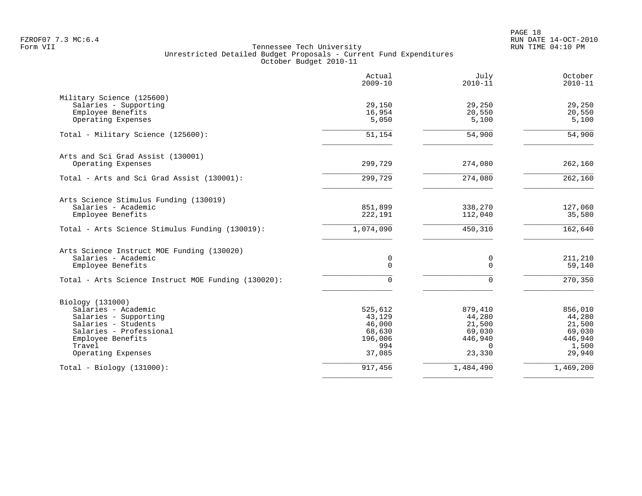PAGE 18 FZROF07 7.3 MC:6.4 RUN DATE 14-OCT-2010

|                                                     | Actual<br>$2009 - 10$ | July<br>$2010 - 11$ | October<br>$2010 - 11$ |
|-----------------------------------------------------|-----------------------|---------------------|------------------------|
| Military Science (125600)<br>Salaries - Supporting  | 29,150                | 29,250              | 29,250                 |
| Employee Benefits                                   | 16,954                | 20,550              | 20,550                 |
| Operating Expenses                                  | 5,050                 | 5,100               | 5,100                  |
| Total - Military Science (125600):                  | 51,154                | 54,900              | 54,900                 |
| Arts and Sci Grad Assist (130001)                   |                       |                     |                        |
| Operating Expenses                                  | 299,729               | 274,080             | 262,160                |
| Total - Arts and Sci Grad Assist (130001):          | 299,729               | 274,080             | 262,160                |
| Arts Science Stimulus Funding (130019)              |                       |                     |                        |
| Salaries - Academic<br>Employee Benefits            | 851,899<br>222,191    | 338,270<br>112,040  | 127,060<br>35,580      |
| Total - Arts Science Stimulus Funding (130019):     | 1,074,090             | 450,310             | 162,640                |
| Arts Science Instruct MOE Funding (130020)          |                       |                     |                        |
| Salaries - Academic<br>Employee Benefits            | 0<br>0                | 0<br>$\Omega$       | 211,210<br>59,140      |
|                                                     |                       |                     |                        |
| Total - Arts Science Instruct MOE Funding (130020): | 0                     | $\Omega$            | 270,350                |
| Biology (131000)                                    |                       |                     |                        |
| Salaries - Academic                                 | 525,612<br>43,129     | 879,410<br>44,280   | 856,010<br>44,280      |
| Salaries - Supporting<br>Salaries - Students        | 46,000                | 21,500              | 21,500                 |
| Salaries - Professional                             | 68,630                | 69,030              | 69,030                 |
| Employee Benefits                                   | 196,006               | 446,940             | 446,940                |
| Travel                                              | 994                   | $\Omega$            | 1,500                  |
| Operating Expenses                                  | 37,085                | 23,330              | 29,940                 |
| $Total - Biology (131000):$                         | 917,456               | 1,484,490           | 1,469,200              |
|                                                     |                       |                     |                        |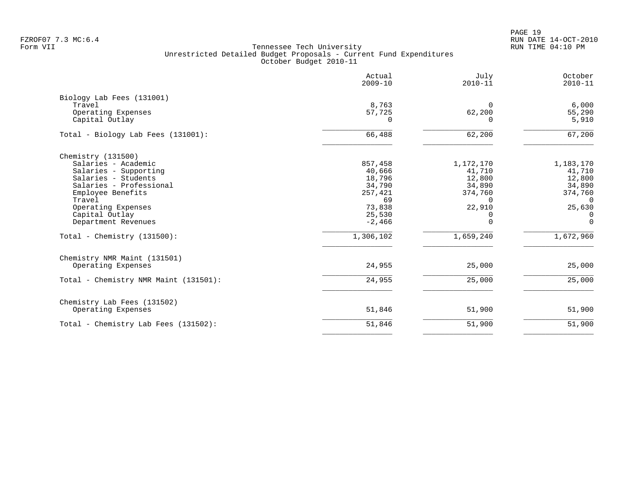PAGE 19 FZROF07 7.3 MC:6.4 RUN DATE 14-OCT-2010

|                                                                                                                                                                                                                    | Actual<br>$2009 - 10$                                                                  | July<br>$2010 - 11$                                                                       | October<br>$2010 - 11$                                                                           |
|--------------------------------------------------------------------------------------------------------------------------------------------------------------------------------------------------------------------|----------------------------------------------------------------------------------------|-------------------------------------------------------------------------------------------|--------------------------------------------------------------------------------------------------|
| Biology Lab Fees (131001)<br>Travel<br>Operating Expenses<br>Capital Outlay                                                                                                                                        | 8,763<br>57,725<br>$\Omega$                                                            | $\Omega$<br>62,200<br>$\Omega$                                                            | 6,000<br>55,290<br>5,910                                                                         |
| Total - Biology Lab Fees (131001):                                                                                                                                                                                 | 66,488                                                                                 | 62,200                                                                                    | 67,200                                                                                           |
| Chemistry (131500)<br>Salaries - Academic<br>Salaries - Supporting<br>Salaries - Students<br>Salaries - Professional<br>Employee Benefits<br>Travel<br>Operating Expenses<br>Capital Outlay<br>Department Revenues | 857,458<br>40,666<br>18,796<br>34,790<br>257,421<br>69<br>73,838<br>25,530<br>$-2,466$ | 1,172,170<br>41,710<br>12,800<br>34,890<br>374,760<br>$\Omega$<br>22,910<br>0<br>$\Omega$ | 1,183,170<br>41,710<br>12,800<br>34,890<br>374,760<br>$\Omega$<br>25,630<br>$\Omega$<br>$\Omega$ |
| Total - Chemistry $(131500)$ :                                                                                                                                                                                     | 1,306,102                                                                              | 1,659,240                                                                                 | 1,672,960                                                                                        |
| Chemistry NMR Maint (131501)<br>Operating Expenses                                                                                                                                                                 | 24,955                                                                                 | 25,000                                                                                    | 25,000                                                                                           |
| Total - Chemistry NMR Maint (131501):                                                                                                                                                                              | 24,955                                                                                 | 25,000                                                                                    | 25,000                                                                                           |
| Chemistry Lab Fees (131502)<br>Operating Expenses                                                                                                                                                                  | 51,846                                                                                 | 51,900                                                                                    | 51,900                                                                                           |
| Total - Chemistry Lab Fees (131502):                                                                                                                                                                               | 51,846                                                                                 | 51,900                                                                                    | 51,900                                                                                           |
|                                                                                                                                                                                                                    |                                                                                        |                                                                                           |                                                                                                  |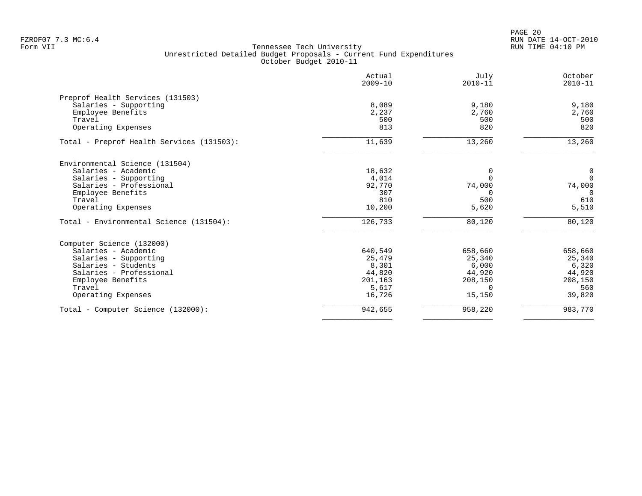PAGE 20 FZROF07 7.3 MC:6.4 RUN DATE 14-OCT-2010

|                                           | Actual<br>$2009 - 10$ | July<br>$2010 - 11$ | October<br>$2010 - 11$ |
|-------------------------------------------|-----------------------|---------------------|------------------------|
| Preprof Health Services (131503)          |                       |                     |                        |
| Salaries - Supporting                     | 8,089                 | 9,180               | 9,180                  |
| Employee Benefits                         | 2,237                 | 2,760               | 2,760                  |
| Travel                                    | 500                   | 500                 | 500                    |
| Operating Expenses                        | 813                   | 820                 | 820                    |
| Total - Preprof Health Services (131503): | 11,639                | 13,260              | 13,260                 |
| Environmental Science (131504)            |                       |                     |                        |
| Salaries - Academic                       | 18,632                | 0                   | $\mathbf 0$            |
| Salaries - Supporting                     | 4,014                 |                     | $\mathbf 0$            |
| Salaries - Professional                   | 92,770                | 74,000              | 74,000                 |
| Employee Benefits                         | 307                   | $\Omega$            | $\Omega$               |
| Travel                                    | 810                   | 500                 | 610                    |
| Operating Expenses                        | 10,200                | 5,620               | 5,510                  |
| Total - Environmental Science (131504):   | 126,733               | 80,120              | 80,120                 |
| Computer Science (132000)                 |                       |                     |                        |
| Salaries - Academic                       | 640,549               | 658,660             | 658,660                |
| Salaries - Supporting                     | 25,479                | 25,340              | 25,340                 |
| Salaries - Students                       | 8,301                 | 6,000               | 6,320                  |
| Salaries - Professional                   | 44,820                | 44,920              | 44,920                 |
| Employee Benefits                         | 201,163               | 208,150             | 208,150                |
| Travel                                    | 5,617                 | $\Omega$            | 560                    |
| Operating Expenses                        | 16,726                | 15,150              | 39,820                 |
| Total - Computer Science (132000):        | 942,655               | 958,220             | 983,770                |
|                                           |                       |                     |                        |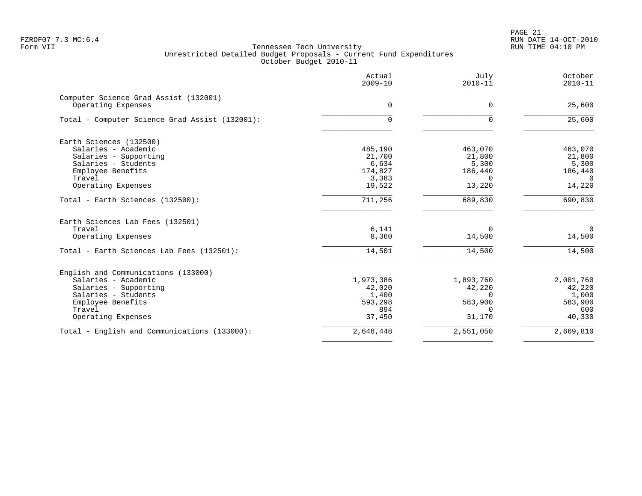PAGE 21 FZROF07 7.3 MC:6.4 RUN DATE 14-OCT-2010

|                                                             | Actual<br>$2009 - 10$ | July<br>$2010 - 11$ | October<br>$2010 - 11$ |
|-------------------------------------------------------------|-----------------------|---------------------|------------------------|
| Computer Science Grad Assist (132001)<br>Operating Expenses | $\mathbf 0$           | 0                   | 25,600                 |
| Total - Computer Science Grad Assist (132001):              | 0                     | $\Omega$            | 25,600                 |
| Earth Sciences (132500)                                     |                       |                     |                        |
| Salaries - Academic                                         | 485,190               | 463,070             | 463,070                |
| Salaries - Supporting                                       | 21,700                | 21,800              | 21,800                 |
| Salaries - Students                                         | 6,634                 | 5,300               | 5,300                  |
| Employee Benefits                                           | 174,827               | 186,440             | 186,440                |
| Travel                                                      | 3,383                 | $\Omega$            | $\Omega$               |
| Operating Expenses                                          | 19,522                | 13,220              | 14,220                 |
| Total - Earth Sciences (132500):                            | 711,256               | 689,830             | 690,830                |
| Earth Sciences Lab Fees (132501)                            |                       |                     |                        |
| Travel                                                      | 6,141                 | $\Omega$            | $\overline{0}$         |
| Operating Expenses                                          | 8,360                 | 14,500              | 14,500                 |
| Total - Earth Sciences Lab Fees (132501):                   | 14,501                | 14,500              | 14,500                 |
| English and Communications (133000)                         |                       |                     |                        |
| Salaries - Academic                                         | 1,973,386             | 1,893,760           | 2,001,760              |
| Salaries - Supporting                                       | 42,020                | 42,220              | 42,220                 |
| Salaries - Students                                         | 1,400                 | $\Omega$            | 1,000                  |
| Employee Benefits                                           | 593,298               | 583,900             | 583,900                |
| Travel                                                      | 894                   | $\Omega$            | 600                    |
| Operating Expenses                                          | 37,450                | 31,170              | 40,330                 |
| Total - English and Communications (133000):                | 2,648,448             | 2,551,050           | 2,669,810              |
|                                                             |                       |                     |                        |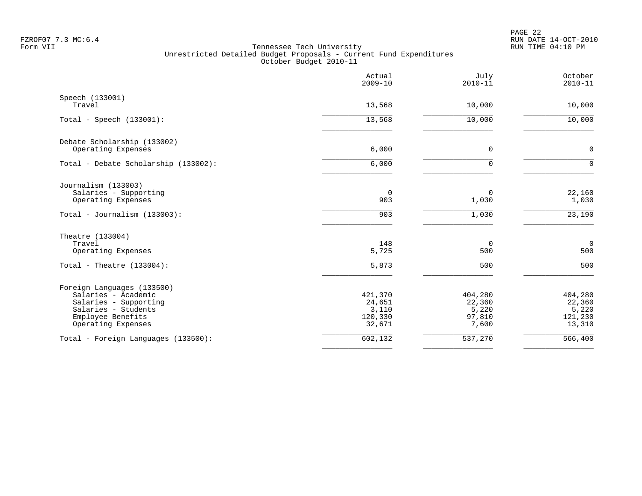PAGE 22 FZROF07 7.3 MC:6.4 RUN DATE 14-OCT-2010

|                                                                                                                                              | Actual<br>$2009 - 10$                           | July<br>$2010 - 11$                           | October<br>$2010 - 11$                          |
|----------------------------------------------------------------------------------------------------------------------------------------------|-------------------------------------------------|-----------------------------------------------|-------------------------------------------------|
| Speech (133001)<br>Travel                                                                                                                    | 13,568                                          | 10,000                                        | 10,000                                          |
| Total - Speech $(133001)$ :                                                                                                                  | 13,568                                          | 10,000                                        | 10,000                                          |
| Debate Scholarship (133002)<br>Operating Expenses                                                                                            | 6,000                                           | $\mathbf 0$                                   | $\mathbf 0$                                     |
| Total - Debate Scholarship (133002):                                                                                                         | 6,000                                           | $\Omega$                                      | $\Omega$                                        |
| Journalism (133003)<br>Salaries - Supporting<br>Operating Expenses<br>Total - Journalism $(133003)$ :                                        | $\overline{0}$<br>903<br>903                    | $\mathbf 0$<br>1,030<br>1,030                 | 22,160<br>1,030<br>$\frac{1}{23,190}$           |
| Theatre (133004)<br>Travel<br>Operating Expenses                                                                                             | 148<br>5,725                                    | $\overline{0}$<br>500                         | $\mathbf 0$<br>500                              |
| Total - Theatre $(133004)$ :                                                                                                                 | 5,873                                           | 500                                           | 500                                             |
| Foreign Languages (133500)<br>Salaries - Academic<br>Salaries - Supporting<br>Salaries - Students<br>Employee Benefits<br>Operating Expenses | 421,370<br>24,651<br>3,110<br>120,330<br>32,671 | 404,280<br>22,360<br>5,220<br>97,810<br>7,600 | 404,280<br>22,360<br>5,220<br>121,230<br>13,310 |
| Total - Foreign Languages (133500):                                                                                                          | 602,132                                         | 537,270                                       | 566,400                                         |
|                                                                                                                                              |                                                 |                                               |                                                 |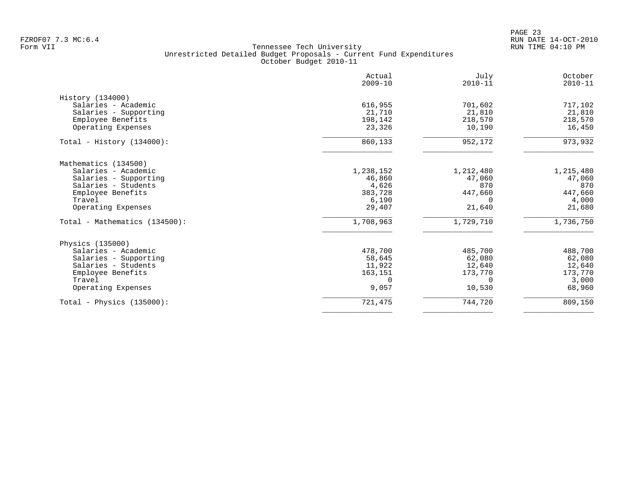PAGE 23 FZROF07 7.3 MC:6.4 RUN DATE 14-OCT-2010

|                               | Actual<br>$2009 - 10$ | July<br>$2010 - 11$ | October<br>$2010 - 11$ |
|-------------------------------|-----------------------|---------------------|------------------------|
| History (134000)              |                       |                     |                        |
| Salaries - Academic           | 616,955               | 701,602             | 717,102                |
| Salaries - Supporting         | 21,710                | 21,810              | 21,810                 |
| Employee Benefits             | 198,142               | 218,570             | 218,570                |
| Operating Expenses            | 23,326                | 10,190              | 16,450                 |
| Total - History $(134000)$ :  | 860,133               | 952,172             | 973,932                |
| Mathematics (134500)          |                       |                     |                        |
| Salaries - Academic           | 1,238,152             | 1,212,480           | 1,215,480              |
| Salaries - Supporting         | 46,860                | 47,060              | 47,060                 |
| Salaries - Students           | 4,626                 | 870                 | 870                    |
| Employee Benefits             | 383,728               | 447,660             | 447,660                |
| Travel                        | 6,190                 | $\Omega$            | 4,000                  |
| Operating Expenses            | 29,407                | 21,640              | 21,680                 |
| Total - Mathematics (134500): | 1,708,963             | 1,729,710           | 1,736,750              |
| Physics (135000)              |                       |                     |                        |
| Salaries - Academic           | 478,700               | 485,700             | 488,700                |
| Salaries - Supporting         | 58,645                | 62,080              | 62,080                 |
| Salaries - Students           | 11,922                | 12,640              | 12,640                 |
| Employee Benefits             | 163,151               | 173,770             | 173,770                |
| Travel                        | 0                     | $\Omega$            | 3,000                  |
| Operating Expenses            | 9,057                 | 10,530              | 68,960                 |
| Total - Physics $(135000)$ :  | 721,475               | 744,720             | 809,150                |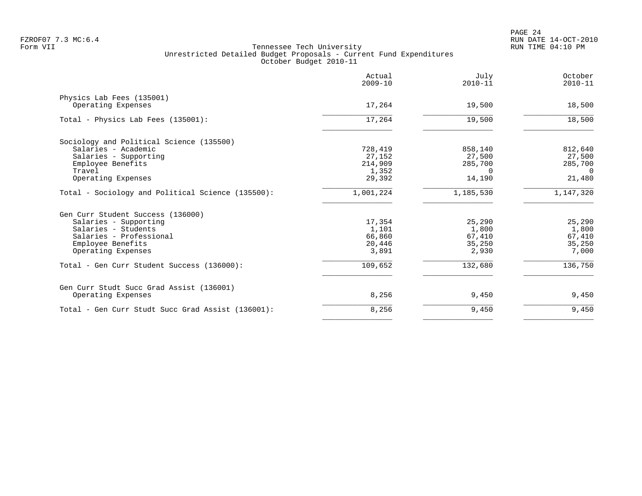|                                                   | Actual<br>$2009 - 10$ | July<br>$2010 - 11$ | October<br>$2010 - 11$ |
|---------------------------------------------------|-----------------------|---------------------|------------------------|
| Physics Lab Fees (135001)                         |                       |                     |                        |
| Operating Expenses                                | 17,264                | 19,500              | 18,500                 |
| Total - Physics Lab Fees (135001):                | 17,264                | 19,500              | 18,500                 |
| Sociology and Political Science (135500)          |                       |                     |                        |
| Salaries - Academic                               | 728,419               | 858,140             | 812,640                |
| Salaries - Supporting                             | 27,152                | 27,500              | 27,500                 |
| Employee Benefits                                 | 214,909               | 285,700             | 285,700                |
| Travel                                            | 1,352                 | $\Omega$            | $\Omega$               |
| Operating Expenses                                | 29,392                | 14,190              | 21,480                 |
| Total - Sociology and Political Science (135500): | 1,001,224             | 1,185,530           | 1,147,320              |
| Gen Curr Student Success (136000)                 |                       |                     |                        |
| Salaries - Supporting                             | 17,354                | 25,290              | 25,290                 |
| Salaries - Students                               | 1,101                 | 1,800               | 1,800                  |
| Salaries - Professional                           | 66,860                | 67,410              | 67,410                 |
| Employee Benefits                                 | 20,446                | 35,250              | 35,250                 |
| Operating Expenses                                | 3,891                 | 2,930               | 7,000                  |
| Total - Gen Curr Student Success (136000):        | 109,652               | 132,680             | 136,750                |
| Gen Curr Studt Succ Grad Assist (136001)          |                       |                     |                        |
| Operating Expenses                                | 8,256                 | 9,450               | 9,450                  |
| Total - Gen Curr Studt Succ Grad Assist (136001): | 8,256                 | 9,450               | 9,450                  |
|                                                   |                       |                     |                        |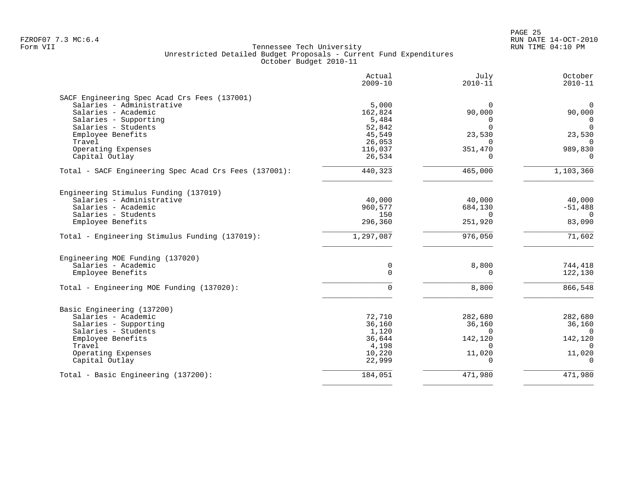|                                                       | Actual<br>$2009 - 10$ | July<br>$2010 - 11$ | October<br>$2010 - 11$ |
|-------------------------------------------------------|-----------------------|---------------------|------------------------|
| SACF Engineering Spec Acad Crs Fees (137001)          |                       |                     |                        |
| Salaries - Administrative                             | 5,000                 | 0                   | $\mathbf 0$            |
| Salaries - Academic                                   | 162,824               | 90,000              | 90,000                 |
| Salaries - Supporting                                 | 5,484                 | $\Omega$            | 0                      |
| Salaries - Students                                   | 52,842                | $\Omega$            | $\Omega$               |
| Employee Benefits                                     | 45,549                | 23,530              | 23,530                 |
| Travel                                                | 26,053                | $\Omega$            | $\Omega$               |
| Operating Expenses                                    | 116,037               | 351,470             | 989,830                |
| Capital Outlay                                        | 26,534                | $\Omega$            | $\Omega$               |
|                                                       |                       |                     |                        |
| Total - SACF Engineering Spec Acad Crs Fees (137001): | 440,323               | 465,000             | 1,103,360              |
| Engineering Stimulus Funding (137019)                 |                       |                     |                        |
| Salaries - Administrative                             | 40,000                | 40,000              | 40,000                 |
| Salaries - Academic                                   | 960,577               | 684,130             | $-51,488$              |
| Salaries - Students                                   | 150                   | $\Omega$            | 0                      |
| Employee Benefits                                     | 296,360               | 251,920             | 83,090                 |
| Total - Engineering Stimulus Funding (137019):        | 1,297,087             | 976,050             | 71,602                 |
| Engineering MOE Funding (137020)                      |                       |                     |                        |
| Salaries - Academic                                   | 0                     | 8,800               | 744,418                |
| Employee Benefits                                     | $\mathbf 0$           | $\mathbf 0$         | 122,130                |
| Total - Engineering MOE Funding (137020):             | $\Omega$              | 8,800               | 866,548                |
| Basic Engineering (137200)                            |                       |                     |                        |
| Salaries - Academic                                   | 72,710                | 282,680             | 282,680                |
| Salaries - Supporting                                 | 36,160                | 36,160              | 36,160                 |
| Salaries - Students                                   | 1,120                 | $\Omega$            | $\Omega$               |
| Employee Benefits                                     | 36,644                | 142,120             | 142,120                |
| Travel                                                | 4,198                 | <sup>n</sup>        | ∩                      |
| Operating Expenses                                    | 10,220                | 11,020              | 11,020                 |
| Capital Outlay                                        | 22,999                | $\Omega$            | $\Omega$               |
| Total - Basic Engineering (137200):                   | 184,051               | 471,980             | 471,980                |
|                                                       |                       |                     |                        |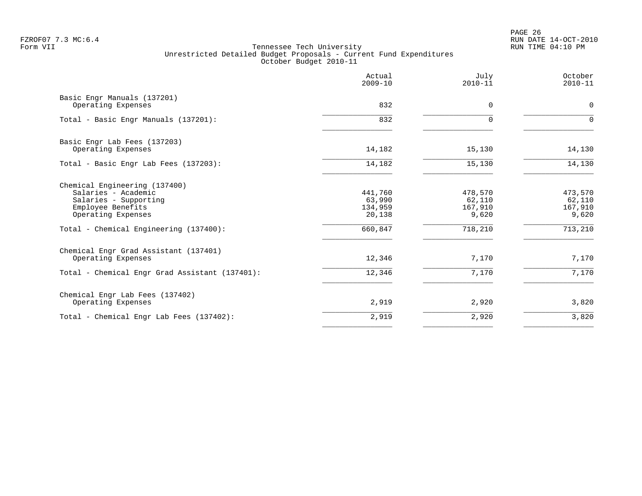PAGE 26 FZROF07 7.3 MC:6.4 RUN DATE 14-OCT-2010

|                                                                                                                                                                    | Actual<br>$2009 - 10$                             | July<br>$2010 - 11$                              | October<br>$2010 - 11$                           |
|--------------------------------------------------------------------------------------------------------------------------------------------------------------------|---------------------------------------------------|--------------------------------------------------|--------------------------------------------------|
| Basic Engr Manuals (137201)<br>Operating Expenses                                                                                                                  | 832                                               | $\Omega$                                         | $\mathbf 0$                                      |
| Total - Basic Engr Manuals (137201):                                                                                                                               | 832                                               | $\Omega$                                         | $\Omega$                                         |
| Basic Engr Lab Fees (137203)<br>Operating Expenses                                                                                                                 | 14,182                                            | 15,130                                           | 14,130                                           |
| Total - Basic Engr Lab Fees (137203):                                                                                                                              | 14,182                                            | 15,130                                           | 14,130                                           |
| Chemical Engineering (137400)<br>Salaries - Academic<br>Salaries - Supporting<br>Employee Benefits<br>Operating Expenses<br>Total - Chemical Engineering (137400): | 441,760<br>63,990<br>134,959<br>20,138<br>660,847 | 478,570<br>62,110<br>167,910<br>9,620<br>718,210 | 473,570<br>62,110<br>167,910<br>9,620<br>713,210 |
| Chemical Engr Grad Assistant (137401)<br>Operating Expenses                                                                                                        | 12,346                                            | 7,170                                            | 7,170                                            |
| Total - Chemical Engr Grad Assistant (137401):                                                                                                                     | 12,346                                            | 7,170                                            | 7,170                                            |
| Chemical Engr Lab Fees (137402)<br>Operating Expenses                                                                                                              | 2,919                                             | 2,920                                            | 3,820                                            |
| Total - Chemical Engr Lab Fees (137402):                                                                                                                           | 2,919                                             | 2,920                                            | 3,820                                            |
|                                                                                                                                                                    |                                                   |                                                  |                                                  |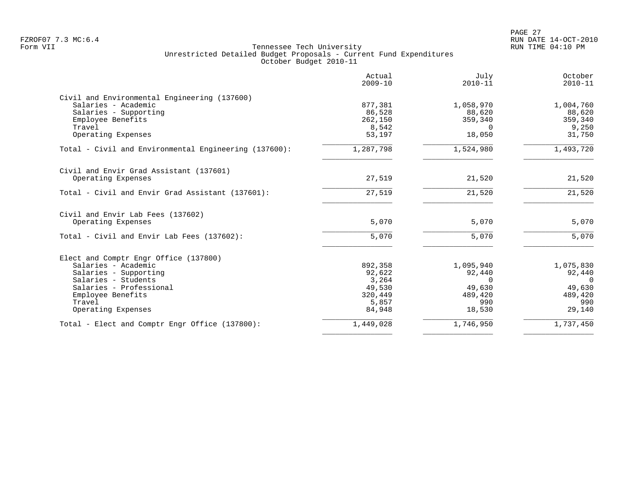PAGE 27 FZROF07 7.3 MC:6.4 RUN DATE 14-OCT-2010

|                                                         | Actual<br>$2009 - 10$ | July<br>$2010 - 11$ | October<br>$2010 - 11$ |
|---------------------------------------------------------|-----------------------|---------------------|------------------------|
| Civil and Environmental Engineering (137600)            |                       |                     |                        |
| Salaries - Academic                                     | 877,381               | 1,058,970           | 1,004,760              |
| Salaries - Supporting                                   | 86,528                | 88,620              | 88,620                 |
| Employee Benefits                                       | 262,150               | 359,340             | 359,340                |
| Travel                                                  | 8,542                 | $\Omega$            | 9,250                  |
| Operating Expenses                                      | 53,197                | 18,050              | 31,750                 |
| Total - Civil and Environmental Engineering (137600):   | 1,287,798             | 1,524,980           | 1,493,720              |
| Civil and Envir Grad Assistant (137601)                 |                       |                     |                        |
| Operating Expenses                                      | 27,519                | 21,520              | 21,520                 |
| Total - Civil and Envir Grad Assistant (137601):        | 27,519                | 21,520              | 21,520                 |
|                                                         |                       |                     |                        |
| Civil and Envir Lab Fees (137602)<br>Operating Expenses | 5,070                 | 5,070               | 5,070                  |
| Total - Civil and Envir Lab Fees (137602):              | 5,070                 | 5,070               | 5,070                  |
| Elect and Comptr Engr Office (137800)                   |                       |                     |                        |
| Salaries - Academic                                     | 892,358               | 1,095,940           | 1,075,830              |
| Salaries - Supporting                                   | 92,622                | 92,440              | 92,440                 |
| Salaries - Students                                     | 3,264                 | $\Omega$            | $\Omega$               |
| Salaries - Professional                                 | 49,530                | 49,630              | 49,630                 |
| Employee Benefits                                       | 320,449               | 489,420             | 489,420                |
| Travel                                                  | 5,857                 | 990                 | 990                    |
| Operating Expenses                                      | 84,948                | 18,530              | 29,140                 |
| Total - Elect and Comptr Engr Office (137800):          | 1,449,028             | 1,746,950           | 1,737,450              |
|                                                         |                       |                     |                        |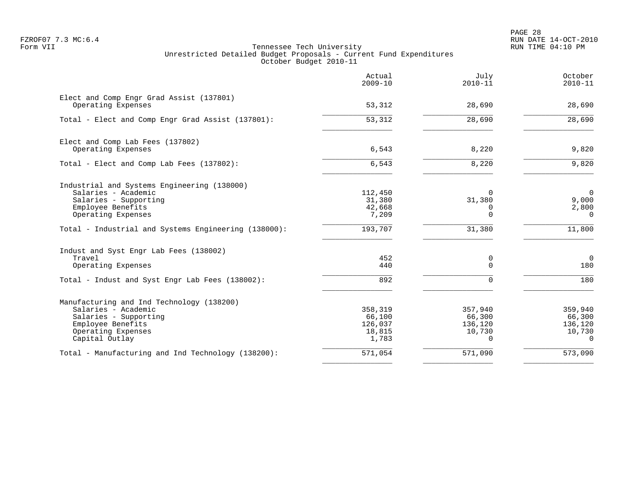PAGE 28 FZROF07 7.3 MC:6.4 RUN DATE 14-OCT-2010

| Actual<br>$2009 - 10$ | July<br>$2010 - 11$                                               | October<br>$2010 - 11$                                             |
|-----------------------|-------------------------------------------------------------------|--------------------------------------------------------------------|
| 53,312                | 28,690                                                            | 28,690                                                             |
| 53,312                | 28,690                                                            | 28,690                                                             |
|                       |                                                                   |                                                                    |
| 6,543                 | 8,220                                                             | 9,820                                                              |
| 6,543                 | 8,220                                                             | 9,820                                                              |
|                       |                                                                   |                                                                    |
|                       |                                                                   | $\overline{0}$                                                     |
|                       |                                                                   | 9,000                                                              |
| 7,209                 | $\Omega$                                                          | 2,800<br>$\Omega$                                                  |
| 193,707               | 31,380                                                            | 11,800                                                             |
|                       |                                                                   |                                                                    |
| 452                   | 0                                                                 | $\mathbf 0$                                                        |
|                       |                                                                   | 180                                                                |
| 892                   | <sup>n</sup>                                                      | 180                                                                |
|                       |                                                                   |                                                                    |
| 358,319               | 357,940                                                           | 359,940                                                            |
|                       |                                                                   | 66,300                                                             |
|                       |                                                                   | 136,120                                                            |
| 1,783                 | $\Omega$                                                          | 10,730<br>$\Omega$                                                 |
| 571,054               | 571,090                                                           | 573,090                                                            |
|                       | 112,450<br>31,380<br>42,668<br>440<br>66,100<br>126,037<br>18,815 | $\Omega$<br>31,380<br>O<br>$\Omega$<br>66,300<br>136,120<br>10,730 |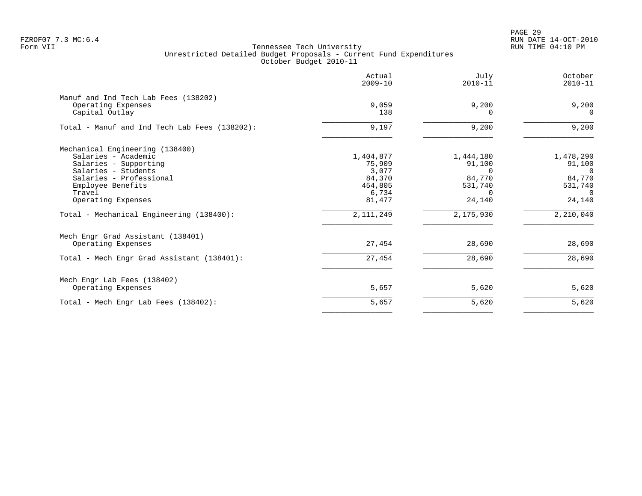PAGE 29 FZROF07 7.3 MC:6.4 RUN DATE 14-OCT-2010

|                                                                                                                                                                                                                                    | Actual<br>$2009 - 10$                                                               | July<br>$2010 - 11$                                                                   | October<br>$2010 - 11$                                                                  |
|------------------------------------------------------------------------------------------------------------------------------------------------------------------------------------------------------------------------------------|-------------------------------------------------------------------------------------|---------------------------------------------------------------------------------------|-----------------------------------------------------------------------------------------|
| Manuf and Ind Tech Lab Fees (138202)<br>Operating Expenses<br>Capital Outlay                                                                                                                                                       | 9,059<br>138                                                                        | 9,200<br>$\Omega$                                                                     | 9,200<br>$\Omega$                                                                       |
| Total - Manuf and Ind Tech Lab Fees (138202):                                                                                                                                                                                      | 9,197                                                                               | 9,200                                                                                 | 9,200                                                                                   |
| Mechanical Engineering (138400)<br>Salaries - Academic<br>Salaries - Supporting<br>Salaries - Students<br>Salaries - Professional<br>Employee Benefits<br>Travel<br>Operating Expenses<br>Total - Mechanical Engineering (138400): | 1,404,877<br>75,909<br>3,077<br>84,370<br>454,805<br>6,734<br>81,477<br>2, 111, 249 | 1,444,180<br>91,100<br>$\cap$<br>84,770<br>531,740<br>$\Omega$<br>24,140<br>2,175,930 | 1,478,290<br>91,100<br>$\Omega$<br>84,770<br>531,740<br>$\Omega$<br>24,140<br>2,210,040 |
| Mech Engr Grad Assistant (138401)<br>Operating Expenses                                                                                                                                                                            | 27,454                                                                              | 28,690                                                                                | 28,690                                                                                  |
| Total - Mech Engr Grad Assistant (138401):                                                                                                                                                                                         | 27,454                                                                              | 28,690                                                                                | 28,690                                                                                  |
| Mech Engr Lab Fees (138402)<br>Operating Expenses                                                                                                                                                                                  | 5,657                                                                               | 5,620                                                                                 | 5,620                                                                                   |
| Total - Mech Engr Lab Fees (138402):                                                                                                                                                                                               | 5,657                                                                               | 5,620                                                                                 | 5,620                                                                                   |
|                                                                                                                                                                                                                                    |                                                                                     |                                                                                       |                                                                                         |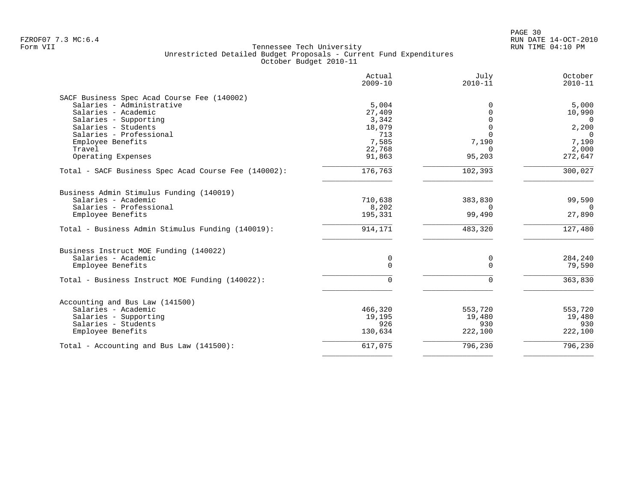|                                                      | Actual<br>$2009 - 10$ | July<br>$2010 - 11$ | October<br>$2010 - 11$ |
|------------------------------------------------------|-----------------------|---------------------|------------------------|
| SACF Business Spec Acad Course Fee (140002)          |                       |                     |                        |
| Salaries - Administrative                            | 5,004                 | 0                   | 5,000                  |
| Salaries - Academic                                  | 27,409                | 0                   | 10,990                 |
| Salaries - Supporting                                | 3,342                 | $\Omega$            | $\overline{0}$         |
| Salaries - Students                                  | 18,079                | $\Omega$            | 2,200                  |
| Salaries - Professional                              | 713                   | $\Omega$            | $\Omega$               |
| Employee Benefits                                    | 7,585                 | 7,190               | 7,190                  |
| Travel                                               | 22,768                | $\Omega$            | 2,000                  |
| Operating Expenses                                   | 91,863                | 95,203              | 272,647                |
| Total - SACF Business Spec Acad Course Fee (140002): | 176,763               | 102,393             | 300,027                |
| Business Admin Stimulus Funding (140019)             |                       |                     |                        |
| Salaries - Academic                                  | 710,638               | 383,830             | 99,590                 |
| Salaries - Professional                              | 8,202                 | $\Omega$            | $\Omega$               |
| Employee Benefits                                    | 195,331               | 99,490              | 27,890                 |
| Total - Business Admin Stimulus Funding (140019):    | 914,171               | 483,320             | 127,480                |
| Business Instruct MOE Funding (140022)               |                       |                     |                        |
| Salaries - Academic                                  | 0                     | 0                   | 284,240                |
| Employee Benefits                                    | $\Omega$              | $\Omega$            | 79,590                 |
| Total - Business Instruct MOE Funding (140022):      | $\Omega$              | $\Omega$            | 363,830                |
|                                                      |                       |                     |                        |
| Accounting and Bus Law (141500)                      |                       |                     |                        |
| Salaries - Academic                                  | 466,320               | 553,720             | 553,720                |
| Salaries - Supporting                                | 19,195                | 19,480              | 19,480                 |
| Salaries - Students                                  | 926                   | 930                 | 930                    |
| Employee Benefits                                    | 130,634               | 222,100             | 222,100                |
| Total - Accounting and Bus Law $(141500)$ :          | 617,075               | 796,230             | 796,230                |
|                                                      |                       |                     |                        |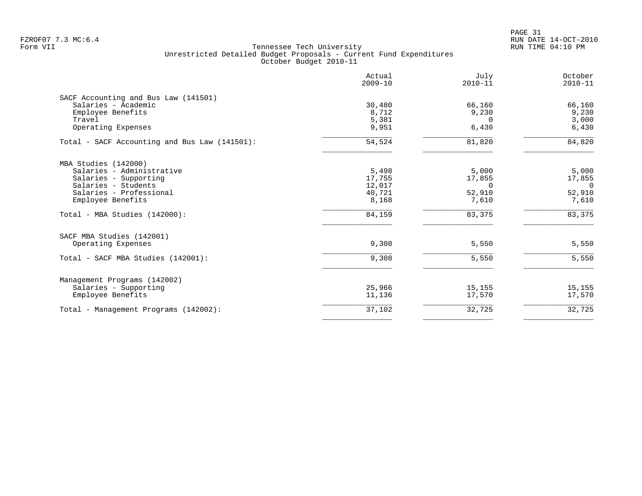PAGE 31 FZROF07 7.3 MC:6.4 RUN DATE 14-OCT-2010

| Actual<br>$2009 - 10$ | July<br>$2010 - 11$                | October<br>$2010 - 11$                |
|-----------------------|------------------------------------|---------------------------------------|
|                       |                                    |                                       |
|                       |                                    | 66,160                                |
|                       |                                    | 9,230                                 |
|                       |                                    | 3,000                                 |
| 9,951                 | 6,430                              | 6,430                                 |
| 54,524                | 81,820                             | 84,820                                |
|                       |                                    |                                       |
| 5,498                 | 5,000                              | 5,000                                 |
| 17,755                | 17,855                             | 17,855                                |
| 12,017                | $\Omega$                           | $\Omega$                              |
|                       |                                    | 52,910                                |
| 8,168                 | 7,610                              | 7,610                                 |
| 84,159                | 83,375                             | 83,375                                |
|                       |                                    |                                       |
| 9,308                 | 5,550                              | 5,550                                 |
| 9,308                 | 5,550                              | 5,550                                 |
|                       |                                    |                                       |
| 25,966                | 15,155                             | 15,155                                |
| 11,136                | 17,570                             | 17,570                                |
| 37,102                | 32,725                             | 32,725                                |
|                       | 30,480<br>8,712<br>5,381<br>40,721 | 66,160<br>9,230<br>$\Omega$<br>52,910 |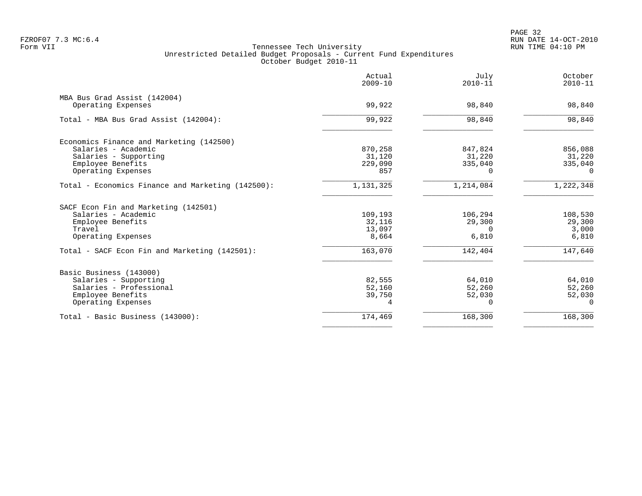|                                                   | Actual<br>$2009 - 10$ | July<br>$2010 - 11$ | October<br>$2010 - 11$ |
|---------------------------------------------------|-----------------------|---------------------|------------------------|
| MBA Bus Grad Assist (142004)                      |                       |                     |                        |
| Operating Expenses                                | 99,922                | 98,840              | 98,840                 |
| Total - MBA Bus Grad Assist (142004):             | 99,922                | 98,840              | 98,840                 |
| Economics Finance and Marketing (142500)          |                       |                     |                        |
| Salaries - Academic                               | 870,258               | 847,824             | 856,088                |
| Salaries - Supporting                             | 31,120                | 31,220              | 31,220                 |
| Employee Benefits                                 | 229,090               | 335,040             | 335,040                |
| Operating Expenses                                | 857                   | <sup>n</sup>        | $\Omega$               |
| Total - Economics Finance and Marketing (142500): | 1,131,325             | 1,214,084           | 1,222,348              |
| SACF Econ Fin and Marketing (142501)              |                       |                     |                        |
| Salaries - Academic                               | 109,193               | 106,294             | 108,530                |
| Employee Benefits                                 | 32,116                | 29,300              | 29,300                 |
| Travel                                            | 13,097                | $\Omega$            | 3,000                  |
| Operating Expenses                                | 8,664                 | 6,810               | 6,810                  |
| Total - SACF Econ Fin and Marketing (142501):     | 163,070               | 142,404             | 147,640                |
| Basic Business (143000)                           |                       |                     |                        |
| Salaries - Supporting                             | 82,555                | 64,010              | 64,010                 |
| Salaries - Professional                           | 52,160                | 52,260              | 52,260                 |
| Employee Benefits                                 | 39,750                | 52,030              | 52,030                 |
| Operating Expenses                                | 4                     | 0                   | $\Omega$               |
| Total - Basic Business (143000):                  | 174,469               | 168,300             | 168,300                |
|                                                   |                       |                     |                        |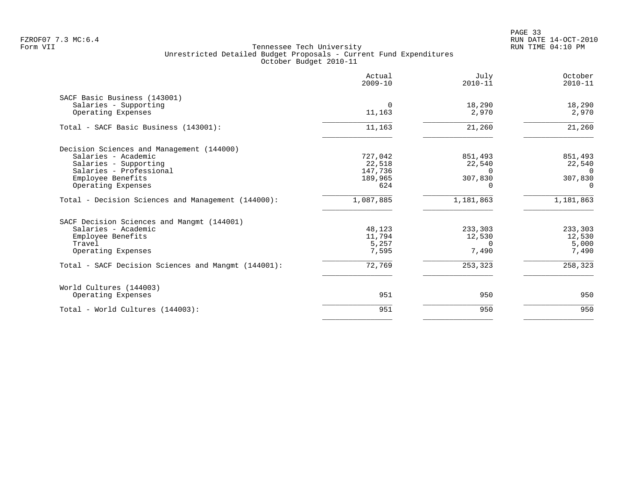|                                                     | Actual<br>$2009 - 10$ | July<br>$2010 - 11$ | October<br>$2010 - 11$ |
|-----------------------------------------------------|-----------------------|---------------------|------------------------|
| SACF Basic Business (143001)                        |                       |                     |                        |
| Salaries - Supporting                               | $\Omega$              | 18,290              | 18,290                 |
| Operating Expenses                                  | 11,163                | 2,970               | 2,970                  |
| Total - SACF Basic Business (143001):               | 11,163                | 21,260              | 21,260                 |
| Decision Sciences and Management (144000)           |                       |                     |                        |
| Salaries - Academic                                 | 727,042               | 851,493             | 851,493                |
| Salaries - Supporting                               | 22,518                | 22,540              | 22,540                 |
| Salaries - Professional                             | 147,736               | $\Omega$            | $\Omega$               |
| Employee Benefits                                   | 189,965               | 307,830             | 307,830                |
| Operating Expenses                                  | 624                   | ∩                   | $\Omega$               |
| Total - Decision Sciences and Management (144000):  | 1,087,885             | 1,181,863           | 1,181,863              |
| SACF Decision Sciences and Mangmt (144001)          |                       |                     |                        |
| Salaries - Academic                                 | 48,123                | 233,303             | 233,303                |
| Employee Benefits                                   | 11,794                | 12,530              | 12,530                 |
| Travel                                              | 5,257                 | $\Omega$            | 5,000                  |
| Operating Expenses                                  | 7,595                 | 7,490               | 7,490                  |
| Total - SACF Decision Sciences and Mangmt (144001): | 72,769                | 253,323             | 258,323                |
| World Cultures (144003)                             |                       |                     |                        |
| Operating Expenses                                  | 951                   | 950                 | 950                    |
| Total - World Cultures (144003):                    | 951                   | 950                 | 950                    |
|                                                     |                       |                     |                        |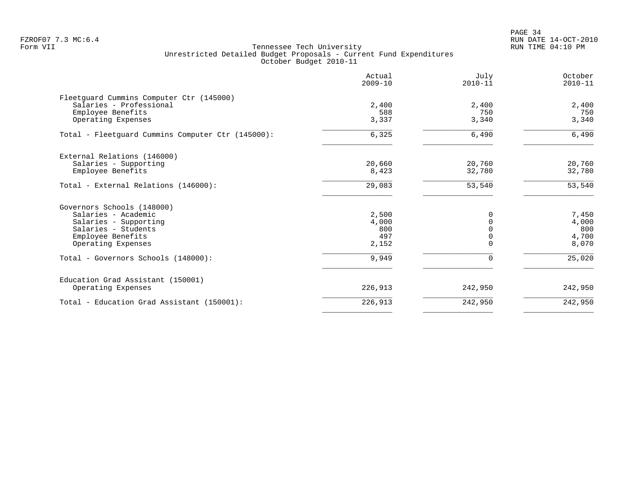PAGE 34 FZROF07 7.3 MC:6.4 RUN DATE 14-OCT-2010

|                                                   | Actual<br>$2009 - 10$ | July<br>$2010 - 11$ | October<br>$2010 - 11$ |
|---------------------------------------------------|-----------------------|---------------------|------------------------|
| Fleetguard Cummins Computer Ctr (145000)          |                       |                     |                        |
| Salaries - Professional                           | 2,400                 | 2,400               | 2,400                  |
| Employee Benefits                                 | 588                   | 750                 | 750                    |
| Operating Expenses                                | 3,337                 | 3,340               | 3,340                  |
| Total - Fleetguard Cummins Computer Ctr (145000): | 6,325                 | 6,490               | 6,490                  |
| External Relations (146000)                       |                       |                     |                        |
| Salaries - Supporting                             | 20,660                | 20,760              | 20,760                 |
| Employee Benefits                                 | 8,423                 | 32,780              | 32,780                 |
| Total - External Relations (146000):              | 29,083                | 53,540              | 53,540                 |
| Governors Schools (148000)                        |                       |                     |                        |
| Salaries - Academic                               | 2,500                 | O                   | 7,450                  |
| Salaries - Supporting                             | 4,000                 |                     | 4,000                  |
| Salaries - Students                               | 800                   |                     | 800                    |
| Employee Benefits                                 | 497                   |                     | 4,700                  |
| Operating Expenses                                | 2,152                 |                     | 8,070                  |
| Total - Governors Schools (148000):               | 9,949                 | $\Omega$            | 25,020                 |
| Education Grad Assistant (150001)                 |                       |                     |                        |
| Operating Expenses                                | 226,913               | 242,950             | 242,950                |
| Total - Education Grad Assistant (150001):        | 226,913               | 242,950             | 242,950                |
|                                                   |                       |                     |                        |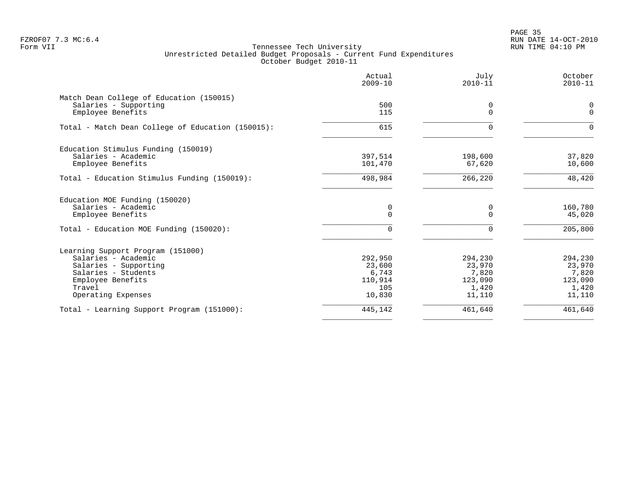en and the state of the state of the state of the state of the state of the state of the state of the state of the state of the state of the state of the state of the state of the state of the state of the state of the sta FZROF07 7.3 MC:6.4 RUN DATE 14-OCT-2010

|                                                   | Actual<br>$2009 - 10$ | July<br>$2010 - 11$ | October<br>$2010 - 11$ |
|---------------------------------------------------|-----------------------|---------------------|------------------------|
| Match Dean College of Education (150015)          |                       |                     |                        |
| Salaries - Supporting<br>Employee Benefits        | 500<br>115            | 0<br>$\Omega$       | 0<br>$\Omega$          |
| Total - Match Dean College of Education (150015): | 615                   | $\Omega$            | $\Omega$               |
| Education Stimulus Funding (150019)               |                       |                     |                        |
| Salaries - Academic<br>Employee Benefits          | 397,514<br>101,470    | 198,600<br>67,620   | 37,820<br>10,600       |
| Total - Education Stimulus Funding (150019):      | 498,984               | 266,220             | 48,420                 |
| Education MOE Funding (150020)                    |                       |                     |                        |
| Salaries - Academic<br>Employee Benefits          | 0<br>0                | 0<br>$\Omega$       | 160,780<br>45,020      |
| Total - Education MOE Funding (150020):           | 0                     | $\mathbf 0$         | 205,800                |
| Learning Support Program (151000)                 |                       |                     |                        |
| Salaries - Academic                               | 292,950               | 294,230             | 294,230                |
| Salaries - Supporting                             | 23,600                | 23,970              | 23,970                 |
| Salaries - Students<br>Employee Benefits          | 6,743<br>110,914      | 7,820<br>123,090    | 7,820                  |
| Travel                                            | 105                   | 1,420               | 123,090<br>1,420       |
| Operating Expenses                                | 10,830                | 11,110              | 11,110                 |
| Total - Learning Support Program (151000):        | 445,142               | 461,640             | 461,640                |
|                                                   |                       |                     |                        |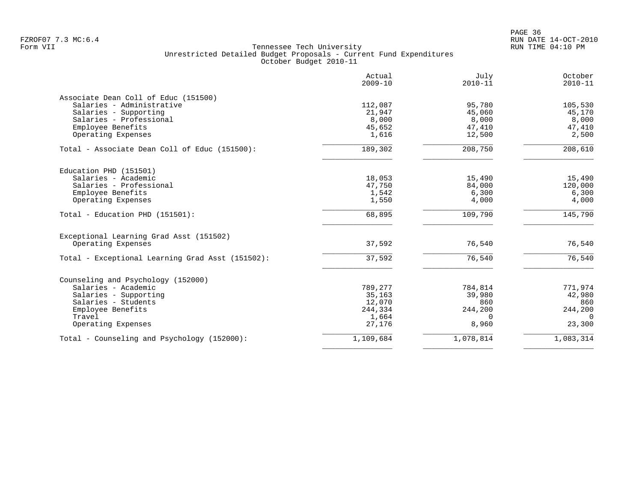en and the state of the state of the state of the state of the state of the state of the state of the state of the state of the state of the state of the state of the state of the state of the state of the state of the sta FZROF07 7.3 MC:6.4 RUN DATE 14-OCT-2010

|                                                  | Actual<br>$2009 - 10$ | July<br>$2010 - 11$ | October<br>$2010 - 11$ |
|--------------------------------------------------|-----------------------|---------------------|------------------------|
| Associate Dean Coll of Educ (151500)             |                       |                     |                        |
| Salaries - Administrative                        | 112,087               | 95,780              | 105,530                |
| Salaries - Supporting                            | 21,947                | 45,060              | 45,170                 |
| Salaries - Professional                          | 8,000                 | 8,000               | 8,000                  |
| Employee Benefits                                | 45,652                | 47,410              | 47,410                 |
| Operating Expenses                               | 1,616                 | 12,500              | 2,500                  |
| Total - Associate Dean Coll of Educ (151500):    | 189,302               | 208,750             | 208,610                |
| Education PHD (151501)                           |                       |                     |                        |
| Salaries - Academic                              | 18,053                | 15,490              | 15,490                 |
| Salaries - Professional                          | 47,750                | 84,000              | 120,000                |
| Employee Benefits                                | 1,542                 | 6,300               | 6,300                  |
| Operating Expenses                               | 1,550                 | 4,000               | 4,000                  |
| Total - Education PHD (151501):                  | 68,895                | 109,790             | 145,790                |
| Exceptional Learning Grad Asst (151502)          |                       |                     |                        |
| Operating Expenses                               | 37,592                | 76,540              | 76,540                 |
| Total - Exceptional Learning Grad Asst (151502): | 37,592                | 76,540              | 76,540                 |
| Counseling and Psychology (152000)               |                       |                     |                        |
| Salaries - Academic                              | 789,277               | 784,814             | 771,974                |
| Salaries - Supporting                            | 35,163                | 39,980              | 42,980                 |
| Salaries - Students                              | 12,070                | 860                 | 860                    |
| Employee Benefits                                | 244,334               | 244,200             | 244,200                |
| Travel                                           | 1,664                 | $\Omega$            | $\Omega$               |
| Operating Expenses                               | 27,176                | 8,960               | 23,300                 |
| Total - Counseling and Psychology (152000):      | 1,109,684             | 1,078,814           | 1,083,314              |
|                                                  |                       |                     |                        |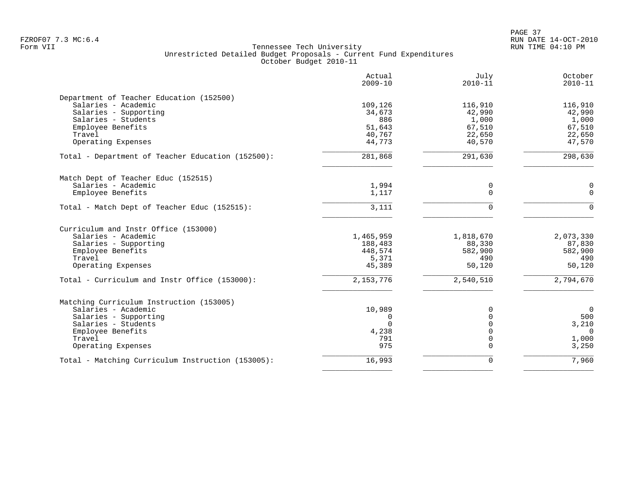PAGE 37 FZROF07 7.3 MC:6.4 RUN DATE 14-OCT-2010

|                                                   | Actual<br>$2009 - 10$ | July<br>$2010 - 11$ | October<br>$2010 - 11$ |
|---------------------------------------------------|-----------------------|---------------------|------------------------|
| Department of Teacher Education (152500)          |                       |                     |                        |
| Salaries - Academic                               | 109,126               | 116,910             | 116,910                |
| Salaries - Supporting                             | 34,673                | 42,990              | 42,990                 |
| Salaries - Students                               | 886                   | 1,000               | 1,000                  |
| Employee Benefits                                 | 51,643                | 67,510              | 67,510                 |
| Travel                                            | 40,767                | 22,650              | 22,650                 |
| Operating Expenses                                | 44,773                | 40,570              | 47,570                 |
| Total - Department of Teacher Education (152500): | 281,868               | 291,630             | 298,630                |
| Match Dept of Teacher Educ (152515)               |                       |                     |                        |
| Salaries - Academic                               | 1,994                 | 0                   | 0                      |
| Employee Benefits                                 | 1,117                 | $\Omega$            | $\Omega$               |
| Total - Match Dept of Teacher Educ (152515):      | 3,111                 | $\Omega$            | $\Omega$               |
| Curriculum and Instr Office (153000)              |                       |                     |                        |
| Salaries - Academic                               | 1,465,959             | 1,818,670           | 2,073,330              |
| Salaries - Supporting                             | 188,483               | 88,330              | 87,830                 |
| Employee Benefits                                 | 448,574               | 582,900             | 582,900                |
| Travel                                            | 5,371                 | 490                 | 490                    |
| Operating Expenses                                | 45,389                | 50,120              | 50,120                 |
| Total - Curriculum and Instr Office (153000):     | 2, 153, 776           | 2,540,510           | 2,794,670              |
| Matching Curriculum Instruction (153005)          |                       |                     |                        |
| Salaries - Academic                               | 10,989                | 0                   | $\mathbf 0$            |
| Salaries - Supporting                             | 0                     | $\Omega$            | 500                    |
| Salaries - Students                               | $\Omega$              | $\Omega$            | 3,210                  |
| Employee Benefits                                 | 4,238                 | $\Omega$            | $\Omega$               |
| Travel                                            | 791                   | $\mathbf 0$         | 1,000                  |
| Operating Expenses                                | 975                   | $\Omega$            | 3,250                  |
| Total - Matching Curriculum Instruction (153005): | 16,993                | $\mathbf 0$         | 7,960                  |
|                                                   |                       |                     |                        |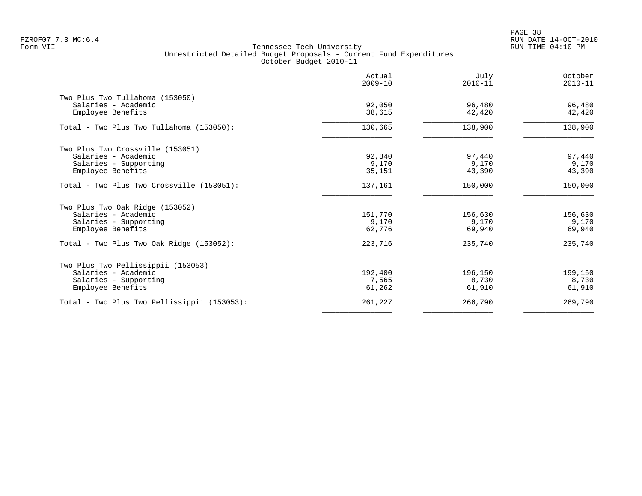PAGE 38 FZROF07 7.3 MC:6.4 RUN DATE 14-OCT-2010

|                                             | Actual<br>$2009 - 10$ | July<br>$2010 - 11$ | October<br>$2010 - 11$ |
|---------------------------------------------|-----------------------|---------------------|------------------------|
| Two Plus Two Tullahoma (153050)             | 92,050                | 96,480              |                        |
| Salaries - Academic<br>Employee Benefits    | 38,615                | 42,420              | 96,480<br>42,420       |
| Total - Two Plus Two Tullahoma (153050):    | 130,665               | 138,900             | 138,900                |
| Two Plus Two Crossville (153051)            |                       |                     |                        |
| Salaries - Academic                         | 92,840                | 97,440              | 97,440                 |
| Salaries - Supporting                       | 9,170                 | 9,170               | 9,170                  |
| Employee Benefits                           | 35,151                | 43,390              | 43,390                 |
| Total - Two Plus Two Crossville (153051):   | 137,161               | 150,000             | 150,000                |
| Two Plus Two Oak Ridge (153052)             |                       |                     |                        |
| Salaries - Academic                         | 151,770               | 156,630             | 156,630                |
| Salaries - Supporting                       | 9,170                 | 9,170               | 9,170                  |
| Employee Benefits                           | 62,776                | 69,940              | 69,940                 |
| Total - Two Plus Two Oak Ridge (153052):    | 223,716               | 235,740             | 235,740                |
| Two Plus Two Pellissippii (153053)          |                       |                     |                        |
| Salaries - Academic                         | 192,400               | 196,150             | 199,150                |
| Salaries - Supporting                       | 7,565                 | 8,730               | 8,730                  |
| Employee Benefits                           | 61,262                | 61,910              | 61,910                 |
| Total - Two Plus Two Pellissippii (153053): | 261,227               | 266,790             | 269,790                |
|                                             |                       |                     |                        |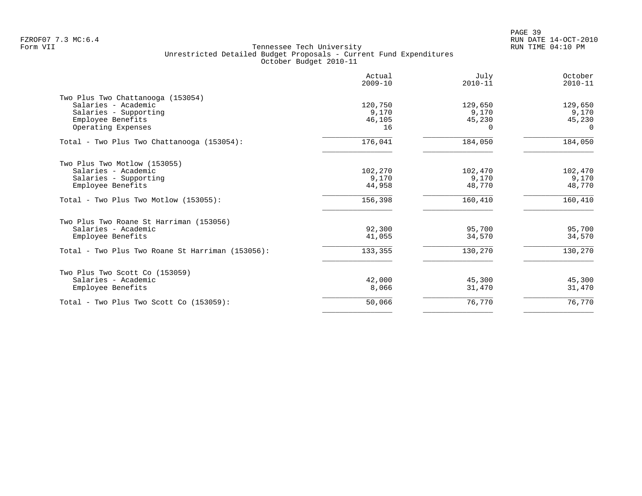|                                                  | Actual<br>$2009 - 10$ | July<br>$2010 - 11$ | October<br>$2010 - 11$ |
|--------------------------------------------------|-----------------------|---------------------|------------------------|
| Two Plus Two Chattanooga (153054)                |                       |                     |                        |
| Salaries - Academic                              | 120,750               | 129,650             | 129,650                |
| Salaries - Supporting                            | 9,170                 | 9,170               | 9,170                  |
| Employee Benefits                                | 46,105                | 45,230              | 45,230                 |
| Operating Expenses                               | 16                    | $\Omega$            | $\Omega$               |
| Total - Two Plus Two Chattanooga (153054):       | 176,041               | 184,050             | 184,050                |
| Two Plus Two Motlow (153055)                     |                       |                     |                        |
| Salaries - Academic                              | 102,270               | 102,470             | 102,470                |
| Salaries - Supporting                            | 9,170                 | 9,170               | 9,170                  |
| Employee Benefits                                | 44,958                | 48,770              | 48,770                 |
| Total - Two Plus Two Motlow (153055):            | 156,398               | 160,410             | 160,410                |
| Two Plus Two Roane St Harriman (153056)          |                       |                     |                        |
| Salaries - Academic                              | 92,300                | 95,700              | 95,700                 |
| Employee Benefits                                | 41,055                | 34,570              | 34,570                 |
| Total - Two Plus Two Roane St Harriman (153056): | 133,355               | 130,270             | 130,270                |
| Two Plus Two Scott Co (153059)                   |                       |                     |                        |
| Salaries - Academic                              | 42,000                | 45,300              | 45,300                 |
| Employee Benefits                                | 8,066                 | 31,470              | 31,470                 |
| Total - Two Plus Two Scott Co (153059):          | 50,066                | 76,770              | 76,770                 |
|                                                  |                       |                     |                        |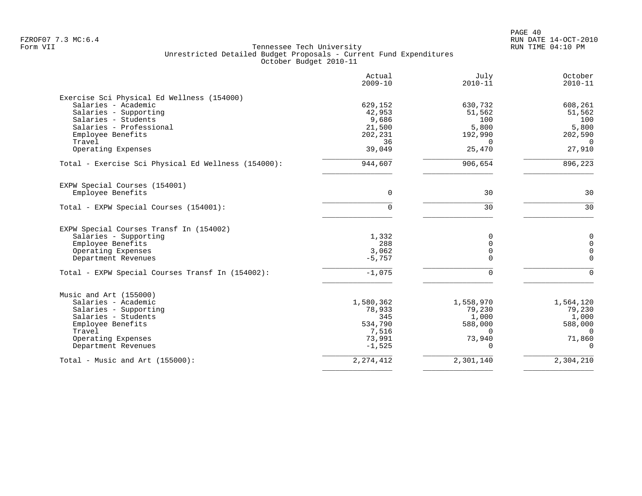PAGE 40 FZROF07 7.3 MC:6.4 RUN DATE 14-OCT-2010

|                                                     | Actual<br>$2009 - 10$ | July<br>$2010 - 11$ | October<br>$2010 - 11$ |
|-----------------------------------------------------|-----------------------|---------------------|------------------------|
| Exercise Sci Physical Ed Wellness (154000)          |                       |                     |                        |
| Salaries - Academic                                 | 629,152               | 630,732             | 608,261                |
| Salaries - Supporting                               | 42,953                | 51,562              | 51,562                 |
| Salaries - Students                                 | 9,686                 | 100                 | 100                    |
| Salaries - Professional                             | 21,500                | 5,800               | 5,800                  |
| Employee Benefits                                   | 202,231               | 192,990             | 202,590                |
| Travel                                              | 36                    | $\Omega$            | $\Omega$               |
| Operating Expenses                                  | 39,049                | 25,470              | 27,910                 |
| Total - Exercise Sci Physical Ed Wellness (154000): | 944,607               | 906,654             | 896,223                |
| EXPW Special Courses (154001)                       |                       |                     |                        |
| Employee Benefits                                   | 0                     | 30                  | 30                     |
| Total - EXPW Special Courses (154001):              | 0                     | 30                  | 30                     |
| EXPW Special Courses Transf In (154002)             |                       |                     |                        |
| Salaries - Supporting                               | 1,332                 |                     | 0                      |
| Employee Benefits                                   | 288                   | $\Omega$            | 0                      |
| Operating Expenses                                  | 3,062                 | $\mathbf 0$         | $\mathbf 0$            |
| Department Revenues                                 | $-5,757$              | $\Omega$            | $\Omega$               |
| Total - EXPW Special Courses Transf In (154002):    | $-1,075$              | $\Omega$            | $\Omega$               |
| Music and Art (155000)                              |                       |                     |                        |
| Salaries - Academic                                 | 1,580,362             | 1,558,970           | 1,564,120              |
| Salaries - Supporting                               | 78,933                | 79,230              | 79,230                 |
| Salaries - Students                                 | 345                   | 1,000               | 1,000                  |
| Employee Benefits                                   | 534,790               | 588,000             | 588,000                |
| Travel                                              | 7,516                 | $\Omega$            | $\Omega$               |
| Operating Expenses                                  | 73,991                | 73,940              | 71,860                 |
| Department Revenues                                 | $-1,525$              |                     | $\Omega$               |
| Total - Music and Art $(155000)$ :                  |                       |                     |                        |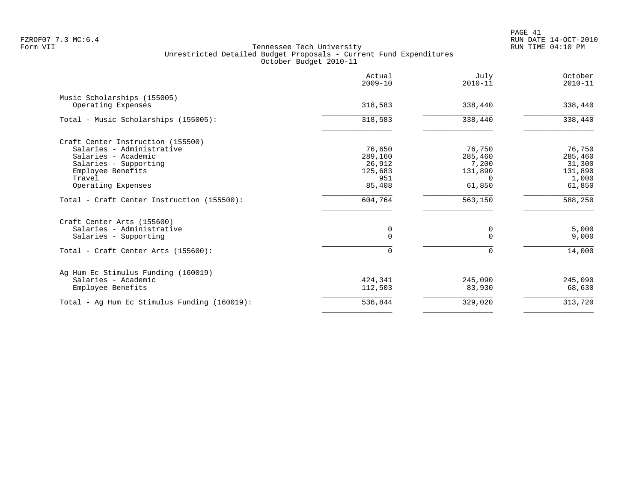|                                                   | Actual<br>$2009 - 10$ | July<br>$2010 - 11$ | October<br>$2010 - 11$ |
|---------------------------------------------------|-----------------------|---------------------|------------------------|
| Music Scholarships (155005)<br>Operating Expenses | 318,583               | 338,440             | 338,440                |
| Total - Music Scholarships (155005):              | 318,583               | 338,440             | 338,440                |
| Craft Center Instruction (155500)                 |                       |                     |                        |
| Salaries - Administrative                         | 76,650                | 76,750              | 76,750                 |
| Salaries - Academic                               | 289,160               | 285,460             | 285,460                |
| Salaries - Supporting                             | 26,912                | 7,200               | 31,300                 |
| Employee Benefits                                 | 125,683               | 131,890             | 131,890                |
| Travel                                            | 951                   | <sup>n</sup>        | 1,000                  |
| Operating Expenses                                | 85,408                | 61,850              | 61,850                 |
| Total - Craft Center Instruction (155500):        | 604,764               | 563,150             | 588,250                |
| Craft Center Arts (155600)                        |                       |                     |                        |
| Salaries - Administrative                         | 0                     | 0                   | 5,000                  |
| Salaries - Supporting                             | $\Omega$              | $\Omega$            | 9,000                  |
| Total - Craft Center Arts (155600):               | $\mathbf 0$           | 0                   | 14,000                 |
| Ag Hum Ec Stimulus Funding (160019)               |                       |                     |                        |
| Salaries - Academic                               | 424,341               | 245,090             | 245,090                |
| Employee Benefits                                 | 112,503               | 83,930              | 68,630                 |
| Total - Ag Hum Ec Stimulus Funding (160019):      | 536,844               | 329,020             | 313,720                |
|                                                   |                       |                     |                        |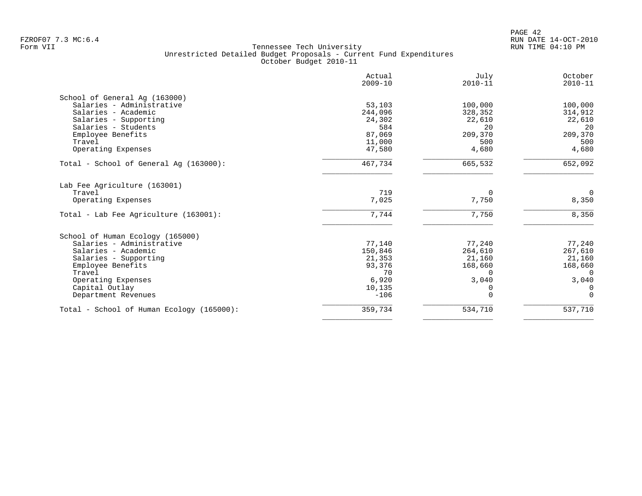|                                           | Actual<br>$2009 - 10$ | July<br>$2010 - 11$ | October<br>$2010 - 11$ |
|-------------------------------------------|-----------------------|---------------------|------------------------|
| School of General Ag (163000)             |                       |                     |                        |
| Salaries - Administrative                 | 53,103                | 100,000             | 100,000                |
| Salaries - Academic                       | 244,096               | 328,352             | 314,912                |
| Salaries - Supporting                     | 24,302                | 22,610              | 22,610                 |
| Salaries - Students                       | 584                   | 20                  | 20                     |
| Employee Benefits                         | 87,069                | 209,370             | 209,370                |
| Travel                                    | 11,000                | 500                 | 500                    |
| Operating Expenses                        | 47,580                | 4,680               | 4,680                  |
| Total - School of General Aq (163000):    | 467,734               | 665,532             | 652,092                |
| Lab Fee Agriculture (163001)              |                       |                     |                        |
| Travel                                    | 719                   | $\Omega$            | $\overline{0}$         |
| Operating Expenses                        | 7,025                 | 7,750               | 8,350                  |
| Total - Lab Fee Agriculture (163001):     | 7,744                 | 7,750               | 8,350                  |
| School of Human Ecology (165000)          |                       |                     |                        |
| Salaries - Administrative                 | 77,140                | 77,240              | 77,240                 |
| Salaries - Academic                       | 150,846               | 264,610             | 267,610                |
| Salaries - Supporting                     | 21,353                | 21,160              | 21,160                 |
| Employee Benefits                         | 93,376                | 168,660             | 168,660                |
| Travel                                    | 70                    | $\Omega$            | $\Omega$               |
|                                           |                       | 3,040               |                        |
| Operating Expenses                        | 6,920<br>10,135       |                     | 3,040<br>$\Omega$      |
| Capital Outlay                            |                       | 0<br>∩              | $\Omega$               |
| Department Revenues                       | $-106$                |                     |                        |
| Total - School of Human Ecology (165000): | 359,734               | 534,710             | 537,710                |
|                                           |                       |                     |                        |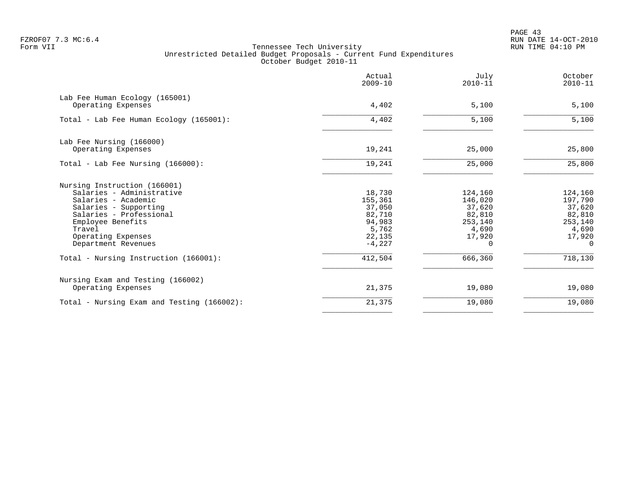PAGE 43 FZROF07 7.3 MC:6.4 RUN DATE 14-OCT-2010

|                                                      | Actual<br>$2009 - 10$ | July<br>$2010 - 11$ | October<br>$2010 - 11$ |
|------------------------------------------------------|-----------------------|---------------------|------------------------|
| Lab Fee Human Ecology (165001)<br>Operating Expenses | 4,402                 | 5,100               | 5,100                  |
|                                                      |                       |                     |                        |
| Total - Lab Fee Human Ecology (165001):              | 4,402                 | 5,100               | 5,100                  |
| Lab Fee Nursing (166000)                             |                       |                     |                        |
| Operating Expenses                                   | 19,241                | 25,000              | 25,800                 |
| Total - Lab Fee Nursing (166000):                    | 19,241                | 25,000              | 25,800                 |
| Nursing Instruction (166001)                         |                       |                     |                        |
| Salaries - Administrative                            | 18,730                | 124,160             | 124,160                |
| Salaries - Academic                                  | 155,361               | 146,020             | 197,790                |
| Salaries - Supporting                                | 37,050                | 37,620              | 37,620                 |
| Salaries - Professional                              | 82,710                | 82,810              | 82,810                 |
| Employee Benefits                                    | 94,983                | 253,140             | 253,140                |
| Travel                                               | 5,762                 | 4,690               | 4,690                  |
| Operating Expenses<br>Department Revenues            | 22,135<br>$-4.227$    | 17,920<br>0         | 17,920<br>$\Omega$     |
| Total - Nursing Instruction (166001):                | 412,504               | 666,360             | 718,130                |
| Nursing Exam and Testing (166002)                    |                       |                     |                        |
| Operating Expenses                                   | 21,375                | 19,080              | 19,080                 |
| Total - Nursing Exam and Testing (166002):           | 21,375                | 19,080              | 19,080                 |
|                                                      |                       |                     |                        |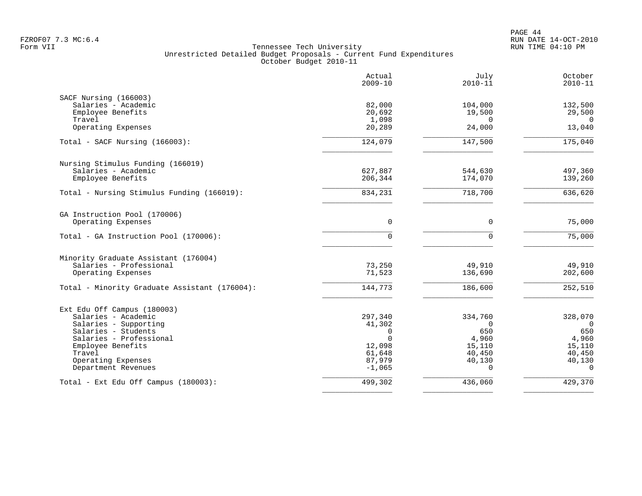PAGE 44 FZROF07 7.3 MC:6.4 RUN DATE 14-OCT-2010

|                                               | Actual<br>$2009 - 10$ | July<br>$2010 - 11$ | October<br>$2010 - 11$ |
|-----------------------------------------------|-----------------------|---------------------|------------------------|
| SACF Nursing (166003)                         |                       |                     |                        |
| Salaries - Academic                           | 82,000                | 104,000             | 132,500                |
| Employee Benefits                             | 20,692                | 19,500              | 29,500                 |
| Travel                                        | 1,098                 | $\Omega$            | $\Omega$               |
| Operating Expenses                            | 20,289                | 24,000              | 13,040                 |
| Total - SACF Nursing (166003):                | 124,079               | 147,500             | 175,040                |
| Nursing Stimulus Funding (166019)             |                       |                     |                        |
| Salaries - Academic                           | 627,887               | 544,630             | 497,360                |
| Employee Benefits                             | 206,344               | 174,070             | 139,260                |
| Total - Nursing Stimulus Funding (166019):    | 834,231               | 718,700             | 636,620                |
| GA Instruction Pool (170006)                  |                       |                     |                        |
| Operating Expenses                            | 0                     | $\mathbf 0$         | 75,000                 |
| Total - GA Instruction Pool (170006):         | $\Omega$              | $\Omega$            | 75,000                 |
| Minority Graduate Assistant (176004)          |                       |                     |                        |
| Salaries - Professional                       | 73,250                | 49,910              | 49,910                 |
| Operating Expenses                            | 71,523                | 136,690             | 202,600                |
| Total - Minority Graduate Assistant (176004): | 144,773               | 186,600             | 252,510                |
| Ext Edu Off Campus (180003)                   |                       |                     |                        |
| Salaries - Academic                           | 297,340               | 334,760             | 328,070                |
| Salaries - Supporting                         | 41,302                | $\Omega$            | $\Omega$               |
| Salaries - Students                           | $\Omega$              | 650                 | 650                    |
| Salaries - Professional                       | $\Omega$              | 4,960               | 4,960                  |
| Employee Benefits                             | 12,098                | 15,110              | 15,110                 |
| Travel                                        | 61,648                | 40,450              | 40,450                 |
| Operating Expenses                            | 87,979                | 40,130              | 40,130                 |
| Department Revenues                           | $-1,065$              | $\Omega$            | $\Omega$               |
| Total - Ext Edu Off Campus (180003):          | 499,302               | 436,060             | 429,370                |
|                                               |                       |                     |                        |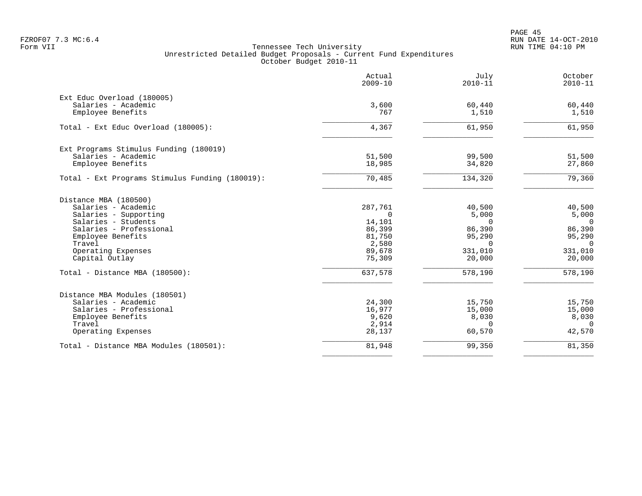PAGE 45 FZROF07 7.3 MC:6.4 RUN DATE 14-OCT-2010

|                                                 | Actual<br>$2009 - 10$ | July<br>$2010 - 11$ | October<br>$2010 - 11$ |
|-------------------------------------------------|-----------------------|---------------------|------------------------|
| Ext Educ Overload (180005)                      |                       |                     |                        |
| Salaries - Academic                             | 3,600                 | 60,440              | 60,440                 |
| Employee Benefits                               | 767                   | 1,510               | 1,510                  |
| Total - Ext Educ Overload (180005):             | 4,367                 | 61,950              | 61,950                 |
| Ext Programs Stimulus Funding (180019)          |                       |                     |                        |
| Salaries - Academic                             | 51,500                | 99,500              | 51,500                 |
| Employee Benefits                               | 18,985                | 34,820              | 27,860                 |
| Total - Ext Programs Stimulus Funding (180019): | 70,485                | 134,320             | 79,360                 |
| Distance MBA (180500)                           |                       |                     |                        |
| Salaries - Academic                             | 287,761               | 40,500              | 40,500                 |
| Salaries - Supporting                           | $\mathbf 0$           | 5,000               | 5,000                  |
| Salaries - Students                             | 14,101                | $\Omega$            | $\Omega$               |
| Salaries - Professional                         | 86,399                | 86,390              | 86,390                 |
| Employee Benefits                               | 81,750                | 95,290              | 95,290                 |
| Travel                                          | 2,580                 | $\Omega$            | $\Omega$               |
| Operating Expenses                              | 89,678                | 331,010             | 331,010                |
| Capital Outlay                                  | 75,309                | 20,000              | 20,000                 |
| Total - Distance MBA (180500):                  | 637,578               | 578,190             | 578,190                |
| Distance MBA Modules (180501)                   |                       |                     |                        |
| Salaries - Academic                             | 24,300                | 15,750              | 15,750                 |
| Salaries - Professional                         | 16,977                | 15,000              | 15,000                 |
| Employee Benefits                               | 9,620                 | 8,030               | 8,030                  |
| Travel                                          | 2,914                 | $\Omega$            | $\Omega$               |
| Operating Expenses                              | 28,137                | 60,570              | 42,570                 |
| Total - Distance MBA Modules (180501):          | 81,948                | 99,350              | 81,350                 |
|                                                 |                       |                     |                        |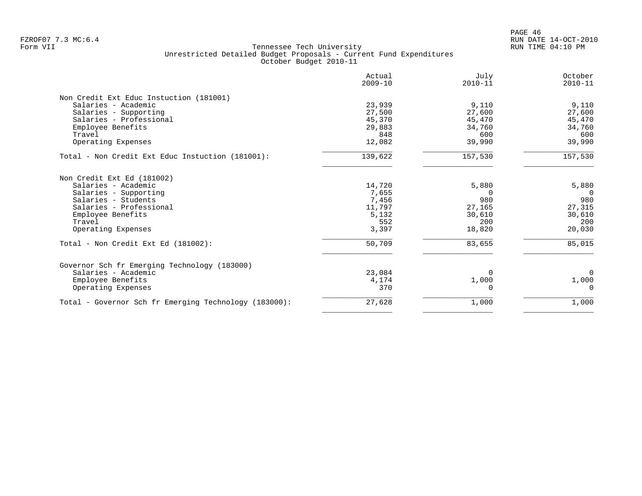| Actual<br>$2009 - 10$ | July<br>$2010 - 11$                                     | October<br>$2010 - 11$                                            |
|-----------------------|---------------------------------------------------------|-------------------------------------------------------------------|
|                       |                                                         |                                                                   |
|                       |                                                         | 9,110                                                             |
|                       |                                                         | 27,600                                                            |
|                       |                                                         | 45,470                                                            |
|                       |                                                         | 34,760                                                            |
| 848                   | 600                                                     | 600                                                               |
| 12,082                | 39,990                                                  | 39,990                                                            |
| 139,622               | 157,530                                                 | 157,530                                                           |
|                       |                                                         |                                                                   |
| 14,720                | 5,880                                                   | 5,880                                                             |
| 7,655                 | 0                                                       | $\overline{0}$                                                    |
| 7,456                 | 980                                                     | 980                                                               |
| 11,797                | 27,165                                                  | 27,315                                                            |
| 5,132                 | 30,610                                                  | 30,610                                                            |
| 552                   | 200                                                     | 200                                                               |
| 3,397                 | 18,820                                                  | 20,030                                                            |
| 50,709                | 83,655                                                  | 85,015                                                            |
|                       |                                                         |                                                                   |
|                       |                                                         | $\Omega$                                                          |
|                       |                                                         | 1,000                                                             |
| 370                   |                                                         | $\Omega$                                                          |
| 27,628                |                                                         | 1,000                                                             |
|                       | 23,939<br>27,500<br>45,370<br>29,883<br>23,084<br>4,174 | 9,110<br>27,600<br>45,470<br>34,760<br>$\Omega$<br>1,000<br>1,000 |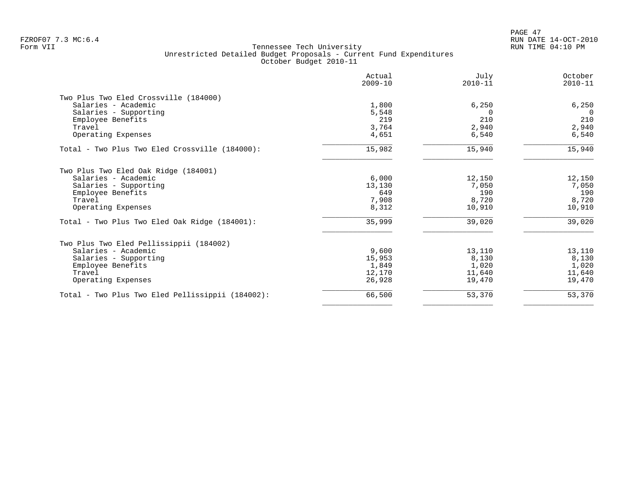PAGE 47 FZROF07 7.3 MC:6.4 RUN DATE 14-OCT-2010

|                                                  | Actual<br>$2009 - 10$ | July<br>$2010 - 11$ | October<br>$2010 - 11$ |
|--------------------------------------------------|-----------------------|---------------------|------------------------|
| Two Plus Two Eled Crossville (184000)            |                       |                     |                        |
| Salaries - Academic                              | 1,800                 | 6,250               | 6,250                  |
| Salaries - Supporting                            | 5,548                 | 0                   | 0                      |
| Employee Benefits                                | 219                   | 210                 | 210                    |
| Travel                                           | 3,764                 | 2,940               | 2,940                  |
| Operating Expenses                               | 4,651                 | 6,540               | 6,540                  |
| Total - Two Plus Two Eled Crossville (184000):   | 15,982                | 15,940              | 15,940                 |
| Two Plus Two Eled Oak Ridge (184001)             |                       |                     |                        |
| Salaries - Academic                              | 6,000                 | 12,150              | 12,150                 |
| Salaries - Supporting                            | 13,130                | 7,050               | 7,050                  |
| Employee Benefits                                | 649                   | 190                 | 190                    |
| Travel                                           | 7,908                 | 8,720               | 8,720                  |
| Operating Expenses                               | 8,312                 | 10,910              | 10,910                 |
| Total - Two Plus Two Eled Oak Ridge (184001):    | 35,999                | 39,020              | 39,020                 |
| Two Plus Two Eled Pellissippii (184002)          |                       |                     |                        |
| Salaries - Academic                              | 9,600                 | 13,110              | 13,110                 |
| Salaries - Supporting                            | 15,953                | 8,130               | 8,130                  |
| Employee Benefits                                | 1,849                 | 1,020               | 1,020                  |
| Travel                                           | 12,170                | 11,640              | 11,640                 |
| Operating Expenses                               | 26,928                | 19,470              | 19,470                 |
| Total - Two Plus Two Eled Pellissippii (184002): | 66,500                | 53,370              | 53,370                 |
|                                                  |                       |                     |                        |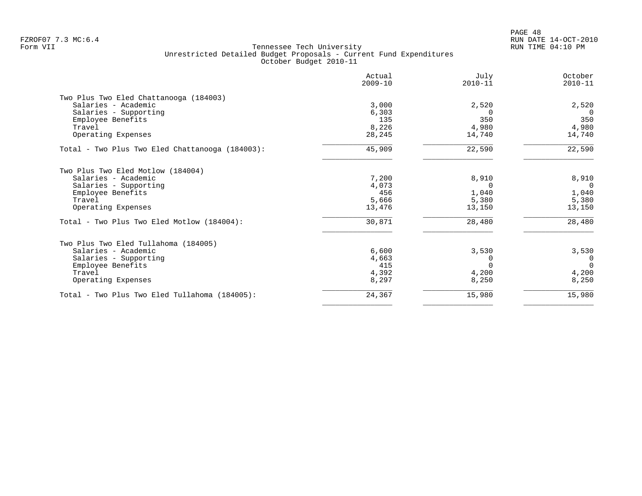PAGE 48 FZROF07 7.3 MC:6.4 RUN DATE 14-OCT-2010

| Actual<br>$2009 - 10$ | July<br>$2010 - 11$     | October<br>$2010 - 11$                    |
|-----------------------|-------------------------|-------------------------------------------|
|                       |                         |                                           |
| 3,000                 |                         | 2,520                                     |
| 6,303                 | $\Omega$                | $\Omega$                                  |
| 135                   | 350                     | 350                                       |
| 8,226                 | 4,980                   | 4,980                                     |
| 28,245                | 14,740                  | 14,740                                    |
| 45,909                | 22,590                  | 22,590                                    |
|                       |                         |                                           |
|                       |                         | 8,910                                     |
|                       | $\Omega$                | $\mathbf{0}$                              |
| 456                   |                         | 1,040                                     |
| 5,666                 |                         | 5,380                                     |
| 13,476                | 13,150                  | 13,150                                    |
| 30,871                | 28,480                  | 28,480                                    |
|                       |                         |                                           |
|                       |                         | 3,530                                     |
| 4,663                 | $\Omega$                | 0                                         |
| 415                   | $\Omega$                | $\Omega$                                  |
| 4,392                 | 4,200                   | 4,200                                     |
| 8,297                 | 8,250                   | 8,250                                     |
| 24,367                | 15,980                  | 15,980                                    |
|                       | 7,200<br>4,073<br>6,600 | 2,520<br>8,910<br>1,040<br>5,380<br>3,530 |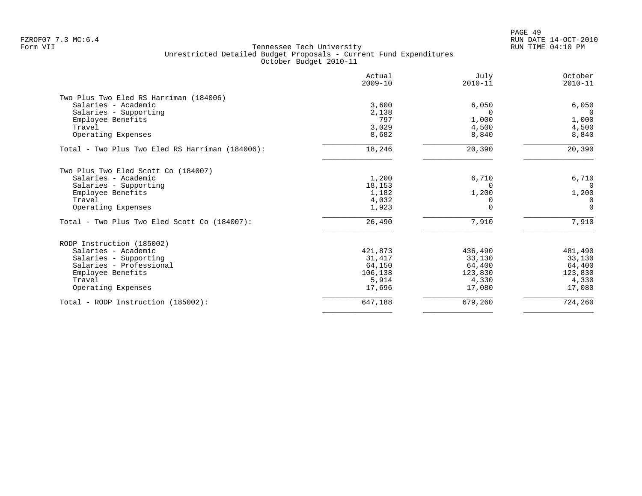PAGE 49 FZROF07 7.3 MC:6.4 RUN DATE 14-OCT-2010

|                                                 | Actual<br>$2009 - 10$ | July<br>$2010 - 11$ | October<br>$2010 - 11$ |
|-------------------------------------------------|-----------------------|---------------------|------------------------|
| Two Plus Two Eled RS Harriman (184006)          |                       |                     |                        |
| Salaries - Academic                             | 3,600                 | 6,050               | 6,050                  |
| Salaries - Supporting                           | 2,138                 | $\Omega$            | $\Omega$               |
| Employee Benefits                               | 797                   | 1,000               | 1,000                  |
| Travel                                          | 3,029                 | 4,500               | 4,500                  |
| Operating Expenses                              | 8,682                 | 8,840               | 8,840                  |
| Total - Two Plus Two Eled RS Harriman (184006): | 18,246                | 20,390              | 20,390                 |
| Two Plus Two Eled Scott Co (184007)             |                       |                     |                        |
| Salaries - Academic                             | 1,200                 | 6,710               | 6,710                  |
| Salaries - Supporting                           | 18,153                | $\Omega$            | $\Omega$               |
| Employee Benefits                               | 1,182                 | 1,200               | 1,200                  |
| Travel                                          | 4,032                 |                     | 0                      |
| Operating Expenses                              | 1,923                 |                     | $\Omega$               |
| Total - Two Plus Two Eled Scott Co (184007):    | 26,490                | 7,910               | 7,910                  |
| RODP Instruction (185002)                       |                       |                     |                        |
| Salaries - Academic                             | 421,873               | 436,490             | 481,490                |
| Salaries - Supporting                           | 31,417                | 33,130              | 33,130                 |
| Salaries - Professional                         | 64,150                | 64,400              | 64,400                 |
| Employee Benefits                               | 106,138               | 123,830             | 123,830                |
| Travel                                          | 5,914                 | 4,330               | 4,330                  |
| Operating Expenses                              | 17,696                | 17,080              | 17,080                 |
| Total - RODP Instruction (185002):              | 647,188               | 679,260             | 724,260                |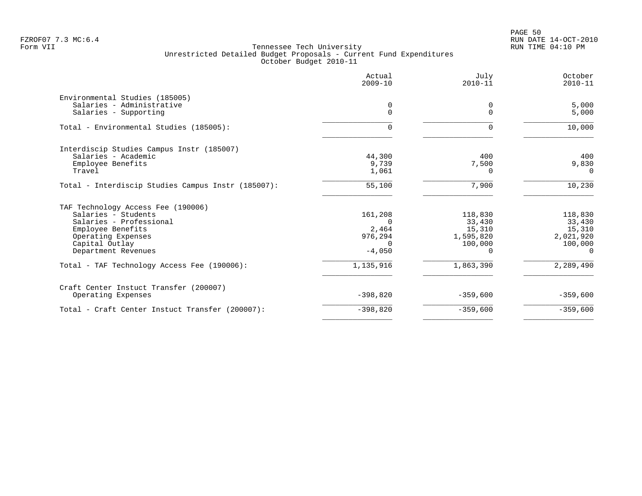|                                                    | Actual<br>$2009 - 10$ | July<br>$2010 - 11$  | October<br>$2010 - 11$ |
|----------------------------------------------------|-----------------------|----------------------|------------------------|
| Environmental Studies (185005)                     |                       |                      |                        |
| Salaries - Administrative<br>Salaries - Supporting | 0<br>$\Omega$         | $\Omega$<br>$\Omega$ | 5,000<br>5,000         |
| Total - Environmental Studies (185005):            | O.                    | $\Omega$             | 10,000                 |
| Interdiscip Studies Campus Instr (185007)          |                       |                      |                        |
| Salaries - Academic                                | 44,300                | 400                  | 400                    |
| Employee Benefits                                  | 9,739                 | 7,500                | 9,830                  |
| Travel                                             | 1,061                 | $\Omega$             | $\Omega$               |
| Total - Interdiscip Studies Campus Instr (185007): | 55,100                | 7,900                | 10,230                 |
| TAF Technology Access Fee (190006)                 |                       |                      |                        |
| Salaries - Students                                | 161,208               | 118,830              | 118,830                |
| Salaries - Professional                            |                       | 33,430               | 33,430                 |
| Employee Benefits                                  | 2,464                 | 15,310               | 15,310                 |
| Operating Expenses                                 | 976,294               | 1,595,820            | 2,021,920              |
| Capital Outlay                                     | $\Omega$              | 100,000              | 100,000                |
| Department Revenues                                | $-4,050$              | $\Omega$             | $\Omega$               |
| Total - TAF Technology Access Fee (190006):        | 1,135,916             | 1,863,390            | 2,289,490              |
| Craft Center Instuct Transfer (200007)             |                       |                      |                        |
| Operating Expenses                                 | $-398,820$            | $-359,600$           | $-359,600$             |
| Total - Craft Center Instuct Transfer (200007):    | $-398,820$            | $-359,600$           | $-359,600$             |
|                                                    |                       |                      |                        |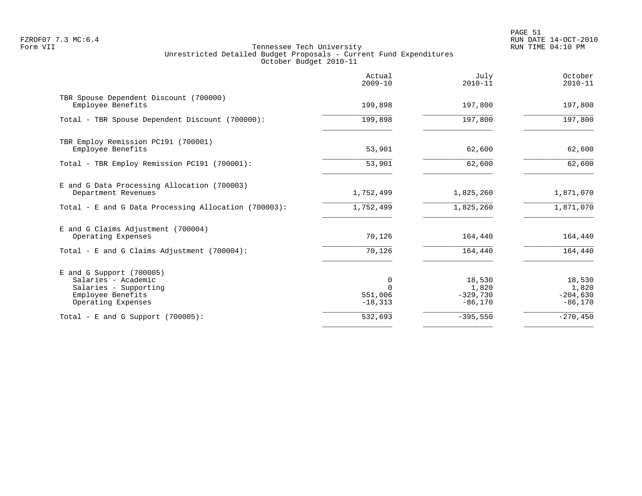PAGE 51 FZROF07 7.3 MC:6.4 RUN DATE 14-OCT-2010

|                                                                                                                     | Actual<br>$2009 - 10$                | July<br>$2010 - 11$                        | October<br>$2010 - 11$                     |
|---------------------------------------------------------------------------------------------------------------------|--------------------------------------|--------------------------------------------|--------------------------------------------|
| TBR Spouse Dependent Discount (700000)<br>Employee Benefits                                                         | 199,898                              | 197,800                                    | 197,800                                    |
| Total - TBR Spouse Dependent Discount (700000):                                                                     | 199,898                              | 197,800                                    | 197,800                                    |
| TBR Employ Remission PC191 (700001)<br>Employee Benefits                                                            | 53,901                               | 62,600                                     | 62,600                                     |
| Total - TBR Employ Remission PC191 (700001):                                                                        | 53,901                               | 62,600                                     | 62,600                                     |
| E and G Data Processing Allocation (700003)<br>Department Revenues                                                  | 1,752,499                            | 1,825,260                                  | 1,871,070                                  |
| Total - E and G Data Processing Allocation (700003):                                                                | 1,752,499                            | 1,825,260                                  | 1,871,070                                  |
| E and G Claims Adjustment (700004)<br>Operating Expenses                                                            | 70,126                               | 164,440                                    | 164,440                                    |
| Total - E and G Claims Adjustment $(700004)$ :                                                                      | 70,126                               | 164,440                                    | 164,440                                    |
| E and G Support (700005)<br>Salaries - Academic<br>Salaries - Supporting<br>Employee Benefits<br>Operating Expenses | 0<br>$\cap$<br>551,006<br>$-18, 313$ | 18,530<br>1,820<br>$-329,730$<br>$-86,170$ | 18,530<br>1,820<br>$-204,630$<br>$-86,170$ |
| Total - E and G Support $(700005)$ :                                                                                | 532,693                              | $-395,550$                                 | $-270, 450$                                |
|                                                                                                                     |                                      |                                            |                                            |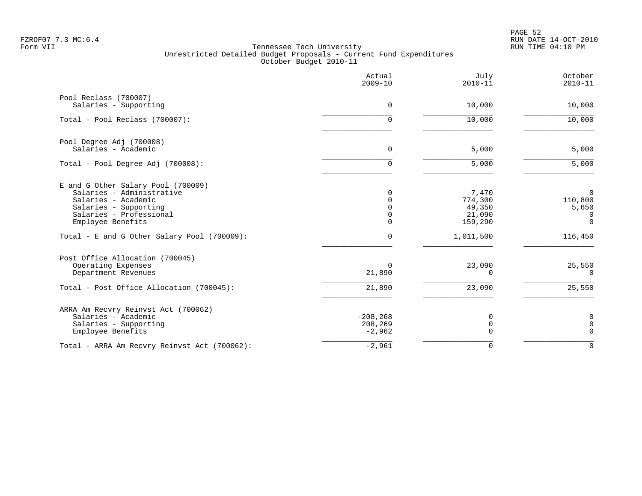|                                                                                                                                                                 | Actual<br>$2009 - 10$              | July<br>$2010 - 11$                             | October<br>$2010 - 11$                              |
|-----------------------------------------------------------------------------------------------------------------------------------------------------------------|------------------------------------|-------------------------------------------------|-----------------------------------------------------|
| Pool Reclass (700007)<br>Salaries - Supporting                                                                                                                  | 0                                  | 10,000                                          | 10,000                                              |
| Total - Pool Reclass (700007):                                                                                                                                  | 0                                  | 10,000                                          | 10,000                                              |
| Pool Degree Adj (700008)<br>Salaries - Academic                                                                                                                 | 0                                  | 5,000                                           | 5,000                                               |
| Total - Pool Degree Adj (700008):                                                                                                                               | $\Omega$                           | 5,000                                           | 5,000                                               |
| E and G Other Salary Pool (700009)<br>Salaries - Administrative<br>Salaries - Academic<br>Salaries - Supporting<br>Salaries - Professional<br>Employee Benefits | 0<br>0<br>0<br>0<br>0              | 7,470<br>774,300<br>49,350<br>21,090<br>159,290 | $\mathbf 0$<br>110,800<br>5,650<br>0<br>$\mathbf 0$ |
| Total - E and G Other Salary Pool (700009):                                                                                                                     | $\Omega$                           | 1,011,500                                       | 116,450                                             |
| Post Office Allocation (700045)<br>Operating Expenses<br>Department Revenues                                                                                    | $\Omega$<br>21,890                 | 23,090<br>$\Omega$                              | 25,550<br>$\Omega$                                  |
| Total - Post Office Allocation (700045):                                                                                                                        | 21,890                             | 23,090                                          | 25,550                                              |
| ARRA Am Recvry Reinvst Act (700062)<br>Salaries - Academic<br>Salaries - Supporting<br>Employee Benefits                                                        | $-208, 268$<br>208,269<br>$-2,962$ | 0<br>0<br>$\Omega$                              | 0<br>0<br>$\Omega$                                  |
| Total - ARRA Am Recvry Reinvst Act (700062):                                                                                                                    | $-2,961$                           | 0                                               | $\Omega$                                            |
|                                                                                                                                                                 |                                    |                                                 |                                                     |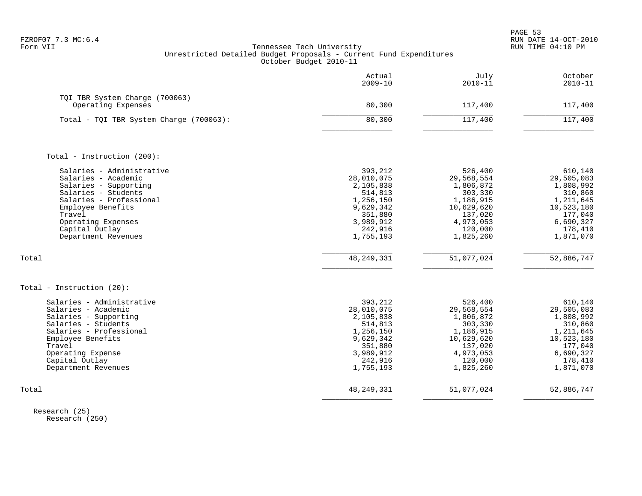|                                                                                                                                                                                                                           | Actual<br>$2009 - 10$                                                                                                   | July<br>$2010 - 11$                                                                                                      | October<br>$2010 - 11$                                                                                                   |
|---------------------------------------------------------------------------------------------------------------------------------------------------------------------------------------------------------------------------|-------------------------------------------------------------------------------------------------------------------------|--------------------------------------------------------------------------------------------------------------------------|--------------------------------------------------------------------------------------------------------------------------|
| TQI TBR System Charge (700063)<br>Operating Expenses                                                                                                                                                                      | 80,300                                                                                                                  | 117,400                                                                                                                  | 117,400                                                                                                                  |
| Total - TQI TBR System Charge (700063):                                                                                                                                                                                   | 80,300                                                                                                                  | 117,400                                                                                                                  | 117,400                                                                                                                  |
| Total - Instruction (200):                                                                                                                                                                                                |                                                                                                                         |                                                                                                                          |                                                                                                                          |
| Salaries - Administrative<br>Salaries - Academic<br>Salaries - Supporting<br>Salaries - Students<br>Salaries - Professional<br>Employee Benefits<br>Travel<br>Operating Expenses<br>Capital Outlay<br>Department Revenues | 393,212<br>28,010,075<br>2,105,838<br>514,813<br>1,256,150<br>9,629,342<br>351,880<br>3,989,912<br>242,916<br>1,755,193 | 526,400<br>29,568,554<br>1,806,872<br>303,330<br>1,186,915<br>10,629,620<br>137,020<br>4,973,053<br>120,000<br>1,825,260 | 610,140<br>29,505,083<br>1,808,992<br>310,860<br>1,211,645<br>10,523,180<br>177,040<br>6,690,327<br>178,410<br>1,871,070 |
| Total                                                                                                                                                                                                                     | 48, 249, 331                                                                                                            | 51,077,024                                                                                                               | 52,886,747                                                                                                               |
| Total - Instruction (20):                                                                                                                                                                                                 |                                                                                                                         |                                                                                                                          |                                                                                                                          |
| Salaries - Administrative<br>Salaries - Academic<br>Salaries - Supporting<br>Salaries - Students<br>Salaries - Professional<br>Employee Benefits<br>Travel<br>Operating Expense<br>Capital Outlay<br>Department Revenues  | 393,212<br>28,010,075<br>2,105,838<br>514,813<br>1,256,150<br>9,629,342<br>351,880<br>3,989,912<br>242,916<br>1,755,193 | 526,400<br>29,568,554<br>1,806,872<br>303,330<br>1,186,915<br>10,629,620<br>137,020<br>4,973,053<br>120,000<br>1,825,260 | 610,140<br>29,505,083<br>1,808,992<br>310,860<br>1,211,645<br>10,523,180<br>177,040<br>6,690,327<br>178,410<br>1,871,070 |
| Total                                                                                                                                                                                                                     | 48, 249, 331                                                                                                            | 51,077,024                                                                                                               | 52,886,747                                                                                                               |

 Research (25) Research (250)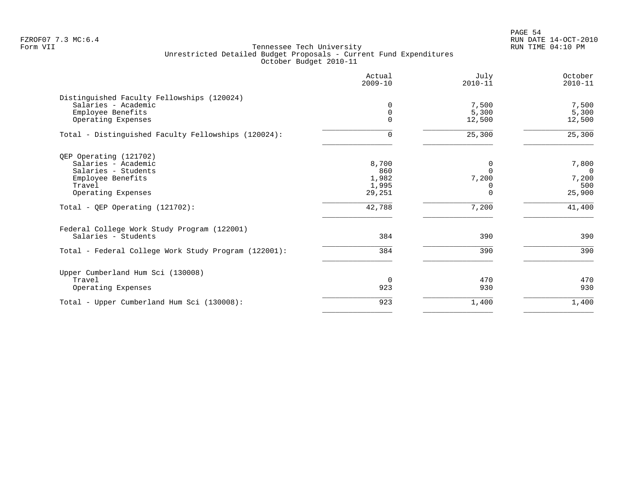|                                                      | Actual<br>$2009 - 10$ | July<br>$2010 - 11$ | October<br>$2010 - 11$ |
|------------------------------------------------------|-----------------------|---------------------|------------------------|
| Distinguished Faculty Fellowships (120024)           |                       |                     |                        |
| Salaries - Academic                                  | $\mathbf 0$           | 7,500               | 7,500                  |
| Employee Benefits                                    | 0                     | 5,300               | 5,300                  |
| Operating Expenses                                   | $\mathbf 0$           | 12,500              | 12,500                 |
| Total - Distinguished Faculty Fellowships (120024):  | 0                     | 25,300              | 25,300                 |
| QEP Operating (121702)                               |                       |                     |                        |
| Salaries - Academic                                  | 8,700                 | 0                   | 7,800                  |
| Salaries - Students                                  | 860                   | $\Omega$            | $\Omega$               |
| Employee Benefits                                    | 1,982                 | 7,200               | 7,200                  |
| Travel                                               | 1,995                 | 0                   | 500                    |
| Operating Expenses                                   | 29,251                | $\Omega$            | 25,900                 |
| Total - QEP Operating (121702):                      | 42,788                | 7,200               | 41,400                 |
| Federal College Work Study Program (122001)          |                       |                     |                        |
| Salaries - Students                                  | 384                   | 390                 | 390                    |
| Total - Federal College Work Study Program (122001): | 384                   | 390                 | 390                    |
| Upper Cumberland Hum Sci (130008)                    |                       |                     |                        |
| Travel                                               | $\Omega$              | 470                 | 470                    |
| Operating Expenses                                   | 923                   | 930                 | 930                    |
| Total - Upper Cumberland Hum Sci (130008):           | 923                   | 1,400               | 1,400                  |
|                                                      |                       |                     |                        |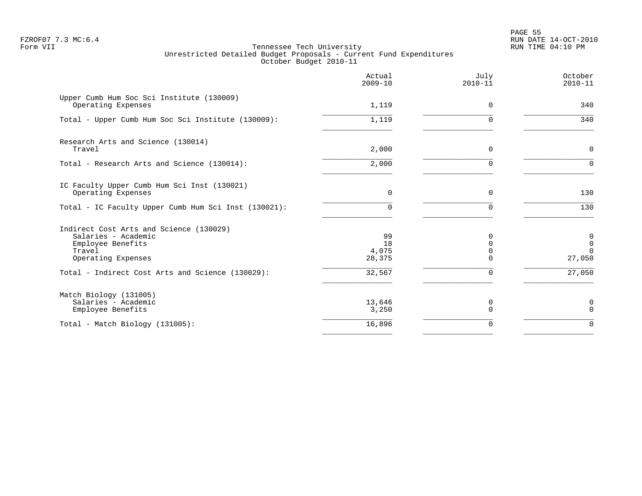en and the state of the state of the state of the state of the state of the state of the state of the state of the state of the state of the state of the state of the state of the state of the state of the state of the sta FZROF07 7.3 MC:6.4 RUN DATE 14-OCT-2010

|                                                                                                                     | Actual<br>$2009 - 10$       | July<br>$2010 - 11$  | October<br>$2010 - 11$                                |
|---------------------------------------------------------------------------------------------------------------------|-----------------------------|----------------------|-------------------------------------------------------|
| Upper Cumb Hum Soc Sci Institute (130009)<br>Operating Expenses                                                     | 1,119                       | 0                    | 340                                                   |
| Total - Upper Cumb Hum Soc Sci Institute (130009):                                                                  | 1,119                       | $\Omega$             | 340                                                   |
| Research Arts and Science (130014)<br>Travel                                                                        | 2,000                       | $\Omega$             | $\mathbf 0$                                           |
| Total - Research Arts and Science (130014):                                                                         | 2,000                       | $\Omega$             | $\Omega$                                              |
| IC Faculty Upper Cumb Hum Sci Inst (130021)<br>Operating Expenses                                                   | $\mathbf 0$                 | $\Omega$             | 130                                                   |
| Total - IC Faculty Upper Cumb Hum Sci Inst (130021):                                                                | $\Omega$                    | $\Omega$             | 130                                                   |
| Indirect Cost Arts and Science (130029)<br>Salaries - Academic<br>Employee Benefits<br>Travel<br>Operating Expenses | 99<br>18<br>4,075<br>28,375 | $\Omega$<br>$\Omega$ | $\boldsymbol{0}$<br>$\mathsf 0$<br>$\Omega$<br>27,050 |
| Total - Indirect Cost Arts and Science (130029):                                                                    | 32,567                      | 0                    | 27,050                                                |
| Match Biology (131005)<br>Salaries - Academic<br>Employee Benefits                                                  | 13,646<br>3,250             | 0<br>$\Omega$        | 0<br>$\mathbf 0$                                      |
| Total - Match Biology (131005):                                                                                     | 16,896                      | $\Omega$             | $\Omega$                                              |
|                                                                                                                     |                             |                      |                                                       |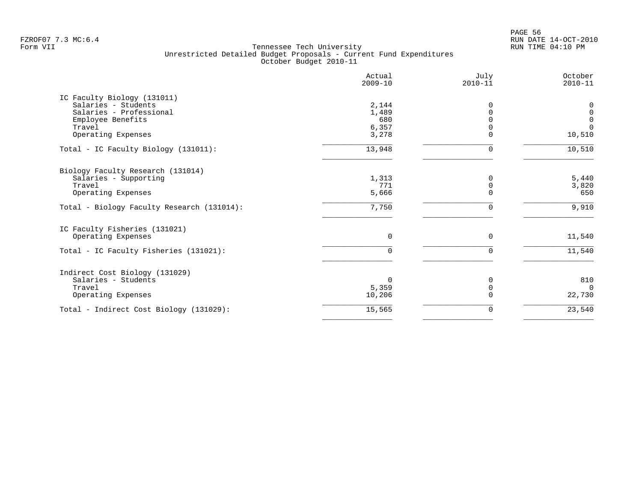PAGE 56 FZROF07 7.3 MC:6.4 RUN DATE 14-OCT-2010

|                                                                                                                                    | Actual<br>$2009 - 10$                   | July<br>$2010 - 11$ | October<br>$2010 - 11$                                |
|------------------------------------------------------------------------------------------------------------------------------------|-----------------------------------------|---------------------|-------------------------------------------------------|
| IC Faculty Biology (131011)<br>Salaries - Students<br>Salaries - Professional<br>Employee Benefits<br>Travel<br>Operating Expenses | 2,144<br>1,489<br>680<br>6,357<br>3,278 | 0                   | 0<br>$\mathsf 0$<br>$\mathbf 0$<br>$\Omega$<br>10,510 |
| Total - IC Faculty Biology (131011):                                                                                               | 13,948                                  | 0                   | 10,510                                                |
| Biology Faculty Research (131014)<br>Salaries - Supporting<br>Travel<br>Operating Expenses                                         | 1,313<br>771<br>5,666                   | 0                   | $5,440$<br>3,820<br>650                               |
| Total - Biology Faculty Research (131014):                                                                                         | 7,750                                   |                     | 9,910                                                 |
| IC Faculty Fisheries (131021)<br>Operating Expenses<br>Total - IC Faculty Fisheries (131021):                                      | 0<br>$\Omega$                           | 0<br>$\Omega$       | 11,540<br>11,540                                      |
| Indirect Cost Biology (131029)<br>Salaries - Students<br>Travel<br>Operating Expenses                                              | $\Omega$<br>5,359<br>10,206             | O<br>$\Omega$       | 810<br>$\Omega$<br>22,730                             |
| Total - Indirect Cost Biology (131029):                                                                                            | 15,565                                  | 0                   | 23,540                                                |
|                                                                                                                                    |                                         |                     |                                                       |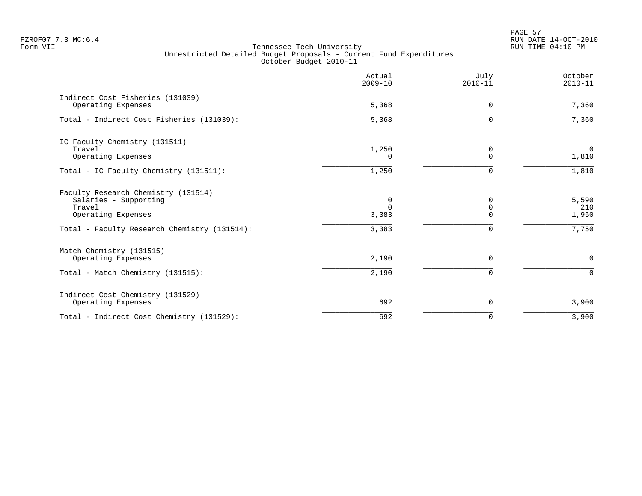PAGE 57 FZROF07 7.3 MC:6.4 RUN DATE 14-OCT-2010

|                                                                                              | Actual<br>$2009 - 10$ | July<br>$2010 - 11$              | October<br>$2010 - 11$  |
|----------------------------------------------------------------------------------------------|-----------------------|----------------------------------|-------------------------|
| Indirect Cost Fisheries (131039)<br>Operating Expenses                                       | 5,368                 | 0                                | 7,360                   |
| Total - Indirect Cost Fisheries (131039):                                                    | 5,368                 | $\Omega$                         | 7,360                   |
| IC Faculty Chemistry (131511)<br>Travel<br>Operating Expenses                                | 1,250<br>$\Omega$     | 0<br>$\Omega$                    | $\overline{0}$<br>1,810 |
| Total - IC Faculty Chemistry (131511):                                                       | 1,250                 | U                                | 1,810                   |
| Faculty Research Chemistry (131514)<br>Salaries - Supporting<br>Travel<br>Operating Expenses | 0<br>$\cap$<br>3,383  | $\Omega$<br>$\Omega$<br>$\Omega$ | 5,590<br>210<br>1,950   |
| Total - Faculty Research Chemistry (131514):                                                 | 3,383                 | $\Omega$                         | 7,750                   |
| Match Chemistry (131515)<br>Operating Expenses                                               | 2,190                 | $\Omega$                         | $\mathbf 0$             |
| Total - Match Chemistry (131515):                                                            | 2,190                 | $\Omega$                         | $\Omega$                |
| Indirect Cost Chemistry (131529)<br>Operating Expenses                                       | 692                   | 0                                | 3,900                   |
| Total - Indirect Cost Chemistry (131529):                                                    | 692                   | $\Omega$                         | 3,900                   |
|                                                                                              |                       |                                  |                         |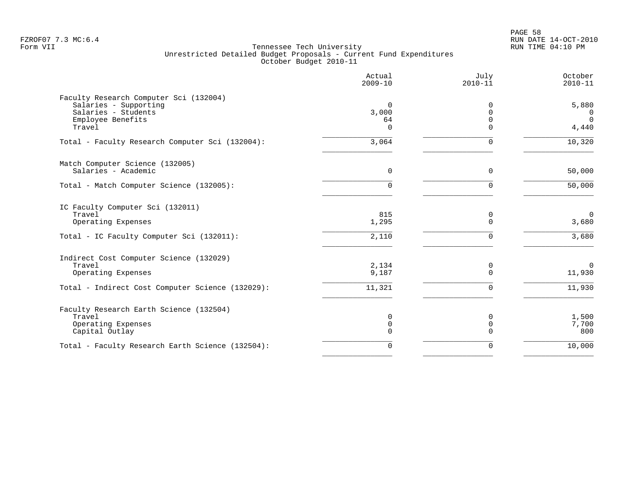|                                                                 | Actual<br>$2009 - 10$ | July<br>$2010 - 11$     | October<br>$2010 - 11$ |
|-----------------------------------------------------------------|-----------------------|-------------------------|------------------------|
| Faculty Research Computer Sci (132004)<br>Salaries - Supporting | $\mathbf 0$           | 0                       | 5,880                  |
| Salaries - Students                                             | 3,000                 | $\Omega$                | 0                      |
| Employee Benefits                                               | 64                    | $\Omega$                | $\Omega$               |
| Travel                                                          | $\Omega$              | $\Omega$                | 4,440                  |
| Total - Faculty Research Computer Sci (132004):                 | 3,064                 | $\Omega$                | 10,320                 |
| Match Computer Science (132005)                                 |                       |                         |                        |
| Salaries - Academic                                             | $\Omega$              | $\Omega$                | 50,000                 |
| Total - Match Computer Science (132005):                        | $\Omega$              | $\Omega$                | 50,000                 |
| IC Faculty Computer Sci (132011)                                |                       |                         |                        |
| Travel                                                          | 815                   | 0                       | $\mathbf{0}$           |
| Operating Expenses                                              | 1,295                 | $\Omega$                | 3,680                  |
| Total - IC Faculty Computer Sci (132011):                       | 2,110                 | $\Omega$                | 3,680                  |
| Indirect Cost Computer Science (132029)                         |                       |                         |                        |
| Travel                                                          | 2,134                 | 0                       | $\Omega$               |
| Operating Expenses                                              | 9,187                 | $\mathbf 0$             | 11,930                 |
| Total - Indirect Cost Computer Science (132029):                | 11,321                | $\Omega$                | 11,930                 |
| Faculty Research Earth Science (132504)                         |                       |                         |                        |
| Travel                                                          | 0                     | 0                       | 1,500                  |
| Operating Expenses                                              | 0<br>$\Omega$         | $\mathbf 0$<br>$\Omega$ | 7,700<br>800           |
| Capital Outlay                                                  |                       |                         |                        |
| Total - Faculty Research Earth Science (132504):                | $\Omega$              | $\Omega$                | 10,000                 |
|                                                                 |                       |                         |                        |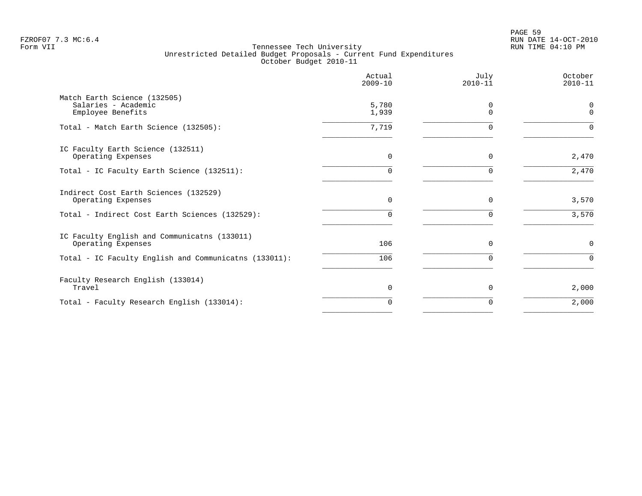PAGE 59 FZROF07 7.3 MC:6.4 RUN DATE 14-OCT-2010

|                                                                          | Actual<br>$2009 - 10$ | July<br>$2010 - 11$ | October<br>$2010 - 11$ |
|--------------------------------------------------------------------------|-----------------------|---------------------|------------------------|
| Match Earth Science (132505)<br>Salaries - Academic<br>Employee Benefits | 5,780<br>1,939        | 0<br>$\Omega$       | $\Omega$<br>$\Omega$   |
| Total - Match Earth Science (132505):                                    | 7,719                 | $\mathbf 0$         | $\Omega$               |
| IC Faculty Earth Science (132511)<br>Operating Expenses                  | 0                     | $\mathbf 0$         | 2,470                  |
| Total - IC Faculty Earth Science (132511):                               | U                     | $\Omega$            | 2,470                  |
| Indirect Cost Earth Sciences (132529)<br>Operating Expenses              | 0                     | $\mathbf 0$         | 3,570                  |
| Total - Indirect Cost Earth Sciences (132529):                           | $\Omega$              | $\Omega$            | 3,570                  |
| IC Faculty English and Communicatns (133011)<br>Operating Expenses       | 106                   | $\mathbf 0$         | $\mathsf{O}$           |
| Total - IC Faculty English and Communicatns (133011):                    | 106                   | $\mathbf 0$         | $\Omega$               |
| Faculty Research English (133014)<br>Travel                              | 0                     | $\mathbf 0$         | 2,000                  |
| Total - Faculty Research English (133014):                               | O                     | $\Omega$            | 2,000                  |
|                                                                          |                       |                     |                        |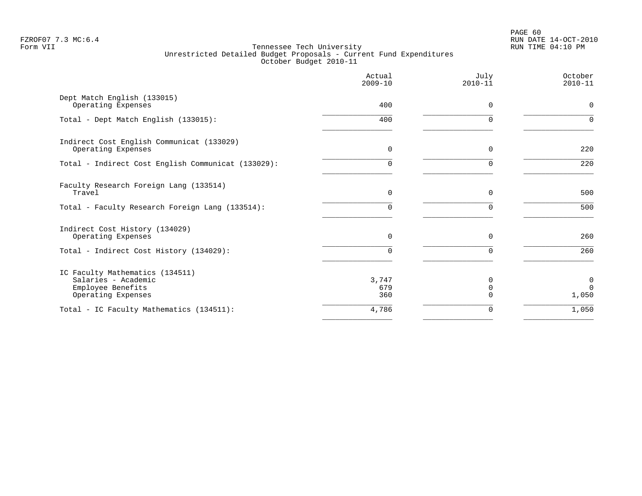PAGE 60 FZROF07 7.3 MC:6.4 RUN DATE 14-OCT-2010

|                                                                                                   | Actual<br>$2009 - 10$ | July<br>$2010 - 11$           | October<br>$2010 - 11$ |
|---------------------------------------------------------------------------------------------------|-----------------------|-------------------------------|------------------------|
| Dept Match English (133015)<br>Operating Expenses                                                 | 400                   | $\Omega$                      | $\mathbf 0$            |
| Total - Dept Match English (133015):                                                              | 400                   | $\Omega$                      | $\Omega$               |
| Indirect Cost English Communicat (133029)<br>Operating Expenses                                   | $\mathbf 0$           | 0                             | 220                    |
| Total - Indirect Cost English Communicat (133029):                                                | 0                     | 0                             | 220                    |
| Faculty Research Foreign Lang (133514)<br>Travel                                                  | $\Omega$              | $\Omega$                      | 500                    |
| Total - Faculty Research Foreign Lang (133514):                                                   | O.                    |                               | 500                    |
| Indirect Cost History (134029)<br>Operating Expenses                                              | $\mathbf 0$           | 0                             | 260                    |
| Total - Indirect Cost History (134029):                                                           | 0                     | $\Omega$                      | 260                    |
| IC Faculty Mathematics (134511)<br>Salaries - Academic<br>Employee Benefits<br>Operating Expenses | 3,747<br>679<br>360   | <sup>0</sup><br>0<br>$\Omega$ | 0<br>$\Omega$<br>1,050 |
| Total - IC Faculty Mathematics (134511):                                                          | 4,786                 | 0                             | 1,050                  |
|                                                                                                   |                       |                               |                        |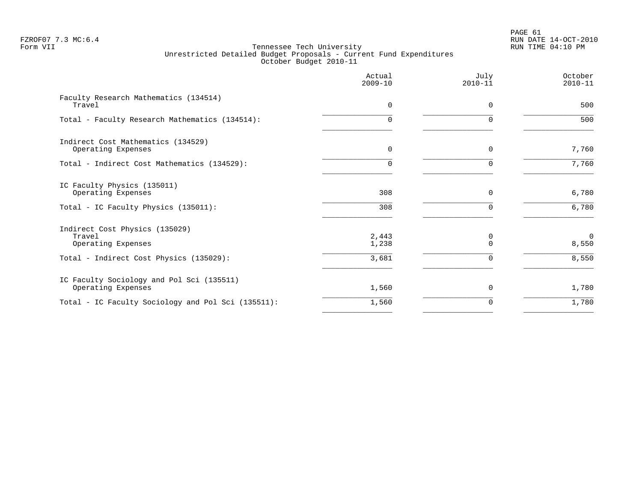PAGE 61 FZROF07 7.3 MC:6.4 RUN DATE 14-OCT-2010

|                                                                 | Actual<br>$2009 - 10$ | July<br>$2010 - 11$ | October<br>$2010 - 11$ |
|-----------------------------------------------------------------|-----------------------|---------------------|------------------------|
| Faculty Research Mathematics (134514)<br>Travel                 | $\Omega$              | $\Omega$            | 500                    |
| Total - Faculty Research Mathematics (134514):                  | 0                     | $\Omega$            | 500                    |
| Indirect Cost Mathematics (134529)<br>Operating Expenses        | $\mathbf 0$           | 0                   | 7,760                  |
| Total - Indirect Cost Mathematics (134529):                     | 0                     | $\Omega$            | 7,760                  |
| IC Faculty Physics (135011)<br>Operating Expenses               | 308                   | 0                   | 6,780                  |
| Total - IC Faculty Physics (135011):                            | 308                   | $\Omega$            | 6,780                  |
| Indirect Cost Physics (135029)<br>Travel<br>Operating Expenses  | 2,443<br>1,238        | 0<br>$\Omega$       | $\mathbf 0$<br>8,550   |
| Total - Indirect Cost Physics (135029):                         | 3,681                 | $\mathbf 0$         | 8,550                  |
| IC Faculty Sociology and Pol Sci (135511)<br>Operating Expenses | 1,560                 | 0                   | 1,780                  |
| Total - IC Faculty Sociology and Pol Sci (135511):              | 1,560                 | $\Omega$            | 1,780                  |
|                                                                 |                       |                     |                        |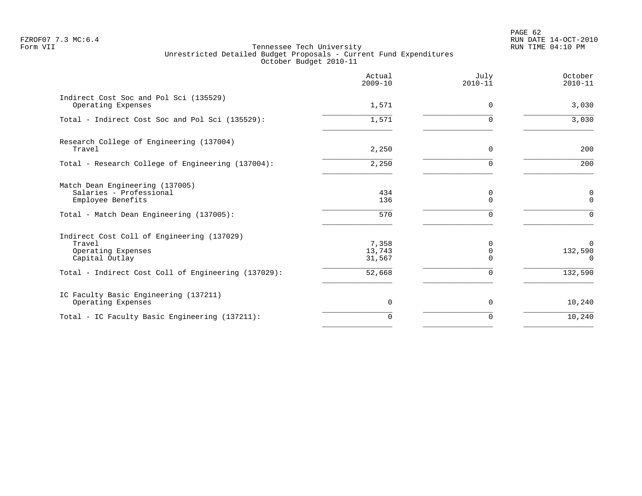PAGE 62 FZROF07 7.3 MC:6.4 RUN DATE 14-OCT-2010

|                                                                                              | Actual<br>$2009 - 10$     | July<br>$2010 - 11$ | October<br>$2010 - 11$          |
|----------------------------------------------------------------------------------------------|---------------------------|---------------------|---------------------------------|
| Indirect Cost Soc and Pol Sci (135529)<br>Operating Expenses                                 | 1,571                     | 0                   | 3,030                           |
| Total - Indirect Cost Soc and Pol Sci (135529):                                              | 1,571                     | O                   | 3,030                           |
| Research College of Engineering (137004)<br>Travel                                           | 2,250                     | $\Omega$            | 200                             |
| Total - Research College of Engineering (137004):                                            | 2,250                     |                     | 200                             |
| Match Dean Engineering (137005)<br>Salaries - Professional<br>Employee Benefits              | 434<br>136                | 0<br>O              | $\mathbf 0$<br>$\Omega$         |
| Total - Match Dean Engineering (137005):                                                     | 570                       | $\Omega$            | $\Omega$                        |
| Indirect Cost Coll of Engineering (137029)<br>Travel<br>Operating Expenses<br>Capital Outlay | 7,358<br>13,743<br>31,567 | Ω                   | $\Omega$<br>132,590<br>$\Omega$ |
| Total - Indirect Cost Coll of Engineering (137029):                                          | 52,668                    | U                   | 132,590                         |
| IC Faculty Basic Engineering (137211)<br>Operating Expenses                                  | 0                         | 0                   | 10,240                          |
| Total - IC Faculty Basic Engineering (137211):                                               | $\Omega$                  | $\Omega$            | 10,240                          |
|                                                                                              |                           |                     |                                 |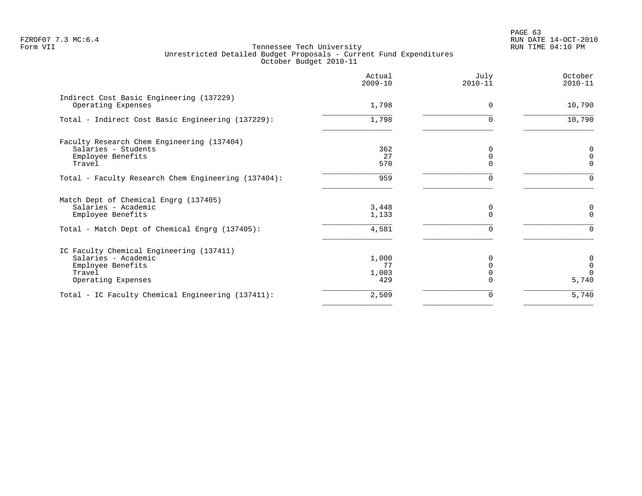|                                                                                                                                     | Actual<br>$2009 - 10$       | July<br>$2010 - 11$           | October<br>$2010 - 11$                         |
|-------------------------------------------------------------------------------------------------------------------------------------|-----------------------------|-------------------------------|------------------------------------------------|
| Indirect Cost Basic Engineering (137229)<br>Operating Expenses                                                                      | 1,798                       | $\Omega$                      | 10,790                                         |
| Total - Indirect Cost Basic Engineering (137229):                                                                                   | 1,798                       | 0                             | 10,790                                         |
| Faculty Research Chem Engineering (137404)<br>Salaries - Students<br>Employee Benefits<br>Travel                                    | 362<br>27<br>570            | 0<br>$\mathbf 0$<br>$\Omega$  | $\boldsymbol{0}$<br>$\mathsf 0$<br>$\mathbf 0$ |
| Total - Faculty Research Chem Engineering (137404):                                                                                 | 959                         | $\Omega$                      | $\Omega$                                       |
| Match Dept of Chemical Engrg (137405)<br>Salaries - Academic<br>Employee Benefits<br>Total - Match Dept of Chemical Engrg (137405): | 3,448<br>1,133<br>4,581     | 0<br>$\Omega$<br><sup>n</sup> | 0<br>$\mathbf 0$<br>$\Omega$                   |
| IC Faculty Chemical Engineering (137411)<br>Salaries - Academic<br>Employee Benefits<br>Travel<br>Operating Expenses                | 1,000<br>77<br>1,003<br>429 | $\Omega$<br>$\Omega$          | 0<br>$\mathbf 0$<br>$\Omega$<br>5,740          |
| Total - IC Faculty Chemical Engineering (137411):                                                                                   | 2,509                       | 0                             | 5,740                                          |
|                                                                                                                                     |                             |                               |                                                |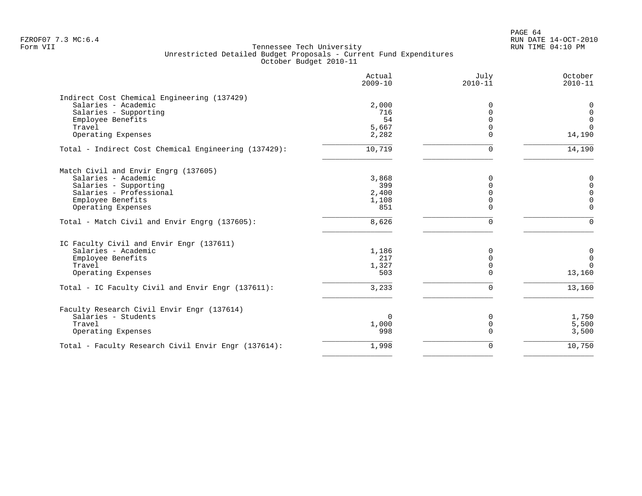PAGE 64 FZROF07 7.3 MC:6.4 RUN DATE 14-OCT-2010

|                                                      | Actual<br>$2009 - 10$ | July<br>$2010 - 11$ | October<br>$2010 - 11$ |
|------------------------------------------------------|-----------------------|---------------------|------------------------|
| Indirect Cost Chemical Engineering (137429)          |                       |                     |                        |
| Salaries - Academic                                  | 2,000                 | $\Omega$            | 0                      |
| Salaries - Supporting                                | 716                   | $\Omega$            | $\Omega$               |
| Employee Benefits                                    | 54                    | $\Omega$            | $\mathbf 0$            |
| Travel                                               | 5,667                 | 0                   | $\Omega$               |
| Operating Expenses                                   | 2,282                 | $\Omega$            | 14,190                 |
| Total - Indirect Cost Chemical Engineering (137429): | 10,719                | $\Omega$            | 14,190                 |
| Match Civil and Envir Engrg (137605)                 |                       |                     |                        |
| Salaries - Academic                                  | 3,868                 | $\Omega$            | $\Omega$               |
| Salaries - Supporting                                | 399                   | $\Omega$            | $\Omega$               |
| Salaries - Professional                              | 2,400                 | $\Omega$            | $\Omega$               |
| Employee Benefits                                    | 1,108                 | $\Omega$            | $\Omega$               |
| Operating Expenses                                   | 851                   | $\Omega$            | $\Omega$               |
| Total - Match Civil and Envir Engrg (137605):        | 8,626                 | $\Omega$            | $\Omega$               |
| IC Faculty Civil and Envir Engr (137611)             |                       |                     |                        |
| Salaries - Academic                                  | 1,186                 | $\Omega$            | 0                      |
| Employee Benefits                                    | 217                   | $\Omega$            | $\Omega$               |
| Travel                                               | 1,327                 | $\mathbf 0$         | $\Omega$               |
| Operating Expenses                                   | 503                   | $\Omega$            | 13,160                 |
| Total - IC Faculty Civil and Envir Engr (137611):    | 3,233                 | $\Omega$            | 13,160                 |
| Faculty Research Civil Envir Engr (137614)           |                       |                     |                        |
| Salaries - Students                                  | $\Omega$              | 0                   | 1,750                  |
| Travel                                               | 1,000                 | $\mathbf 0$         | 5,500                  |
| Operating Expenses                                   | 998                   | $\Omega$            | 3,500                  |
| Total - Faculty Research Civil Envir Engr (137614):  | 1,998                 | $\Omega$            | 10,750                 |
|                                                      |                       |                     |                        |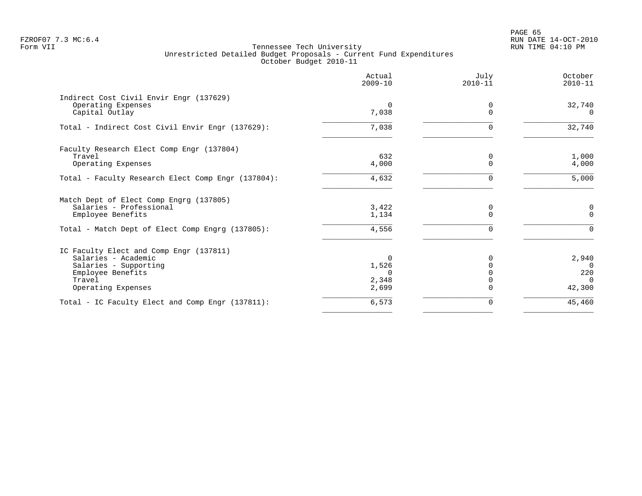PAGE 65 FZROF07 7.3 MC:6.4 RUN DATE 14-OCT-2010

| Actual<br>$2009 - 10$ | July<br>$2010 - 11$           | October<br>$2010 - 11$ |
|-----------------------|-------------------------------|------------------------|
|                       |                               |                        |
| 7,038                 | $\Omega$                      | 32,740<br>$\Omega$     |
| 7,038                 | 0                             | 32,740                 |
|                       |                               |                        |
| 4,000                 | 0<br>$\Omega$                 | 1,000<br>4,000         |
| 4,632                 | 0                             | 5,000                  |
|                       |                               |                        |
| 3,422<br>1,134        | 0<br>$\Omega$                 | 0<br>$\Omega$          |
| 4,556                 | ∩                             |                        |
|                       |                               |                        |
| $\Omega$              | 0                             | 2,940                  |
| 1,526                 |                               | $\Omega$               |
|                       |                               | 220                    |
| 2,699                 |                               | $\Omega$<br>42,300     |
| 6,573                 | 0                             | 45,460                 |
|                       | $\Omega$<br>632<br>0<br>2,348 | 0                      |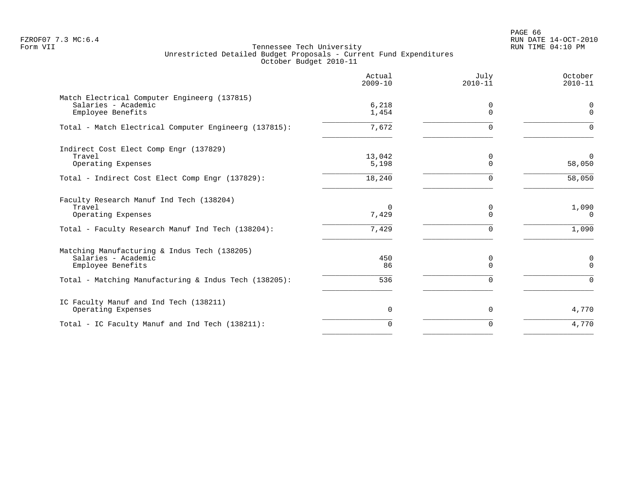PAGE 66 FZROF07 7.3 MC:6.4 RUN DATE 14-OCT-2010

|                                                                                                                               | Actual<br>$2009 - 10$      | July<br>$2010 - 11$       | October<br>$2010 - 11$     |
|-------------------------------------------------------------------------------------------------------------------------------|----------------------------|---------------------------|----------------------------|
| Match Electrical Computer Engineerg (137815)<br>Salaries - Academic<br>Employee Benefits                                      | 6,218<br>1,454             | 0<br>$\Omega$             | 0<br>$\mathbf 0$           |
| Total - Match Electrical Computer Engineerg (137815):                                                                         | 7.672                      | $\Omega$                  | $\Omega$                   |
| Indirect Cost Elect Comp Engr (137829)<br>Travel<br>Operating Expenses                                                        | 13,042<br>5,198            | 0<br>$\Omega$             | $\Omega$<br>58,050         |
| Total - Indirect Cost Elect Comp Engr (137829):                                                                               | 18,240                     | $\Omega$                  | 58,050                     |
| Faculty Research Manuf Ind Tech (138204)<br>Travel<br>Operating Expenses<br>Total - Faculty Research Manuf Ind Tech (138204): | $\Omega$<br>7,429<br>7,429 | 0<br>$\Omega$<br>$\Omega$ | 1,090<br>$\Omega$<br>1,090 |
| Matching Manufacturing & Indus Tech (138205)<br>Salaries - Academic<br>Employee Benefits                                      | 450<br>86                  | 0<br>$\Omega$             | 0<br>$\Omega$              |
| Total - Matching Manufacturing & Indus Tech (138205):                                                                         | 536                        |                           | $\Omega$                   |
| IC Faculty Manuf and Ind Tech (138211)<br>Operating Expenses                                                                  | 0                          | $\mathbf 0$               | 4,770                      |
| Total - IC Faculty Manuf and Ind Tech (138211):                                                                               | $\Omega$                   | $\Omega$                  | 4,770                      |
|                                                                                                                               |                            |                           |                            |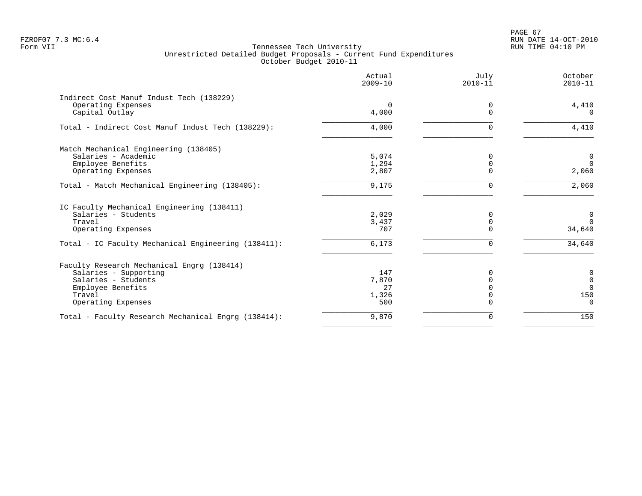# PAGE 67 FZROF07 7.3 MC:6.4 RUN DATE 14-OCT-2010

|                                                     | Actual<br>$2009 - 10$ | July<br>$2010 - 11$ | October<br>$2010 - 11$ |
|-----------------------------------------------------|-----------------------|---------------------|------------------------|
| Indirect Cost Manuf Indust Tech (138229)            |                       |                     |                        |
| Operating Expenses                                  | $\Omega$              | 0                   | 4,410                  |
| Capital Outlay                                      | 4,000                 | $\Omega$            | $\Omega$               |
| Total - Indirect Cost Manuf Indust Tech (138229):   | 4,000                 | U                   | 4,410                  |
| Match Mechanical Engineering (138405)               |                       |                     |                        |
| Salaries - Academic                                 | 5,074                 | 0                   | $\mathbf 0$            |
| Employee Benefits                                   | 1,294                 |                     | $\Omega$               |
| Operating Expenses                                  | 2,807                 |                     | 2,060                  |
| Total - Match Mechanical Engineering (138405):      | 9,175                 | 0                   | 2,060                  |
| IC Faculty Mechanical Engineering (138411)          |                       |                     |                        |
| Salaries - Students                                 | 2,029                 | O                   | $\overline{0}$         |
| Travel                                              | 3,437                 | $\Omega$            | $\Omega$               |
| Operating Expenses                                  | 707                   |                     | 34,640                 |
| Total - IC Faculty Mechanical Engineering (138411): | 6,173                 | U                   | 34,640                 |
| Faculty Research Mechanical Engrg (138414)          |                       |                     |                        |
| Salaries - Supporting                               | 147                   |                     | $\mathsf{O}$           |
| Salaries - Students                                 | 7,870                 | $\Omega$            | $\mathbb O$            |
| Employee Benefits                                   | 27                    |                     | $\Omega$               |
| Travel                                              | 1,326                 |                     | 150                    |
| Operating Expenses                                  | 500                   |                     | $\overline{0}$         |
| Total - Faculty Research Mechanical Engrg (138414): | 9,870                 | $\Omega$            | 150                    |
|                                                     |                       |                     |                        |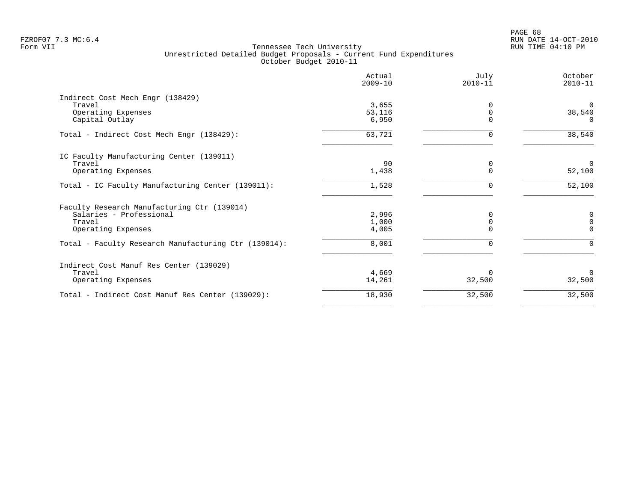|                                                      | Actual<br>$2009 - 10$ | July<br>$2010 - 11$ | October<br>$2010 - 11$ |
|------------------------------------------------------|-----------------------|---------------------|------------------------|
| Indirect Cost Mech Engr (138429)                     |                       |                     |                        |
| Travel                                               | 3,655                 |                     | $\Omega$               |
| Operating Expenses                                   | 53,116                | $\Omega$            | 38,540                 |
| Capital Outlay                                       | 6,950                 | $\Omega$            | $\Omega$               |
| Total - Indirect Cost Mech Engr (138429):            | 63,721                | $\Omega$            | 38,540                 |
| IC Faculty Manufacturing Center (139011)             |                       |                     |                        |
| Travel                                               | 90                    | 0                   | $\mathbf 0$            |
| Operating Expenses                                   | 1,438                 | $\Omega$            | 52,100                 |
| Total - IC Faculty Manufacturing Center (139011):    | 1,528                 | $\Omega$            | 52,100                 |
| Faculty Research Manufacturing Ctr (139014)          |                       |                     |                        |
| Salaries - Professional                              | 2,996                 | $\Omega$            | 0                      |
| Travel                                               | 1,000                 | $\Omega$            | $\Omega$               |
| Operating Expenses                                   | 4,005                 | $\Omega$            | $\Omega$               |
| Total - Faculty Research Manufacturing Ctr (139014): | 8,001                 | $\Omega$            | $\Omega$               |
| Indirect Cost Manuf Res Center (139029)              |                       |                     |                        |
| Travel                                               | 4,669                 | <sup>0</sup>        | $\Omega$               |
| Operating Expenses                                   | 14,261                | 32,500              | 32,500                 |
| Total - Indirect Cost Manuf Res Center (139029):     | 18,930                | 32,500              | 32,500                 |
|                                                      |                       |                     |                        |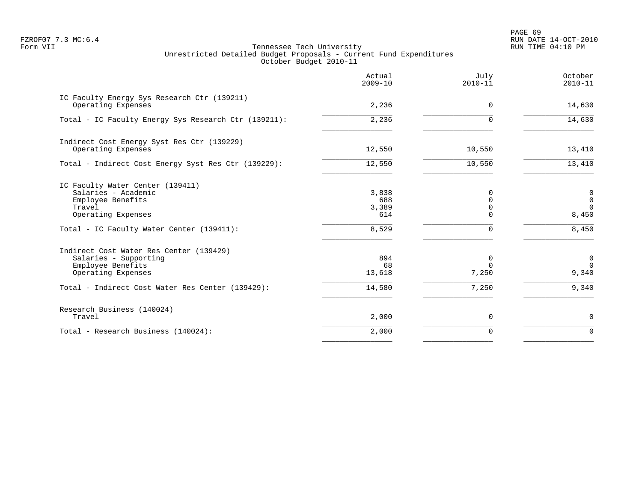PAGE 69 FZROF07 7.3 MC:6.4 RUN DATE 14-OCT-2010

|                                                                                                              | Actual<br>$2009 - 10$        | July<br>$2010 - 11$                   | October<br>$2010 - 11$                             |
|--------------------------------------------------------------------------------------------------------------|------------------------------|---------------------------------------|----------------------------------------------------|
| IC Faculty Energy Sys Research Ctr (139211)<br>Operating Expenses                                            | 2,236                        | $\Omega$                              | 14,630                                             |
| Total - IC Faculty Energy Sys Research Ctr (139211):                                                         | 2,236                        | $\Omega$                              | 14,630                                             |
| Indirect Cost Energy Syst Res Ctr (139229)<br>Operating Expenses                                             | 12,550                       | 10,550                                | 13,410                                             |
| Total - Indirect Cost Energy Syst Res Ctr (139229):                                                          | 12,550                       | 10,550                                | 13,410                                             |
| IC Faculty Water Center (139411)<br>Salaries - Academic<br>Employee Benefits<br>Travel<br>Operating Expenses | 3,838<br>688<br>3,389<br>614 | 0<br>$\Omega$<br>$\Omega$<br>$\Omega$ | $\mathbf 0$<br>$\overline{0}$<br>$\Omega$<br>8,450 |
| Total - IC Faculty Water Center (139411):                                                                    | 8,529                        | 0                                     | 8,450                                              |
| Indirect Cost Water Res Center (139429)<br>Salaries - Supporting<br>Employee Benefits<br>Operating Expenses  | 894<br>68<br>13,618          | 0<br>$\Omega$<br>7,250                | $\mathbf 0$<br>$\Omega$<br>9,340                   |
| Total - Indirect Cost Water Res Center (139429):                                                             | 14,580                       | 7,250                                 | 9,340                                              |
| Research Business (140024)<br>Travel                                                                         | 2,000                        | 0                                     | 0                                                  |
| Total - Research Business (140024):                                                                          | 2,000                        | $\Omega$                              | $\Omega$                                           |
|                                                                                                              |                              |                                       |                                                    |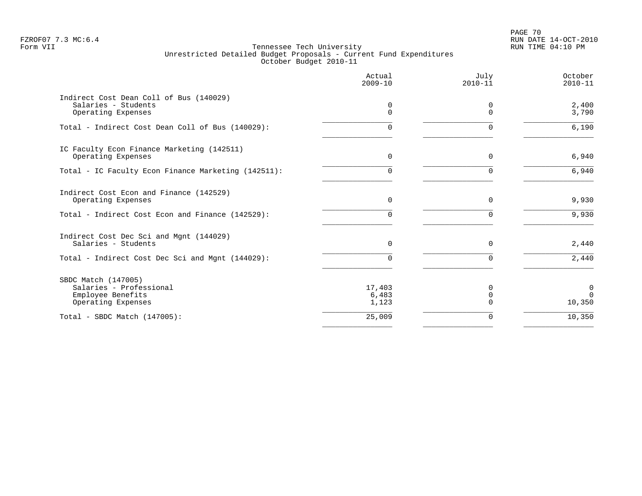PAGE 70 FZROF07 7.3 MC:6.4 RUN DATE 14-OCT-2010

|                                                                                           | Actual<br>$2009 - 10$    | July<br>$2010 - 11$  | October<br>$2010 - 11$  |
|-------------------------------------------------------------------------------------------|--------------------------|----------------------|-------------------------|
| Indirect Cost Dean Coll of Bus (140029)<br>Salaries - Students<br>Operating Expenses      | 0<br>0                   | 0<br>$\Omega$        | 2,400<br>3,790          |
| Total - Indirect Cost Dean Coll of Bus (140029):                                          | 0                        | $\Omega$             | 6,190                   |
| IC Faculty Econ Finance Marketing (142511)<br>Operating Expenses                          | $\Omega$                 | $\Omega$             | 6,940                   |
| Total - IC Faculty Econ Finance Marketing (142511):                                       | 0                        | <sup>n</sup>         | 6,940                   |
| Indirect Cost Econ and Finance (142529)<br>Operating Expenses                             | 0                        | $\mathbf 0$          | 9,930                   |
| Total - Indirect Cost Econ and Finance (142529):                                          | 0                        | $\Omega$             | 9,930                   |
| Indirect Cost Dec Sci and Mgnt (144029)<br>Salaries - Students                            | $\Omega$                 | $\Omega$             | 2,440                   |
| Total - Indirect Cost Dec Sci and Mgnt (144029):                                          | O.                       | $\Omega$             | 2,440                   |
| SBDC Match (147005)<br>Salaries - Professional<br>Employee Benefits<br>Operating Expenses | 17,403<br>6,483<br>1,123 | $\Omega$<br>$\Omega$ | 0<br>$\Omega$<br>10,350 |
| Total - SBDC Match $(147005)$ :                                                           | 25,009                   | $\Omega$             | 10,350                  |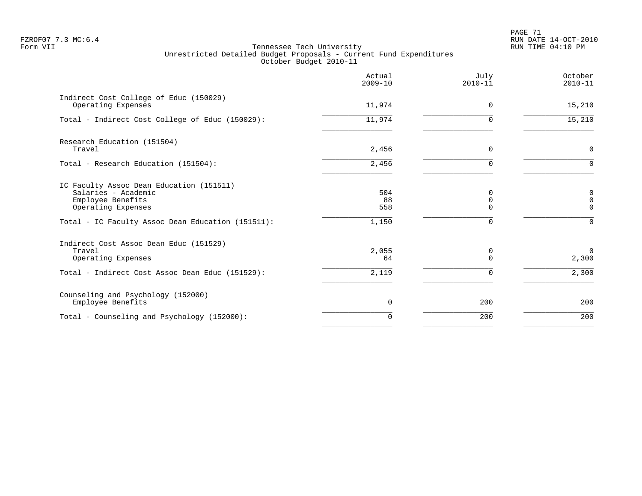PAGE 71 FZROF07 7.3 MC:6.4 RUN DATE 14-OCT-2010

|                                                                                                            | Actual<br>$2009 - 10$ | July<br>$2010 - 11$ | October<br>$2010 - 11$                  |
|------------------------------------------------------------------------------------------------------------|-----------------------|---------------------|-----------------------------------------|
| Indirect Cost College of Educ (150029)<br>Operating Expenses                                               | 11,974                | 0                   | 15,210                                  |
| Total - Indirect Cost College of Educ (150029):                                                            | 11,974                | $\Omega$            | 15,210                                  |
| Research Education (151504)<br>Travel                                                                      | 2,456                 | $\Omega$            | $\mathbf 0$                             |
| Total - Research Education (151504):                                                                       | 2,456                 |                     | $\Omega$                                |
| IC Faculty Assoc Dean Education (151511)<br>Salaries - Academic<br>Employee Benefits<br>Operating Expenses | 504<br>88<br>558      | 0<br>0<br>U         | 0<br>$\mathsf{O}\xspace$<br>$\mathbf 0$ |
| Total - IC Faculty Assoc Dean Education (151511):                                                          | 1,150                 | $\Omega$            | $\Omega$                                |
| Indirect Cost Assoc Dean Educ (151529)<br>Travel<br>Operating Expenses                                     | 2,055<br>64           | 0<br>U              | $\Omega$<br>2,300                       |
| Total - Indirect Cost Assoc Dean Educ (151529):                                                            | 2,119                 | $\Omega$            | 2,300                                   |
| Counseling and Psychology (152000)<br>Employee Benefits                                                    | 0                     | 200                 | 200                                     |
| Total - Counseling and Psychology (152000):                                                                | $\Omega$              | 200                 | 200                                     |
|                                                                                                            |                       |                     |                                         |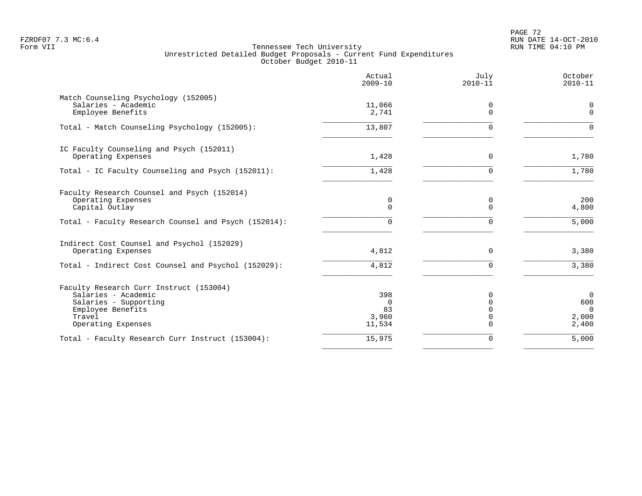# PAGE 72 FZROF07 7.3 MC:6.4 RUN DATE 14-OCT-2010

|                                                                                                                                              | Actual<br>$2009 - 10$                    | July<br>$2010 - 11$                               | October<br>$2010 - 11$                           |
|----------------------------------------------------------------------------------------------------------------------------------------------|------------------------------------------|---------------------------------------------------|--------------------------------------------------|
| Match Counseling Psychology (152005)<br>Salaries - Academic<br>Employee Benefits                                                             | 11,066<br>2,741                          | 0<br>$\Omega$                                     | 0<br>$\Omega$                                    |
| Total - Match Counseling Psychology (152005):                                                                                                | 13,807                                   | $\Omega$                                          | $\Omega$                                         |
| IC Faculty Counseling and Psych (152011)<br>Operating Expenses                                                                               | 1,428                                    | 0                                                 | 1,780                                            |
| Total - IC Faculty Counseling and Psych (152011):                                                                                            | 1,428                                    | $\Omega$                                          | 1,780                                            |
| Faculty Research Counsel and Psych (152014)<br>Operating Expenses<br>Capital Outlay<br>Total - Faculty Research Counsel and Psych (152014):  | 0<br>$\Omega$<br>0                       | 0<br>$\Omega$<br>$\Omega$                         | 200<br>4,800<br>5,000                            |
| Indirect Cost Counsel and Psychol (152029)<br>Operating Expenses                                                                             | 4,812                                    | $\Omega$                                          | 3,380                                            |
| Total - Indirect Cost Counsel and Psychol (152029):                                                                                          | 4,812                                    | $\Omega$                                          | 3,380                                            |
| Faculty Research Curr Instruct (153004)<br>Salaries - Academic<br>Salaries - Supporting<br>Employee Benefits<br>Travel<br>Operating Expenses | 398<br>$\Omega$<br>83<br>3,960<br>11,534 | $\Omega$<br>$\Omega$<br>$\Omega$<br>0<br>$\Omega$ | $\mathbf 0$<br>600<br>$\Omega$<br>2,000<br>2,400 |
| Total - Faculty Research Curr Instruct (153004):                                                                                             | 15,975                                   | 0                                                 | 5,000                                            |
|                                                                                                                                              |                                          |                                                   |                                                  |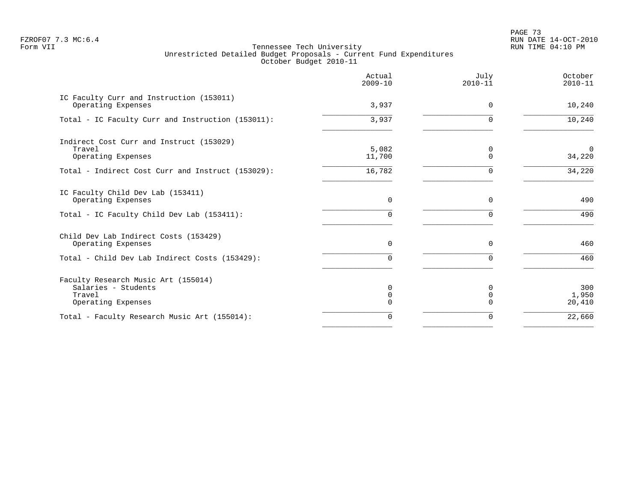PAGE 73 FZROF07 7.3 MC:6.4 RUN DATE 14-OCT-2010

|                                                                                            | Actual<br>$2009 - 10$            | July<br>$2010 - 11$ | October<br>$2010 - 11$ |
|--------------------------------------------------------------------------------------------|----------------------------------|---------------------|------------------------|
| IC Faculty Curr and Instruction (153011)<br>Operating Expenses                             | 3,937                            | $\Omega$            | 10,240                 |
| Total - IC Faculty Curr and Instruction (153011):                                          | 3,937                            | $\Omega$            | 10,240                 |
| Indirect Cost Curr and Instruct (153029)<br>Travel<br>Operating Expenses                   | 5,082<br>11,700                  | 0<br>$\Omega$       | $\mathbf 0$<br>34,220  |
| Total - Indirect Cost Curr and Instruct (153029):                                          | 16,782                           | ∩                   | 34,220                 |
| IC Faculty Child Dev Lab (153411)<br>Operating Expenses                                    | $\mathbf 0$                      | 0                   | 490                    |
| Total - IC Faculty Child Dev Lab (153411):                                                 | 0                                | $\Omega$            | 490                    |
| Child Dev Lab Indirect Costs (153429)<br>Operating Expenses                                | 0                                | $\Omega$            | 460                    |
| Total - Child Dev Lab Indirect Costs (153429):                                             | 0                                | $\cap$              | 460                    |
| Faculty Research Music Art (155014)<br>Salaries - Students<br>Travel<br>Operating Expenses | $\Omega$<br>$\Omega$<br>$\Omega$ | $\Omega$            | 300<br>1,950<br>20,410 |
| Total - Faculty Research Music Art (155014):                                               | $\Omega$                         | $\Omega$            | 22,660                 |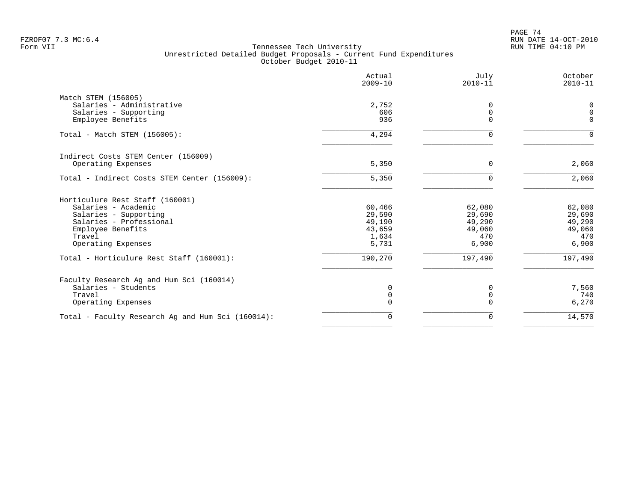|                                                   | Actual<br>$2009 - 10$ | July<br>$2010 - 11$ | October<br>$2010 - 11$ |
|---------------------------------------------------|-----------------------|---------------------|------------------------|
| Match STEM (156005)                               |                       |                     |                        |
| Salaries - Administrative                         | 2,752                 | 0                   | 0                      |
| Salaries - Supporting                             | 606                   | $\overline{0}$      | $\Omega$               |
| Employee Benefits                                 | 936                   | $\Omega$            | $\Omega$               |
| Total - Match STEM (156005):                      | 4,294                 | $\Omega$            | $\Omega$               |
| Indirect Costs STEM Center (156009)               |                       |                     |                        |
| Operating Expenses                                | 5,350                 | $\Omega$            | 2,060                  |
| Total - Indirect Costs STEM Center (156009):      | 5,350                 | $\Omega$            | 2,060                  |
| Horticulure Rest Staff (160001)                   |                       |                     |                        |
| Salaries - Academic                               | 60,466                | 62,080              | 62,080                 |
| Salaries - Supporting                             | 29,590                | 29,690              | 29,690                 |
| Salaries - Professional                           | 49,190                | 49,290              | 49,290                 |
| Employee Benefits                                 | 43,659                | 49,060              | 49,060                 |
| Travel                                            | 1,634                 | 470                 | 470                    |
| Operating Expenses                                | 5,731                 | 6,900               | 6,900                  |
| Total - Horticulure Rest Staff (160001):          | 190,270               | 197,490             | 197,490                |
| Faculty Research Ag and Hum Sci (160014)          |                       |                     |                        |
| Salaries - Students                               | 0                     | 0                   | 7,560                  |
| Travel                                            | $\mathbf 0$           | $\mathbf 0$         | 740                    |
| Operating Expenses                                | 0                     | $\Omega$            | 6,270                  |
| Total - Faculty Research Ag and Hum Sci (160014): | $\mathbf 0$           | $\Omega$            | 14,570                 |
|                                                   |                       |                     |                        |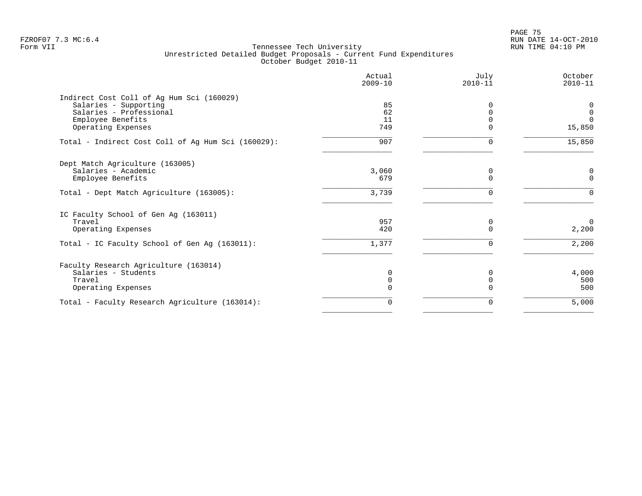en and the set of the set of the set of the set of the set of the set of the set of the set of the set of the set of the set of the set of the set of the set of the set of the set of the set of the set of the set of the se FZROF07 7.3 MC:6.4 RUN DATE 14-OCT-2010

|                                                    | Actual<br>$2009 - 10$ | July<br>$2010 - 11$ | October<br>$2010 - 11$ |
|----------------------------------------------------|-----------------------|---------------------|------------------------|
| Indirect Cost Coll of Ag Hum Sci (160029)          |                       |                     |                        |
| Salaries - Supporting<br>Salaries - Professional   | 85<br>62              |                     | 0<br>$\overline{0}$    |
| Employee Benefits                                  | 11                    |                     | $\Omega$               |
| Operating Expenses                                 | 749                   |                     | 15,850                 |
| Total - Indirect Cost Coll of Ag Hum Sci (160029): | 907                   | $\Omega$            | 15,850                 |
| Dept Match Agriculture (163005)                    |                       |                     |                        |
| Salaries - Academic                                | 3,060                 | 0                   | 0                      |
| Employee Benefits                                  | 679                   |                     | $\mathbf 0$            |
| Total - Dept Match Agriculture (163005):           | 3,739                 | $\Omega$            | $\Omega$               |
| IC Faculty School of Gen Ag (163011)               |                       |                     |                        |
| Travel                                             | 957                   | 0                   | $\Omega$               |
| Operating Expenses                                 | 420                   | U                   | 2,200                  |
| Total - IC Faculty School of Gen Ag (163011):      | 1,377                 | 0                   | 2,200                  |
| Faculty Research Agriculture (163014)              |                       |                     |                        |
| Salaries - Students                                | 0                     |                     | 4,000                  |
| Travel                                             | 0                     |                     | 500                    |
| Operating Expenses                                 | $\Omega$              |                     | 500                    |
| Total - Faculty Research Agriculture (163014):     | $\mathbf 0$           | 0                   | 5,000                  |
|                                                    |                       |                     |                        |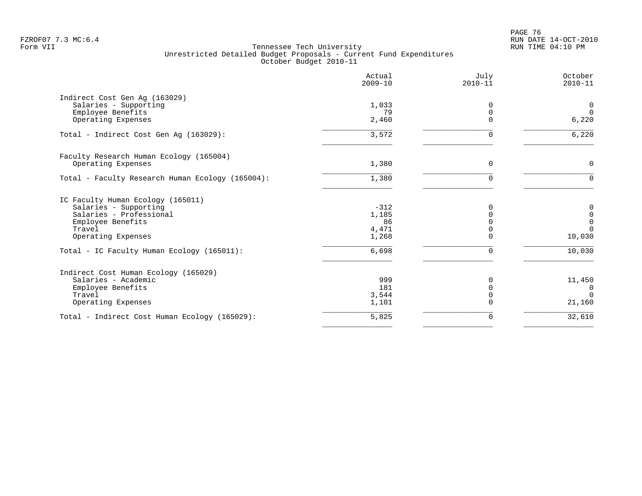|                                                            | Actual<br>$2009 - 10$ | July<br>$2010 - 11$ | October<br>$2010 - 11$ |
|------------------------------------------------------------|-----------------------|---------------------|------------------------|
| Indirect Cost Gen Aq (163029)                              |                       |                     |                        |
| Salaries - Supporting                                      | 1,033                 | 0                   | $\overline{0}$         |
| Employee Benefits                                          | 79                    | $\Omega$            | $\Omega$               |
| Operating Expenses                                         | 2,460                 | $\Omega$            | 6,220                  |
| Total - Indirect Cost Gen Aq (163029):                     | 3,572                 |                     | 6,220                  |
| Faculty Research Human Ecology (165004)                    |                       |                     |                        |
| Operating Expenses                                         | 1,380                 | 0                   | $\mathbf 0$            |
| Total - Faculty Research Human Ecology (165004):           | 1,380                 | $\Omega$            | $\Omega$               |
|                                                            |                       |                     |                        |
| IC Faculty Human Ecology (165011)<br>Salaries - Supporting | $-312$                | N                   |                        |
| Salaries - Professional                                    | 1,185                 |                     | 0<br>$\mathbf 0$       |
| Employee Benefits                                          | 86                    |                     | $\mathbb O$            |
| Travel                                                     | 4,471                 |                     | $\Omega$               |
| Operating Expenses                                         | 1,268                 |                     | 10,030                 |
| Total - IC Faculty Human Ecology (165011):                 | 6,698                 | U                   | 10,030                 |
| Indirect Cost Human Ecology (165029)                       |                       |                     |                        |
| Salaries - Academic                                        | 999                   |                     | 11,450                 |
| Employee Benefits                                          | 181                   | ∩                   | $\Omega$               |
| Travel                                                     | 3,544                 |                     | $\Omega$               |
| Operating Expenses                                         | 1,101                 |                     | 21,160                 |
| Total - Indirect Cost Human Ecology (165029):              | 5,825                 | $\Omega$            | 32,610                 |
|                                                            |                       |                     |                        |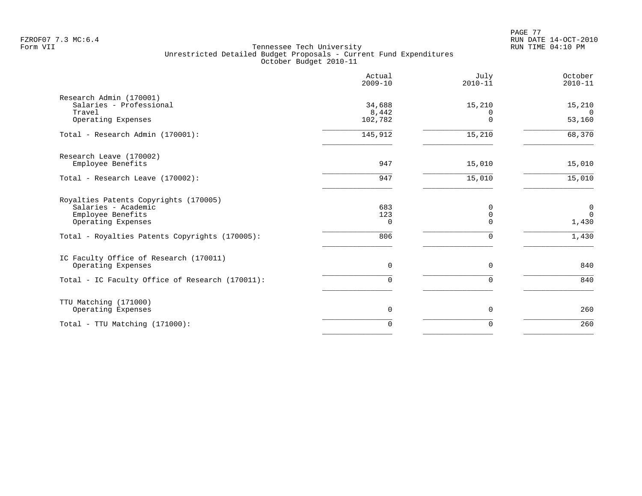PAGE 77 FZROF07 7.3 MC:6.4 RUN DATE 14-OCT-2010

|                                                                                                         | Actual<br>$2009 - 10$  | July<br>$2010 - 11$       | October<br>$2010 - 11$              |
|---------------------------------------------------------------------------------------------------------|------------------------|---------------------------|-------------------------------------|
| Research Admin (170001)<br>Salaries - Professional<br>Travel                                            | 34,688<br>8,442        | 15,210<br>0               | 15,210<br>$\Omega$                  |
| Operating Expenses                                                                                      | 102,782                | $\Omega$                  | 53,160                              |
| Total - Research Admin (170001):                                                                        | 145,912                | 15,210                    | 68,370                              |
| Research Leave (170002)<br>Employee Benefits                                                            | 947                    | 15,010                    | 15,010                              |
| Total - Research Leave (170002):                                                                        | 947                    | 15,010                    | 15,010                              |
| Royalties Patents Copyrights (170005)<br>Salaries - Academic<br>Employee Benefits<br>Operating Expenses | 683<br>123<br>$\Omega$ | $\Omega$<br>0<br>$\Omega$ | $\overline{0}$<br>$\Omega$<br>1,430 |
| Total - Royalties Patents Copyrights (170005):                                                          | 806                    | U                         | 1,430                               |
| IC Faculty Office of Research (170011)<br>Operating Expenses                                            | 0                      | $\Omega$                  | 840                                 |
| Total - IC Faculty Office of Research (170011):                                                         | $\Omega$               | $\Omega$                  | 840                                 |
| TTU Matching (171000)<br>Operating Expenses                                                             | 0                      | 0                         | 260                                 |
| Total - TTU Matching (171000):                                                                          | $\Omega$               | $\Omega$                  | 260                                 |
|                                                                                                         |                        |                           |                                     |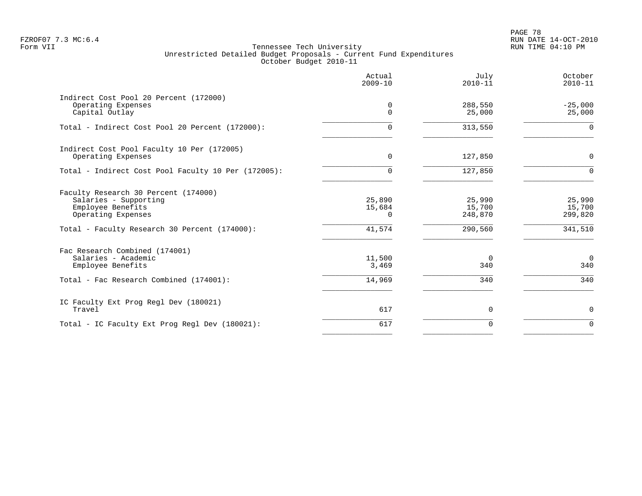PAGE 78 FZROF07 7.3 MC:6.4 RUN DATE 14-OCT-2010

|                                                                                                                                                           | Actual<br>$2009 - 10$                  | July<br>$2010 - 11$                    | October<br>$2010 - 11$                 |
|-----------------------------------------------------------------------------------------------------------------------------------------------------------|----------------------------------------|----------------------------------------|----------------------------------------|
| Indirect Cost Pool 20 Percent (172000)<br>Operating Expenses<br>Capital Outlay                                                                            | 0<br>$\Omega$                          | 288,550<br>25,000                      | $-25,000$<br>25,000                    |
| Total - Indirect Cost Pool 20 Percent (172000):                                                                                                           | 0                                      | 313,550                                | $\Omega$                               |
| Indirect Cost Pool Faculty 10 Per (172005)<br>Operating Expenses                                                                                          | $\Omega$                               | 127,850                                | $\mathbf 0$                            |
| Total - Indirect Cost Pool Faculty 10 Per (172005):                                                                                                       | $\Omega$                               | 127,850                                | $\Omega$                               |
| Faculty Research 30 Percent (174000)<br>Salaries - Supporting<br>Employee Benefits<br>Operating Expenses<br>Total - Faculty Research 30 Percent (174000): | 25,890<br>15,684<br>$\Omega$<br>41,574 | 25,990<br>15,700<br>248,870<br>290,560 | 25,990<br>15,700<br>299,820<br>341,510 |
| Fac Research Combined (174001)<br>Salaries - Academic<br>Employee Benefits                                                                                | 11,500<br>3,469                        | $\overline{0}$<br>340                  | $\overline{0}$<br>340                  |
| Total - Fac Research Combined (174001):                                                                                                                   | 14,969                                 | 340                                    | 340                                    |
| IC Faculty Ext Prog Regl Dev (180021)<br>Travel                                                                                                           | 617                                    | 0                                      | $\mathbf 0$                            |
| Total - IC Faculty Ext Prog Regl Dev (180021):                                                                                                            | 617                                    | $\mathbf 0$                            | $\Omega$                               |
|                                                                                                                                                           |                                        |                                        |                                        |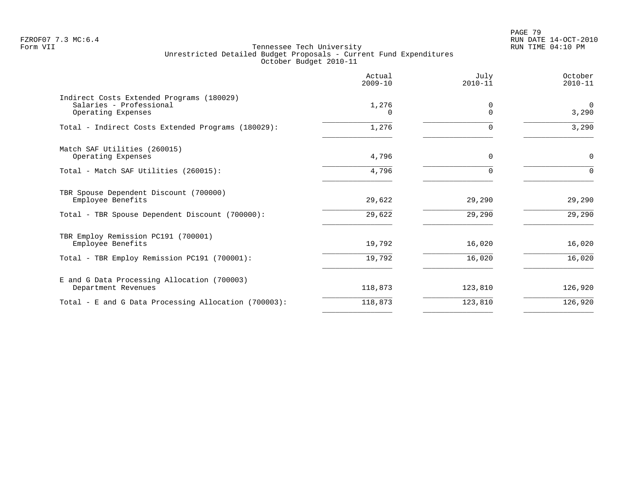PAGE 79 FZROF07 7.3 MC:6.4 RUN DATE 14-OCT-2010

|                                                                                            | Actual<br>$2009 - 10$ | July<br>$2010 - 11$  | October<br>$2010 - 11$ |
|--------------------------------------------------------------------------------------------|-----------------------|----------------------|------------------------|
| Indirect Costs Extended Programs (180029)<br>Salaries - Professional<br>Operating Expenses | 1,276<br>0            | $\Omega$<br>$\Omega$ | $\Omega$<br>3,290      |
| Total - Indirect Costs Extended Programs (180029):                                         | 1,276                 | 0                    | 3,290                  |
| Match SAF Utilities (260015)<br>Operating Expenses                                         | 4,796                 | $\Omega$             | $\mathbf 0$            |
| Total - Match SAF Utilities (260015):                                                      | 4,796                 | $\Omega$             | $\Omega$               |
| TBR Spouse Dependent Discount (700000)<br>Employee Benefits                                | 29,622                | 29,290               | 29,290                 |
| Total - TBR Spouse Dependent Discount (700000):                                            | 29,622                | 29,290               | 29,290                 |
| TBR Employ Remission PC191 (700001)<br>Employee Benefits                                   | 19,792                | 16,020               | 16,020                 |
| Total - TBR Employ Remission PC191 (700001):                                               | 19,792                | 16,020               | 16,020                 |
| E and G Data Processing Allocation (700003)<br>Department Revenues                         | 118,873               | 123,810              | 126,920                |
| Total - E and G Data Processing Allocation (700003):                                       | 118,873               | 123,810              | 126,920                |
|                                                                                            |                       |                      |                        |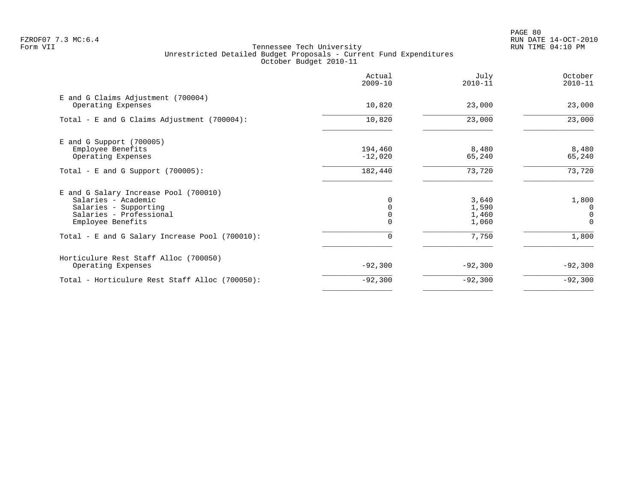PAGE 80 FZROF07 7.3 MC:6.4 RUN DATE 14-OCT-2010

|                                                                                                                                       | Actual<br>$2009 - 10$ | July<br>$2010 - 11$              | October<br>$2010 - 11$      |
|---------------------------------------------------------------------------------------------------------------------------------------|-----------------------|----------------------------------|-----------------------------|
| E and G Claims Adjustment (700004)<br>Operating Expenses                                                                              | 10,820                | 23,000                           | 23,000                      |
| Total - E and G Claims Adjustment (700004):                                                                                           | 10,820                | 23,000                           | 23,000                      |
| $E$ and G Support (700005)<br>Employee Benefits<br>Operating Expenses                                                                 | 194,460<br>$-12,020$  | 8,480<br>65,240                  | 8,480<br>65,240             |
| Total - E and G Support $(700005)$ :                                                                                                  | 182,440               | 73,720                           | 73,720                      |
| E and G Salary Increase Pool (700010)<br>Salaries - Academic<br>Salaries - Supporting<br>Salaries - Professional<br>Employee Benefits |                       | 3,640<br>1,590<br>1,460<br>1,060 | 1,800<br>0<br>0<br>$\Omega$ |
| Total - E and G Salary Increase Pool (700010):                                                                                        | $\Omega$              | 7,750                            | 1,800                       |
| Horticulure Rest Staff Alloc (700050)<br>Operating Expenses                                                                           | $-92,300$             | $-92,300$                        | $-92,300$                   |
| Total - Horticulure Rest Staff Alloc (700050):                                                                                        | $-92,300$             | $-92,300$                        | $-92,300$                   |
|                                                                                                                                       |                       |                                  |                             |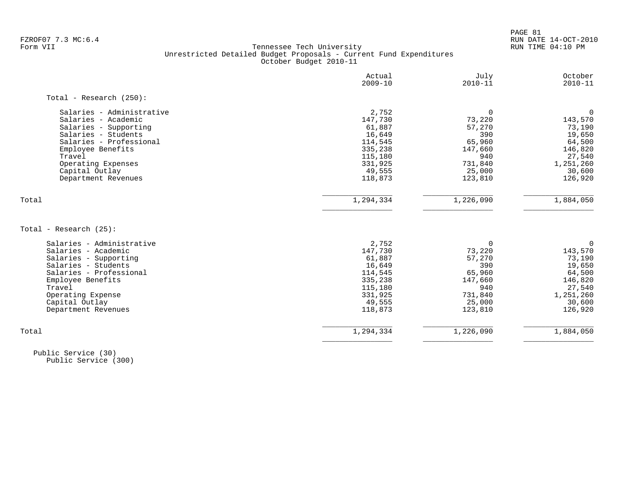PAGE 81 FZROF07 7.3 MC:6.4 RUN DATE 14-OCT-2010

### Form VII Tennessee Tech University RUN TIME 04:10 PM Unrestricted Detailed Budget Proposals - Current Fund Expenditures October Budget 2010-11

| $\mathbf 0$<br>73,220<br>57,270<br>390 |                      |
|----------------------------------------|----------------------|
|                                        |                      |
|                                        | 0                    |
|                                        | 143,570              |
|                                        | 73,190               |
|                                        | 19,650               |
| 65,960                                 | 64,500               |
| 147,660                                | 146,820              |
| 940                                    | 27,540               |
| 731,840                                | 1,251,260            |
| 25,000                                 | 30,600               |
| 123,810                                | 126,920              |
| 1,226,090                              | 1,884,050            |
|                                        |                      |
|                                        |                      |
| $\Omega$                               | $\Omega$             |
| 73,220                                 | 143,570              |
| 57,270                                 | 73,190               |
| 390                                    | 19,650               |
| 65,960                                 | 64,500               |
| 147,660                                | 146,820              |
| 940                                    | 27,540               |
| 731,840                                | 1,251,260            |
| 25,000                                 | 30,600               |
|                                        | 126,920              |
|                                        | 1,884,050            |
|                                        | 123,810<br>1,226,090 |

 Public Service (30) Public Service (300)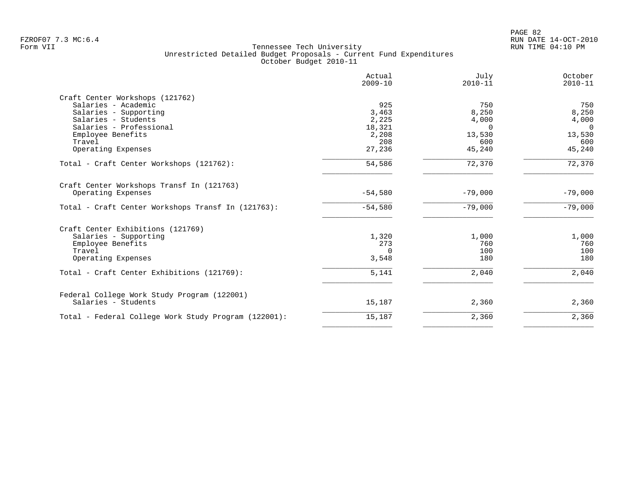| Actual<br>$2009 - 10$ | July<br>$2010 - 11$   | October<br>$2010 - 11$       |
|-----------------------|-----------------------|------------------------------|
|                       |                       |                              |
| 925                   | 750                   | 750                          |
| 3,463                 | 8,250                 | 8,250                        |
|                       | 4,000                 | 4,000                        |
| 18,321                | $\Omega$              | $\overline{0}$               |
| 2,208                 | 13,530                | 13,530                       |
| 208                   | 600                   | 600                          |
| 27,236                | 45,240                | 45,240                       |
| 54,586                | 72,370                | 72,370                       |
|                       |                       |                              |
| $-54,580$             | $-79,000$             | $-79,000$                    |
| $-54,580$             | $-79,000$             | $-79,000$                    |
|                       |                       |                              |
|                       |                       | 1,000                        |
|                       |                       | 760                          |
| $\Omega$              |                       | 100                          |
| 3,548                 | 180                   | 180                          |
| 5,141                 | 2,040                 | 2,040                        |
|                       |                       |                              |
| 15,187                | 2,360                 | 2,360                        |
| 15,187                |                       | 2,360                        |
|                       | 2,225<br>1,320<br>273 | 1,000<br>760<br>100<br>2,360 |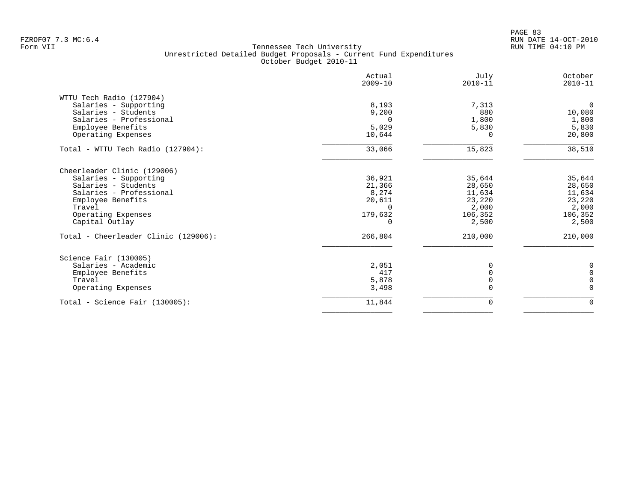PAGE 83 FZROF07 7.3 MC:6.4 RUN DATE 14-OCT-2010

|                                      | Actual<br>$2009 - 10$ | July<br>$2010 - 11$ | October<br>$2010 - 11$ |
|--------------------------------------|-----------------------|---------------------|------------------------|
| WTTU Tech Radio (127904)             |                       |                     |                        |
| Salaries - Supporting                | 8,193                 | 7,313               | $\overline{0}$         |
| Salaries - Students                  | 9,200                 | 880                 | 10,080                 |
| Salaries - Professional              |                       | 1,800               | 1,800                  |
| Employee Benefits                    | 5,029                 | 5,830               | 5,830                  |
| Operating Expenses                   | 10,644                | 0                   | 20,800                 |
| Total - WTTU Tech Radio (127904):    | 33,066                | 15,823              | 38,510                 |
| Cheerleader Clinic (129006)          |                       |                     |                        |
| Salaries - Supporting                | 36,921                | 35,644              | 35,644                 |
| Salaries - Students                  | 21,366                | 28,650              | 28,650                 |
| Salaries - Professional              | 8,274                 | 11,634              | 11,634                 |
| Employee Benefits                    | 20,611                | 23,220              | 23,220                 |
| Travel                               | $\Omega$              | 2,000               | 2,000                  |
| Operating Expenses                   | 179,632               | 106,352             | 106,352                |
| Capital Outlay                       |                       | 2,500               | 2,500                  |
| Total - Cheerleader Clinic (129006): | 266,804               | 210,000             | 210,000                |
| Science Fair (130005)                |                       |                     |                        |
| Salaries - Academic                  | 2,051                 |                     | 0                      |
| Employee Benefits                    | 417                   |                     | $\mathbf 0$            |
| Travel                               | 5,878                 |                     | $\mathbf 0$            |
| Operating Expenses                   | 3,498                 |                     | $\Omega$               |
| $Total - Science Fair (130005):$     | 11,844                | 0                   | $\mathbf 0$            |
|                                      |                       |                     |                        |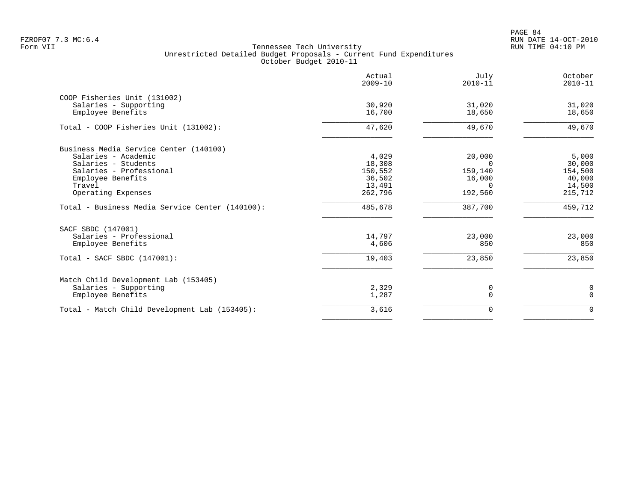PAGE 84 FZROF07 7.3 MC:6.4 RUN DATE 14-OCT-2010

|                                                 | Actual<br>$2009 - 10$ | July<br>$2010 - 11$ | October<br>$2010 - 11$ |
|-------------------------------------------------|-----------------------|---------------------|------------------------|
| COOP Fisheries Unit (131002)                    | 30,920                | 31,020              |                        |
| Salaries - Supporting<br>Employee Benefits      | 16,700                | 18,650              | 31,020<br>18,650       |
| Total - COOP Fisheries Unit (131002):           | 47,620                | 49,670              | 49,670                 |
| Business Media Service Center (140100)          |                       |                     |                        |
| Salaries - Academic                             | 4,029                 | 20,000              | 5,000                  |
| Salaries - Students                             | 18,308                | $\Omega$            | 30,000                 |
| Salaries - Professional                         | 150,552               | 159,140             | 154,500                |
| Employee Benefits                               | 36,502                | 16,000              | 40,000                 |
| Travel                                          | 13,491                | $\Omega$            | 14,500                 |
| Operating Expenses                              | 262,796               | 192,560             | 215,712                |
| Total - Business Media Service Center (140100): | 485,678               | 387,700             | 459,712                |
| SACF SBDC (147001)                              |                       |                     |                        |
| Salaries - Professional                         | 14,797                | 23,000              | 23,000                 |
| Employee Benefits                               | 4,606                 | 850                 | 850                    |
| Total - SACF SBDC (147001):                     | 19,403                | 23,850              | 23,850                 |
| Match Child Development Lab (153405)            |                       |                     |                        |
| Salaries - Supporting                           | 2,329                 | 0                   | $\mathbf 0$            |
| Employee Benefits                               | 1,287                 | $\Omega$            | $\Omega$               |
| Total - Match Child Development Lab (153405):   | 3,616                 | $\mathbf 0$         | $\Omega$               |
|                                                 |                       |                     |                        |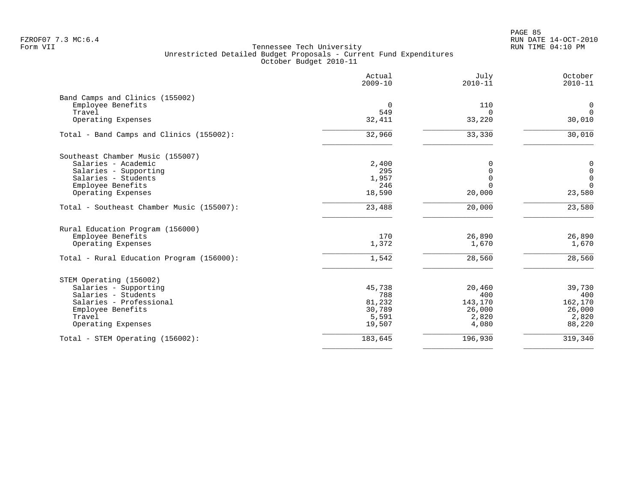PAGE 85 FZROF07 7.3 MC:6.4 RUN DATE 14-OCT-2010

|                                                      | Actual<br>$2009 - 10$ | July<br>$2010 - 11$ | October<br>$2010 - 11$             |
|------------------------------------------------------|-----------------------|---------------------|------------------------------------|
| Band Camps and Clinics (155002)<br>Employee Benefits | $\overline{0}$        | 110                 | $\mathbf 0$                        |
| Travel                                               | 549                   | $\Omega$            | $\Omega$                           |
| Operating Expenses                                   | 32,411                | 33,220              | 30,010                             |
| Total - Band Camps and Clinics (155002):             | 32,960                | 33,330              | 30,010                             |
| Southeast Chamber Music (155007)                     |                       |                     |                                    |
| Salaries - Academic                                  | 2,400<br>295          |                     | 0                                  |
| Salaries - Supporting<br>Salaries - Students         | 1,957                 | $\cap$              | $\mathbf 0$<br>$\mathsf{O}\xspace$ |
| Employee Benefits                                    | 246                   |                     | $\Omega$                           |
| Operating Expenses                                   | 18,590                | 20,000              | 23,580                             |
| Total - Southeast Chamber Music (155007):            | 23,488                | 20,000              | 23,580                             |
| Rural Education Program (156000)                     |                       |                     |                                    |
| Employee Benefits                                    | 170                   | 26,890              | 26,890                             |
| Operating Expenses                                   | 1,372                 | 1,670               | 1,670                              |
| Total - Rural Education Program (156000):            | 1,542                 | 28,560              | 28,560                             |
| STEM Operating (156002)                              |                       |                     |                                    |
| Salaries - Supporting                                | 45,738                | 20,460              | 39,730                             |
| Salaries - Students                                  | 788                   | 400                 | 400                                |
| Salaries - Professional<br>Employee Benefits         | 81,232<br>30,789      | 143,170<br>26,000   | 162,170<br>26,000                  |
| Travel                                               | 5,591                 | 2,820               | 2,820                              |
| Operating Expenses                                   | 19,507                | 4,080               | 88,220                             |
| Total - STEM Operating (156002):                     | 183,645               | 196,930             | 319,340                            |
|                                                      |                       |                     |                                    |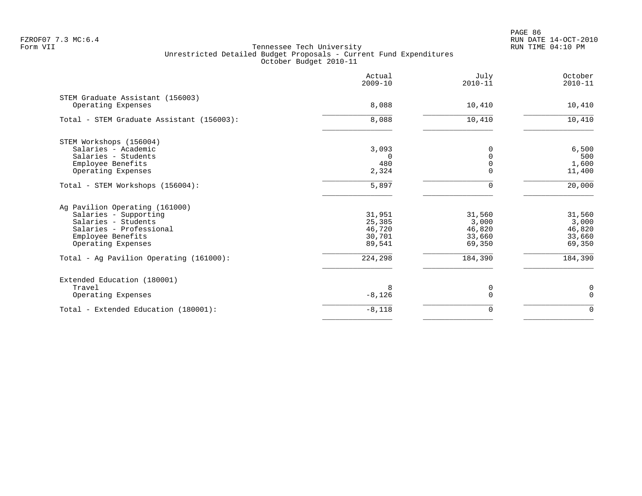PAGE 86 FZROF07 7.3 MC:6.4 RUN DATE 14-OCT-2010

|                                                        | Actual<br>$2009 - 10$ | July<br>$2010 - 11$ | October<br>$2010 - 11$ |
|--------------------------------------------------------|-----------------------|---------------------|------------------------|
| STEM Graduate Assistant (156003)<br>Operating Expenses | 8,088                 | 10,410              | 10,410                 |
|                                                        |                       |                     |                        |
| Total - STEM Graduate Assistant (156003):              | 8,088                 | 10,410              | 10,410                 |
| STEM Workshops (156004)                                |                       |                     |                        |
| Salaries - Academic                                    | 3,093                 | 0                   | 6,500                  |
| Salaries - Students                                    | $\Omega$              | $\Omega$            | 500                    |
| Employee Benefits                                      | 480                   | $\Omega$            | 1,600                  |
| Operating Expenses                                     | 2,324                 | $\Omega$            | 11,400                 |
| Total - STEM Workshops (156004):                       | 5,897                 | 0                   | 20,000                 |
| Ag Pavilion Operating (161000)                         |                       |                     |                        |
| Salaries - Supporting                                  | 31,951                | 31,560              | 31,560                 |
| Salaries - Students                                    | 25,385                | 3,000               | 3,000                  |
| Salaries - Professional                                | 46,720                | 46,820              | 46,820                 |
| Employee Benefits                                      | 30,701                | 33,660              | 33,660                 |
| Operating Expenses                                     | 89,541                | 69,350              | 69,350                 |
| Total - Ag Pavilion Operating (161000):                | 224,298               | 184,390             | 184,390                |
| Extended Education (180001)                            |                       |                     |                        |
| Travel                                                 |                       | 0                   | $\boldsymbol{0}$       |
| Operating Expenses                                     | $-8,126$              | $\Omega$            | $\Omega$               |
| Total - Extended Education (180001):                   | $-8,118$              | 0                   | $\mathbf 0$            |
|                                                        |                       |                     |                        |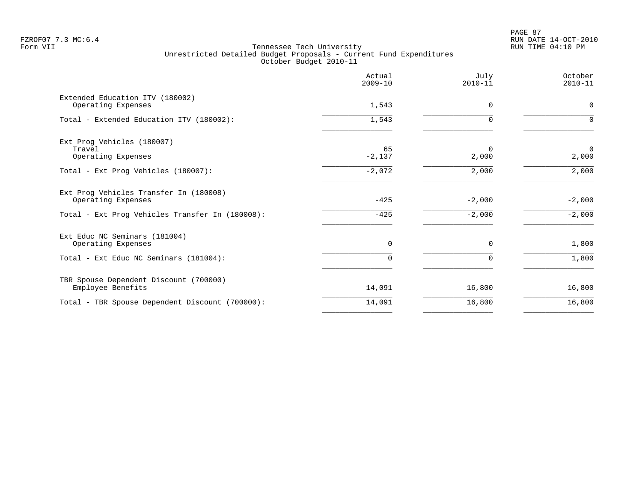PAGE 87 FZROF07 7.3 MC:6.4 RUN DATE 14-OCT-2010

|                                                              | Actual<br>$2009 - 10$ | July<br>$2010 - 11$ | October<br>$2010 - 11$  |
|--------------------------------------------------------------|-----------------------|---------------------|-------------------------|
| Extended Education ITV (180002)<br>Operating Expenses        | 1,543                 | $\Omega$            | $\mathbf 0$             |
| Total - Extended Education ITV (180002):                     | 1,543                 |                     | $\Omega$                |
| Ext Prog Vehicles (180007)                                   |                       |                     |                         |
| Travel<br>Operating Expenses                                 | 65<br>$-2,137$        | $\Omega$<br>2,000   | $\overline{0}$<br>2,000 |
| Total - Ext Prog Vehicles (180007):                          | $-2,072$              | 2,000               | 2,000                   |
| Ext Prog Vehicles Transfer In (180008)<br>Operating Expenses | $-425$                | $-2,000$            | $-2,000$                |
| Total - Ext Prog Vehicles Transfer In (180008):              | $-425$                | $-2,000$            | $-2,000$                |
| Ext Educ NC Seminars (181004)<br>Operating Expenses          | 0                     | 0                   | 1,800                   |
| Total - Ext Educ NC Seminars (181004):                       | $\Omega$              | $\Omega$            | 1,800                   |
| TBR Spouse Dependent Discount (700000)<br>Employee Benefits  | 14,091                | 16,800              | 16,800                  |
| Total - TBR Spouse Dependent Discount (700000):              | 14,091                | 16,800              | 16,800                  |
|                                                              |                       |                     |                         |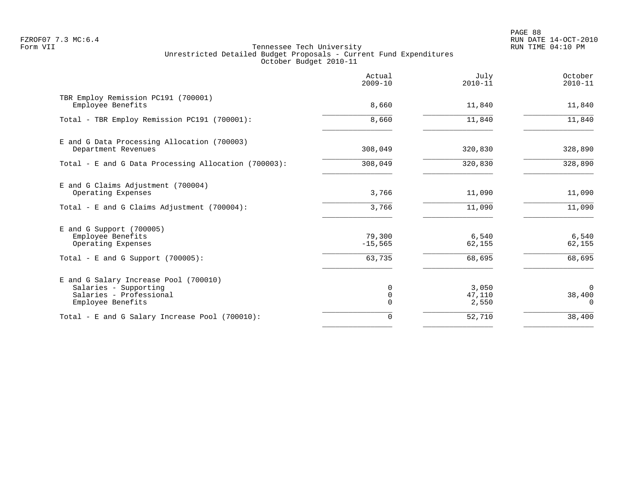PAGE 88 FZROF07 7.3 MC:6.4 RUN DATE 14-OCT-2010

| Actual<br>$2009 - 10$ | July<br>$2010 - 11$      | October<br>$2010 - 11$         |
|-----------------------|--------------------------|--------------------------------|
| 8,660                 | 11,840                   | 11,840                         |
| 8,660                 | 11,840                   | 11,840                         |
| 308,049               | 320,830                  | 328,890                        |
| 308,049               | 320,830                  | 328,890                        |
| 3,766                 | 11,090                   | 11,090                         |
| 3,766                 | 11,090                   | 11,090                         |
| 79,300<br>$-15,565$   | 6,540<br>62,155          | 6,540<br>62,155                |
| 63,735                | 68,695                   | 68,695                         |
| 0<br>$\mathbf 0$      | 3,050<br>47,110<br>2,550 | $\Omega$<br>38,400<br>$\Omega$ |
| $\mathbf 0$           | 52,710                   | 38,400                         |
|                       |                          |                                |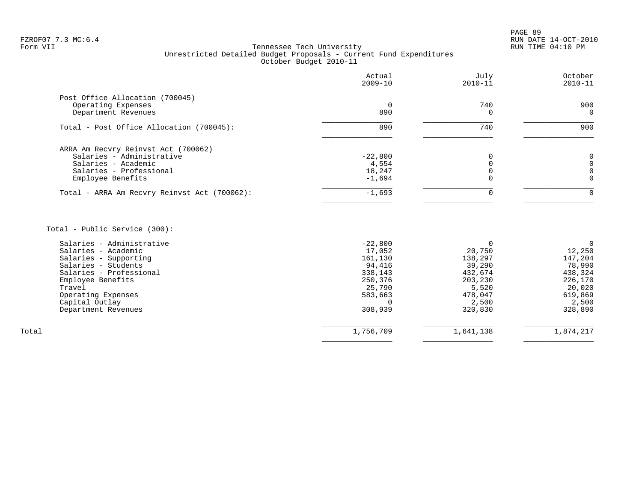PAGE 89 FZROF07 7.3 MC:6.4 RUN DATE 14-OCT-2010

### Form VII Tennessee Tech University RUN TIME 04:10 PM Unrestricted Detailed Budget Proposals - Current Fund Expenditures October Budget 2010-11

|                                              | Actual<br>$2009 - 10$ | July<br>$2010 - 11$ | October<br>$2010 - 11$ |
|----------------------------------------------|-----------------------|---------------------|------------------------|
| Post Office Allocation (700045)              |                       |                     |                        |
| Operating Expenses<br>Department Revenues    | 0<br>890              | 740                 | 900<br>$\Omega$        |
| Total - Post Office Allocation (700045):     | 890                   | 740                 | 900                    |
| ARRA Am Recvry Reinvst Act (700062)          |                       |                     |                        |
| Salaries - Administrative                    | $-22,800$             |                     |                        |
| Salaries - Academic                          | 4,554                 |                     |                        |
| Salaries - Professional                      | 18,247                |                     |                        |
| Employee Benefits                            | $-1,694$              |                     |                        |
| Total - ARRA Am Recvry Reinvst Act (700062): | $-1,693$              | $\Omega$            |                        |
|                                              |                       |                     |                        |

Total - Public Service (300):

| Salaries - Administrative | $-22,800$ |           |           |
|---------------------------|-----------|-----------|-----------|
| Salaries - Academic       | 17,052    | 20,750    | 12,250    |
| Salaries - Supporting     | 161,130   | 138,297   | 147,204   |
| Salaries - Students       | 94,416    | 39,290    | 78,990    |
| Salaries - Professional   | 338,143   | 432,674   | 438,324   |
| Employee Benefits         | 250,376   | 203,230   | 226,170   |
| Travel                    | 25,790    | 5,520     | 20,020    |
| Operating Expenses        | 583,663   | 478,047   | 619,869   |
| Capital Outlay            |           | 2,500     | 2,500     |
| Department Revenues       | 308,939   | 320,830   | 328,890   |
|                           |           |           |           |
| Total                     | 1,756,709 | 1,641,138 | 1,874,217 |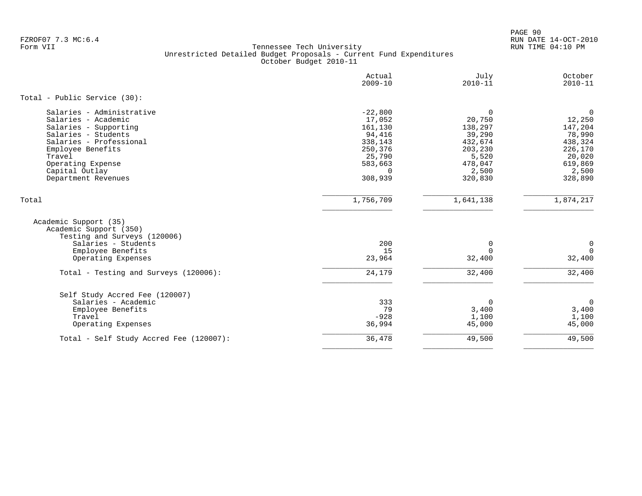PAGE 90 FZROF07 7.3 MC:6.4 RUN DATE 14-OCT-2010

|                                                                                                                                                                                                                          | Actual<br>$2009 - 10$                                                                                      | July<br>$2010 - 11$                                                                                      | October<br>$2010 - 11$                                                                                    |
|--------------------------------------------------------------------------------------------------------------------------------------------------------------------------------------------------------------------------|------------------------------------------------------------------------------------------------------------|----------------------------------------------------------------------------------------------------------|-----------------------------------------------------------------------------------------------------------|
| Total - Public Service (30):                                                                                                                                                                                             |                                                                                                            |                                                                                                          |                                                                                                           |
| Salaries - Administrative<br>Salaries - Academic<br>Salaries - Supporting<br>Salaries - Students<br>Salaries - Professional<br>Employee Benefits<br>Travel<br>Operating Expense<br>Capital Outlay<br>Department Revenues | $-22,800$<br>17,052<br>161,130<br>94,416<br>338,143<br>250,376<br>25,790<br>583,663<br>$\Omega$<br>308,939 | $\mathbf 0$<br>20,750<br>138,297<br>39,290<br>432,674<br>203,230<br>5,520<br>478,047<br>2,500<br>320,830 | $\mathbf 0$<br>12,250<br>147,204<br>78,990<br>438,324<br>226,170<br>20,020<br>619,869<br>2,500<br>328,890 |
| Total                                                                                                                                                                                                                    | 1,756,709                                                                                                  | 1,641,138                                                                                                | 1,874,217                                                                                                 |
| Academic Support (35)<br>Academic Support (350)<br>Testing and Surveys (120006)<br>Salaries - Students<br>Employee Benefits                                                                                              | 200<br>15                                                                                                  | $\mathbf 0$<br>$\Omega$                                                                                  | $\mathbf 0$<br>$\Omega$                                                                                   |
| Operating Expenses                                                                                                                                                                                                       | 23,964                                                                                                     | 32,400                                                                                                   | 32,400                                                                                                    |
| Total - Testing and Surveys (120006):                                                                                                                                                                                    | 24,179                                                                                                     | 32,400                                                                                                   | 32,400                                                                                                    |
| Self Study Accred Fee (120007)<br>Salaries - Academic<br>Employee Benefits<br>Travel<br>Operating Expenses                                                                                                               | 333<br>79<br>$-928$<br>36,994                                                                              | 0<br>3,400<br>1,100<br>45,000                                                                            | $\mathbf 0$<br>3,400<br>1,100<br>45,000                                                                   |
| Total - Self Study Accred Fee (120007):                                                                                                                                                                                  | 36,478                                                                                                     | 49,500                                                                                                   | 49,500                                                                                                    |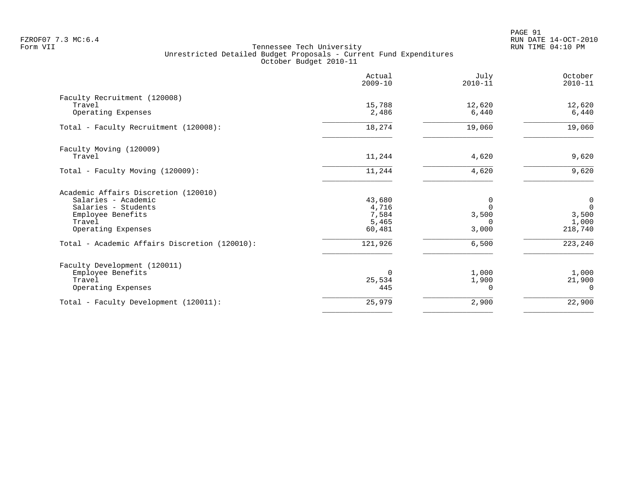|                                               | Actual<br>$2009 - 10$ | July<br>$2010 - 11$ | October<br>$2010 - 11$ |
|-----------------------------------------------|-----------------------|---------------------|------------------------|
| Faculty Recruitment (120008)                  |                       |                     |                        |
| Travel<br>Operating Expenses                  | 15,788<br>2,486       | 12,620<br>6,440     | 12,620<br>6,440        |
| Total - Faculty Recruitment (120008):         | 18,274                | 19,060              | 19,060                 |
| Faculty Moving (120009)                       |                       |                     |                        |
| Travel                                        | 11,244                | 4,620               | 9,620                  |
| Total - Faculty Moving (120009):              | 11,244                | 4,620               | 9,620                  |
| Academic Affairs Discretion (120010)          |                       |                     |                        |
| Salaries - Academic                           | 43,680                | 0                   | 0                      |
| Salaries - Students                           | 4,716                 | $\Omega$            | $\mathsf 0$            |
| Employee Benefits                             | 7,584                 | 3,500               | 3,500                  |
| Travel<br>Operating Expenses                  | 5,465<br>60,481       | $\Omega$<br>3,000   | 1,000<br>218,740       |
| Total - Academic Affairs Discretion (120010): | 121,926               | 6,500               | 223,240                |
| Faculty Development (120011)                  |                       |                     |                        |
| Employee Benefits                             | $\Omega$              | 1,000               | 1,000                  |
| Travel                                        | 25,534                | 1,900               | 21,900                 |
| Operating Expenses                            | 445                   | $\Omega$            | $\Omega$               |
| Total - Faculty Development (120011):         | 25,979                | 2,900               | 22,900                 |
|                                               |                       |                     |                        |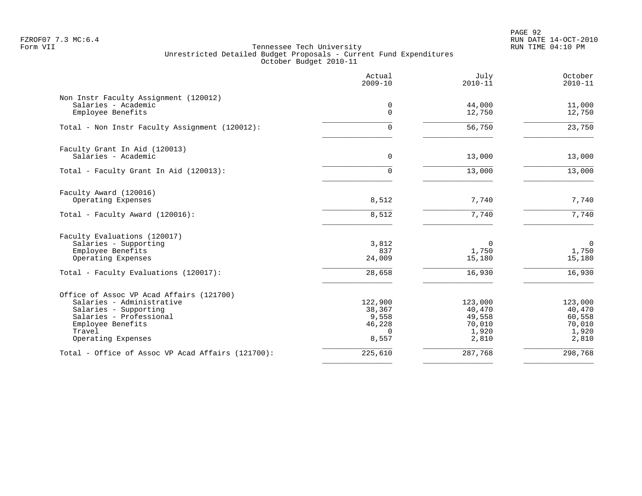PAGE 92 FZROF07 7.3 MC:6.4 RUN DATE 14-OCT-2010

|                                                              | Actual<br>$2009 - 10$ | July<br>$2010 - 11$ | October<br>$2010 - 11$ |
|--------------------------------------------------------------|-----------------------|---------------------|------------------------|
| Non Instr Faculty Assignment (120012)<br>Salaries - Academic | 0                     | 44,000              | 11,000                 |
| Employee Benefits                                            | $\Omega$              | 12,750              | 12,750                 |
| Total - Non Instr Faculty Assignment (120012):               | $\Omega$              | 56,750              | 23,750                 |
| Faculty Grant In Aid (120013)                                |                       |                     |                        |
| Salaries - Academic                                          | 0                     | 13,000              | 13,000                 |
| Total - Faculty Grant In Aid (120013):                       | $\Omega$              | 13,000              | 13,000                 |
| Faculty Award (120016)                                       |                       |                     |                        |
| Operating Expenses                                           | 8,512                 | 7,740               | 7,740                  |
| Total - Faculty Award (120016):                              | 8,512                 | 7,740               | 7,740                  |
| Faculty Evaluations (120017)                                 |                       |                     |                        |
| Salaries - Supporting<br>Employee Benefits                   | 3,812<br>837          | $\Omega$<br>1,750   | $\mathsf{O}$<br>1,750  |
| Operating Expenses                                           | 24,009                | 15,180              | 15,180                 |
| Total - Faculty Evaluations (120017):                        | 28,658                | 16,930              | 16,930                 |
| Office of Assoc VP Acad Affairs (121700)                     |                       |                     |                        |
| Salaries - Administrative                                    | 122,900               | 123,000             | 123,000                |
| Salaries - Supporting                                        | 38,367                | 40,470              | 40,470                 |
| Salaries - Professional                                      | 9,558                 | 49,558              | 60,558                 |
| Employee Benefits<br>Travel                                  | 46,228<br>$\Omega$    | 70,010<br>1,920     | 70,010<br>1,920        |
| Operating Expenses                                           | 8,557                 | 2,810               | 2,810                  |
| Total - Office of Assoc VP Acad Affairs (121700):            | 225,610               | 287,768             | 298,768                |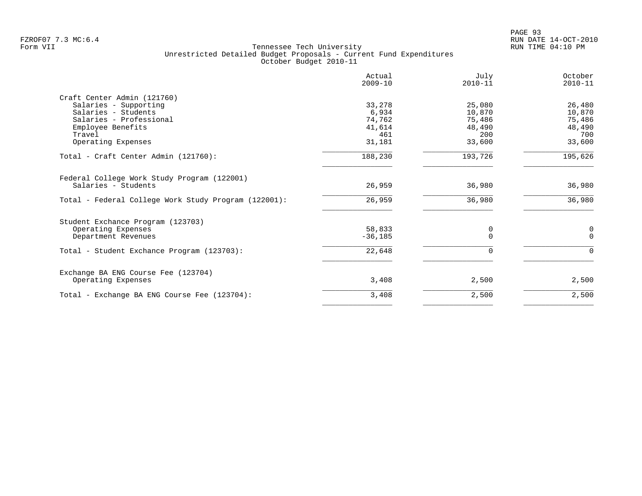PAGE 93 FZROF07 7.3 MC:6.4 RUN DATE 14-OCT-2010

| Actual<br>$2009 - 10$ | July<br>$2010 - 11$                         | October<br>$2010 - 11$                 |
|-----------------------|---------------------------------------------|----------------------------------------|
|                       |                                             |                                        |
| 33,278                | 25,080                                      | 26,480                                 |
| 6,934                 | 10,870                                      | 10,870                                 |
|                       |                                             | 75,486                                 |
|                       |                                             | 48,490                                 |
|                       |                                             | 700                                    |
|                       |                                             | 33,600                                 |
| 188,230               | 193,726                                     | 195,626                                |
|                       |                                             |                                        |
| 26,959                | 36,980                                      | 36,980                                 |
| 26,959                | 36,980                                      | 36,980                                 |
|                       |                                             |                                        |
|                       |                                             | 0                                      |
| $-36,185$             | $\Omega$                                    | $\Omega$                               |
| 22,648                | $\Omega$                                    | $\Omega$                               |
|                       |                                             |                                        |
| 3,408                 | 2,500                                       | 2,500                                  |
| 3,408                 | 2,500                                       | 2,500                                  |
|                       | 74,762<br>41,614<br>461<br>31,181<br>58,833 | 75,486<br>48,490<br>200<br>33,600<br>0 |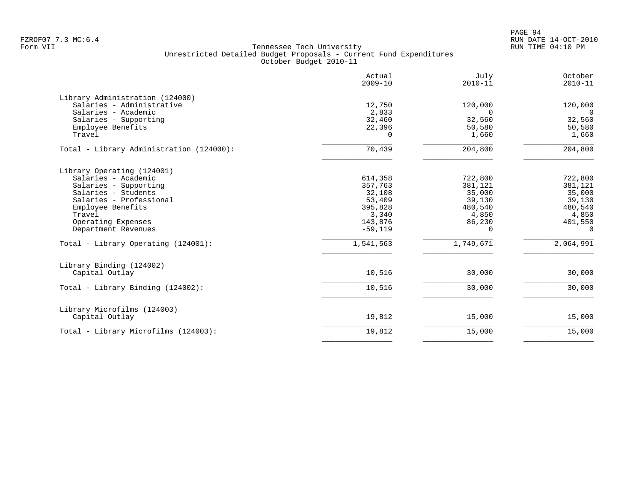|                                                                                                                                                                                                                                                 | Actual<br>$2009 - 10$                                                                           | July<br>$2010 - 11$                                                                    | October<br>$2010 - 11$                                                                         |
|-------------------------------------------------------------------------------------------------------------------------------------------------------------------------------------------------------------------------------------------------|-------------------------------------------------------------------------------------------------|----------------------------------------------------------------------------------------|------------------------------------------------------------------------------------------------|
| Library Administration (124000)<br>Salaries - Administrative<br>Salaries - Academic<br>Salaries - Supporting<br>Employee Benefits<br>Travel                                                                                                     | 12,750<br>2,833<br>32,460<br>22,396<br>$\Omega$                                                 | 120,000<br>$\Omega$<br>32,560<br>50,580<br>1,660                                       | 120,000<br>$\Omega$<br>32,560<br>50,580<br>1,660                                               |
| Total - Library Administration (124000):                                                                                                                                                                                                        | 70,439                                                                                          | 204,800                                                                                | 204,800                                                                                        |
| Library Operating (124001)<br>Salaries - Academic<br>Salaries - Supporting<br>Salaries - Students<br>Salaries - Professional<br>Employee Benefits<br>Travel<br>Operating Expenses<br>Department Revenues<br>Total - Library Operating (124001): | 614,358<br>357,763<br>32,108<br>53,409<br>395,828<br>3,340<br>143,876<br>$-59,119$<br>1,541,563 | 722,800<br>381,121<br>35,000<br>39,130<br>480,540<br>4,850<br>86,230<br>0<br>1,749,671 | 722,800<br>381,121<br>35,000<br>39,130<br>480,540<br>4,850<br>401,550<br>$\Omega$<br>2,064,991 |
| Library Binding (124002)<br>Capital Outlay<br>Total - Library Binding (124002):                                                                                                                                                                 | 10,516<br>10,516                                                                                | 30,000<br>30,000                                                                       | 30,000<br>30,000                                                                               |
| Library Microfilms (124003)<br>Capital Outlay                                                                                                                                                                                                   | 19,812                                                                                          | 15,000                                                                                 | 15,000                                                                                         |
| Total - Library Microfilms (124003):                                                                                                                                                                                                            | 19,812                                                                                          | 15,000                                                                                 | 15,000                                                                                         |
|                                                                                                                                                                                                                                                 |                                                                                                 |                                                                                        |                                                                                                |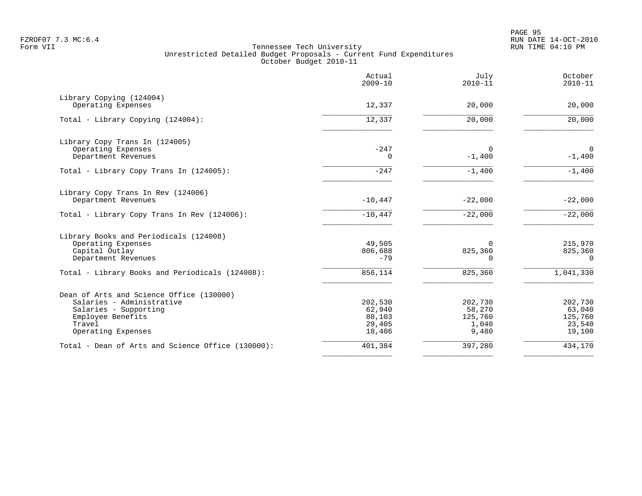| Actual<br>$2009 - 10$ | July<br>$2010 - 11$                                     | October<br>$2010 - 11$                                         |
|-----------------------|---------------------------------------------------------|----------------------------------------------------------------|
|                       |                                                         |                                                                |
|                       |                                                         | 20,000                                                         |
| 12,337                | 20,000                                                  | 20,000                                                         |
|                       |                                                         |                                                                |
| $-247$                | $\Omega$                                                | $\overline{0}$                                                 |
|                       |                                                         | $-1,400$                                                       |
| $-247$                | $-1,400$                                                | $-1,400$                                                       |
|                       |                                                         |                                                                |
|                       |                                                         | $-22,000$                                                      |
| $-10,447$             | $-22,000$                                               | $-22,000$                                                      |
|                       |                                                         |                                                                |
| 49,505                | $\Omega$                                                | 215,970                                                        |
| $-79$                 | $\Omega$                                                | 825,360<br>$\Omega$                                            |
| 856,114               | 825,360                                                 | 1,041,330                                                      |
|                       |                                                         |                                                                |
| 202,530               | 202,730                                                 | 202,730                                                        |
| 62,940                | 58,270                                                  | 63,040                                                         |
|                       |                                                         | 125,760                                                        |
| 18,406                | 9,480                                                   | 23,540<br>19,100                                               |
| 401,384               | 397,280                                                 | 434,170                                                        |
|                       | 12,337<br>0<br>$-10,447$<br>806,688<br>88,103<br>29,405 | 20,000<br>$-1,400$<br>$-22,000$<br>825,360<br>125,760<br>1,040 |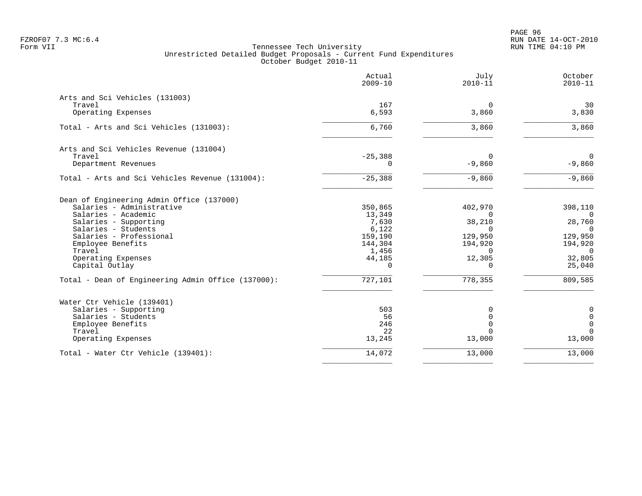|                                                    | Actual<br>$2009 - 10$ | July<br>$2010 - 11$ | October<br>$2010 - 11$    |
|----------------------------------------------------|-----------------------|---------------------|---------------------------|
| Arts and Sci Vehicles (131003)                     |                       |                     |                           |
| Travel                                             | 167                   | $\mathbf 0$         | 30                        |
| Operating Expenses                                 | 6,593                 | 3,860               | 3,830                     |
| Total - Arts and Sci Vehicles (131003):            | 6,760                 | 3,860               | 3,860                     |
| Arts and Sci Vehicles Revenue (131004)             |                       |                     |                           |
| Travel                                             | $-25,388$             | $\Omega$            | $\Omega$                  |
| Department Revenues                                | 0                     | $-9,860$            | $-9,860$                  |
| Total - Arts and Sci Vehicles Revenue (131004):    | $-25,388$             | $-9,860$            | $-9,860$                  |
| Dean of Engineering Admin Office (137000)          |                       |                     |                           |
| Salaries - Administrative                          | 350,865               | 402,970             | 398,110                   |
| Salaries - Academic                                | 13,349                | $\overline{0}$      | $\Omega$                  |
| Salaries - Supporting                              | 7,630                 | 38,210              | 28,760                    |
| Salaries - Students                                | 6,122                 | $\Omega$            | $\Omega$                  |
| Salaries - Professional                            | 159,190               | 129,950             | 129,950                   |
| Employee Benefits<br>Travel                        | 144,304<br>1,456      | 194,920<br>0        | 194,920<br>$\overline{0}$ |
| Operating Expenses                                 | 44,185                | 12,305              | 32,805                    |
| Capital Outlay                                     | $\Omega$              | $\mathbf 0$         | 25,040                    |
| Total - Dean of Engineering Admin Office (137000): | 727,101               | 778,355             | 809,585                   |
| Water Ctr Vehicle (139401)                         |                       |                     |                           |
| Salaries - Supporting                              | 503                   | $\mathbf 0$         | $\mathbf 0$               |
| Salaries - Students                                | 56                    | $\mathbf 0$         | $\mathbf 0$               |
| Employee Benefits                                  | 246                   | $\Omega$            | $\mathbf 0$               |
| Travel                                             | 22                    | $\Omega$            | $\Omega$                  |
| Operating Expenses                                 | 13,245                | 13,000              | 13,000                    |
| Total - Water Ctr Vehicle (139401):                | 14,072                | 13,000              | 13,000                    |
|                                                    |                       |                     |                           |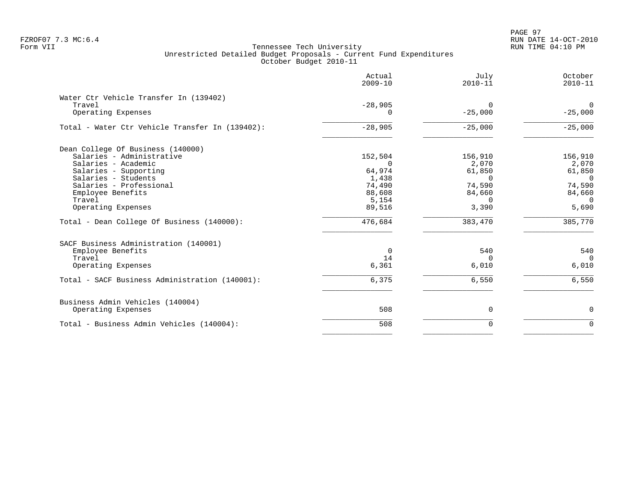|                                                                        | Actual<br>$2009 - 10$ | July<br>$2010 - 11$   | October<br>$2010 - 11$   |
|------------------------------------------------------------------------|-----------------------|-----------------------|--------------------------|
| Water Ctr Vehicle Transfer In (139402)<br>Travel<br>Operating Expenses | $-28,905$<br>0        | $\Omega$<br>$-25,000$ | $\mathbf 0$<br>$-25,000$ |
| Total - Water Ctr Vehicle Transfer In (139402):                        | $-28,905$             | $-25,000$             | $-25,000$                |
| Dean College Of Business (140000)                                      |                       |                       |                          |
| Salaries - Administrative                                              | 152,504               | 156,910               | 156,910                  |
| Salaries - Academic                                                    | $\Omega$              | 2,070                 | 2,070                    |
| Salaries - Supporting<br>Salaries - Students                           | 64,974                | 61,850<br>$\Omega$    | 61,850<br>$\Omega$       |
| Salaries - Professional                                                | 1,438<br>74,490       | 74,590                | 74,590                   |
| Employee Benefits                                                      | 88,608                | 84,660                | 84,660                   |
| Travel                                                                 | 5,154                 | $\cap$                | $\Omega$                 |
| Operating Expenses                                                     | 89,516                | 3,390                 | 5,690                    |
| Total - Dean College Of Business (140000):                             | 476,684               | 383,470               | 385,770                  |
| SACF Business Administration (140001)                                  |                       |                       |                          |
| Employee Benefits                                                      | $\Omega$              | 540                   | 540                      |
| Travel                                                                 | 14                    | $\Omega$              | $\Omega$                 |
| Operating Expenses                                                     | 6,361                 | 6,010                 | 6,010                    |
| Total - SACF Business Administration (140001):                         | 6,375                 | 6,550                 | 6,550                    |
| Business Admin Vehicles (140004)                                       |                       |                       |                          |
| Operating Expenses                                                     | 508                   | 0                     | 0                        |
| Total - Business Admin Vehicles (140004):                              | 508                   | $\Omega$              | $\mathbf 0$              |
|                                                                        |                       |                       |                          |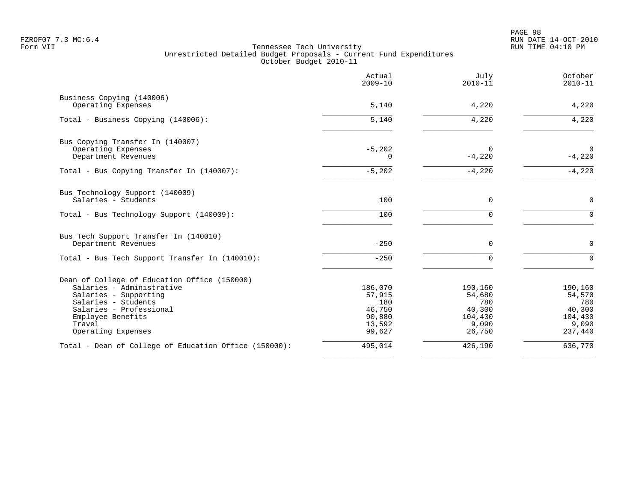| Actual<br>$2009 - 10$ | July<br>$2010 - 11$                                    | October<br>$2010 - 11$                                 |
|-----------------------|--------------------------------------------------------|--------------------------------------------------------|
|                       |                                                        | 4,220                                                  |
|                       |                                                        |                                                        |
| 5,140                 | 4,220                                                  | 4,220                                                  |
|                       |                                                        |                                                        |
| $-5,202$              | $\Omega$                                               | $\mathbf 0$                                            |
|                       |                                                        | $-4,220$                                               |
| $-5,202$              | $-4,220$                                               | $-4,220$                                               |
|                       |                                                        |                                                        |
| 100                   | 0                                                      | $\mathsf{O}$                                           |
| 100                   | $\Omega$                                               | $\Omega$                                               |
|                       |                                                        |                                                        |
| $-250$                | $\Omega$                                               | $\mathbf 0$                                            |
| $-250$                |                                                        | $\Omega$                                               |
|                       |                                                        |                                                        |
| 186,070               | 190,160                                                | 190,160                                                |
| 57,915                | 54,680                                                 | 54,570                                                 |
|                       |                                                        | 780                                                    |
|                       |                                                        | 40,300                                                 |
|                       |                                                        | 104,430<br>9,090                                       |
| 99,627                | 26,750                                                 | 237,440                                                |
| 495,014               | 426,190                                                | 636,770                                                |
|                       | 5,140<br>$\Omega$<br>180<br>46,750<br>90,880<br>13,592 | 4,220<br>$-4,220$<br>780<br>40,300<br>104,430<br>9,090 |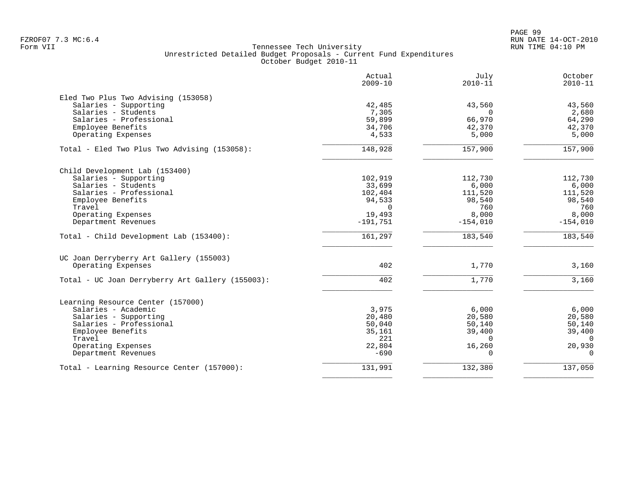|                                                              | Actual<br>$2009 - 10$ | July<br>$2010 - 11$ | October<br>$2010 - 11$ |
|--------------------------------------------------------------|-----------------------|---------------------|------------------------|
| Eled Two Plus Two Advising (153058)<br>Salaries - Supporting | 42,485                | 43,560              | 43,560                 |
| Salaries - Students                                          | 7,305                 | $\Omega$            | 2,680                  |
| Salaries - Professional                                      | 59,899                | 66,970              | 64,290                 |
| Employee Benefits                                            | 34,706                | 42,370              | 42,370                 |
| Operating Expenses                                           | 4,533                 | 5,000               | 5,000                  |
| Total - Eled Two Plus Two Advising (153058):                 | 148,928               | 157,900             | 157,900                |
| Child Development Lab (153400)                               |                       |                     |                        |
| Salaries - Supporting                                        | 102,919               | 112,730             | 112,730                |
| Salaries - Students                                          | 33,699                | 6,000               | 6,000                  |
| Salaries - Professional                                      | 102,404               | 111,520             | 111,520                |
| Employee Benefits                                            | 94,533                | 98,540              | 98,540                 |
| Travel                                                       | $\Omega$              | 760                 | 760                    |
| Operating Expenses                                           | 19,493                | 8,000               | 8,000                  |
| Department Revenues                                          | $-191,751$            | $-154,010$          | $-154,010$             |
| Total - Child Development Lab (153400):                      | 161,297               | 183,540             | 183,540                |
| UC Joan Derryberry Art Gallery (155003)                      |                       |                     |                        |
| Operating Expenses                                           | 402                   | 1,770               | 3,160                  |
| Total - UC Joan Derryberry Art Gallery (155003):             | 402                   | 1,770               | 3,160                  |
| Learning Resource Center (157000)                            |                       |                     |                        |
| Salaries - Academic                                          | 3,975                 | 6,000               | 6,000                  |
| Salaries - Supporting                                        | 20,480                | 20,580              | 20,580                 |
| Salaries - Professional                                      | 50,040                | 50,140              | 50,140                 |
| Employee Benefits                                            | 35,161                | 39,400              | 39,400                 |
| Travel                                                       | 221                   | $\Omega$            | $\Omega$               |
| Operating Expenses                                           | 22,804                | 16,260              | 20,930                 |
| Department Revenues                                          | $-690$                | $\Omega$            | $\Omega$               |
| Total - Learning Resource Center (157000):                   | 131,991               | 132,380             | 137,050                |
|                                                              |                       |                     |                        |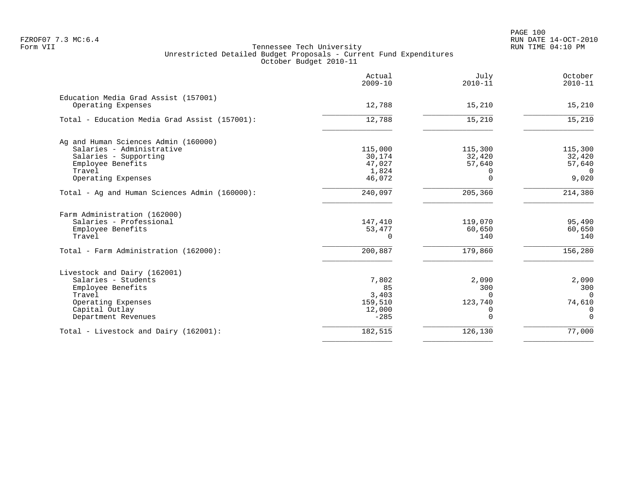|                                                            | Actual<br>$2009 - 10$ | July<br>$2010 - 11$ | October<br>$2010 - 11$ |
|------------------------------------------------------------|-----------------------|---------------------|------------------------|
| Education Media Grad Assist (157001)<br>Operating Expenses | 12,788                | 15,210              | 15,210                 |
|                                                            |                       |                     |                        |
| Total - Education Media Grad Assist (157001):              | 12,788                | 15,210              | 15,210                 |
| Ag and Human Sciences Admin (160000)                       |                       |                     |                        |
| Salaries - Administrative                                  | 115,000               | 115,300             | 115,300                |
| Salaries - Supporting                                      | 30,174                | 32,420              | 32,420                 |
| Employee Benefits                                          | 47,027                | 57,640              | 57,640                 |
| Travel                                                     | 1,824                 | O                   | $\Omega$               |
| Operating Expenses                                         | 46,072                | $\Omega$            | 9,020                  |
| Total - Ag and Human Sciences Admin (160000):              | 240,097               | 205,360             | 214,380                |
| Farm Administration (162000)                               |                       |                     |                        |
| Salaries - Professional                                    | 147,410               | 119,070             | 95,490                 |
| Employee Benefits                                          | 53,477                | 60,650              | 60,650                 |
| Travel                                                     | $\Omega$              | 140                 | 140                    |
| Total - Farm Administration (162000):                      | 200,887               | 179,860             | 156,280                |
| Livestock and Dairy (162001)                               |                       |                     |                        |
| Salaries - Students                                        | 7,802                 | 2,090               | 2,090                  |
| Employee Benefits                                          | 85                    | 300                 | 300                    |
| Travel                                                     | 3,403                 | $\Omega$            | $\Omega$               |
| Operating Expenses                                         | 159,510               | 123,740             | 74,610                 |
| Capital Outlay                                             | 12,000                | 0                   | 0                      |
| Department Revenues                                        | $-285$                | 0                   | $\overline{0}$         |
| Total - Livestock and Dairy (162001):                      | 182,515               | 126,130             | 77,000                 |
|                                                            |                       |                     |                        |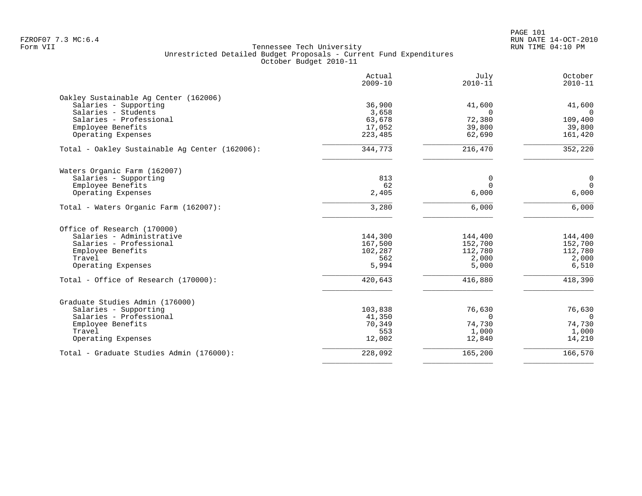PAGE 101 FZROF07 7.3 MC:6.4 RUN DATE 14-OCT-2010

|                                                | Actual<br>$2009 - 10$ | July<br>$2010 - 11$ | October<br>$2010 - 11$ |
|------------------------------------------------|-----------------------|---------------------|------------------------|
| Oakley Sustainable Aq Center (162006)          |                       |                     |                        |
| Salaries - Supporting                          | 36,900                | 41,600              | 41,600                 |
| Salaries - Students                            | 3,658                 | $\Omega$            | $\Omega$               |
| Salaries - Professional                        | 63,678                | 72,380              | 109,400                |
| Employee Benefits                              | 17,052                | 39,800              | 39,800                 |
| Operating Expenses                             | 223,485               | 62,690              | 161,420                |
| Total - Oakley Sustainable Ag Center (162006): | 344,773               | 216,470             | 352,220                |
| Waters Organic Farm (162007)                   |                       |                     |                        |
| Salaries - Supporting                          | 813                   | 0                   | $\mathbf 0$            |
| Employee Benefits                              | 62                    | $\Omega$            | $\overline{0}$         |
| Operating Expenses                             | 2,405                 | 6,000               | 6,000                  |
| Total - Waters Organic Farm (162007):          | 3,280                 | 6,000               | 6,000                  |
| Office of Research (170000)                    |                       |                     |                        |
| Salaries - Administrative                      | 144,300               | 144,400             | 144,400                |
| Salaries - Professional                        | 167,500               | 152,700             | 152,700                |
| Employee Benefits                              | 102,287               | 112,780             | 112,780                |
| Travel                                         | 562                   | 2,000               | 2,000                  |
| Operating Expenses                             | 5,994                 | 5,000               | 6,510                  |
| Total - Office of Research (170000):           | 420,643               | 416,880             | 418,390                |
| Graduate Studies Admin (176000)                |                       |                     |                        |
| Salaries - Supporting                          | 103,838               | 76,630              | 76,630                 |
| Salaries - Professional                        | 41,350                | $\Omega$            | $\Omega$               |
| Employee Benefits                              | 70,349                | 74,730              | 74,730                 |
| Travel                                         | 553                   | 1,000               | 1,000                  |
| Operating Expenses                             | 12,002                | 12,840              | 14,210                 |
| Total - Graduate Studies Admin (176000):       | 228,092               | 165,200             | 166,570                |
|                                                |                       |                     |                        |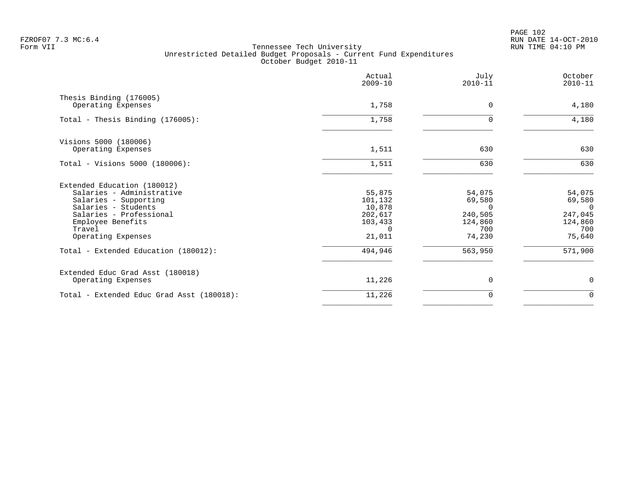PAGE 102 FZROF07 7.3 MC:6.4 RUN DATE 14-OCT-2010

|                                                                                                                                                                                                                                  | Actual<br>$2009 - 10$                                                            | July<br>$2010 - 11$                                                            | October<br>$2010 - 11$                                                    |
|----------------------------------------------------------------------------------------------------------------------------------------------------------------------------------------------------------------------------------|----------------------------------------------------------------------------------|--------------------------------------------------------------------------------|---------------------------------------------------------------------------|
| Thesis Binding (176005)<br>Operating Expenses                                                                                                                                                                                    | 1,758                                                                            | $\Omega$                                                                       | 4,180                                                                     |
| Total - Thesis Binding (176005):                                                                                                                                                                                                 | 1,758                                                                            | $\Omega$                                                                       | 4,180                                                                     |
| Visions 5000 (180006)<br>Operating Expenses                                                                                                                                                                                      | 1,511                                                                            | 630                                                                            | 630                                                                       |
| Total - Visions 5000 (180006):                                                                                                                                                                                                   | 1,511                                                                            | 630                                                                            | 630                                                                       |
| Extended Education (180012)<br>Salaries - Administrative<br>Salaries - Supporting<br>Salaries - Students<br>Salaries - Professional<br>Employee Benefits<br>Travel<br>Operating Expenses<br>Total - Extended Education (180012): | 55,875<br>101,132<br>10,878<br>202,617<br>103,433<br>$\cap$<br>21,011<br>494,946 | 54,075<br>69,580<br>$\Omega$<br>240,505<br>124,860<br>700<br>74,230<br>563,950 | 54,075<br>69,580<br>- 0<br>247,045<br>124,860<br>700<br>75,640<br>571,900 |
| Extended Educ Grad Asst (180018)<br>Operating Expenses                                                                                                                                                                           | 11,226                                                                           | $\Omega$                                                                       | 0                                                                         |
| Total - Extended Educ Grad Asst (180018):                                                                                                                                                                                        | 11,226                                                                           | 0                                                                              | $\mathbf 0$                                                               |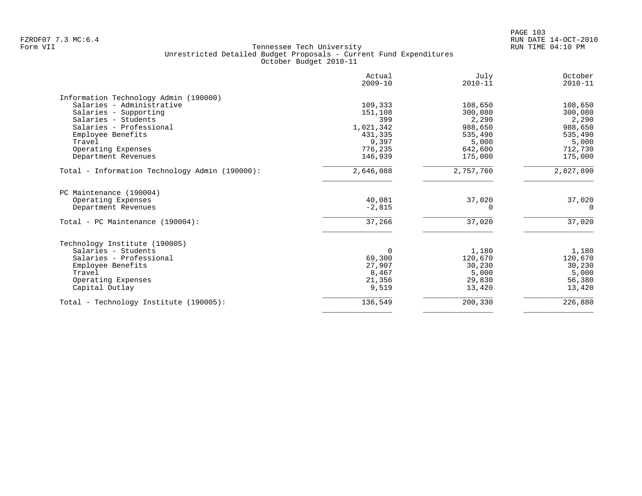|                                                | Actual<br>$2009 - 10$ | July<br>$2010 - 11$ | October<br>$2010 - 11$ |
|------------------------------------------------|-----------------------|---------------------|------------------------|
| Information Technology Admin (190000)          |                       |                     |                        |
| Salaries - Administrative                      | 109,333               | 108,650             | 108,650                |
| Salaries - Supporting                          | 151,108               | 300,080             | 300,080                |
| Salaries - Students                            | 399                   | 2,290               | 2,290                  |
| Salaries - Professional                        | 1,021,342             | 988,650             | 988,650                |
| Employee Benefits                              | 431,335               | 535,490             | 535,490                |
| Travel                                         | 9,397                 | 5,000               | 5,000                  |
| Operating Expenses                             | 776,235               | 642,600             | 712,730                |
| Department Revenues                            | 146,939               | 175,000             | 175,000                |
| Total - Information Technology Admin (190000): | 2,646,088             | 2,757,760           | 2,827,890              |
| PC Maintenance (190004)                        |                       |                     |                        |
| Operating Expenses                             | 40,081                | 37,020              | 37,020                 |
| Department Revenues                            | $-2,815$              | $\Omega$            | $\Omega$               |
| Total - PC Maintenance (190004):               | 37,266                | 37,020              | 37,020                 |
| Technology Institute (190005)                  |                       |                     |                        |
| Salaries - Students                            | $\Omega$              | 1,180               | 1,180                  |
| Salaries - Professional                        | 69,300                | 120,670             | 120,670                |
| Employee Benefits                              | 27,907                | 30,230              | 30,230                 |
| Travel                                         | 8,467                 | 5,000               | 5,000                  |
| Operating Expenses                             | 21,356                | 29,830              | 56,380                 |
| Capital Outlay                                 | 9,519                 | 13,420              | 13,420                 |
| Total - Technology Institute (190005):         | 136,549               | 200,330             | 226,880                |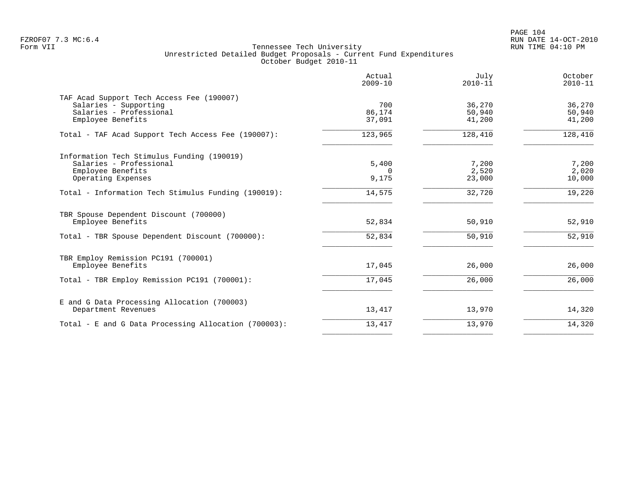PAGE 104 FZROF07 7.3 MC:6.4 RUN DATE 14-OCT-2010

|                                                                                                                    | Actual<br>$2009 - 10$      | July<br>$2010 - 11$        | October<br>$2010 - 11$     |
|--------------------------------------------------------------------------------------------------------------------|----------------------------|----------------------------|----------------------------|
| TAF Acad Support Tech Access Fee (190007)<br>Salaries - Supporting<br>Salaries - Professional<br>Employee Benefits | 700<br>86,174<br>37,091    | 36,270<br>50,940<br>41,200 | 36,270<br>50,940<br>41,200 |
| Total - TAF Acad Support Tech Access Fee (190007):                                                                 | 123,965                    | 128,410                    | 128,410                    |
| Information Tech Stimulus Funding (190019)<br>Salaries - Professional<br>Employee Benefits<br>Operating Expenses   | 5,400<br>$\Omega$<br>9,175 | 7,200<br>2,520<br>23,000   | 7,200<br>2,020<br>10,000   |
| Total - Information Tech Stimulus Funding (190019):                                                                | 14,575                     | 32,720                     | 19,220                     |
| TBR Spouse Dependent Discount (700000)<br>Employee Benefits                                                        | 52,834                     | 50,910                     | 52,910                     |
| Total - TBR Spouse Dependent Discount (700000):                                                                    | 52,834                     | 50,910                     | 52,910                     |
| TBR Employ Remission PC191 (700001)<br>Employee Benefits                                                           | 17,045                     | 26,000                     | 26,000                     |
| Total - TBR Employ Remission PC191 (700001):                                                                       | 17,045                     | 26,000                     | 26,000                     |
| E and G Data Processing Allocation (700003)<br>Department Revenues                                                 | 13,417                     | 13,970                     | 14,320                     |
| Total - E and G Data Processing Allocation (700003):                                                               | 13,417                     | 13,970                     | 14,320                     |
|                                                                                                                    |                            |                            |                            |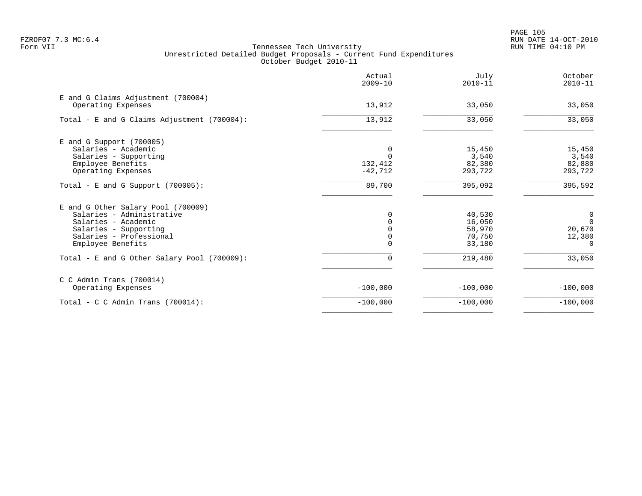PAGE 105 FZROF07 7.3 MC:6.4 RUN DATE 14-OCT-2010

|                                                          | Actual<br>$2009 - 10$ | July<br>$2010 - 11$ | October<br>$2010 - 11$ |
|----------------------------------------------------------|-----------------------|---------------------|------------------------|
| E and G Claims Adjustment (700004)<br>Operating Expenses | 13,912                | 33,050              | 33,050                 |
|                                                          |                       |                     |                        |
| Total - E and G Claims Adjustment (700004):              | 13,912                | 33,050              | 33,050                 |
| E and G Support (700005)                                 |                       |                     |                        |
| Salaries - Academic                                      |                       | 15,450              | 15,450                 |
| Salaries - Supporting                                    |                       | 3,540               | 3,540                  |
| Employee Benefits                                        | 132,412               | 82,380              | 82,880                 |
| Operating Expenses                                       | $-42,712$             | 293,722             | 293,722                |
| Total - E and G Support $(700005)$ :                     | 89,700                | 395,092             | 395,592                |
| E and G Other Salary Pool (700009)                       |                       |                     |                        |
| Salaries - Administrative                                |                       | 40,530              | 0                      |
| Salaries - Academic                                      |                       | 16,050              | $\Omega$               |
| Salaries - Supporting                                    |                       | 58,970              | 20,670                 |
| Salaries - Professional                                  | 0                     | 70,750              | 12,380                 |
| Employee Benefits                                        |                       | 33,180              | $\Omega$               |
| Total - E and G Other Salary Pool (700009):              | 0                     | 219,480             | 33,050                 |
| $C$ C Admin Trans (700014)                               |                       |                     |                        |
| Operating Expenses                                       | $-100,000$            | $-100,000$          | $-100,000$             |
| Total - C C Admin Trans $(700014)$ :                     | $-100,000$            | $-100,000$          | $-100,000$             |
|                                                          |                       |                     |                        |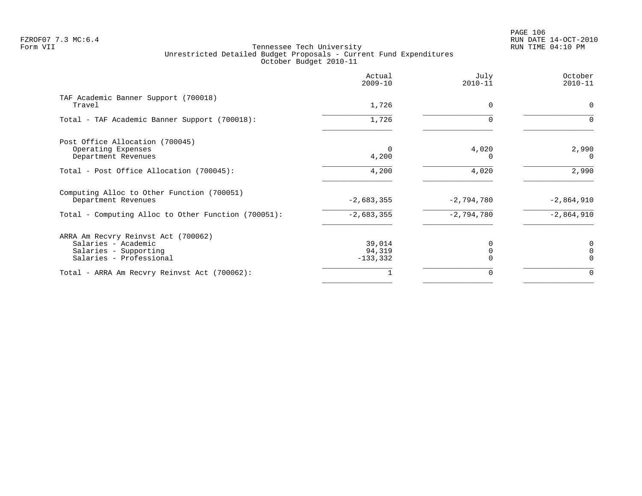# PAGE 106 FZROF07 7.3 MC:6.4 RUN DATE 14-OCT-2010

|                                                                   | Actual<br>$2009 - 10$ | July<br>$2010 - 11$ | October<br>$2010 - 11$ |
|-------------------------------------------------------------------|-----------------------|---------------------|------------------------|
| TAF Academic Banner Support (700018)<br>Travel                    | 1,726                 | $\Omega$            | 0                      |
| Total - TAF Academic Banner Support (700018):                     | 1,726                 | O                   | $\Omega$               |
| Post Office Allocation (700045)                                   |                       |                     |                        |
| Operating Expenses<br>Department Revenues                         | 0<br>4,200            | 4,020<br>O          | 2,990<br>$\Omega$      |
| Total - Post Office Allocation (700045):                          | 4,200                 | 4,020               | 2,990                  |
| Computing Alloc to Other Function (700051)<br>Department Revenues | $-2,683,355$          | $-2,794,780$        | $-2,864,910$           |
| Total - Computing Alloc to Other Function (700051):               | $-2,683,355$          | $-2,794,780$        | $-2,864,910$           |
| ARRA Am Recvry Reinvst Act (700062)                               |                       |                     |                        |
| Salaries - Academic                                               | 39,014                |                     | 0                      |
| Salaries - Supporting<br>Salaries - Professional                  | 94,319<br>$-133,332$  |                     | $\Omega$<br>$\Omega$   |
| Total - ARRA Am Recvry Reinvst Act (700062):                      |                       |                     | $\cap$                 |
|                                                                   |                       |                     |                        |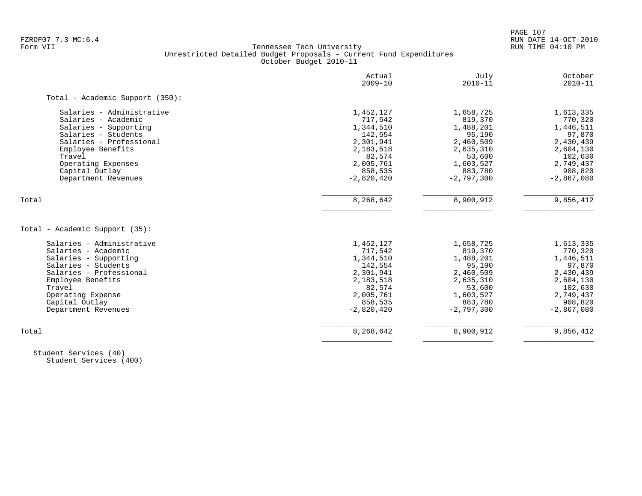PAGE 107

# FZROF07 7.3 MC:6.4 RUN DATE 14-OCT-2010<br>Form VII RUN DATE 14-OCT-2010 RUN DATE 14-OCT-2010 Tennessee Tech University Unrestricted Detailed Budget Proposals - Current Fund Expenditures October Budget 2010-11

|                                       | Actual<br>$2009 - 10$   | July<br>$2010 - 11$     | October<br>$2010 - 11$  |
|---------------------------------------|-------------------------|-------------------------|-------------------------|
| Total - Academic Support (350):       |                         |                         |                         |
| Salaries - Administrative             | 1,452,127               | 1,658,725               | 1,613,335               |
| Salaries - Academic                   | 717,542                 | 819,370                 | 770,320                 |
| Salaries - Supporting                 | 1,344,510               | 1,488,201               | 1,446,511               |
| Salaries - Students                   | 142,554                 | 95,190                  | 97,870                  |
| Salaries - Professional               | 2,301,941               | 2,460,509               | 2,430,439               |
| Employee Benefits                     | 2,183,518               | 2,635,310               | 2,604,130               |
| Travel                                | 82,574                  | 53,600                  | 102,630                 |
| Operating Expenses                    | 2,005,761               | 1,603,527               | 2,749,437               |
| Capital Outlay                        | 858,535                 | 883,780                 | 908,820                 |
| Department Revenues                   | $-2,820,420$            | $-2,797,300$            | $-2,867,080$            |
| Total                                 | 8,268,642               | 8,900,912               | 9,856,412               |
| Total - Academic Support (35):        |                         |                         |                         |
| Salaries - Administrative             | 1,452,127               | 1,658,725               | 1,613,335               |
| Salaries - Academic                   | 717,542                 | 819,370                 | 770,320                 |
| Salaries - Supporting                 | 1,344,510               | 1,488,201               | 1,446,511               |
| Salaries - Students                   | 142,554                 | 95,190                  | 97,870                  |
| Salaries - Professional               | 2,301,941               | 2,460,509               | 2,430,439               |
| Employee Benefits                     | 2,183,518               | 2,635,310               | 2,604,130               |
| Travel                                | 82,574                  | 53,600                  | 102,630                 |
| Operating Expense                     | 2,005,761               | 1,603,527               | 2,749,437               |
|                                       |                         |                         |                         |
|                                       |                         |                         |                         |
| Capital Outlay<br>Department Revenues | 858,535<br>$-2,820,420$ | 883,780<br>$-2,797,300$ | 908,820<br>$-2,867,080$ |

 Student Services (40) Student Services (400)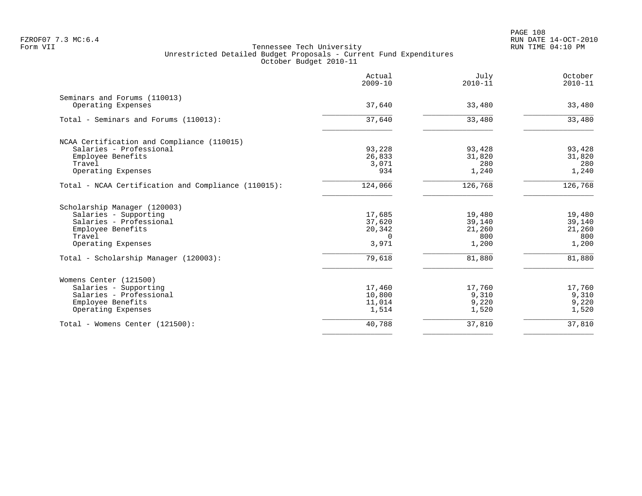|                                                     | Actual<br>$2009 - 10$ | July<br>$2010 - 11$ | October<br>$2010 - 11$ |
|-----------------------------------------------------|-----------------------|---------------------|------------------------|
| Seminars and Forums (110013)                        |                       |                     |                        |
| Operating Expenses                                  | 37,640                | 33,480              | 33,480                 |
| Total - Seminars and Forums (110013):               | 37,640                | 33,480              | 33,480                 |
| NCAA Certification and Compliance (110015)          |                       |                     |                        |
| Salaries - Professional                             | 93,228                | 93,428              | 93,428                 |
| Employee Benefits                                   | 26,833                | 31,820              | 31,820                 |
| Travel                                              | 3,071                 | 280                 | 280                    |
| Operating Expenses                                  | 934                   | 1,240               | 1,240                  |
| Total - NCAA Certification and Compliance (110015): | 124,066               | 126,768             | 126,768                |
| Scholarship Manager (120003)                        |                       |                     |                        |
| Salaries - Supporting                               | 17,685                | 19,480              | 19,480                 |
| Salaries - Professional                             | 37,620                | 39,140              | 39,140                 |
| Employee Benefits                                   | 20,342                | 21,260              | 21,260                 |
| Travel                                              | $\Omega$              | 800                 | 800                    |
| Operating Expenses                                  | 3,971                 | 1,200               | 1,200                  |
| Total - Scholarship Manager (120003):               | 79,618                | 81,880              | 81,880                 |
| Womens Center (121500)                              |                       |                     |                        |
| Salaries - Supporting                               | 17,460                | 17,760              | 17,760                 |
| Salaries - Professional                             | 10,800                | 9,310               | 9,310                  |
| Employee Benefits                                   | 11,014                | 9,220               | 9,220                  |
| Operating Expenses                                  | 1,514                 | 1,520               | 1,520                  |
| Total - Womens Center (121500):                     | 40,788                | 37,810              | 37,810                 |
|                                                     |                       |                     |                        |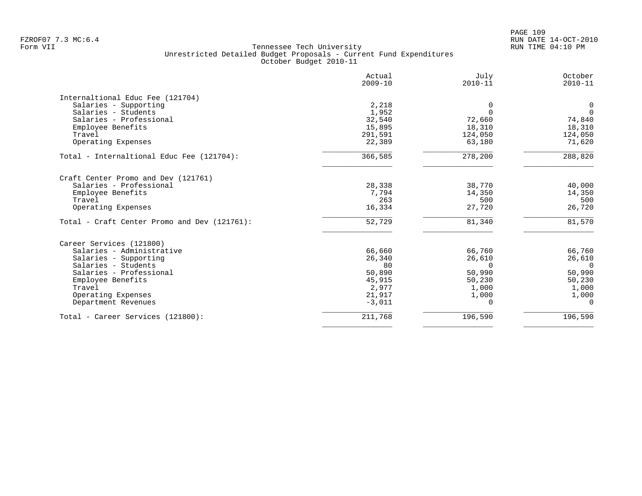PAGE 109 FZROF07 7.3 MC:6.4 RUN DATE 14-OCT-2010

|                                              | Actual<br>$2009 - 10$ | July<br>$2010 - 11$ | October<br>$2010 - 11$ |
|----------------------------------------------|-----------------------|---------------------|------------------------|
| Internaltional Educ Fee (121704)             |                       |                     |                        |
| Salaries - Supporting                        | 2,218                 | 0                   | 0                      |
| Salaries - Students                          | 1,952                 | $\Omega$            | $\Omega$               |
| Salaries - Professional                      | 32,540                | 72,660              | 74,840                 |
| Employee Benefits                            | 15,895                | 18,310              | 18,310                 |
| Travel                                       | 291,591               | 124,050             | 124,050                |
| Operating Expenses                           | 22,389                | 63,180              | 71,620                 |
| Total - Internaltional Educ Fee (121704):    | 366,585               | 278,200             | 288,820                |
| Craft Center Promo and Dev (121761)          |                       |                     |                        |
| Salaries - Professional                      | 28,338                | 38,770              | 40,000                 |
| Employee Benefits                            | 7,794                 | 14,350              | 14,350                 |
| Travel                                       | 263                   | 500                 | 500                    |
| Operating Expenses                           | 16,334                | 27,720              | 26,720                 |
| Total - Craft Center Promo and Dev (121761): | 52,729                | 81,340              | 81,570                 |
| Career Services (121800)                     |                       |                     |                        |
| Salaries - Administrative                    | 66,660                | 66,760              | 66,760                 |
| Salaries - Supporting                        | 26,340                | 26,610              | 26,610                 |
| Salaries - Students                          | 80                    | $\Omega$            | $\Omega$               |
| Salaries - Professional                      | 50,890                | 50,990              | 50,990                 |
| Employee Benefits                            | 45,915                | 50,230              | 50,230                 |
| Travel                                       | 2,977                 | 1,000               | 1,000                  |
| Operating Expenses                           | 21,917                | 1,000               | 1,000                  |
| Department Revenues                          | $-3,011$              | 0                   | 0                      |
| Total - Career Services (121800):            | 211,768               | 196,590             | 196,590                |
|                                              |                       |                     |                        |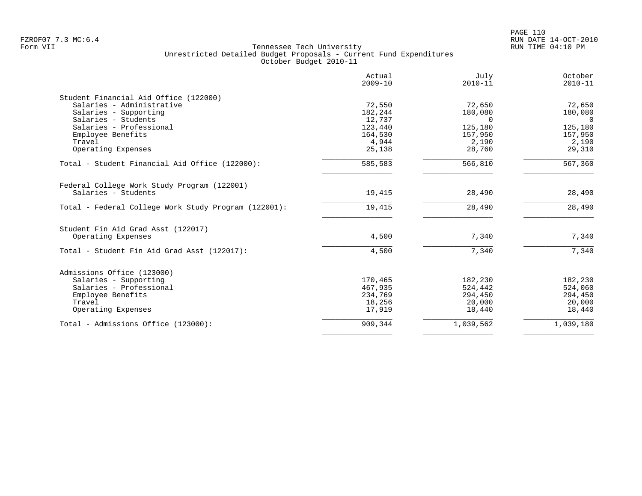|                                                      | Actual<br>$2009 - 10$ | July<br>$2010 - 11$ | October<br>$2010 - 11$ |
|------------------------------------------------------|-----------------------|---------------------|------------------------|
| Student Financial Aid Office (122000)                |                       |                     |                        |
| Salaries - Administrative                            | 72,550                | 72,650              | 72,650                 |
| Salaries - Supporting                                | 182,244               | 180,080             | 180,080                |
| Salaries - Students                                  | 12,737                | $\Omega$            | $\overline{0}$         |
| Salaries - Professional                              | 123,440               | 125,180             | 125,180                |
| Employee Benefits                                    | 164,530               | 157,950             | 157,950                |
| Travel                                               | 4,944                 | 2,190               | 2,190                  |
| Operating Expenses                                   | 25,138                | 28,760              | 29,310                 |
| Total - Student Financial Aid Office (122000):       | 585,583               | 566,810             | 567,360                |
| Federal College Work Study Program (122001)          |                       |                     |                        |
| Salaries - Students                                  | 19,415                | 28,490              | 28,490                 |
| Total - Federal College Work Study Program (122001): | 19,415                | 28,490              | 28,490                 |
| Student Fin Aid Grad Asst (122017)                   |                       |                     |                        |
| Operating Expenses                                   | 4,500                 | 7,340               | 7,340                  |
| Total - Student Fin Aid Grad Asst (122017):          | 4,500                 | 7,340               | 7,340                  |
| Admissions Office (123000)                           |                       |                     |                        |
| Salaries - Supporting                                | 170,465               | 182,230             | 182,230                |
| Salaries - Professional                              | 467,935               | 524,442             | 524,060                |
| Employee Benefits                                    | 234,769               | 294,450             | 294,450                |
| Travel                                               | 18,256                | 20,000              | 20,000                 |
| Operating Expenses                                   | 17,919                | 18,440              | 18,440                 |
| Total - Admissions Office (123000):                  | 909,344               | 1,039,562           | 1,039,180              |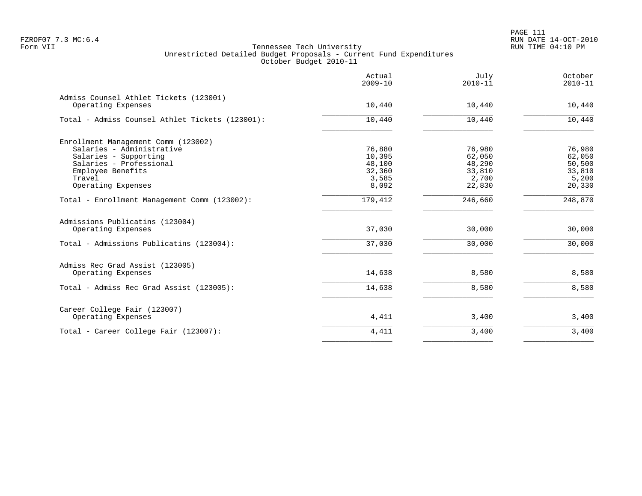PAGE 111 FZROF07 7.3 MC:6.4 RUN DATE 14-OCT-2010

|                                                              | Actual<br>$2009 - 10$ | July<br>$2010 - 11$ | October<br>$2010 - 11$ |
|--------------------------------------------------------------|-----------------------|---------------------|------------------------|
| Admiss Counsel Athlet Tickets (123001)<br>Operating Expenses | 10,440                | 10,440              | 10,440                 |
| Total - Admiss Counsel Athlet Tickets (123001):              | 10,440                | 10,440              | 10,440                 |
| Enrollment Management Comm (123002)                          |                       |                     |                        |
| Salaries - Administrative                                    | 76,880                | 76,980              | 76,980                 |
| Salaries - Supporting                                        | 10,395                | 62,050              | 62,050                 |
| Salaries - Professional                                      | 48,100                | 48,290              | 50,500                 |
| Employee Benefits                                            | 32,360                | 33,810              | 33,810                 |
| Travel                                                       | 3,585                 | 2,700               | 5,200                  |
| Operating Expenses                                           | 8,092                 | 22,830              | 20,330                 |
| Total - Enrollment Management Comm (123002):                 | 179,412               | 246,660             | 248,870                |
| Admissions Publicatins (123004)<br>Operating Expenses        | 37,030                | 30,000              | 30,000                 |
|                                                              |                       |                     |                        |
| Total - Admissions Publicatins (123004):                     | 37,030                | 30,000              | 30,000                 |
| Admiss Rec Grad Assist (123005)                              |                       |                     |                        |
| Operating Expenses                                           | 14,638                | 8,580               | 8,580                  |
| Total - Admiss Rec Grad Assist (123005):                     | 14,638                | 8,580               | 8,580                  |
| Career College Fair (123007)                                 |                       |                     |                        |
| Operating Expenses                                           | 4,411                 | 3,400               | 3,400                  |
| Total - Career College Fair (123007):                        | 4,411                 | 3,400               | 3,400                  |
|                                                              |                       |                     |                        |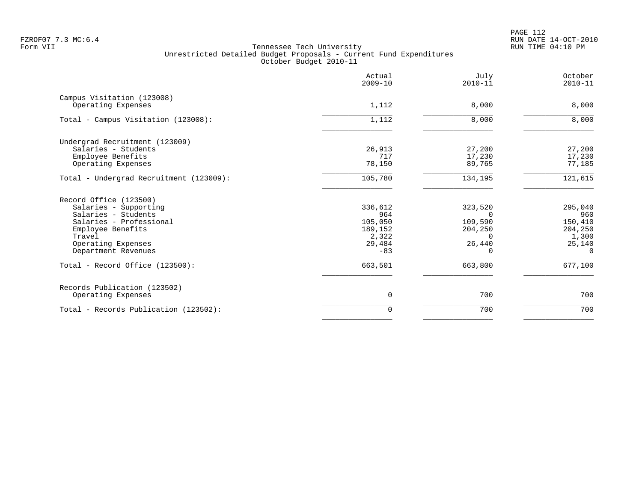|                                                  | Actual<br>$2009 - 10$ | July<br>$2010 - 11$ | October<br>$2010 - 11$ |
|--------------------------------------------------|-----------------------|---------------------|------------------------|
| Campus Visitation (123008)<br>Operating Expenses | 1,112                 | 8,000               | 8,000                  |
|                                                  |                       |                     |                        |
| Total - Campus Visitation (123008):              | 1,112                 | 8,000               | 8,000                  |
| Undergrad Recruitment (123009)                   |                       |                     |                        |
| Salaries - Students                              | 26,913                | 27,200              | 27,200                 |
| Employee Benefits                                | 717                   | 17,230              | 17,230                 |
| Operating Expenses                               | 78,150                | 89,765              | 77,185                 |
| Total - Undergrad Recruitment (123009):          | 105,780               | 134,195             | 121,615                |
| Record Office (123500)                           |                       |                     |                        |
| Salaries - Supporting                            | 336,612               | 323,520             | 295,040                |
| Salaries - Students                              | 964                   | $\Omega$            | 960                    |
| Salaries - Professional                          | 105,050               | 109,590             | 150,410                |
| Employee Benefits<br>Travel                      | 189,152<br>2,322      | 204,250<br>$\Omega$ | 204,250<br>1,300       |
| Operating Expenses                               | 29,484                | 26,440              | 25,140                 |
| Department Revenues                              | $-83$                 | $\Omega$            | $\Omega$               |
| Total - Record Office (123500):                  | 663,501               | 663,800             | 677,100                |
| Records Publication (123502)                     |                       |                     |                        |
| Operating Expenses                               | 0                     | 700                 | 700                    |
| Total - Records Publication (123502):            | 0                     | 700                 | 700                    |
|                                                  |                       |                     |                        |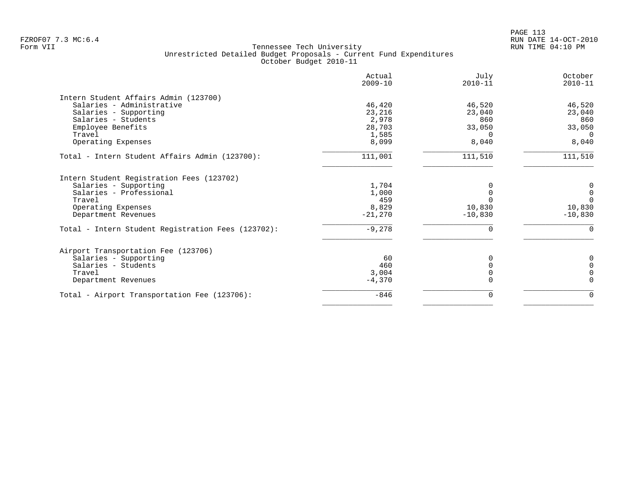PAGE 113 FZROF07 7.3 MC:6.4 RUN DATE 14-OCT-2010

|                                                    | Actual<br>$2009 - 10$ | July<br>$2010 - 11$ | October<br>$2010 - 11$ |
|----------------------------------------------------|-----------------------|---------------------|------------------------|
| Intern Student Affairs Admin (123700)              |                       |                     |                        |
| Salaries - Administrative                          | 46,420                | 46,520              | 46,520                 |
| Salaries - Supporting                              | 23,216                | 23,040              | 23,040                 |
| Salaries - Students                                | 2,978                 | 860                 | 860                    |
| Employee Benefits                                  | 28,703                | 33,050              | 33,050                 |
| Travel                                             | 1,585                 | $\Omega$            | $\Omega$               |
| Operating Expenses                                 | 8,099                 | 8,040               | 8,040                  |
| Total - Intern Student Affairs Admin (123700):     | 111,001               | 111,510             | 111,510                |
| Intern Student Registration Fees (123702)          |                       |                     |                        |
| Salaries - Supporting                              | 1,704                 | $\Omega$            | 0                      |
| Salaries - Professional                            | 1,000                 | $\Omega$            | $\mathbf 0$            |
| Travel                                             | 459                   | $\Omega$            | $\Omega$               |
| Operating Expenses                                 | 8,829                 | 10,830              | 10,830                 |
| Department Revenues                                | $-21,270$             | $-10,830$           | $-10,830$              |
| Total - Intern Student Registration Fees (123702): | $-9,278$              | $\Omega$            | $\Omega$               |
| Airport Transportation Fee (123706)                |                       |                     |                        |
| Salaries - Supporting                              | 60                    | 0                   | 0                      |
| Salaries - Students                                | 460                   | $\Omega$            | $\Omega$               |
| Travel                                             | 3,004                 |                     | $\Omega$               |
| Department Revenues                                | $-4,370$              |                     | $\Omega$               |
| Total - Airport Transportation Fee (123706):       | $-846$                | $\Omega$            | $\Omega$               |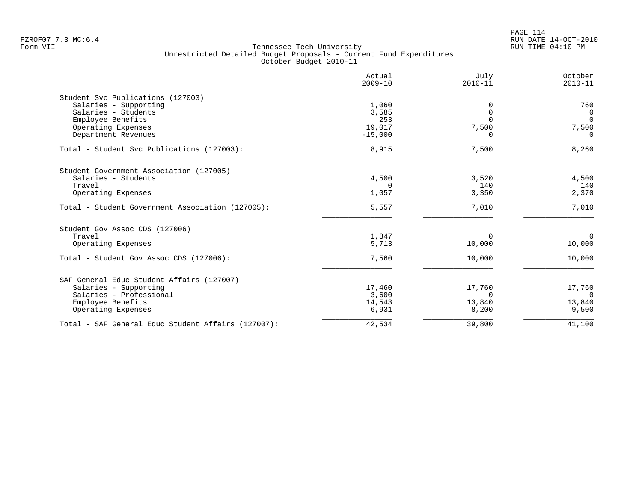| Actual<br>$2009 - 10$ | July<br>$2010 - 11$                                                                     | October<br>$2010 - 11$                                            |
|-----------------------|-----------------------------------------------------------------------------------------|-------------------------------------------------------------------|
|                       |                                                                                         |                                                                   |
|                       | 0                                                                                       | 760                                                               |
| 3,585                 | $\Omega$                                                                                | $\mathbf 0$                                                       |
| 253                   | $\Omega$                                                                                | $\Omega$                                                          |
|                       |                                                                                         | 7,500                                                             |
|                       | $\Omega$                                                                                | $\Omega$                                                          |
| 8,915                 | 7,500                                                                                   | 8,260                                                             |
|                       |                                                                                         |                                                                   |
|                       |                                                                                         | 4,500                                                             |
|                       |                                                                                         | 140                                                               |
| 1,057                 | 3,350                                                                                   | 2,370                                                             |
| 5,557                 | 7,010                                                                                   | 7,010                                                             |
|                       |                                                                                         |                                                                   |
|                       |                                                                                         | $\mathbf 0$                                                       |
| 5,713                 | 10,000                                                                                  | 10,000                                                            |
| 7,560                 | 10,000                                                                                  | 10,000                                                            |
|                       |                                                                                         |                                                                   |
|                       |                                                                                         | 17,760                                                            |
|                       |                                                                                         | $\Omega$                                                          |
|                       |                                                                                         | 13,840                                                            |
| 6,931                 | 8,200                                                                                   | 9,500                                                             |
| 42,534                | 39,800                                                                                  | 41,100                                                            |
|                       | 1,060<br>19,017<br>$-15,000$<br>4,500<br>$\Omega$<br>1,847<br>17,460<br>3,600<br>14,543 | 7,500<br>3,520<br>140<br>$\Omega$<br>17,760<br>$\Omega$<br>13,840 |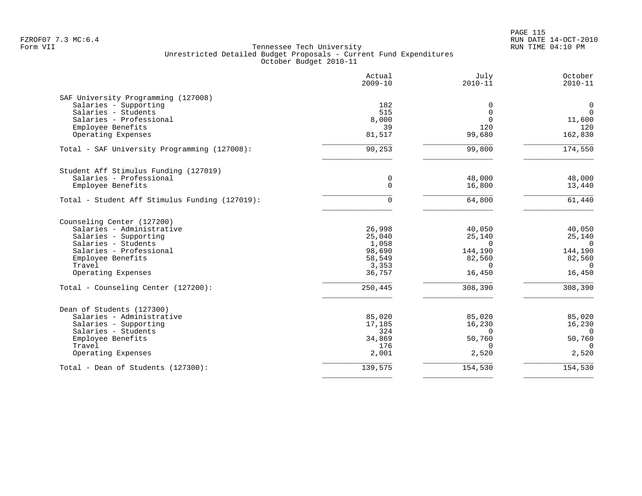|                                                | Actual<br>$2009 - 10$ | July<br>$2010 - 11$ | October<br>$2010 - 11$ |
|------------------------------------------------|-----------------------|---------------------|------------------------|
| SAF University Programming (127008)            |                       |                     |                        |
| Salaries - Supporting                          | 182                   | 0                   | $\mathbf 0$            |
| Salaries - Students                            | 515                   | $\mathbf 0$         | $\mathbf 0$            |
| Salaries - Professional                        | 8,000                 | $\Omega$            | 11,600                 |
| Employee Benefits                              | 39                    | 120<br>99,680       | 120                    |
| Operating Expenses                             | 81,517                |                     | 162,830                |
| Total - SAF University Programming (127008):   | 90,253                | 99,800              | 174,550                |
| Student Aff Stimulus Funding (127019)          |                       |                     |                        |
| Salaries - Professional                        | 0                     | 48,000              | 48,000                 |
| Employee Benefits                              | $\Omega$              | 16,800              | 13,440                 |
| Total - Student Aff Stimulus Funding (127019): | $\mathbf 0$           | 64,800              | 61,440                 |
| Counseling Center (127200)                     |                       |                     |                        |
| Salaries - Administrative                      | 26,998                | 40,050              | 40,050                 |
| Salaries - Supporting                          | 25,040                | 25,140              | 25,140                 |
| Salaries - Students                            | 1,058                 | $\Omega$            | $\Omega$               |
| Salaries - Professional                        | 98,690                | 144,190             | 144,190                |
| Employee Benefits                              | 58,549                | 82,560              | 82,560                 |
| Travel                                         | 3,353                 | $\Omega$            | $\Omega$               |
| Operating Expenses                             | 36,757                | 16,450              | 16,450                 |
| Total - Counseling Center (127200):            | 250,445               | 308,390             | 308,390                |
| Dean of Students (127300)                      |                       |                     |                        |
| Salaries - Administrative                      | 85,020                | 85,020              | 85,020                 |
| Salaries - Supporting                          | 17,185                | 16,230              | 16,230                 |
| Salaries - Students                            | 324                   | $\Omega$            | $\Omega$               |
| Employee Benefits                              | 34,869                | 50,760              | 50,760                 |
| Travel                                         | 176                   | $\Omega$            | $\Omega$               |
| Operating Expenses                             | 2,001                 | 2,520               | 2,520                  |
| Total - Dean of Students (127300):             | 139,575               | 154,530             | 154,530                |
|                                                |                       |                     |                        |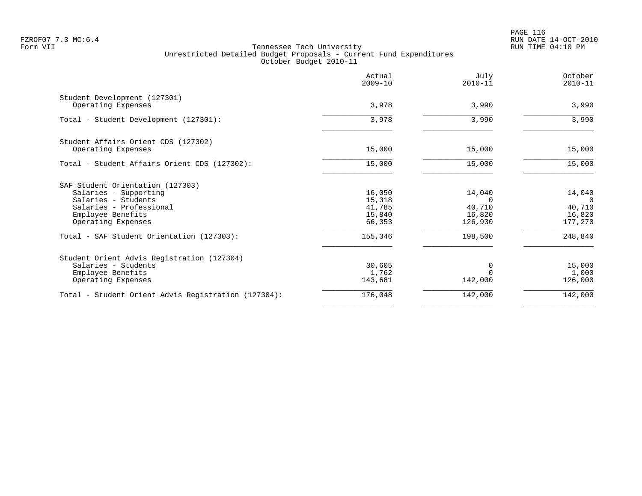PAGE 116 FZROF07 7.3 MC:6.4 RUN DATE 14-OCT-2010

|                                                                                                                                                        | Actual<br>$2009 - 10$                          | July<br>$2010 - 11$                               | October<br>$2010 - 11$                            |
|--------------------------------------------------------------------------------------------------------------------------------------------------------|------------------------------------------------|---------------------------------------------------|---------------------------------------------------|
| Student Development (127301)<br>Operating Expenses                                                                                                     | 3,978                                          | 3,990                                             | 3,990                                             |
| Total - Student Development (127301):                                                                                                                  | 3,978                                          | 3,990                                             | 3,990                                             |
| Student Affairs Orient CDS (127302)<br>Operating Expenses                                                                                              | 15,000                                         | 15,000                                            | 15,000                                            |
| Total - Student Affairs Orient CDS (127302):                                                                                                           | 15,000                                         | 15,000                                            | 15,000                                            |
| SAF Student Orientation (127303)<br>Salaries - Supporting<br>Salaries - Students<br>Salaries - Professional<br>Employee Benefits<br>Operating Expenses | 16,050<br>15,318<br>41,785<br>15,840<br>66,353 | 14,040<br>$\Omega$<br>40,710<br>16,820<br>126,930 | 14,040<br>$\Omega$<br>40,710<br>16,820<br>177,270 |
| Total - SAF Student Orientation (127303):                                                                                                              | 155,346                                        | 198,500                                           | 248,840                                           |
| Student Orient Advis Registration (127304)<br>Salaries - Students<br>Employee Benefits<br>Operating Expenses                                           | 30,605<br>1,762<br>143,681                     | 0<br>142,000                                      | 15,000<br>1,000<br>126,000                        |
| Total - Student Orient Advis Registration (127304):                                                                                                    | 176,048                                        | 142,000                                           | 142,000                                           |
|                                                                                                                                                        |                                                |                                                   |                                                   |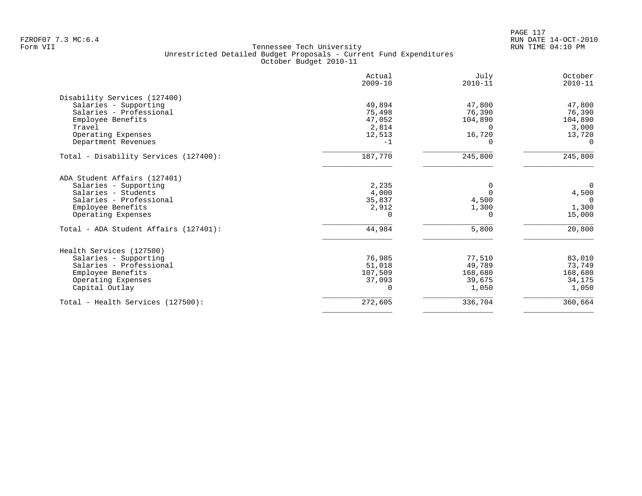|                                       | Actual<br>$2009 - 10$ | July<br>$2010 - 11$ | October<br>$2010 - 11$ |
|---------------------------------------|-----------------------|---------------------|------------------------|
| Disability Services (127400)          |                       |                     |                        |
| Salaries - Supporting                 | 49,894                | 47,800              | 47,800                 |
| Salaries - Professional               | 75,498                | 76,390              | 76,390                 |
| Employee Benefits                     | 47,052                | 104,890             | 104,890                |
| Travel                                | 2,814                 |                     | 3,000                  |
| Operating Expenses                    | 12,513                | 16,720              | 13,720                 |
| Department Revenues                   | $-1$                  | 0                   | $\Omega$               |
| Total - Disability Services (127400): | 187,770               | 245,800             | 245,800                |
| ADA Student Affairs (127401)          |                       |                     |                        |
| Salaries - Supporting                 | 2,235                 |                     | $\overline{0}$         |
| Salaries - Students                   | 4,000                 | $\Omega$            | 4,500                  |
| Salaries - Professional               | 35,837                | 4,500               | $\overline{0}$         |
| Employee Benefits                     | 2,912                 | 1,300               | 1,300                  |
| Operating Expenses                    | $\cap$                | 0                   | 15,000                 |
| Total - ADA Student Affairs (127401): | 44,984                | 5,800               | 20,800                 |
| Health Services (127500)              |                       |                     |                        |
| Salaries - Supporting                 | 76,985                | 77,510              | 83,010                 |
| Salaries - Professional               | 51,018                | 49,789              | 73,749                 |
| Employee Benefits                     | 107,509               | 168,680             | 168,680                |
| Operating Expenses                    | 37,093                | 39,675              | 34,175                 |
| Capital Outlay                        | $\Omega$              | 1,050               | 1,050                  |
| Total - Health Services (127500):     | 272,605               | 336,704             | 360,664                |
|                                       |                       |                     |                        |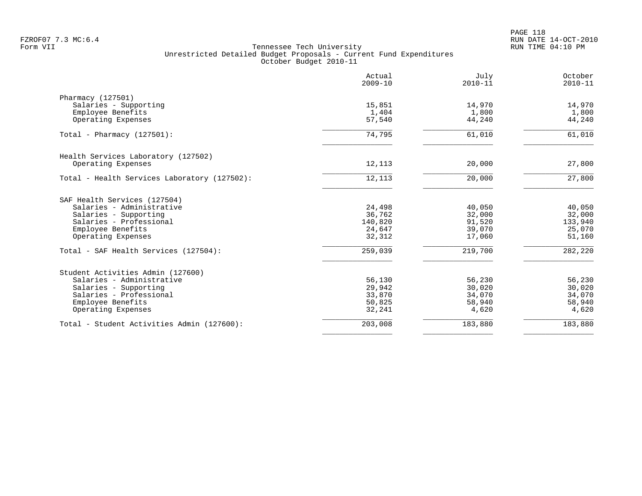|                                              | Actual<br>$2009 - 10$ | July<br>$2010 - 11$ | October<br>$2010 - 11$ |
|----------------------------------------------|-----------------------|---------------------|------------------------|
| Pharmacy (127501)                            |                       |                     |                        |
| Salaries - Supporting                        | 15,851                | 14,970              | 14,970                 |
| Employee Benefits                            | 1,404                 | 1,800               | 1,800                  |
| Operating Expenses                           | 57,540                | 44,240              | 44,240                 |
| Total - Pharmacy $(127501)$ :                | 74,795                | 61,010              | 61,010                 |
| Health Services Laboratory (127502)          |                       |                     |                        |
| Operating Expenses                           | 12,113                | 20,000              | 27,800                 |
| Total - Health Services Laboratory (127502): | 12,113                | 20,000              | 27,800                 |
| SAF Health Services (127504)                 |                       |                     |                        |
| Salaries - Administrative                    | 24,498                | 40,050              | 40,050                 |
| Salaries - Supporting                        | 36,762                | 32,000              | 32,000                 |
| Salaries - Professional                      | 140,820               | 91,520              | 133,940                |
| Employee Benefits                            | 24,647                | 39,070              | 25,070                 |
| Operating Expenses                           | 32,312                | 17,060              | 51,160                 |
| Total - SAF Health Services (127504):        | 259,039               | 219,700             | 282,220                |
| Student Activities Admin (127600)            |                       |                     |                        |
| Salaries - Administrative                    | 56,130                | 56,230              | 56,230                 |
| Salaries - Supporting                        | 29,942                | 30,020              | 30,020                 |
| Salaries - Professional                      | 33,870                | 34,070              | 34,070                 |
| Employee Benefits                            | 50,825                | 58,940              | 58,940                 |
| Operating Expenses                           | 32,241                | 4,620               | 4,620                  |
| Total - Student Activities Admin (127600):   | 203,008               | 183,880             | 183,880                |
|                                              |                       |                     |                        |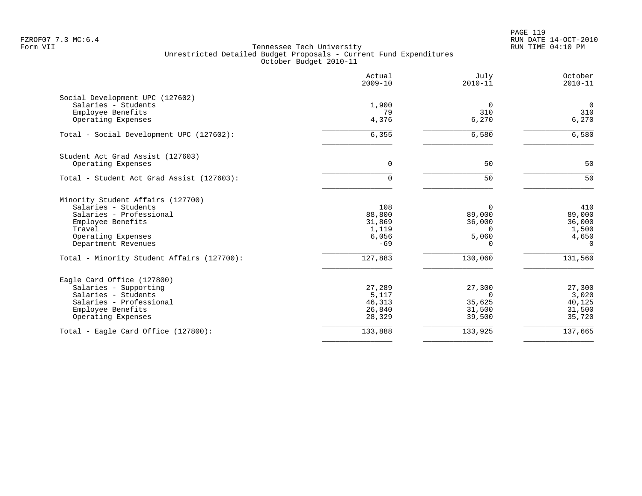|                                              | Actual<br>$2009 - 10$ | July<br>$2010 - 11$ | October<br>$2010 - 11$ |
|----------------------------------------------|-----------------------|---------------------|------------------------|
| Social Development UPC (127602)              |                       |                     |                        |
| Salaries - Students                          | 1,900                 | 0                   | $\mathbf 0$            |
| Employee Benefits<br>Operating Expenses      | 79<br>4,376           | 310<br>6,270        | 310<br>6,270           |
| Total - Social Development UPC (127602):     | 6,355                 | 6,580               | 6,580                  |
| Student Act Grad Assist (127603)             |                       |                     |                        |
| Operating Expenses                           | 0                     | 50                  | 50                     |
| Total - Student Act Grad Assist (127603):    | 0                     | 50                  | 50                     |
| Minority Student Affairs (127700)            |                       |                     |                        |
| Salaries - Students                          | 108                   | 0                   | 410                    |
| Salaries - Professional                      | 88,800                | 89,000              | 89,000                 |
| Employee Benefits<br>Travel                  | 31,869<br>1,119       | 36,000<br>$\Omega$  | 36,000<br>1,500        |
| Operating Expenses                           | 6,056                 | 5,060               | 4,650                  |
| Department Revenues                          | $-69$                 | 0                   | $\Omega$               |
| Total - Minority Student Affairs (127700):   | 127,883               | 130,060             | 131,560                |
| Eagle Card Office (127800)                   |                       |                     |                        |
| Salaries - Supporting                        | 27,289                | 27,300              | 27,300                 |
| Salaries - Students                          | 5,117                 | 0                   | 3,020                  |
| Salaries - Professional<br>Employee Benefits | 46,313<br>26,840      | 35,625<br>31,500    | 40,125<br>31,500       |
| Operating Expenses                           | 28,329                | 39,500              | 35,720                 |
| Total - Eagle Card Office (127800):          | 133,888               | 133,925             | 137,665                |
|                                              |                       |                     |                        |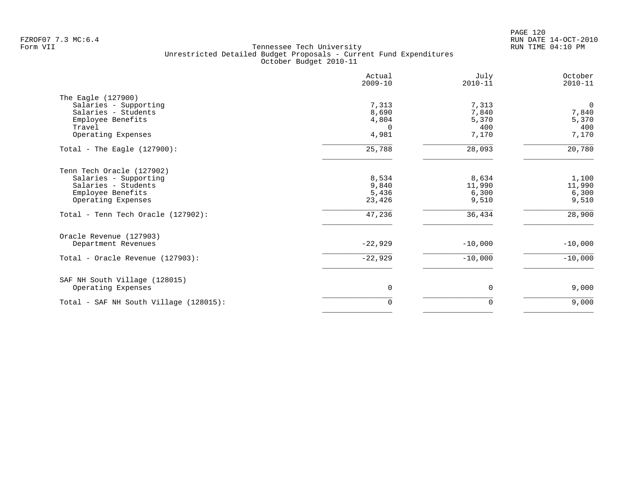PAGE 120 FZROF07 7.3 MC:6.4 RUN DATE 14-OCT-2010

|                                        | Actual<br>$2009 - 10$ | July<br>$2010 - 11$ | October<br>$2010 - 11$ |
|----------------------------------------|-----------------------|---------------------|------------------------|
| The Eagle (127900)                     |                       |                     |                        |
| Salaries - Supporting                  | 7,313                 | 7,313               | $\overline{0}$         |
| Salaries - Students                    | 8,690                 | 7,840               | 7,840                  |
| Employee Benefits                      | 4,804                 | 5,370               | 5,370                  |
| Travel                                 | $\Omega$              | 400                 | 400                    |
| Operating Expenses                     | 4,981                 | 7,170               | 7,170                  |
| Total - The Eagle $(127900)$ :         | 25,788                | 28,093              | 20,780                 |
| Tenn Tech Oracle (127902)              |                       |                     |                        |
| Salaries - Supporting                  | 8,534                 | 8,634               | 1,100                  |
| Salaries - Students                    | 9,840                 | 11,990              | 11,990                 |
| Employee Benefits                      | 5,436                 | 6,300               | 6,300                  |
| Operating Expenses                     | 23,426                | 9,510               | 9,510                  |
| Total - Tenn Tech Oracle (127902):     | 47,236                | 36,434              | 28,900                 |
| Oracle Revenue (127903)                |                       |                     |                        |
| Department Revenues                    | $-22,929$             | $-10,000$           | $-10,000$              |
| Total - Oracle Revenue (127903):       | $-22,929$             | $-10,000$           | $-10,000$              |
| SAF NH South Village (128015)          |                       |                     |                        |
| Operating Expenses                     | 0                     | 0                   | 9,000                  |
| Total - SAF NH South Village (128015): | $\Omega$              | $\Omega$            | 9,000                  |
|                                        |                       |                     |                        |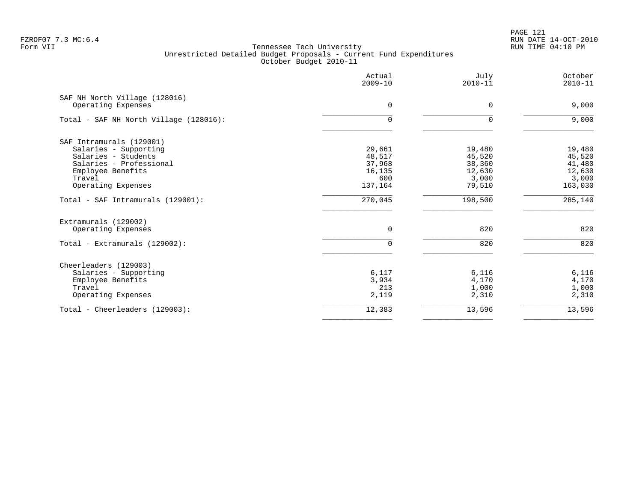|                                        | Actual<br>$2009 - 10$ | July<br>$2010 - 11$ | October<br>$2010 - 11$ |
|----------------------------------------|-----------------------|---------------------|------------------------|
| SAF NH North Village (128016)          |                       |                     |                        |
| Operating Expenses                     | $\Omega$              | 0                   | 9,000                  |
| Total - SAF NH North Village (128016): | $\Omega$              | $\Omega$            | 9,000                  |
| SAF Intramurals (129001)               |                       |                     |                        |
| Salaries - Supporting                  | 29,661                | 19,480              | 19,480                 |
| Salaries - Students                    | 48,517                | 45,520              | 45,520                 |
| Salaries - Professional                | 37,968                | 38,360              | 41,480                 |
| Employee Benefits                      | 16,135                | 12,630              | 12,630                 |
| Travel                                 | 600                   | 3,000               | 3,000                  |
| Operating Expenses                     | 137,164               | 79,510              | 163,030                |
| Total - SAF Intramurals (129001):      | 270,045               | 198,500             | 285,140                |
| Extramurals (129002)                   |                       |                     |                        |
| Operating Expenses                     | $\mathbf 0$           | 820                 | 820                    |
| Total - Extramurals (129002):          | $\Omega$              | 820                 | 820                    |
| Cheerleaders (129003)                  |                       |                     |                        |
| Salaries - Supporting                  | 6,117                 | 6,116               | 6,116                  |
| Employee Benefits                      | 3,934                 | 4,170               | 4,170                  |
| Travel                                 | 213                   | 1,000               | 1,000                  |
| Operating Expenses                     | 2,119                 | 2,310               | 2,310                  |
| Total - Cheerleaders (129003):         | 12,383                | 13,596              | 13,596                 |
|                                        |                       |                     |                        |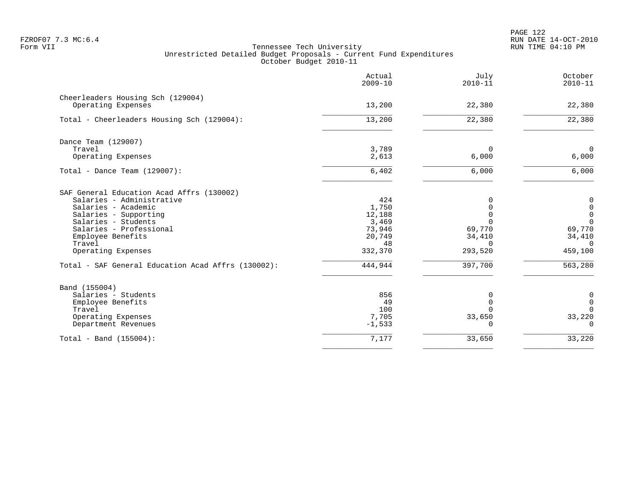PAGE 122 FZROF07 7.3 MC:6.4 RUN DATE 14-OCT-2010

|                                                    | Actual<br>$2009 - 10$ | July<br>$2010 - 11$ | October<br>$2010 - 11$ |
|----------------------------------------------------|-----------------------|---------------------|------------------------|
| Cheerleaders Housing Sch (129004)                  |                       |                     |                        |
| Operating Expenses                                 | 13,200                | 22,380              | 22,380                 |
| Total - Cheerleaders Housing Sch (129004):         | 13,200                | 22,380              | 22,380                 |
| Dance Team (129007)                                |                       |                     |                        |
| Travel                                             | 3,789                 | $\Omega$            | $\mathbf 0$            |
| Operating Expenses                                 | 2,613                 | 6,000               | 6,000                  |
| Total - Dance Team $(129007)$ :                    | 6,402                 | 6,000               | 6,000                  |
| SAF General Education Acad Affrs (130002)          |                       |                     |                        |
| Salaries - Administrative                          | 424                   | $\Omega$            | $\mathbf 0$            |
| Salaries - Academic                                | 1,750                 | $\Omega$            | $\boldsymbol{0}$       |
| Salaries - Supporting                              | 12,188                | $\Omega$            | $\mathsf 0$            |
| Salaries - Students                                | 3,469                 | $\Omega$            | $\mathbf 0$            |
| Salaries - Professional                            | 73,946                | 69,770              | 69,770                 |
| Employee Benefits<br>Travel                        | 20,749<br>48          | 34,410<br>$\Omega$  | 34,410<br>$\Omega$     |
| Operating Expenses                                 | 332,370               | 293,520             | 459,100                |
| Total - SAF General Education Acad Affrs (130002): | 444,944               | 397,700             | 563,280                |
| Band (155004)                                      |                       |                     |                        |
| Salaries - Students                                | 856                   | $\Omega$            | 0                      |
| Employee Benefits                                  | 49                    | $\mathbf 0$         | $\mathbf 0$            |
| Travel                                             | 100                   | $\Omega$            | $\Omega$               |
| Operating Expenses                                 | 7,705                 | 33,650              | 33,220                 |
| Department Revenues                                | $-1,533$              | $\Omega$            | $\Omega$               |
| Total - Band $(155004)$ :                          | 7,177                 | 33,650              | 33,220                 |
|                                                    |                       |                     |                        |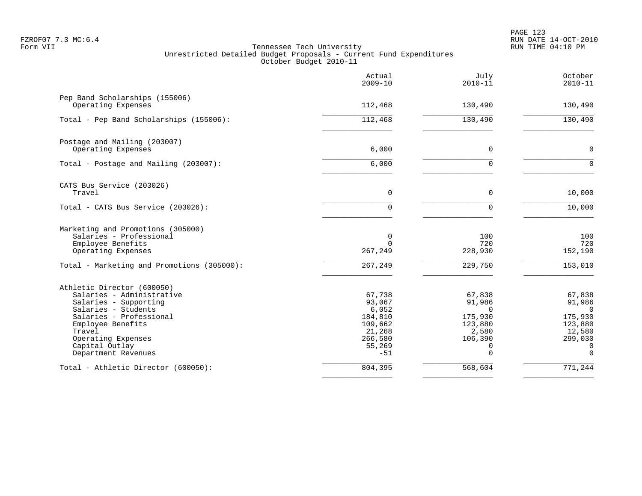|                                                      | Actual<br>$2009 - 10$ | July<br>$2010 - 11$ | October<br>$2010 - 11$ |
|------------------------------------------------------|-----------------------|---------------------|------------------------|
| Pep Band Scholarships (155006)<br>Operating Expenses | 112,468               | 130,490             | 130,490                |
| Total - Pep Band Scholarships (155006):              | 112,468               | 130,490             | 130,490                |
|                                                      |                       |                     |                        |
| Postage and Mailing (203007)<br>Operating Expenses   | 6,000                 | $\mathbf 0$         | $\mathbf 0$            |
| Total - Postage and Mailing (203007):                | 6,000                 | $\Omega$            | $\Omega$               |
| CATS Bus Service (203026)                            |                       |                     |                        |
| Travel                                               | $\mathbf 0$           | $\Omega$            | 10,000                 |
| Total - CATS Bus Service (203026):                   | 0                     | $\Omega$            | 10,000                 |
| Marketing and Promotions (305000)                    |                       |                     |                        |
| Salaries - Professional<br>Employee Benefits         | 0<br>$\Omega$         | 100<br>720          | 100<br>720             |
| Operating Expenses                                   | 267,249               | 228,930             | 152,190                |
| Total - Marketing and Promotions (305000):           | 267,249               | 229,750             | 153,010                |
| Athletic Director (600050)                           |                       |                     |                        |
| Salaries - Administrative                            | 67,738                | 67,838              | 67,838                 |
| Salaries - Supporting<br>Salaries - Students         | 93,067<br>6,052       | 91,986<br>$\Omega$  | 91,986<br>$\Omega$     |
| Salaries - Professional                              | 184,810               | 175,930             | 175,930                |
| Employee Benefits                                    | 109,662               | 123,880             | 123,880                |
| Travel                                               | 21,268                | 2,580               | 12,580                 |
| Operating Expenses                                   | 266,580               | 106,390             | 299,030                |
| Capital Outlay                                       | 55,269                | 0                   | 0                      |
| Department Revenues                                  | $-51$                 | $\Omega$            | $\Omega$               |
| Total - Athletic Director (600050):                  | 804,395               | 568,604             | 771,244                |
|                                                      |                       |                     |                        |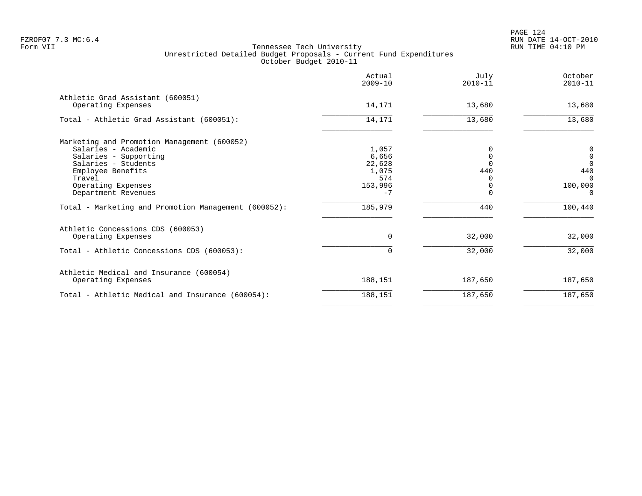|                                                        | Actual<br>$2009 - 10$ | July<br>$2010 - 11$ | October<br>$2010 - 11$ |
|--------------------------------------------------------|-----------------------|---------------------|------------------------|
| Athletic Grad Assistant (600051)<br>Operating Expenses | 14,171                | 13,680              | 13,680                 |
| Total - Athletic Grad Assistant (600051):              | 14,171                | 13,680              | 13,680                 |
| Marketing and Promotion Management (600052)            |                       |                     |                        |
| Salaries - Academic                                    | 1,057                 |                     | 0                      |
| Salaries - Supporting                                  | 6,656                 |                     | $\mathbf 0$            |
| Salaries - Students                                    | 22,628                |                     | $\Omega$               |
| Employee Benefits<br>Travel                            | 1,075<br>574          | 440                 | 440<br>$\Omega$        |
| Operating Expenses                                     | 153,996               |                     | 100,000                |
| Department Revenues                                    | $-7$                  |                     | $\Omega$               |
| Total - Marketing and Promotion Management (600052):   | 185,979               | 440                 | 100,440                |
| Athletic Concessions CDS (600053)                      |                       |                     |                        |
| Operating Expenses                                     | 0                     | 32,000              | 32,000                 |
| Total - Athletic Concessions CDS (600053):             |                       | 32,000              | 32,000                 |
| Athletic Medical and Insurance (600054)                |                       |                     |                        |
| Operating Expenses                                     | 188,151               | 187,650             | 187,650                |
| Total - Athletic Medical and Insurance (600054):       | 188,151               | 187,650             | 187,650                |
|                                                        |                       |                     |                        |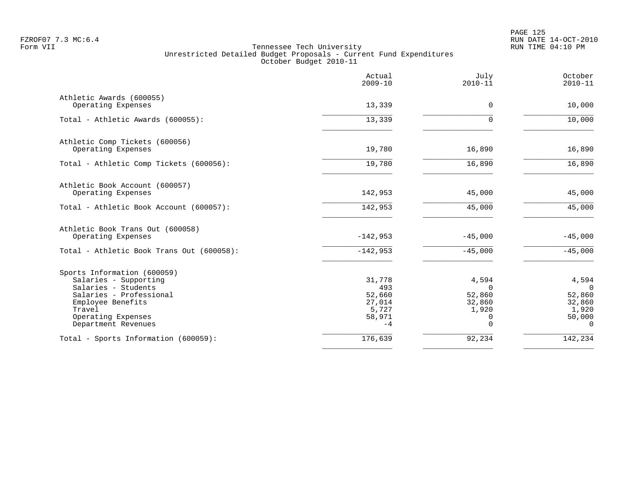|                                                                                                                                                                                    | Actual<br>$2009 - 10$                                        | July<br>$2010 - 11$                                             | October<br>$2010 - 11$                                               |
|------------------------------------------------------------------------------------------------------------------------------------------------------------------------------------|--------------------------------------------------------------|-----------------------------------------------------------------|----------------------------------------------------------------------|
| Athletic Awards (600055)<br>Operating Expenses                                                                                                                                     | 13,339                                                       | $\mathbf 0$                                                     | 10,000                                                               |
| Total - Athletic Awards (600055):                                                                                                                                                  | 13,339                                                       | $\Omega$                                                        | 10,000                                                               |
| Athletic Comp Tickets (600056)<br>Operating Expenses                                                                                                                               | 19,780                                                       | 16,890                                                          | 16,890                                                               |
| Total - Athletic Comp Tickets (600056):                                                                                                                                            | 19,780                                                       | 16,890                                                          | 16,890                                                               |
| Athletic Book Account (600057)<br>Operating Expenses                                                                                                                               | 142,953                                                      | 45,000                                                          | 45,000                                                               |
| Total - Athletic Book Account (600057):                                                                                                                                            | 142,953                                                      | 45,000                                                          | 45,000                                                               |
| Athletic Book Trans Out (600058)<br>Operating Expenses<br>Total - Athletic Book Trans Out (600058):                                                                                | $-142,953$<br>$-142,953$                                     | $-45,000$<br>$-45,000$                                          | $-45,000$<br>$-45,000$                                               |
| Sports Information (600059)<br>Salaries - Supporting<br>Salaries - Students<br>Salaries - Professional<br>Employee Benefits<br>Travel<br>Operating Expenses<br>Department Revenues | 31,778<br>493<br>52,660<br>27,014<br>5,727<br>58,971<br>$-4$ | 4,594<br>$\Omega$<br>52,860<br>32,860<br>1,920<br>0<br>$\Omega$ | 4,594<br>$\Omega$<br>52,860<br>32,860<br>1,920<br>50,000<br>$\Omega$ |
| Total - Sports Information (600059):                                                                                                                                               | 176,639                                                      | 92,234                                                          | 142,234                                                              |
|                                                                                                                                                                                    |                                                              |                                                                 |                                                                      |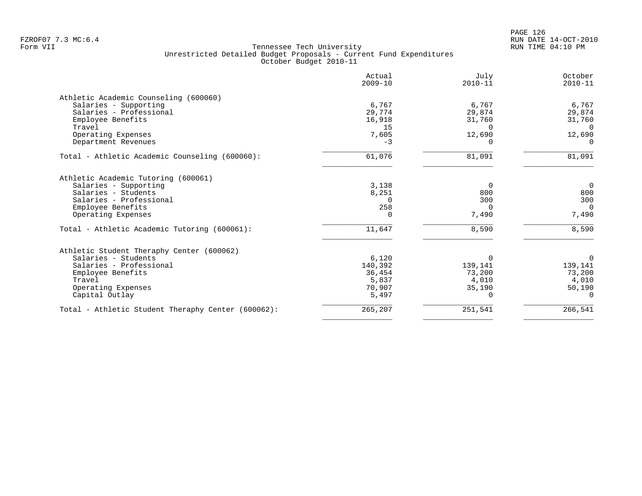PAGE 126 FZROF07 7.3 MC:6.4 RUN DATE 14-OCT-2010

| Actual<br>$2009 - 10$ | July<br>$2010 - 11$                         | October<br>$2010 - 11$          |
|-----------------------|---------------------------------------------|---------------------------------|
|                       |                                             |                                 |
| 6,767                 | 6,767                                       | 6,767                           |
| 29,774                | 29,874                                      | 29,874                          |
| 16,918                | 31,760                                      | 31,760                          |
| 15                    | $\Omega$                                    | $\Omega$                        |
| 7,605                 | 12,690                                      | 12,690                          |
| $-3$                  | <sup>0</sup>                                | $\Omega$                        |
| 61,076                | 81,091                                      | 81,091                          |
|                       |                                             |                                 |
|                       |                                             | $\overline{0}$                  |
|                       |                                             | 800                             |
| $\Omega$              | 300                                         | 300                             |
| 258                   | $\Omega$                                    | $\Omega$                        |
| $\Omega$              | 7,490                                       | 7,490                           |
| 11,647                | 8,590                                       | 8,590                           |
|                       |                                             |                                 |
|                       |                                             | $\Omega$                        |
|                       |                                             | 139,141                         |
| 36,454                | 73,200                                      | 73,200                          |
|                       | 4,010                                       | 4,010                           |
| 70,907                | 35,190                                      | 50,190                          |
| 5,497                 | $\Omega$                                    | $\Omega$                        |
| 265,207               | 251,541                                     | 266,541                         |
|                       | 3,138<br>8,251<br>6,120<br>140,392<br>5,837 | 0<br>800<br>$\Omega$<br>139,141 |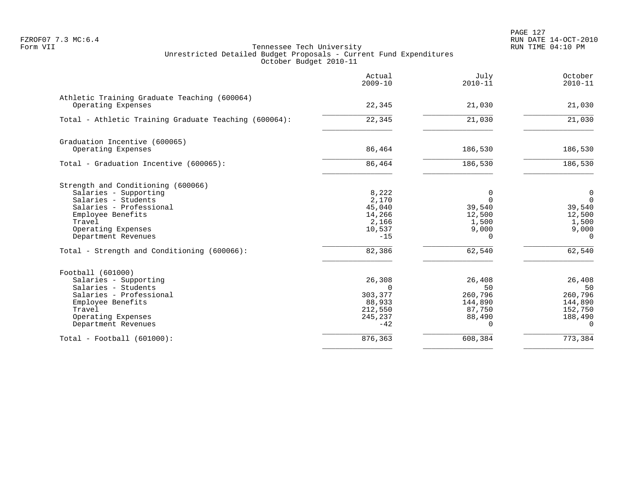PAGE 127 FZROF07 7.3 MC:6.4 RUN DATE 14-OCT-2010

|                                                                    | Actual<br>$2009 - 10$ | July<br>$2010 - 11$ | October<br>$2010 - 11$ |
|--------------------------------------------------------------------|-----------------------|---------------------|------------------------|
| Athletic Training Graduate Teaching (600064)<br>Operating Expenses | 22,345                | 21,030              | 21,030                 |
| Total - Athletic Training Graduate Teaching (600064):              | 22,345                | 21,030              | 21,030                 |
| Graduation Incentive (600065)                                      |                       |                     |                        |
| Operating Expenses                                                 | 86,464                | 186,530             | 186,530                |
| Total - Graduation Incentive (600065):                             | 86,464                | 186,530             | 186,530                |
| Strength and Conditioning (600066)                                 |                       |                     |                        |
| Salaries - Supporting                                              | 8,222                 | 0                   | $\mathbf 0$            |
| Salaries - Students                                                | 2,170                 | $\Omega$            | $\Omega$               |
| Salaries - Professional                                            | 45,040<br>14,266      | 39,540              | 39,540                 |
| Employee Benefits<br>Travel                                        | 2,166                 | 12,500<br>1,500     | 12,500<br>1,500        |
| Operating Expenses                                                 | 10,537                | 9,000               | 9,000                  |
| Department Revenues                                                | $-15$                 | $\Omega$            | $\Omega$               |
| Total - Strength and Conditioning (600066):                        | 82,386                | 62,540              | 62,540                 |
| Football (601000)                                                  |                       |                     |                        |
| Salaries - Supporting                                              | 26,308                | 26,408              | 26,408                 |
| Salaries - Students                                                | $\Omega$              | 50                  | 50                     |
| Salaries - Professional                                            | 303,377               | 260,796             | 260,796                |
| Employee Benefits<br>Travel                                        | 88,933                | 144,890             | 144,890                |
| Operating Expenses                                                 | 212,550<br>245,237    | 87,750<br>88,490    | 152,750<br>188,490     |
| Department Revenues                                                | $-42$                 | $\Omega$            | $\Omega$               |
| $Total - Football (601000):$                                       | 876,363               | 608,384             | 773,384                |
|                                                                    |                       |                     |                        |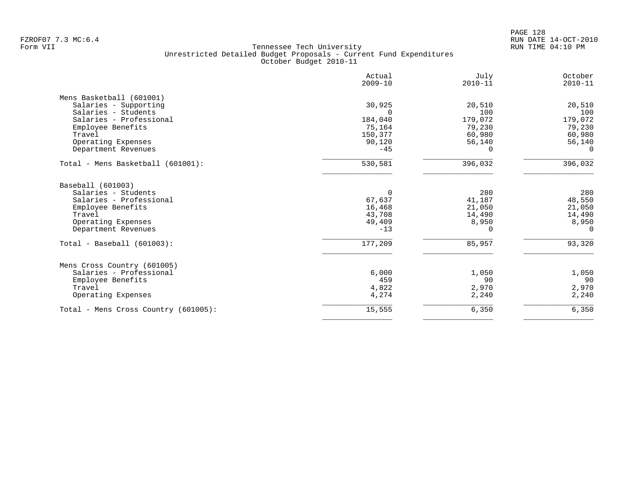|                                      | Actual<br>$2009 - 10$ | July<br>$2010 - 11$ | October<br>$2010 - 11$ |
|--------------------------------------|-----------------------|---------------------|------------------------|
| Mens Basketball (601001)             |                       |                     |                        |
| Salaries - Supporting                | 30,925                | 20,510              | 20,510                 |
| Salaries - Students                  | $\Omega$              | 100                 | 100                    |
| Salaries - Professional              | 184,040               | 179,072             | 179,072                |
| Employee Benefits                    | 75,164                | 79,230              | 79,230                 |
| Travel                               | 150,377               | 60,980              | 60,980                 |
| Operating Expenses                   | 90,120                | 56,140              | 56,140                 |
| Department Revenues                  | $-45$                 | 0                   | $\Omega$               |
| Total - Mens Basketball (601001):    | 530,581               | 396,032             | 396,032                |
| Baseball (601003)                    |                       |                     |                        |
| Salaries - Students                  | $\Omega$              | 280                 | 280                    |
| Salaries - Professional              | 67,637                | 41,187              | 48,550                 |
| Employee Benefits                    | 16,468                | 21,050              | 21,050                 |
| Travel                               | 43,708                | 14,490              | 14,490                 |
| Operating Expenses                   | 49,409                | 8,950               | 8,950                  |
| Department Revenues                  | $-13$                 | $\Omega$            | $\Omega$               |
| $Total - Baseball (601003):$         | 177,209               | 85,957              | 93,320                 |
| Mens Cross Country (601005)          |                       |                     |                        |
| Salaries - Professional              | 6,000                 | 1,050               | 1,050                  |
| Employee Benefits                    | 459                   | 90                  | 90                     |
| Travel                               | 4,822                 | 2,970               | 2,970                  |
| Operating Expenses                   | 4,274                 | 2,240               | 2,240                  |
| Total - Mens Cross Country (601005): | 15,555                | 6,350               | 6,350                  |
|                                      |                       |                     |                        |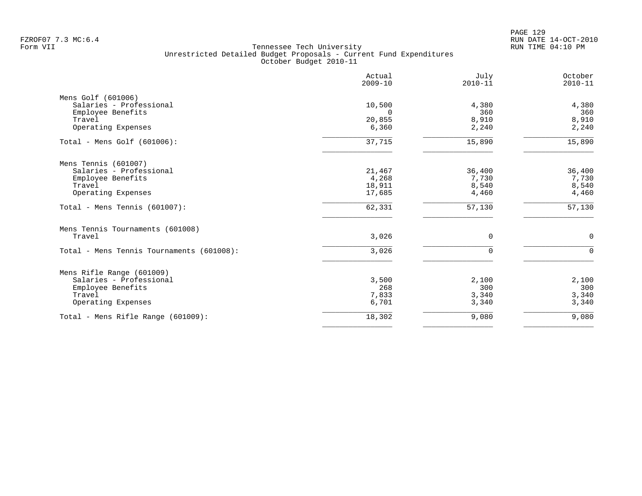PAGE 129 FZROF07 7.3 MC:6.4 RUN DATE 14-OCT-2010

|                                               | Actual<br>$2009 - 10$ | July<br>$2010 - 11$ | October<br>$2010 - 11$ |
|-----------------------------------------------|-----------------------|---------------------|------------------------|
| Mens Golf (601006)<br>Salaries - Professional | 10,500                | 4,380               | 4,380                  |
| Employee Benefits                             | $\Omega$              | 360                 | 360                    |
| Travel<br>Operating Expenses                  | 20,855<br>6,360       | 8,910<br>2,240      | 8,910<br>2,240         |
| Total - Mens Golf $(601006)$ :                | 37,715                | 15,890              | 15,890                 |
|                                               |                       |                     |                        |
| Mens Tennis (601007)                          |                       |                     |                        |
| Salaries - Professional                       | 21,467                | 36,400              | 36,400                 |
| Employee Benefits                             | 4,268                 | 7,730               | 7,730                  |
| Travel                                        | 18,911                | 8,540               | 8,540                  |
| Operating Expenses                            | 17,685                | 4,460               | 4,460                  |
| Total - Mens Tennis (601007):                 | 62,331                | 57,130              | 57,130                 |
| Mens Tennis Tournaments (601008)              |                       |                     |                        |
| Travel                                        | 3,026                 | 0                   | $\mathbf 0$            |
| Total - Mens Tennis Tournaments (601008):     | 3,026                 | $\Omega$            | $\Omega$               |
| Mens Rifle Range (601009)                     |                       |                     |                        |
| Salaries - Professional                       | 3,500                 | 2,100               | 2,100                  |
| Employee Benefits                             | 268                   | 300                 | 300                    |
| Travel                                        | 7,833                 | 3,340               | 3,340                  |
| Operating Expenses                            | 6,701                 | 3,340               | 3,340                  |
| Total - Mens Rifle Range $(601009)$ :         | 18,302                | 9,080               | 9,080                  |
|                                               |                       |                     |                        |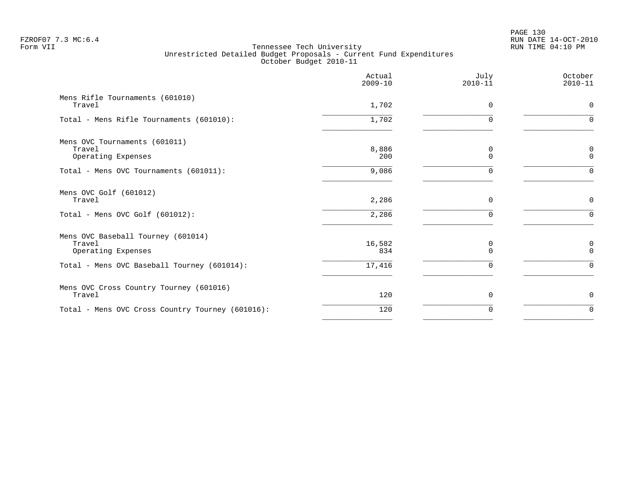PAGE 130 FZROF07 7.3 MC:6.4 RUN DATE 14-OCT-2010

|                                                                    |               | $2010 - 11$   | $2010 - 11$      |
|--------------------------------------------------------------------|---------------|---------------|------------------|
| Mens Rifle Tournaments (601010)<br>Travel                          | 1,702         | 0             | 0                |
| Total - Mens Rifle Tournaments (601010):                           | 1,702         | $\Omega$      | $\Omega$         |
| Mens OVC Tournaments (601011)<br>Travel<br>Operating Expenses      | 8,886<br>200  | 0<br>$\Omega$ | 0<br>$\mathbf 0$ |
| Total - Mens OVC Tournaments (601011):                             | 9,086         | 0             | $\Omega$         |
| Mens OVC Golf (601012)<br>Travel                                   | 2,286         | 0             | $\mathbf 0$      |
| Total - Mens OVC Golf $(601012)$ :                                 | 2,286         | ∩             | $\cap$           |
| Mens OVC Baseball Tourney (601014)<br>Travel<br>Operating Expenses | 16,582<br>834 | 0<br>$\Omega$ | 0<br>$\Omega$    |
| Total - Mens OVC Baseball Tourney (601014):                        | 17,416        | $\Omega$      | $\Omega$         |
| Mens OVC Cross Country Tourney (601016)<br>Travel                  | 120           | $\Omega$      | 0                |
| Total - Mens OVC Cross Country Tourney (601016):                   | 120           | 0             | 0                |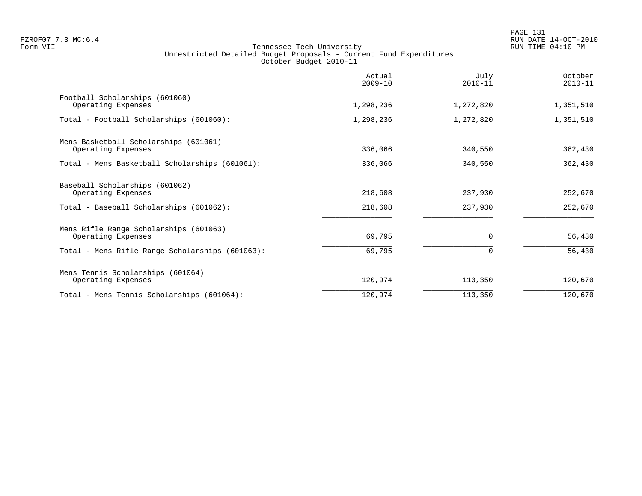|                                                                                                 | Actual<br>$2009 - 10$ | July<br>$2010 - 11$ | October<br>$2010 - 11$ |
|-------------------------------------------------------------------------------------------------|-----------------------|---------------------|------------------------|
| Football Scholarships (601060)<br>Operating Expenses                                            | 1,298,236             | 1,272,820           | 1,351,510              |
| Total - Football Scholarships (601060):                                                         | 1,298,236             | 1,272,820           | 1,351,510              |
| Mens Basketball Scholarships (601061)<br>Operating Expenses                                     | 336,066               | 340,550             | 362,430                |
| Total - Mens Basketball Scholarships (601061):                                                  | 336,066               | 340,550             | 362,430                |
| Baseball Scholarships (601062)<br>Operating Expenses<br>Total - Baseball Scholarships (601062): | 218,608<br>218,608    | 237,930<br>237,930  | 252,670<br>252,670     |
| Mens Rifle Range Scholarships (601063)<br>Operating Expenses                                    | 69,795                | $\Omega$            | 56,430                 |
| Total - Mens Rifle Range Scholarships (601063):                                                 | 69,795                |                     | 56,430                 |
| Mens Tennis Scholarships (601064)<br>Operating Expenses                                         | 120,974               | 113,350             | 120,670                |
| Total - Mens Tennis Scholarships (601064):                                                      | 120,974               | 113,350             | 120,670                |
|                                                                                                 |                       |                     |                        |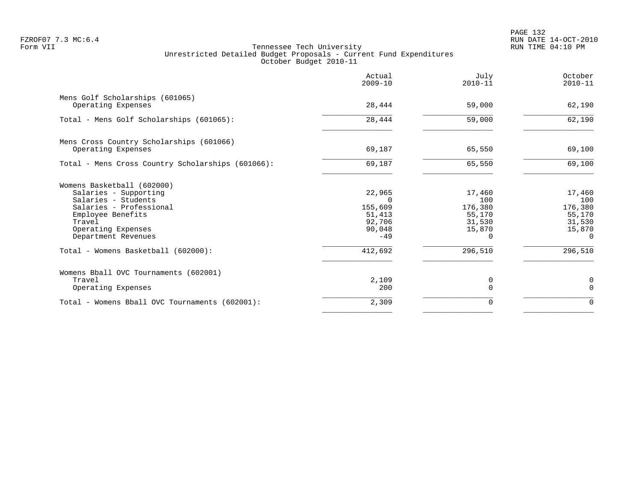|                                                                | Actual<br>$2009 - 10$ | July<br>$2010 - 11$ | October<br>$2010 - 11$ |
|----------------------------------------------------------------|-----------------------|---------------------|------------------------|
| Mens Golf Scholarships (601065)<br>Operating Expenses          | 28,444                | 59,000              | 62,190                 |
| Total - Mens Golf Scholarships (601065):                       | 28,444                | 59,000              | 62,190                 |
|                                                                |                       |                     |                        |
| Mens Cross Country Scholarships (601066)<br>Operating Expenses | 69,187                | 65,550              | 69,100                 |
| Total - Mens Cross Country Scholarships (601066):              | 69,187                | 65,550              | 69,100                 |
| Womens Basketball (602000)                                     |                       |                     |                        |
| Salaries - Supporting                                          | 22,965                | 17,460              | 17,460                 |
| Salaries - Students                                            | $\Omega$              | 100                 | 100                    |
| Salaries - Professional                                        | 155,609<br>51,413     | 176,380<br>55,170   | 176,380                |
| Employee Benefits<br>Travel                                    | 92,706                | 31,530              | 55,170<br>31,530       |
| Operating Expenses                                             | 90,048                | 15,870              | 15,870                 |
| Department Revenues                                            | $-49$                 | 0                   | $\Omega$               |
| Total - Womens Basketball (602000):                            | 412,692               | 296,510             | 296,510                |
| Womens Bball OVC Tournaments (602001)                          |                       |                     |                        |
| Travel                                                         | 2,109                 | 0                   | 0                      |
| Operating Expenses                                             | 200                   | $\Omega$            | $\Omega$               |
| Total - Womens Bball OVC Tournaments (602001):                 | 2,309                 | 0                   | $\mathbf 0$            |
|                                                                |                       |                     |                        |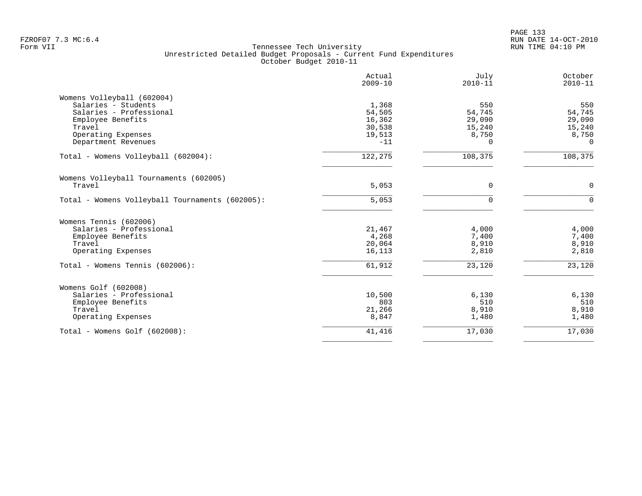|                                                 | Actual<br>$2009 - 10$ | July<br>$2010 - 11$ | October<br>$2010 - 11$ |
|-------------------------------------------------|-----------------------|---------------------|------------------------|
| Womens Volleyball (602004)                      |                       |                     |                        |
| Salaries - Students                             | 1,368                 | 550                 | 550                    |
| Salaries - Professional                         | 54,505                | 54,745              | 54,745                 |
| Employee Benefits                               | 16,362                | 29,090              | 29,090                 |
| Travel                                          | 30,538                | 15,240              | 15,240                 |
| Operating Expenses                              | 19,513                | 8,750               | 8,750                  |
| Department Revenues                             | $-11$                 | $\Omega$            | $\mathbf 0$            |
| Total - Womens Volleyball (602004):             | 122,275               | 108,375             | 108,375                |
| Womens Volleyball Tournaments (602005)          |                       |                     |                        |
| Travel                                          | 5,053                 | $\mathbf 0$         | $\mathbf 0$            |
| Total - Womens Volleyball Tournaments (602005): | 5,053                 | $\Omega$            | $\mathbf 0$            |
| Womens Tennis (602006)                          |                       |                     |                        |
| Salaries - Professional                         | 21,467                | 4,000               | 4,000                  |
| Employee Benefits                               | 4,268                 | 7,400               | 7,400                  |
| Travel                                          | 20,064                | 8,910               | 8,910                  |
| Operating Expenses                              | 16,113                | 2,810               | 2,810                  |
| Total - Womens Tennis (602006):                 | 61,912                | 23,120              | 23,120                 |
| Womens Golf (602008)                            |                       |                     |                        |
| Salaries - Professional                         | 10,500                | 6,130               | 6,130                  |
| Employee Benefits                               | 803                   | 510                 | 510                    |
| Travel                                          | 21,266                | 8,910               | 8,910                  |
| Operating Expenses                              | 8,847                 | 1,480               | 1,480                  |
| Total - Womens Golf (602008):                   | 41,416                | 17,030              | 17,030                 |
|                                                 |                       |                     |                        |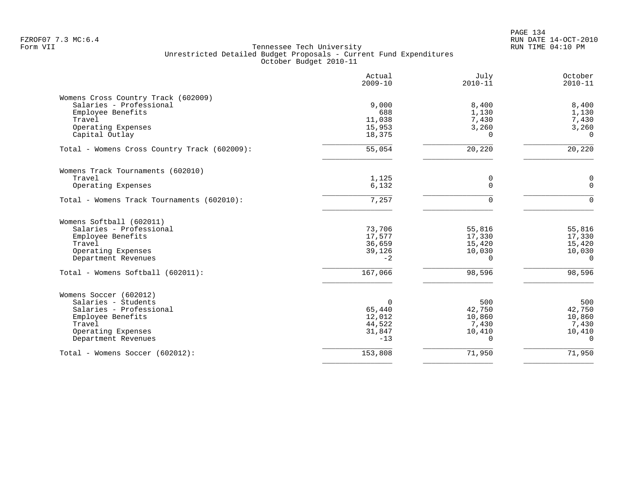| Actual<br>$2009 - 10$ | July<br>$2010 - 11$                        | October<br>$2010 - 11$                                            |
|-----------------------|--------------------------------------------|-------------------------------------------------------------------|
|                       |                                            |                                                                   |
|                       |                                            | 8,400                                                             |
|                       |                                            | 1,130                                                             |
|                       |                                            | 7,430                                                             |
|                       |                                            | 3,260                                                             |
|                       |                                            | $\Omega$                                                          |
| 55,054                | 20,220                                     | 20,220                                                            |
|                       |                                            |                                                                   |
| 1,125                 | 0                                          | 0                                                                 |
| 6,132                 | $\Omega$                                   | $\Omega$                                                          |
| 7,257                 | $\Omega$                                   | $\Omega$                                                          |
|                       |                                            |                                                                   |
| 73,706                | 55,816                                     | 55,816                                                            |
| 17,577                | 17,330                                     | 17,330                                                            |
| 36,659                | 15,420                                     | 15,420                                                            |
| 39,126                | 10,030                                     | 10,030                                                            |
| $-2$                  | $\Omega$                                   | $\Omega$                                                          |
| 167,066               | 98,596                                     | 98,596                                                            |
|                       |                                            |                                                                   |
| $\Omega$              | 500                                        | 500                                                               |
| 65,440                | 42,750                                     | 42,750                                                            |
| 12,012                | 10,860                                     | 10,860                                                            |
| 44,522                | 7,430                                      | 7,430                                                             |
| 31,847                | 10,410                                     | 10,410                                                            |
| $-13$                 | $\Omega$                                   | $\cap$                                                            |
|                       |                                            | 71,950                                                            |
|                       | 9,000<br>688<br>11,038<br>15,953<br>18,375 | 8,400<br>1,130<br>7,430<br>3,260<br>$\Omega$<br>153,808<br>71,950 |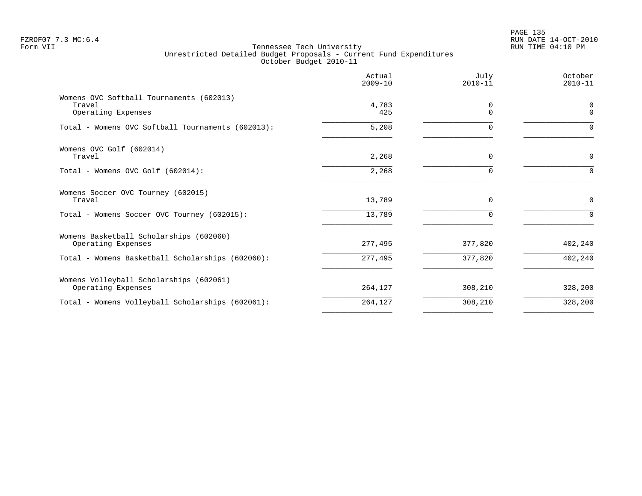PAGE 135 FZROF07 7.3 MC:6.4 RUN DATE 14-OCT-2010

|                                                                          | Actual<br>$2009 - 10$ | July<br>$2010 - 11$  | October<br>$2010 - 11$ |
|--------------------------------------------------------------------------|-----------------------|----------------------|------------------------|
| Womens OVC Softball Tournaments (602013)<br>Travel<br>Operating Expenses | 4,783<br>425          | $\Omega$<br>$\Omega$ | $\Omega$<br>$\Omega$   |
| Total - Womens OVC Softball Tournaments (602013):                        | 5,208                 |                      | 0                      |
| Womens OVC Golf (602014)<br>Travel                                       | 2,268                 | $\Omega$             | 0                      |
| Total - Womens OVC Golf (602014):                                        | 2,268                 | ∩                    | $\Omega$               |
| Womens Soccer OVC Tourney (602015)<br>Travel                             | 13,789                | $\mathbf 0$          | $\mathbf 0$            |
| Total - Womens Soccer OVC Tourney (602015):                              | 13,789                | $\Omega$             | $\Omega$               |
| Womens Basketball Scholarships (602060)<br>Operating Expenses            | 277,495               | 377,820              | 402,240                |
| Total - Womens Basketball Scholarships (602060):                         | 277,495               | 377,820              | 402,240                |
| Womens Volleyball Scholarships (602061)<br>Operating Expenses            | 264,127               | 308,210              | 328,200                |
| Total - Womens Volleyball Scholarships (602061):                         | 264,127               | 308,210              | 328,200                |
|                                                                          |                       |                      |                        |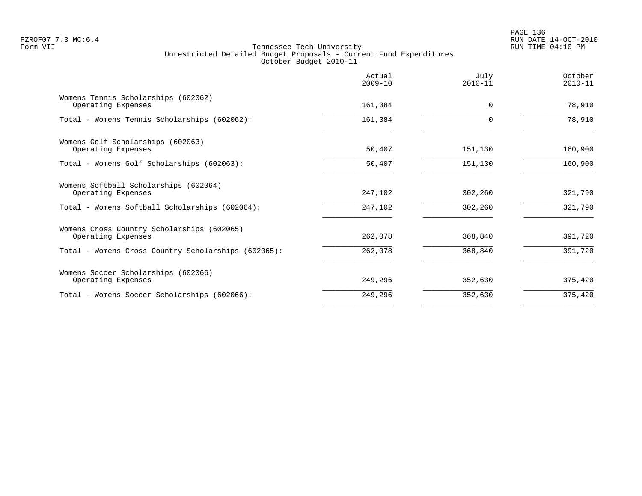|         | $\Omega$ | 78,910  |
|---------|----------|---------|
| 161,384 |          | 78,910  |
| 50,407  | 151,130  | 160,900 |
| 50,407  | 151,130  | 160,900 |
| 247,102 | 302,260  | 321,790 |
| 247,102 | 302,260  | 321,790 |
| 262,078 | 368,840  | 391,720 |
| 262,078 | 368,840  | 391,720 |
| 249,296 | 352,630  | 375,420 |
| 249,296 | 352,630  | 375,420 |
|         | 161,384  |         |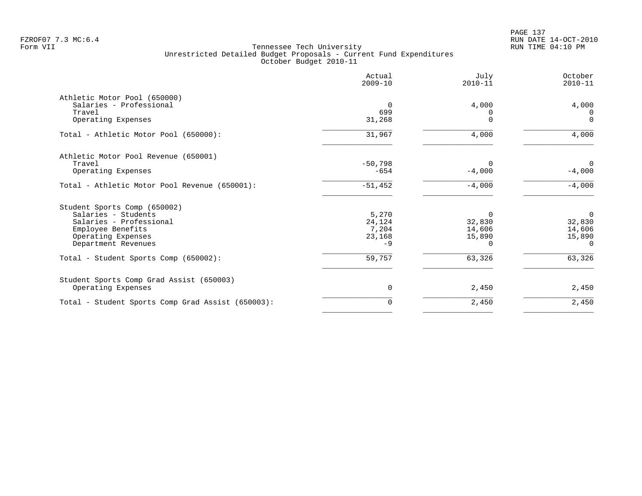|                                                   | Actual<br>$2009 - 10$ | July<br>$2010 - 11$ | October<br>$2010 - 11$ |
|---------------------------------------------------|-----------------------|---------------------|------------------------|
| Athletic Motor Pool (650000)                      |                       |                     |                        |
| Salaries - Professional                           | $\overline{0}$        | 4,000               | 4,000                  |
| Travel                                            | 699                   |                     | $\Omega$               |
| Operating Expenses                                | 31,268                | $\Omega$            | $\Omega$               |
| Total - Athletic Motor Pool (650000):             | 31,967                | 4,000               | 4,000                  |
| Athletic Motor Pool Revenue (650001)              |                       |                     |                        |
| Travel                                            | $-50,798$             | $\Omega$            | $\Omega$               |
| Operating Expenses                                | $-654$                | $-4,000$            | $-4,000$               |
| Total - Athletic Motor Pool Revenue (650001):     | $-51,452$             | $-4,000$            | $-4,000$               |
| Student Sports Comp (650002)                      |                       |                     |                        |
| Salaries - Students                               | 5,270                 | $\Omega$            | $\overline{0}$         |
| Salaries - Professional                           | 24,124                | 32,830              | 32,830                 |
| Employee Benefits                                 | 7,204                 | 14,606              | 14,606                 |
| Operating Expenses<br>Department Revenues         | 23,168<br>$-9$        | 15,890<br>0         | 15,890<br>$\Omega$     |
|                                                   |                       |                     |                        |
| Total - Student Sports Comp (650002):             | 59,757                | 63,326              | 63,326                 |
| Student Sports Comp Grad Assist (650003)          |                       |                     |                        |
| Operating Expenses                                | 0                     | 2,450               | 2,450                  |
| Total - Student Sports Comp Grad Assist (650003): | $\mathbf 0$           | 2,450               | 2,450                  |
|                                                   |                       |                     |                        |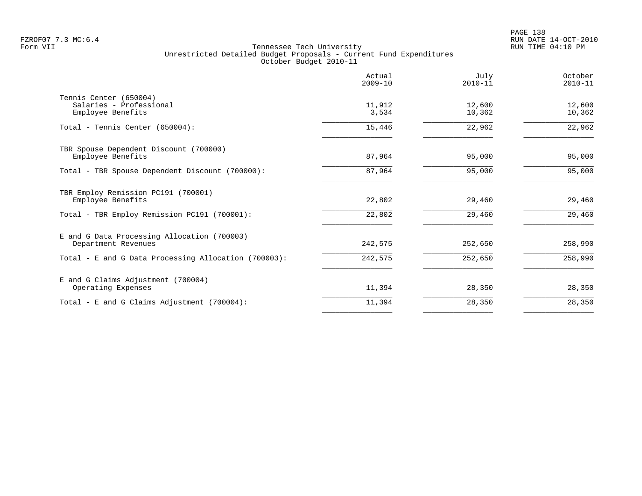|                                                                        | Actual<br>$2009 - 10$ | July<br>$2010 - 11$ | October<br>$2010 - 11$ |
|------------------------------------------------------------------------|-----------------------|---------------------|------------------------|
| Tennis Center (650004)<br>Salaries - Professional<br>Employee Benefits | 11,912<br>3,534       | 12,600<br>10,362    | 12,600<br>10,362       |
| Total - Tennis Center (650004):                                        | 15,446                | 22,962              | 22,962                 |
| TBR Spouse Dependent Discount (700000)<br>Employee Benefits            | 87,964                | 95,000              | 95,000                 |
| Total - TBR Spouse Dependent Discount (700000):                        | 87,964                | 95,000              | 95,000                 |
| TBR Employ Remission PC191 (700001)<br>Employee Benefits               | 22,802                | 29,460              | 29,460                 |
| Total - TBR Employ Remission PC191 (700001):                           | 22,802                | 29,460              | 29,460                 |
| E and G Data Processing Allocation (700003)<br>Department Revenues     | 242,575               | 252,650             | 258,990                |
| Total - E and G Data Processing Allocation (700003):                   | 242,575               | 252,650             | 258,990                |
| E and G Claims Adjustment (700004)<br>Operating Expenses               | 11,394                | 28,350              | 28,350                 |
| Total - E and G Claims Adjustment $(700004)$ :                         | 11,394                | 28,350              | 28,350                 |
|                                                                        |                       |                     |                        |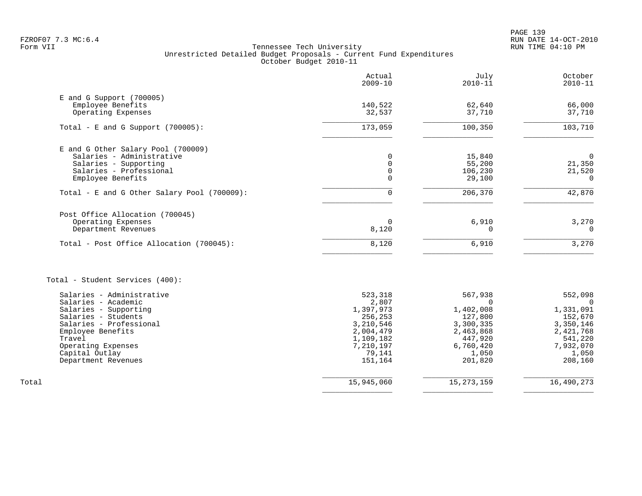PAGE 139 FZROF07 7.3 MC:6.4 RUN DATE 14-OCT-2010

| Actual<br>$2009 - 10$ | July<br>$2010 - 11$                                                                             | October<br>$2010 - 11$                                                                                       |
|-----------------------|-------------------------------------------------------------------------------------------------|--------------------------------------------------------------------------------------------------------------|
|                       |                                                                                                 |                                                                                                              |
| 32,537                | 37,710                                                                                          | 66,000<br>37,710                                                                                             |
| 173,059               | 100,350                                                                                         | 103,710                                                                                                      |
|                       |                                                                                                 |                                                                                                              |
| 0                     | 15,840                                                                                          | $\mathbf 0$                                                                                                  |
|                       |                                                                                                 | 21,350                                                                                                       |
| $\mathbf 0$           | 29,100                                                                                          | 21,520<br>$\Omega$                                                                                           |
| $\Omega$              | 206,370                                                                                         | 42,870                                                                                                       |
|                       |                                                                                                 |                                                                                                              |
| 0                     | 6,910                                                                                           | 3,270                                                                                                        |
|                       |                                                                                                 | $\Omega$                                                                                                     |
| 8,120                 | 6,910                                                                                           | 3,270                                                                                                        |
|                       |                                                                                                 |                                                                                                              |
| 523,318               | 567,938                                                                                         | 552,098                                                                                                      |
|                       |                                                                                                 | $\Omega$<br>1,331,091                                                                                        |
|                       |                                                                                                 | 152,670                                                                                                      |
| 3,210,546             | 3,300,335                                                                                       | 3,350,146                                                                                                    |
| 2,004,479             | 2,463,868                                                                                       | 2,421,768                                                                                                    |
|                       |                                                                                                 | 541,220                                                                                                      |
|                       |                                                                                                 | 7,932,070                                                                                                    |
| 151,164               | 201,820                                                                                         | 1,050<br>208,160                                                                                             |
|                       |                                                                                                 |                                                                                                              |
|                       | 140,522<br>0<br>0<br>8,120<br>2,807<br>1,397,973<br>256,253<br>1,109,182<br>7,210,197<br>79,141 | 62,640<br>55,200<br>106,230<br>$\Omega$<br>$\Omega$<br>1,402,008<br>127,800<br>447,920<br>6,760,420<br>1,050 |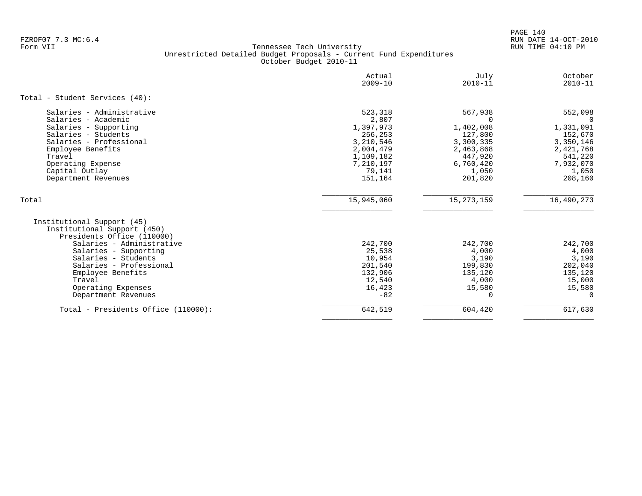PAGE 140 FZROF07 7.3 MC:6.4 RUN DATE 14-OCT-2010

|                                                                                                                                               | Actual            | July             | October          |
|-----------------------------------------------------------------------------------------------------------------------------------------------|-------------------|------------------|------------------|
|                                                                                                                                               | $2009 - 10$       | $2010 - 11$      | $2010 - 11$      |
| Total - Student Services (40):                                                                                                                |                   |                  |                  |
| Salaries - Administrative                                                                                                                     | 523,318           | 567,938          | 552,098          |
| Salaries - Academic                                                                                                                           | 2,807             | $\cap$           | $\Omega$         |
| Salaries - Supporting                                                                                                                         | 1,397,973         | 1,402,008        | 1,331,091        |
| Salaries - Students                                                                                                                           | 256,253           | 127,800          | 152,670          |
| Salaries - Professional                                                                                                                       | 3,210,546         | 3,300,335        | 3,350,146        |
| Employee Benefits                                                                                                                             | 2,004,479         | 2,463,868        | 2,421,768        |
| Travel                                                                                                                                        | 1,109,182         | 447,920          | 541,220          |
| Operating Expense                                                                                                                             | 7,210,197         | 6,760,420        | 7,932,070        |
| Capital Outlay                                                                                                                                | 79,141            | 1,050            | 1,050            |
| Department Revenues                                                                                                                           | 151,164           | 201,820          | 208,160          |
| Total                                                                                                                                         | 15,945,060        | 15, 273, 159     | 16,490,273       |
| Institutional Support (45)<br>Institutional Support (450)<br>Presidents Office (110000)<br>Salaries - Administrative<br>Salaries - Supporting | 242,700<br>25,538 | 242,700<br>4,000 | 242,700<br>4,000 |
| Salaries - Students                                                                                                                           | 10,954            | 3,190            | 3,190            |
| Salaries - Professional                                                                                                                       | 201,540           | 199,830          | 202,040          |
| Employee Benefits                                                                                                                             | 132,906           | 135,120          | 135,120          |
| Travel                                                                                                                                        | 12,540            | 4,000            | 15,000           |
| Operating Expenses                                                                                                                            | 16,423            | 15,580           | 15,580           |
| Department Revenues                                                                                                                           | $-82$             | $\Omega$         | $\Omega$         |
| Total - Presidents Office (110000):                                                                                                           | 642,519           | 604,420          | 617,630          |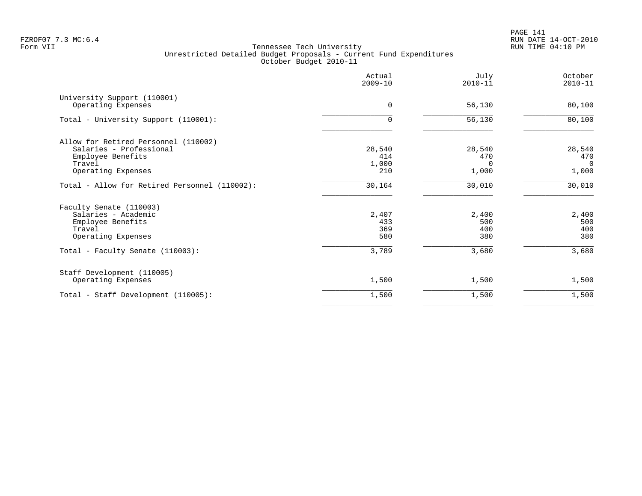|                                                                                                                      | Actual<br>$2009 - 10$         | July<br>$2010 - 11$                | October<br>$2010 - 11$                   |
|----------------------------------------------------------------------------------------------------------------------|-------------------------------|------------------------------------|------------------------------------------|
| University Support (110001)<br>Operating Expenses                                                                    | $\Omega$                      | 56,130                             | 80,100                                   |
| Total - University Support (110001):                                                                                 | $\mathbf 0$                   | 56,130                             | 80,100                                   |
| Allow for Retired Personnel (110002)<br>Salaries - Professional<br>Employee Benefits<br>Travel<br>Operating Expenses | 28,540<br>414<br>1,000<br>210 | 28,540<br>470<br>$\Omega$<br>1,000 | 28,540<br>470<br>$\overline{0}$<br>1,000 |
| Total - Allow for Retired Personnel (110002):                                                                        | 30,164                        | 30,010                             | 30,010                                   |
| Faculty Senate (110003)<br>Salaries - Academic<br>Employee Benefits<br>Travel<br>Operating Expenses                  | 2,407<br>433<br>369<br>580    | 2,400<br>500<br>400<br>380         | 2,400<br>500<br>400<br>380               |
| Total - Faculty Senate (110003):                                                                                     | 3,789                         | 3,680                              | 3,680                                    |
| Staff Development (110005)<br>Operating Expenses                                                                     | 1,500                         | 1,500                              | 1,500                                    |
| Total - Staff Development (110005):                                                                                  | 1,500                         | 1,500                              | 1,500                                    |
|                                                                                                                      |                               |                                    |                                          |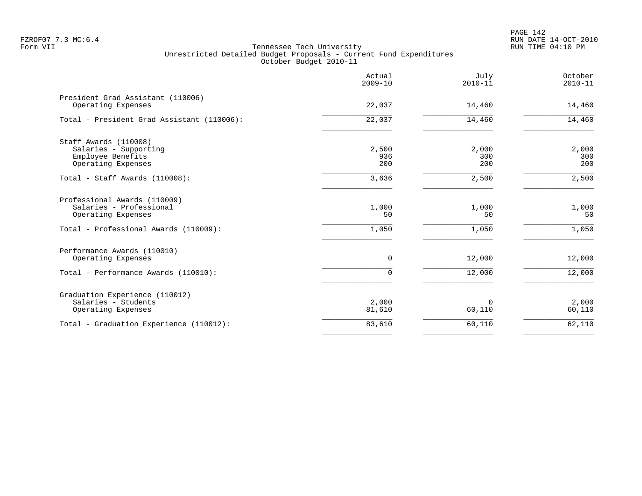|                                                                                                                        | Actual<br>$2009 - 10$ | July<br>$2010 - 11$  | October<br>$2010 - 11$ |
|------------------------------------------------------------------------------------------------------------------------|-----------------------|----------------------|------------------------|
| President Grad Assistant (110006)<br>Operating Expenses                                                                | 22,037                | 14,460               | 14,460                 |
| Total - President Grad Assistant (110006):                                                                             | 22,037                | 14,460               | 14,460                 |
| Staff Awards (110008)<br>Salaries - Supporting<br>Employee Benefits<br>Operating Expenses                              | 2,500<br>936<br>200   | 2,000<br>300<br>200  | 2,000<br>300<br>200    |
| Total - Staff Awards (110008):                                                                                         | 3,636                 | 2,500                | 2,500                  |
| Professional Awards (110009)<br>Salaries - Professional<br>Operating Expenses<br>Total - Professional Awards (110009): | 1,000<br>50<br>1,050  | 1,000<br>50<br>1,050 | 1,000<br>50<br>1,050   |
| Performance Awards (110010)<br>Operating Expenses                                                                      | 0                     | 12,000               | 12,000                 |
| Total - Performance Awards (110010):                                                                                   | $\Omega$              | 12,000               | 12,000                 |
| Graduation Experience (110012)<br>Salaries - Students<br>Operating Expenses                                            | 2,000<br>81,610       | 0<br>60,110          | 2,000<br>60,110        |
| Total - Graduation Experience (110012):                                                                                | 83,610                | 60,110               | 62,110                 |
|                                                                                                                        |                       |                      |                        |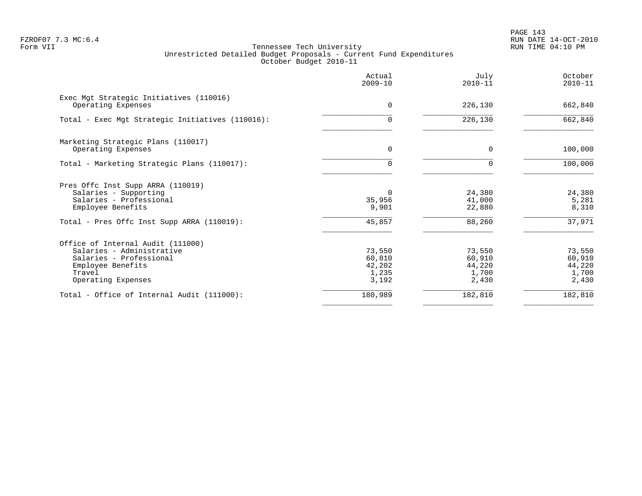PAGE 143 FZROF07 7.3 MC:6.4 RUN DATE 14-OCT-2010

|                                                                                                                                                | Actual<br>$2009 - 10$                        | July<br>$2010 - 11$                          | October<br>$2010 - 11$                       |
|------------------------------------------------------------------------------------------------------------------------------------------------|----------------------------------------------|----------------------------------------------|----------------------------------------------|
| Exec Mgt Strategic Initiatives (110016)<br>Operating Expenses                                                                                  | 0                                            | 226,130                                      | 662,840                                      |
| Total - Exec Mgt Strategic Initiatives (110016):                                                                                               | $\Omega$                                     | 226,130                                      | 662,840                                      |
| Marketing Strategic Plans (110017)<br>Operating Expenses                                                                                       | $\mathbf 0$                                  | $\Omega$                                     | 100,000                                      |
| Total - Marketing Strategic Plans (110017):                                                                                                    | $\Omega$                                     |                                              | 100,000                                      |
| Pres Offc Inst Supp ARRA (110019)<br>Salaries - Supporting<br>Salaries - Professional<br>Employee Benefits                                     | $\Omega$<br>35,956<br>9,901                  | 24,380<br>41,000<br>22,880                   | 24,380<br>5,281<br>8,310                     |
| Total - Pres Offc Inst Supp ARRA (110019):                                                                                                     | 45,857                                       | 88,260                                       | 37,971                                       |
| Office of Internal Audit (111000)<br>Salaries - Administrative<br>Salaries - Professional<br>Employee Benefits<br>Travel<br>Operating Expenses | 73,550<br>60,810<br>42,202<br>1,235<br>3,192 | 73,550<br>60,910<br>44,220<br>1,700<br>2,430 | 73,550<br>60,910<br>44,220<br>1,700<br>2,430 |
| Total - Office of Internal Audit (111000):                                                                                                     | 180,989                                      | 182,810                                      | 182,810                                      |
|                                                                                                                                                |                                              |                                              |                                              |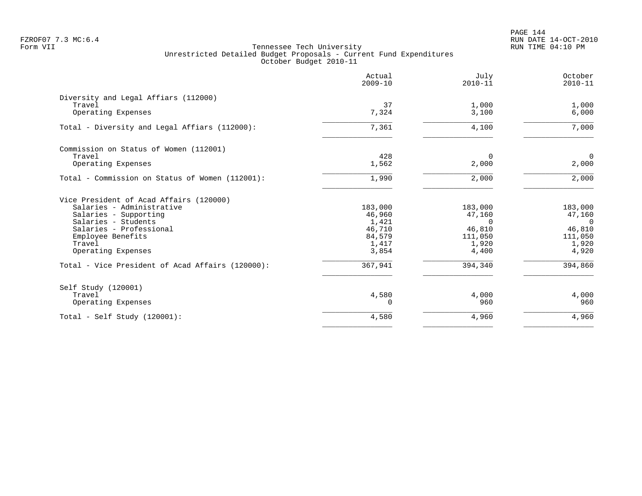PAGE 144 FZROF07 7.3 MC:6.4 RUN DATE 14-OCT-2010

|                                                  | Actual<br>$2009 - 10$ | July<br>$2010 - 11$ | October<br>$2010 - 11$  |
|--------------------------------------------------|-----------------------|---------------------|-------------------------|
| Diversity and Legal Affiars (112000)             |                       |                     |                         |
| Travel<br>Operating Expenses                     | 37<br>7,324           | 1,000<br>3,100      | 1,000<br>6,000          |
| Total - Diversity and Legal Affiars (112000):    | 7,361                 | 4,100               | 7,000                   |
| Commission on Status of Women (112001)           |                       |                     |                         |
| Travel<br>Operating Expenses                     | 428<br>1,562          | $\Omega$<br>2,000   | $\overline{0}$<br>2,000 |
| Total - Commission on Status of Women (112001):  | 1,990                 | 2,000               | 2,000                   |
| Vice President of Acad Affairs (120000)          |                       |                     |                         |
| Salaries - Administrative                        | 183,000               | 183,000             | 183,000                 |
| Salaries - Supporting                            | 46,960                | 47,160              | 47,160                  |
| Salaries - Students<br>Salaries - Professional   | 1,421<br>46,710       | $\Omega$<br>46,810  | $\Omega$<br>46,810      |
| Employee Benefits                                | 84,579                | 111,050             | 111,050                 |
| Travel                                           | 1,417                 | 1,920               | 1,920                   |
| Operating Expenses                               | 3,854                 | 4,400               | 4,920                   |
| Total - Vice President of Acad Affairs (120000): | 367,941               | 394,340             | 394,860                 |
| Self Study (120001)                              |                       |                     |                         |
| Travel                                           | 4,580                 | 4,000               | 4,000                   |
| Operating Expenses                               |                       | 960                 | 960                     |
| Total - Self Study $(120001)$ :                  | 4,580                 | 4,960               | 4,960                   |
|                                                  |                       |                     |                         |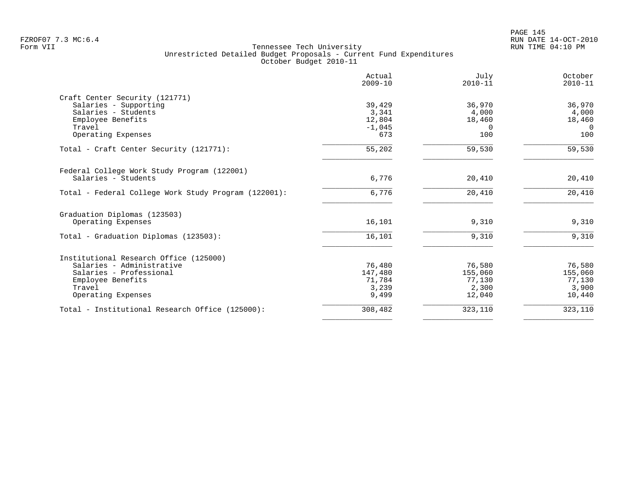|                                                      | Actual<br>$2009 - 10$ | Julv<br>$2010 - 11$ | October<br>$2010 - 11$ |
|------------------------------------------------------|-----------------------|---------------------|------------------------|
| Craft Center Security (121771)                       |                       |                     |                        |
| Salaries - Supporting                                | 39,429                | 36,970              | 36,970                 |
| Salaries - Students                                  | 3,341                 | 4,000               | 4,000                  |
| Employee Benefits                                    | 12,804                | 18,460              | 18,460                 |
| Travel                                               | $-1,045$              | $\Omega$            | $\Omega$               |
| Operating Expenses                                   | 673                   | 100                 | 100                    |
| Total - Craft Center Security (121771):              | 55,202                | 59,530              | 59,530                 |
| Federal College Work Study Program (122001)          |                       |                     |                        |
| Salaries - Students                                  | 6,776                 | 20,410              | 20,410                 |
| Total - Federal College Work Study Program (122001): | 6,776                 | 20,410              | 20,410                 |
| Graduation Diplomas (123503)                         |                       |                     |                        |
| Operating Expenses                                   | 16,101                | 9,310               | 9,310                  |
| Total - Graduation Diplomas (123503):                | 16,101                | 9,310               | 9,310                  |
| Institutional Research Office (125000)               |                       |                     |                        |
| Salaries - Administrative                            | 76,480                | 76,580              | 76,580                 |
| Salaries - Professional                              | 147,480               | 155,060             | 155,060                |
| Employee Benefits                                    | 71,784                | 77,130              | 77,130                 |
| Travel                                               | 3,239                 | 2,300               | 3,900                  |
| Operating Expenses                                   | 9,499                 | 12,040              | 10,440                 |
| Total - Institutional Research Office (125000):      | 308,482               | 323,110             | 323,110                |
|                                                      |                       |                     |                        |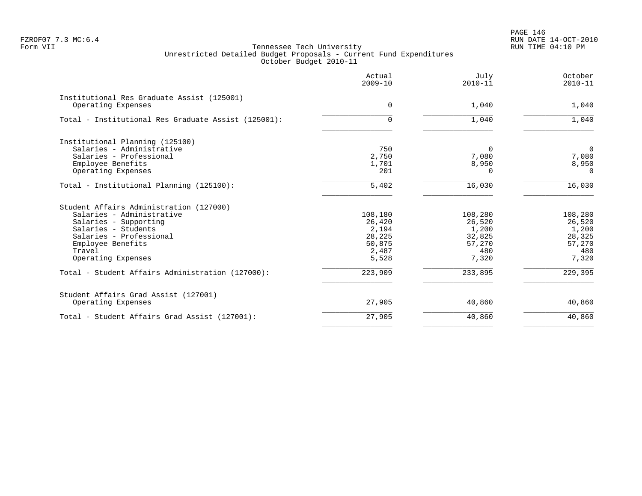PAGE 146 FZROF07 7.3 MC:6.4 RUN DATE 14-OCT-2010

|                                                     | Actual<br>$2009 - 10$ | July<br>$2010 - 11$ | October<br>$2010 - 11$ |
|-----------------------------------------------------|-----------------------|---------------------|------------------------|
| Institutional Res Graduate Assist (125001)          |                       |                     |                        |
| Operating Expenses                                  | $\Omega$              | 1,040               | 1,040                  |
| Total - Institutional Res Graduate Assist (125001): | $\Omega$              | 1,040               | 1,040                  |
| Institutional Planning (125100)                     |                       |                     |                        |
| Salaries - Administrative                           | 750                   | $\Omega$            | $\overline{0}$         |
| Salaries - Professional                             | 2,750                 | 7,080               | 7,080                  |
| Employee Benefits                                   | 1,701                 | 8,950               | 8,950                  |
| Operating Expenses                                  | 201                   | U                   | $\Omega$               |
| Total - Institutional Planning (125100):            | 5,402                 | 16,030              | 16,030                 |
| Student Affairs Administration (127000)             |                       |                     |                        |
| Salaries - Administrative                           | 108,180               | 108,280             | 108,280                |
| Salaries - Supporting                               | 26,420                | 26,520              | 26,520                 |
| Salaries - Students                                 | 2,194                 | 1,200               | 1,200                  |
| Salaries - Professional                             | 28,225                | 32,825              | 28,325                 |
| Employee Benefits                                   | 50,875                | 57,270              | 57,270                 |
| Travel                                              | 2,487                 | 480                 | 480                    |
| Operating Expenses                                  | 5,528                 | 7,320               | 7,320                  |
| Total - Student Affairs Administration (127000):    | 223,909               | 233,895             | 229,395                |
| Student Affairs Grad Assist (127001)                |                       |                     |                        |
| Operating Expenses                                  | 27,905                | 40,860              | 40,860                 |
| Total - Student Affairs Grad Assist (127001):       | 27,905                | 40,860              | 40,860                 |
|                                                     |                       |                     |                        |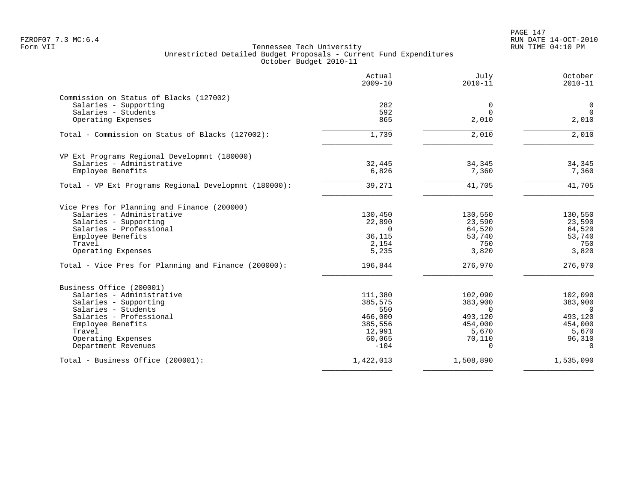# PAGE 147 FZROF07 7.3 MC:6.4 RUN DATE 14-OCT-2010

|                                                       | Actual<br>$2009 - 10$ | July<br>$2010 - 11$ | October<br>$2010 - 11$ |
|-------------------------------------------------------|-----------------------|---------------------|------------------------|
| Commission on Status of Blacks (127002)               |                       |                     |                        |
| Salaries - Supporting                                 | 282                   | 0                   | $\overline{0}$         |
| Salaries - Students                                   | 592                   | 0                   | $\overline{0}$         |
| Operating Expenses                                    | 865                   | 2,010               | 2,010                  |
| Total - Commission on Status of Blacks (127002):      | 1,739                 | 2,010               | 2,010                  |
| VP Ext Programs Regional Developmnt (180000)          |                       |                     |                        |
| Salaries - Administrative                             | 32,445                | 34,345              | 34,345                 |
| Employee Benefits                                     | 6,826                 | 7,360               | 7,360                  |
|                                                       |                       |                     |                        |
| Total - VP Ext Programs Regional Developmnt (180000): | 39,271                | 41,705              | 41,705                 |
| Vice Pres for Planning and Finance (200000)           |                       |                     |                        |
| Salaries - Administrative                             | 130,450               | 130,550             | 130,550                |
| Salaries - Supporting                                 | 22,890                | 23,590              | 23,590                 |
| Salaries - Professional                               | $\Omega$              | 64,520              | 64,520                 |
| Employee Benefits                                     | 36,115                | 53,740              | 53,740                 |
| Travel                                                | 2,154                 | 750                 | 750                    |
| Operating Expenses                                    | 5,235                 | 3,820               | 3,820                  |
| Total - Vice Pres for Planning and Finance (200000):  | 196,844               | 276,970             | 276,970                |
| Business Office (200001)                              |                       |                     |                        |
| Salaries - Administrative                             | 111,380               | 102,090             | 102,090                |
| Salaries - Supporting                                 | 385,575               | 383,900             | 383,900                |
| Salaries - Students                                   | 550                   | $\Omega$            | $\overline{0}$         |
| Salaries - Professional                               | 466,000               | 493,120             | 493,120                |
| Employee Benefits                                     | 385,556               | 454,000             | 454,000                |
| Travel                                                | 12,991                | 5,670               | 5,670                  |
| Operating Expenses                                    | 60,065                | 70,110              | 96,310                 |
| Department Revenues                                   | $-104$                | $\Omega$            | $\Omega$               |
| Total - Business Office (200001):                     | 1,422,013             | 1,508,890           | 1,535,090              |
|                                                       |                       |                     |                        |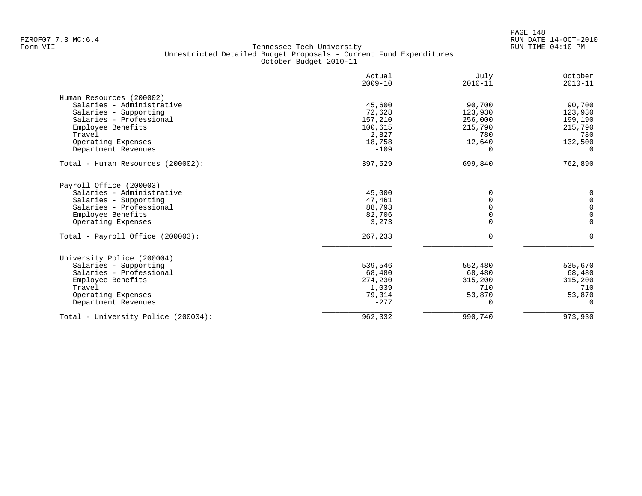|                                     | Actual<br>$2009 - 10$ | July<br>$2010 - 11$ | October<br>$2010 - 11$ |
|-------------------------------------|-----------------------|---------------------|------------------------|
| Human Resources (200002)            |                       |                     |                        |
| Salaries - Administrative           | 45,600                | 90,700              | 90,700                 |
| Salaries - Supporting               | 72,628                | 123,930             | 123,930                |
| Salaries - Professional             | 157,210               | 256,000             | 199,190                |
| Employee Benefits                   | 100,615               | 215,790             | 215,790                |
| Travel                              | 2,827                 | 780                 | 780                    |
| Operating Expenses                  | 18,758                | 12,640              | 132,500                |
| Department Revenues                 | $-109$                | $\Omega$            | $\Omega$               |
| Total - Human Resources (200002):   | 397,529               | 699,840             | 762,890                |
| Payroll Office (200003)             |                       |                     |                        |
| Salaries - Administrative           | 45,000                | $\Omega$            | 0                      |
| Salaries - Supporting               | 47,461                | O                   | $\mathbb O$            |
| Salaries - Professional             | 88,793                | O                   | $\mathbb O$            |
| Employee Benefits                   | 82,706                | 0                   | $\mathbf 0$            |
| Operating Expenses                  | 3,273                 | 0                   | $\mathbf 0$            |
| Total - Payroll Office (200003):    | 267,233               | $\Omega$            | $\Omega$               |
| University Police (200004)          |                       |                     |                        |
| Salaries - Supporting               | 539,546               | 552,480             | 535,670                |
| Salaries - Professional             | 68,480                | 68,480              | 68,480                 |
| Employee Benefits                   | 274,230               | 315,200             | 315,200                |
| Travel                              | 1,039                 | 710                 | 710                    |
| Operating Expenses                  | 79,314                | 53,870              | 53,870                 |
| Department Revenues                 | $-277$                | $\Omega$            | 0                      |
| Total - University Police (200004): | 962,332               | 990,740             | 973,930                |
|                                     |                       |                     |                        |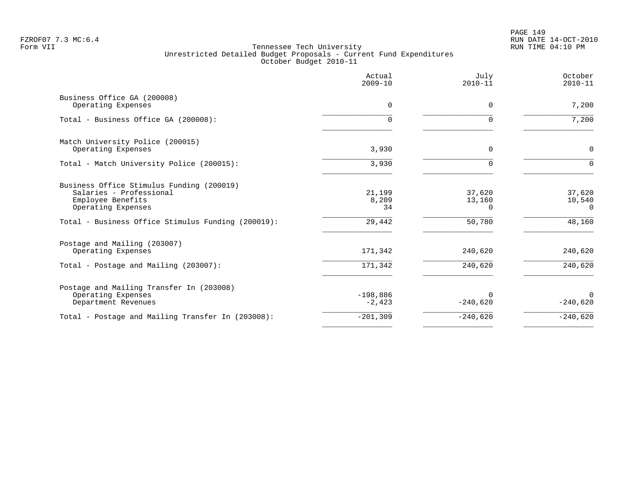PAGE 149 FZROF07 7.3 MC:6.4 RUN DATE 14-OCT-2010

|                                                                                                                 | Actual<br>$2009 - 10$  | July<br>$2010 - 11$   | October<br>$2010 - 11$       |
|-----------------------------------------------------------------------------------------------------------------|------------------------|-----------------------|------------------------------|
| Business Office GA (200008)<br>Operating Expenses                                                               | 0                      | 0                     | 7,200                        |
| Total - Business Office GA (200008):                                                                            | $\Omega$               | O                     | 7,200                        |
| Match University Police (200015)<br>Operating Expenses                                                          | 3,930                  | $\Omega$              | $\mathbf 0$                  |
| Total - Match University Police (200015):                                                                       | 3,930                  |                       | $\Omega$                     |
| Business Office Stimulus Funding (200019)<br>Salaries - Professional<br>Employee Benefits<br>Operating Expenses | 21,199<br>8,209<br>34  | 37,620<br>13,160<br>0 | 37,620<br>10,540<br>$\Omega$ |
| Total - Business Office Stimulus Funding (200019):                                                              | 29,442                 | 50,780                | 48,160                       |
| Postage and Mailing (203007)<br>Operating Expenses                                                              | 171,342                | 240,620               | 240,620                      |
| Total - Postage and Mailing (203007):                                                                           | 171,342                | 240,620               | 240,620                      |
| Postage and Mailing Transfer In (203008)<br>Operating Expenses<br>Department Revenues                           | $-198,886$<br>$-2,423$ | $-240,620$            | $\Omega$<br>$-240,620$       |
| Total - Postage and Mailing Transfer In (203008):                                                               | $-201, 309$            | $-240,620$            | $-240,620$                   |
|                                                                                                                 |                        |                       |                              |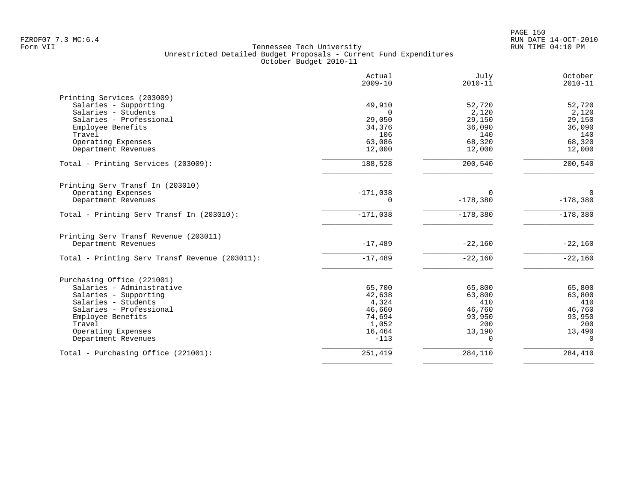|                                                | Actual<br>$2009 - 10$ | July<br>$2010 - 11$ | October<br>$2010 - 11$ |
|------------------------------------------------|-----------------------|---------------------|------------------------|
| Printing Services (203009)                     |                       |                     |                        |
| Salaries - Supporting                          | 49,910                | 52,720              | 52,720                 |
| Salaries - Students                            | $\Omega$              | 2,120               | 2,120                  |
| Salaries - Professional                        | 29,050                | 29,150              | 29,150                 |
| Employee Benefits                              | 34,376                | 36,090              | 36,090                 |
| Travel                                         | 106                   | 140                 | 140                    |
| Operating Expenses                             | 63,086                | 68,320              | 68,320                 |
| Department Revenues                            | 12,000                | 12,000              | 12,000                 |
| Total - Printing Services (203009):            | 188,528               | 200,540             | 200,540                |
| Printing Serv Transf In (203010)               |                       |                     |                        |
| Operating Expenses                             | $-171,038$            | $\Omega$            | $\Omega$               |
| Department Revenues                            | $\Omega$              | $-178,380$          | $-178,380$             |
| Total - Printing Serv Transf In (203010):      | $-171,038$            | $-178,380$          | $-178,380$             |
| Printing Serv Transf Revenue (203011)          |                       |                     |                        |
| Department Revenues                            | $-17,489$             | $-22,160$           | $-22,160$              |
| Total - Printing Serv Transf Revenue (203011): | $-17,489$             | $-22,160$           | $-22,160$              |
| Purchasing Office (221001)                     |                       |                     |                        |
| Salaries - Administrative                      | 65,700                | 65,800              | 65,800                 |
| Salaries - Supporting                          | 42,638                | 63,800              | 63,800                 |
| Salaries - Students                            | 4,324                 | 410                 | 410                    |
| Salaries - Professional                        | 46,660                | 46,760              | 46,760                 |
| Employee Benefits                              | 74,694                | 93,950              | 93,950                 |
| Travel                                         | 1,052                 | 200                 | 200                    |
| Operating Expenses                             | 16,464                | 13,190              | 13,490                 |
| Department Revenues                            | $-113$                | $\Omega$            | $\Omega$               |
| Total - Purchasing Office (221001):            | 251,419               | 284,110             | 284,410                |
|                                                |                       |                     |                        |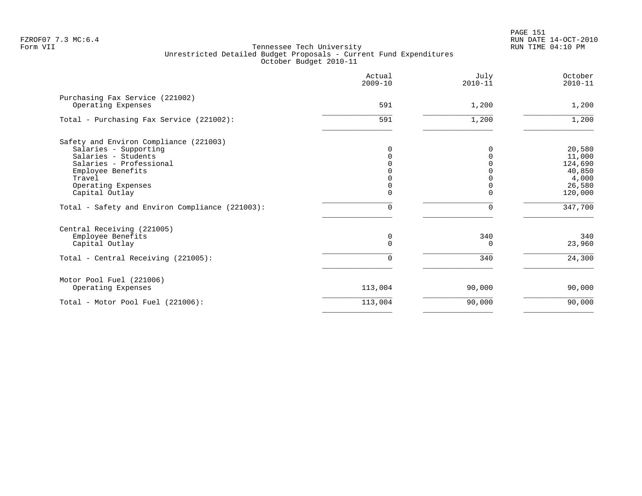|                                                       | Actual<br>$2009 - 10$ | July<br>$2010 - 11$ | October<br>$2010 - 11$ |
|-------------------------------------------------------|-----------------------|---------------------|------------------------|
| Purchasing Fax Service (221002)<br>Operating Expenses | 591                   | 1,200               | 1,200                  |
|                                                       |                       |                     |                        |
| Total - Purchasing Fax Service (221002):              | 591                   | 1,200               | 1,200                  |
| Safety and Environ Compliance (221003)                |                       |                     |                        |
| Salaries - Supporting                                 |                       |                     | 20,580                 |
| Salaries - Students                                   |                       |                     | 11,000                 |
| Salaries - Professional                               |                       |                     | 124,690                |
| Employee Benefits                                     |                       |                     | 40,850                 |
| Travel                                                |                       |                     | 4,000                  |
| Operating Expenses                                    |                       |                     | 26,580                 |
| Capital Outlay                                        | 0                     |                     | 120,000                |
| Total - Safety and Environ Compliance (221003):       | $\Omega$              | $\Omega$            | 347,700                |
| Central Receiving (221005)                            |                       |                     |                        |
| Employee Benefits                                     | 0                     | 340                 | 340                    |
| Capital Outlay                                        | $\Omega$              | 0                   | 23,960                 |
| Total - Central Receiving (221005):                   | $\Omega$              | 340                 | 24,300                 |
| Motor Pool Fuel (221006)                              |                       |                     |                        |
| Operating Expenses                                    | 113,004               | 90,000              | 90,000                 |
| Total - Motor Pool Fuel (221006):                     | 113,004               | 90,000              | 90,000                 |
|                                                       |                       |                     |                        |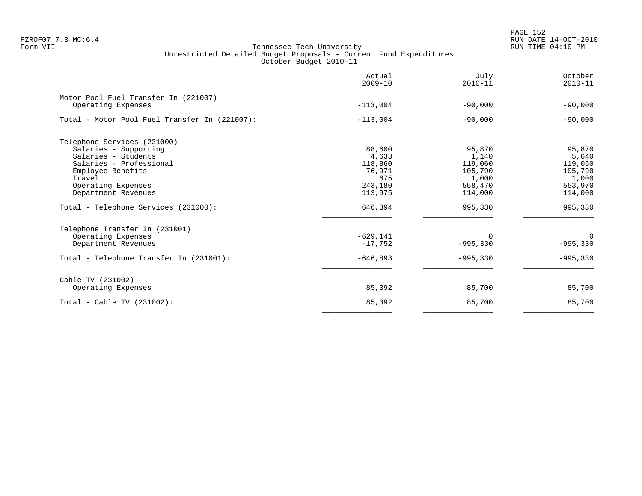PAGE 152 FZROF07 7.3 MC:6.4 RUN DATE 14-OCT-2010

|                                                            | Actual<br>$2009 - 10$ | July<br>$2010 - 11$ | October<br>$2010 - 11$ |
|------------------------------------------------------------|-----------------------|---------------------|------------------------|
| Motor Pool Fuel Transfer In (221007)<br>Operating Expenses | $-113,004$            | $-90,000$           | $-90,000$              |
|                                                            |                       |                     |                        |
| Total - Motor Pool Fuel Transfer In (221007):              | $-113,004$            | $-90,000$           | $-90,000$              |
| Telephone Services (231000)                                |                       |                     |                        |
| Salaries - Supporting                                      | 88,600                | 95,870              | 95,870                 |
| Salaries - Students                                        | 4,633                 | 1,140               | 5,640                  |
| Salaries - Professional                                    | 118,860               | 119,060             | 119,060                |
| Employee Benefits                                          | 76,971                | 105,790             | 105,790                |
| Travel                                                     | 675                   | 1,000               | 1,000                  |
| Operating Expenses                                         | 243,180               | 558,470             | 553,970                |
| Department Revenues                                        | 113,975               | 114,000             | 114,000                |
| Total - Telephone Services (231000):                       | 646,894               | 995,330             | 995,330                |
| Telephone Transfer In (231001)                             |                       |                     |                        |
| Operating Expenses                                         | $-629,141$            | $\Omega$            | $\Omega$               |
| Department Revenues                                        | $-17,752$             | $-995,330$          | $-995,330$             |
| Total - Telephone Transfer In (231001):                    | $-646,893$            | $-995,330$          | $-995,330$             |
| Cable TV (231002)                                          |                       |                     |                        |
| Operating Expenses                                         | 85,392                | 85,700              | 85,700                 |
| Total - Cable TV $(231002)$ :                              | 85,392                | 85,700              | 85,700                 |
|                                                            |                       |                     |                        |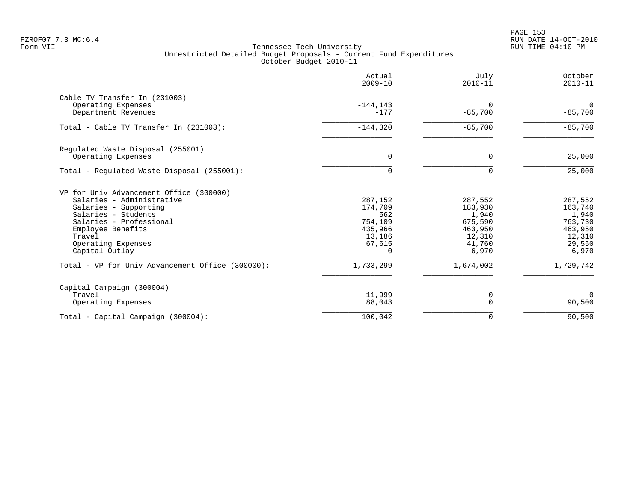PAGE 153 FZROF07 7.3 MC:6.4 RUN DATE 14-OCT-2010

|                                                                                                                                                                                                                        | Actual<br>$2009 - 10$                                                           | July<br>$2010 - 11$                                                            | October<br>$2010 - 11$                                                         |
|------------------------------------------------------------------------------------------------------------------------------------------------------------------------------------------------------------------------|---------------------------------------------------------------------------------|--------------------------------------------------------------------------------|--------------------------------------------------------------------------------|
| Cable TV Transfer In (231003)<br>Operating Expenses<br>Department Revenues                                                                                                                                             | $-144, 143$<br>$-177$                                                           | $\Omega$<br>$-85,700$                                                          | $\Omega$<br>$-85,700$                                                          |
| Total - Cable TV Transfer In (231003):                                                                                                                                                                                 | $-144,320$                                                                      | $-85,700$                                                                      | $-85,700$                                                                      |
| Regulated Waste Disposal (255001)<br>Operating Expenses                                                                                                                                                                | 0                                                                               | $\mathbf 0$                                                                    | 25,000                                                                         |
| Total - Regulated Waste Disposal (255001):                                                                                                                                                                             | $\Omega$                                                                        | $\Omega$                                                                       | 25,000                                                                         |
| VP for Univ Advancement Office (300000)<br>Salaries - Administrative<br>Salaries - Supporting<br>Salaries - Students<br>Salaries - Professional<br>Employee Benefits<br>Travel<br>Operating Expenses<br>Capital Outlay | 287,152<br>174,709<br>562<br>754,109<br>435,966<br>13,186<br>67,615<br>$\Omega$ | 287,552<br>183,930<br>1,940<br>675,590<br>463,950<br>12,310<br>41,760<br>6,970 | 287,552<br>163,740<br>1,940<br>763,730<br>463,950<br>12,310<br>29,550<br>6,970 |
| Total - VP for Univ Advancement Office (300000):                                                                                                                                                                       | 1,733,299                                                                       | 1,674,002                                                                      | 1,729,742                                                                      |
| Capital Campaign (300004)<br>Travel<br>Operating Expenses                                                                                                                                                              | 11,999<br>88,043                                                                | 0<br>$\Omega$                                                                  | $\Omega$<br>90,500                                                             |
| Total - Capital Campaign (300004):                                                                                                                                                                                     | 100,042                                                                         | 0                                                                              | 90,500                                                                         |
|                                                                                                                                                                                                                        |                                                                                 |                                                                                |                                                                                |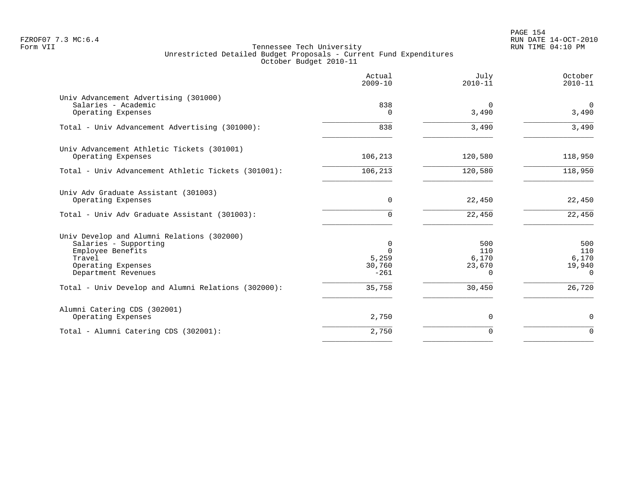PAGE 154 FZROF07 7.3 MC:6.4 RUN DATE 14-OCT-2010

|                                                                                                                                                 | Actual<br>$2009 - 10$                      | July<br>$2010 - 11$                | October<br>$2010 - 11$                       |
|-------------------------------------------------------------------------------------------------------------------------------------------------|--------------------------------------------|------------------------------------|----------------------------------------------|
| Univ Advancement Advertising (301000)<br>Salaries - Academic<br>Operating Expenses                                                              | 838<br>$\Omega$                            | $\Omega$<br>3,490                  | $\mathbf 0$<br>3,490                         |
| Total - Univ Advancement Advertising (301000):                                                                                                  | 838                                        | 3,490                              | 3,490                                        |
| Univ Advancement Athletic Tickets (301001)<br>Operating Expenses                                                                                | 106,213                                    | 120,580                            | 118,950                                      |
| Total - Univ Advancement Athletic Tickets (301001):                                                                                             | 106,213                                    | 120,580                            | 118,950                                      |
| Univ Adv Graduate Assistant (301003)<br>Operating Expenses                                                                                      | 0                                          | 22,450                             | 22,450                                       |
| Total - Univ Adv Graduate Assistant (301003):                                                                                                   | 0                                          | 22,450                             | 22,450                                       |
| Univ Develop and Alumni Relations (302000)<br>Salaries - Supporting<br>Employee Benefits<br>Travel<br>Operating Expenses<br>Department Revenues | 0<br>$\Omega$<br>5,259<br>30,760<br>$-261$ | 500<br>110<br>6,170<br>23,670<br>0 | 500<br>110<br>6,170<br>19,940<br>$\mathbf 0$ |
| Total - Univ Develop and Alumni Relations (302000):                                                                                             | 35,758                                     | 30,450                             | 26,720                                       |
| Alumni Catering CDS (302001)<br>Operating Expenses                                                                                              | 2,750                                      | 0                                  | $\mathbf 0$                                  |
| Total - Alumni Catering CDS (302001):                                                                                                           | 2,750                                      | $\mathbf 0$                        | $\Omega$                                     |
|                                                                                                                                                 |                                            |                                    |                                              |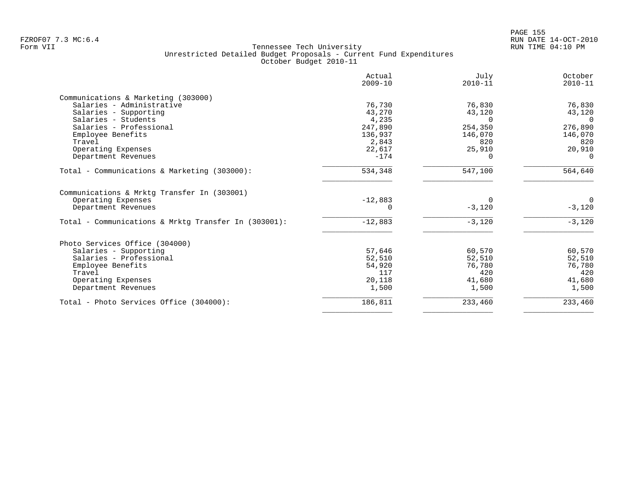| Actual<br>$2009 - 10$ | July<br>$2010 - 11$                                     | October<br>$2010 - 11$     |
|-----------------------|---------------------------------------------------------|----------------------------|
|                       |                                                         |                            |
| 76,730                | 76,830                                                  | 76,830                     |
| 43,270                | 43,120                                                  | 43,120                     |
| 4,235                 | $\Omega$                                                | $\Omega$                   |
| 247,890               | 254,350                                                 | 276,890                    |
| 136,937               | 146,070                                                 | 146,070                    |
|                       | 820                                                     | 820                        |
|                       |                                                         | 20,910                     |
|                       | 0                                                       | - റ                        |
| 534,348               | 547,100                                                 | 564,640                    |
|                       |                                                         |                            |
| $-12,883$             |                                                         | $\Omega$                   |
| $\Omega$              | $-3,120$                                                | $-3,120$                   |
| $-12,883$             | $-3,120$                                                | $-3,120$                   |
|                       |                                                         |                            |
|                       |                                                         | 60,570                     |
|                       |                                                         | 52,510                     |
|                       | 76,780                                                  | 76,780                     |
| 117                   | 420                                                     | 420                        |
| 20,118                | 41,680                                                  | 41,680                     |
| 1,500                 | 1,500                                                   | 1,500                      |
| 186,811               | 233,460                                                 | 233,460                    |
|                       | 2,843<br>22,617<br>$-174$<br>57,646<br>52,510<br>54,920 | 25,910<br>60,570<br>52,510 |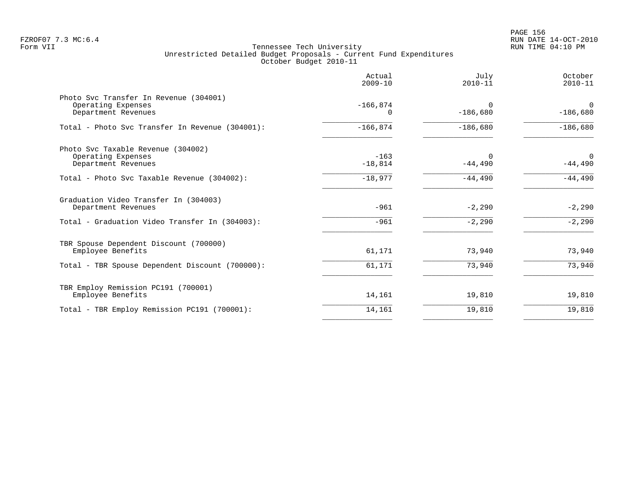|                                                                                                                | Actual<br>$2009 - 10$  | July<br>$2010 - 11$    | October<br>$2010 - 11$   |
|----------------------------------------------------------------------------------------------------------------|------------------------|------------------------|--------------------------|
| Photo Svc Transfer In Revenue (304001)<br>Operating Expenses<br>Department Revenues                            | $-166,874$<br>$\Omega$ | $\Omega$<br>$-186,680$ | $\Omega$<br>$-186,680$   |
| Total - Photo Svc Transfer In Revenue (304001):                                                                | $-166,874$             | $-186,680$             | $-186,680$               |
| Photo Svc Taxable Revenue (304002)<br>Operating Expenses<br>Department Revenues                                | $-163$<br>$-18,814$    | $\Omega$<br>$-44,490$  | $\mathbf 0$<br>$-44,490$ |
| Total - Photo Svc Taxable Revenue (304002):                                                                    | $-18,977$              | $-44,490$              | $-44,490$                |
| Graduation Video Transfer In (304003)<br>Department Revenues<br>Total - Graduation Video Transfer In (304003): | $-961$<br>$-961$       | $-2,290$<br>$-2,290$   | $-2,290$<br>$-2,290$     |
| TBR Spouse Dependent Discount (700000)<br>Employee Benefits<br>Total - TBR Spouse Dependent Discount (700000): | 61,171<br>61,171       | 73,940<br>73,940       | 73,940<br>73,940         |
| TBR Employ Remission PC191 (700001)<br>Employee Benefits                                                       | 14,161                 | 19,810                 | 19,810                   |
| Total - TBR Employ Remission PC191 (700001):                                                                   | 14,161                 | 19,810                 | 19,810                   |
|                                                                                                                |                        |                        |                          |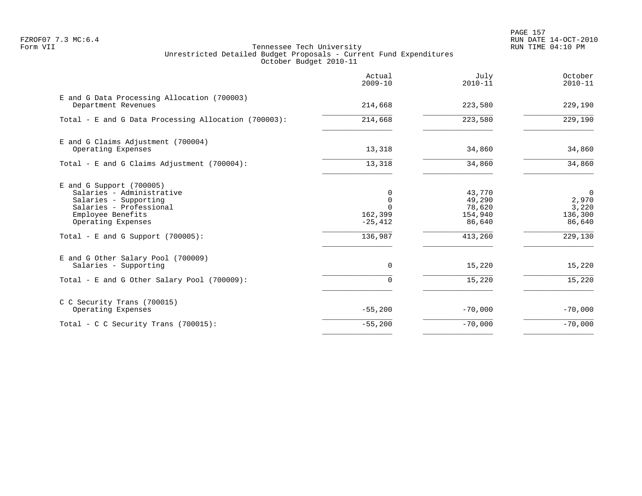PAGE 157 FZROF07 7.3 MC:6.4 RUN DATE 14-OCT-2010

|                                                                                                                                                                                                | Actual<br>$2009 - 10$                                        | July<br>$2010 - 11$                                        | October<br>$2010 - 11$                                           |
|------------------------------------------------------------------------------------------------------------------------------------------------------------------------------------------------|--------------------------------------------------------------|------------------------------------------------------------|------------------------------------------------------------------|
| E and G Data Processing Allocation (700003)<br>Department Revenues                                                                                                                             | 214,668                                                      | 223,580                                                    | 229,190                                                          |
| Total - E and G Data Processing Allocation (700003):                                                                                                                                           | 214,668                                                      | 223,580                                                    | 229,190                                                          |
| E and G Claims Adjustment (700004)<br>Operating Expenses                                                                                                                                       | 13,318                                                       | 34,860                                                     | 34,860                                                           |
| Total - E and G Claims Adjustment (700004):                                                                                                                                                    | 13,318                                                       | 34,860                                                     | 34,860                                                           |
| $E$ and G Support (700005)<br>Salaries - Administrative<br>Salaries - Supporting<br>Salaries - Professional<br>Employee Benefits<br>Operating Expenses<br>Total - E and G Support $(700005)$ : | $\Omega$<br>0<br>$\Omega$<br>162,399<br>$-25,412$<br>136,987 | 43,770<br>49,290<br>78,620<br>154,940<br>86,640<br>413,260 | $\overline{0}$<br>2,970<br>3,220<br>136,300<br>86,640<br>229,130 |
| E and G Other Salary Pool (700009)<br>Salaries - Supporting                                                                                                                                    | $\Omega$                                                     | 15,220                                                     | 15,220                                                           |
| Total - E and G Other Salary Pool (700009):                                                                                                                                                    | $\Omega$                                                     | 15,220                                                     | 15,220                                                           |
| C C Security Trans (700015)<br>Operating Expenses                                                                                                                                              | $-55,200$                                                    | $-70,000$                                                  | $-70,000$                                                        |
| Total - C C Security Trans (700015):                                                                                                                                                           | $-55,200$                                                    | $-70,000$                                                  | $-70,000$                                                        |
|                                                                                                                                                                                                |                                                              |                                                            |                                                                  |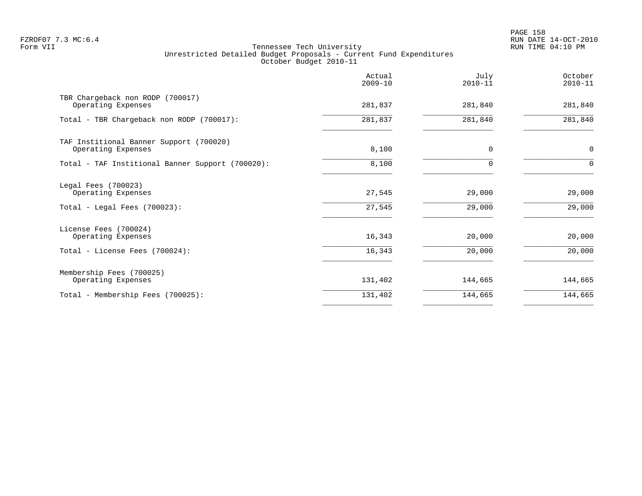PAGE 158 FZROF07 7.3 MC:6.4 RUN DATE 14-OCT-2010

|                                                                               | Actual<br>$2009 - 10$ | July<br>$2010 - 11$ | October<br>$2010 - 11$ |
|-------------------------------------------------------------------------------|-----------------------|---------------------|------------------------|
| TBR Chargeback non RODP (700017)<br>Operating Expenses                        | 281,837               | 281,840             | 281,840                |
| Total - TBR Chargeback non RODP (700017):                                     | 281,837               | 281,840             | 281,840                |
| TAF Institional Banner Support (700020)<br>Operating Expenses                 | 8,100                 | 0                   | $\mathbf 0$            |
| Total - TAF Institional Banner Support (700020):                              | 8,100                 | 0                   | $\Omega$               |
| Legal Fees (700023)<br>Operating Expenses<br>Total - Legal Fees $(700023)$ :  | 27,545<br>27,545      | 29,000<br>29,000    | 29,000<br>29,000       |
| License Fees (700024)<br>Operating Expenses<br>Total - License Fees (700024): | 16,343<br>16,343      | 20,000<br>20,000    | 20,000<br>20,000       |
| Membership Fees (700025)<br>Operating Expenses                                | 131,402               | 144,665             | 144,665                |
| Total - Membership Fees (700025):                                             | 131,402               | 144,665             | 144,665                |
|                                                                               |                       |                     |                        |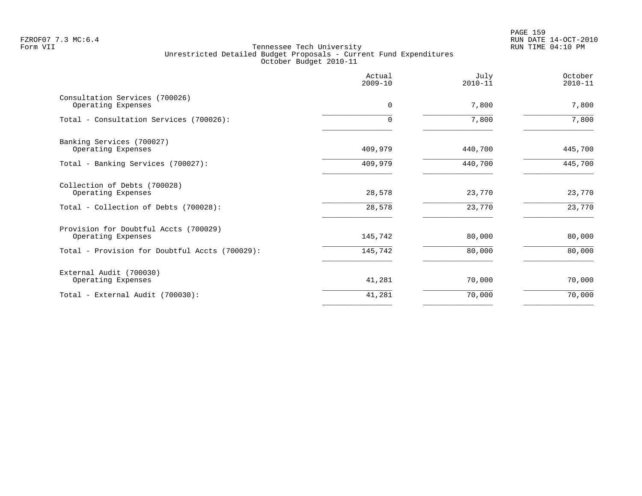PAGE 159 FZROF07 7.3 MC:6.4 RUN DATE 14-OCT-2010

|                                                             | Actual<br>$2009 - 10$ | July<br>$2010 - 11$ | October<br>$2010 - 11$ |
|-------------------------------------------------------------|-----------------------|---------------------|------------------------|
| Consultation Services (700026)<br>Operating Expenses        | $\Omega$              | 7,800               | 7,800                  |
| Total - Consultation Services (700026):                     | $\Omega$              | 7,800               | 7,800                  |
| Banking Services (700027)<br>Operating Expenses             | 409,979               | 440,700             | 445,700                |
| Total - Banking Services (700027):                          | 409,979               | 440,700             | 445,700                |
| Collection of Debts (700028)<br>Operating Expenses          | 28,578                | 23,770              | 23,770                 |
| Total - Collection of Debts (700028):                       | 28,578                | 23,770              | 23,770                 |
| Provision for Doubtful Accts (700029)<br>Operating Expenses | 145,742               | 80,000              | 80,000                 |
| Total - Provision for Doubtful Accts (700029):              | 145,742               | 80,000              | 80,000                 |
| External Audit (700030)<br>Operating Expenses               | 41,281                | 70,000              | 70,000                 |
| Total - External Audit (700030):                            | 41,281                | 70,000              | 70,000                 |
|                                                             |                       |                     |                        |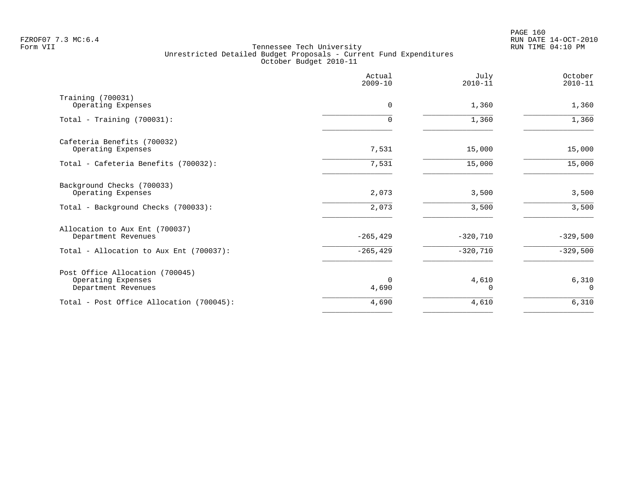|                                                                              | Actual<br>$2009 - 10$ | July<br>$2010 - 11$   | October<br>$2010 - 11$ |
|------------------------------------------------------------------------------|-----------------------|-----------------------|------------------------|
| Training (700031)<br>Operating Expenses                                      | 0                     | 1,360                 | 1,360                  |
| Total - Training $(700031)$ :                                                | 0                     | 1,360                 | 1,360                  |
| Cafeteria Benefits (700032)<br>Operating Expenses                            | 7,531                 | 15,000                | 15,000                 |
| Total - Cafeteria Benefits (700032):                                         | 7,531                 | 15,000                | 15,000                 |
| Background Checks (700033)<br>Operating Expenses                             | 2,073                 | 3,500                 | 3,500                  |
| Total - Background Checks (700033):                                          | 2,073                 | 3,500                 | 3,500                  |
| Allocation to Aux Ent (700037)<br>Department Revenues                        | $-265, 429$           | $-320,710$            | $-329,500$             |
| Total - Allocation to Aux Ent (700037):                                      | $-265, 429$           | $-320,710$            | $-329,500$             |
| Post Office Allocation (700045)<br>Operating Expenses<br>Department Revenues | $\Omega$<br>4,690     | 4,610<br><sup>0</sup> | 6,310<br>$\Omega$      |
| Total - Post Office Allocation (700045):                                     | 4,690                 | 4,610                 | 6,310                  |
|                                                                              |                       |                       |                        |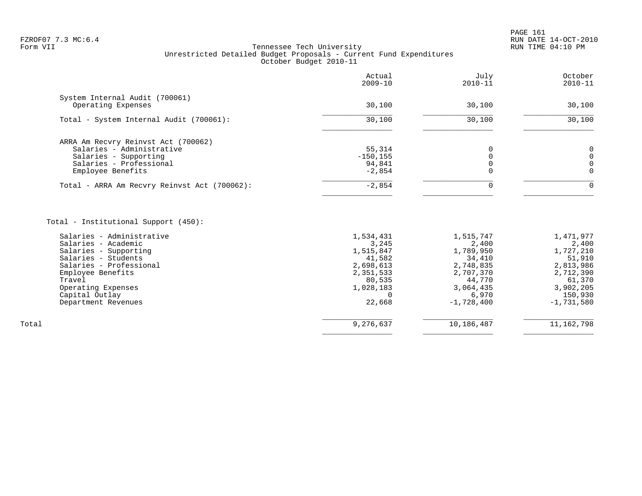|                                                                                                                                           | Actual<br>$2009 - 10$                       | July<br>$2010 - 11$ | October<br>$2010 - 11$    |
|-------------------------------------------------------------------------------------------------------------------------------------------|---------------------------------------------|---------------------|---------------------------|
| System Internal Audit (700061)<br>Operating Expenses                                                                                      | 30,100                                      | 30,100              | 30,100                    |
| Total - System Internal Audit (700061):                                                                                                   | 30,100                                      | 30,100              | 30,100                    |
| ARRA Am Recvry Reinvst Act (700062)<br>Salaries - Administrative<br>Salaries - Supporting<br>Salaries - Professional<br>Employee Benefits | 55,314<br>$-150, 155$<br>94,841<br>$-2,854$ |                     | 0<br>$\Omega$<br>$\Omega$ |
| Total - ARRA Am Recvry Reinvst Act (700062):                                                                                              | $-2,854$                                    |                     | $\Omega$                  |

|       | Salaries - Administrative | 1,534,431 | 1,515,747    | 1,471,977    |
|-------|---------------------------|-----------|--------------|--------------|
|       | Salaries - Academic       | 3,245     | 2,400        | 2,400        |
|       | Salaries - Supporting     | 1,515,847 | 1,789,950    | 1,727,210    |
|       | Salaries - Students       | 41,582    | 34,410       | 51,910       |
|       | Salaries - Professional   | 2,698,613 | 2,748,835    | 2,813,986    |
|       | Employee Benefits         | 2,351,533 | 2,707,370    | 2,712,390    |
|       | Travel                    | 80,535    | 44,770       | 61,370       |
|       | Operating Expenses        | 1,028,183 | 3,064,435    | 3,902,205    |
|       | Capital Outlay            |           | 6,970        | 150,930      |
|       | Department Revenues       | 22,668    | $-1,728,400$ | $-1,731,580$ |
|       |                           |           |              |              |
| Total |                           | 9,276,637 | 10,186,487   | 11, 162, 798 |
|       |                           |           |              |              |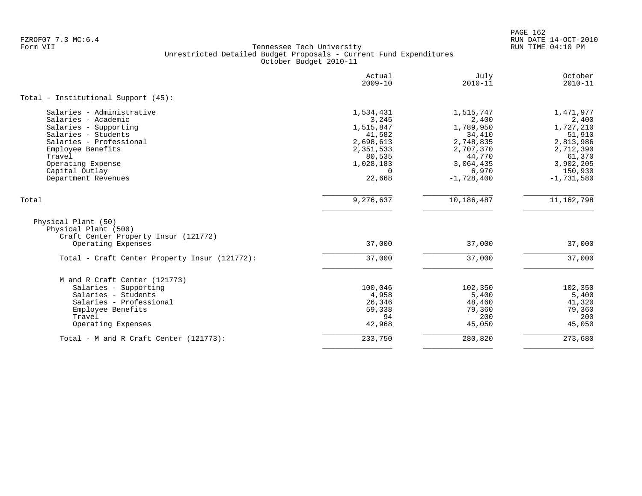PAGE 162 FZROF07 7.3 MC:6.4 RUN DATE 14-OCT-2010

|                                                                                                                                                               | Actual<br>$2009 - 10$                                                         | July<br>$2010 - 11$                                                           | October<br>$2010 - 11$                                                        |
|---------------------------------------------------------------------------------------------------------------------------------------------------------------|-------------------------------------------------------------------------------|-------------------------------------------------------------------------------|-------------------------------------------------------------------------------|
| Total - Institutional Support (45):                                                                                                                           |                                                                               |                                                                               |                                                                               |
| Salaries - Administrative<br>Salaries - Academic<br>Salaries - Supporting<br>Salaries - Students<br>Salaries - Professional<br>Employee Benefits<br>Travel    | 1,534,431<br>3,245<br>1,515,847<br>41,582<br>2,698,613<br>2,351,533<br>80,535 | 1,515,747<br>2,400<br>1,789,950<br>34,410<br>2,748,835<br>2,707,370<br>44,770 | 1,471,977<br>2,400<br>1,727,210<br>51,910<br>2,813,986<br>2,712,390<br>61,370 |
| Operating Expense<br>Capital Outlay<br>Department Revenues                                                                                                    | 1,028,183<br>$\Omega$<br>22,668                                               | 3,064,435<br>6,970<br>$-1,728,400$                                            | 3,902,205<br>150,930<br>$-1,731,580$                                          |
| Total                                                                                                                                                         | 9,276,637                                                                     | 10,186,487                                                                    | 11, 162, 798                                                                  |
| Physical Plant (50)<br>Physical Plant (500)<br>Craft Center Property Insur (121772)<br>Operating Expenses                                                     | 37,000                                                                        | 37,000                                                                        | 37,000                                                                        |
| Total - Craft Center Property Insur (121772):                                                                                                                 | 37,000                                                                        | 37,000                                                                        | 37,000                                                                        |
| M and R Craft Center (121773)<br>Salaries - Supporting<br>Salaries - Students<br>Salaries - Professional<br>Employee Benefits<br>Travel<br>Operating Expenses | 100,046<br>4,958<br>26,346<br>59,338<br>94<br>42,968                          | 102,350<br>5,400<br>48,460<br>79,360<br>200<br>45,050                         | 102,350<br>5,400<br>41,320<br>79,360<br>200<br>45,050                         |
| Total - M and R Craft Center (121773):                                                                                                                        | 233,750                                                                       | 280,820                                                                       | 273,680                                                                       |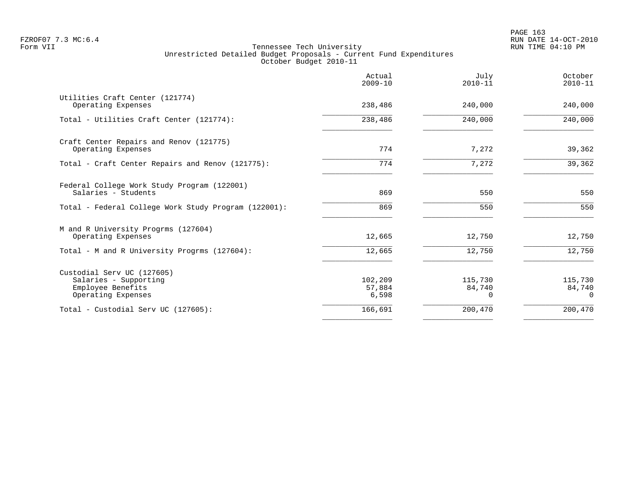|                                                                                                | Actual<br>$2009 - 10$      | July<br>$2010 - 11$    | October<br>$2010 - 11$        |
|------------------------------------------------------------------------------------------------|----------------------------|------------------------|-------------------------------|
| Utilities Craft Center (121774)<br>Operating Expenses                                          | 238,486                    | 240,000                | 240,000                       |
| Total - Utilities Craft Center (121774):                                                       | 238,486                    | 240,000                | 240,000                       |
| Craft Center Repairs and Renov (121775)<br>Operating Expenses                                  | 774                        | 7,272                  | 39,362                        |
| Total - Craft Center Repairs and Renov (121775):                                               | 774                        | 7,272                  | 39,362                        |
| Federal College Work Study Program (122001)<br>Salaries - Students                             | 869                        | 550                    | 550                           |
| Total - Federal College Work Study Program (122001):                                           | 869                        | 550                    | 550                           |
| M and R University Progrms (127604)<br>Operating Expenses                                      | 12,665                     | 12,750                 | 12,750                        |
| Total - M and R University Progrms (127604):                                                   | 12,665                     | 12,750                 | 12,750                        |
| Custodial Serv UC (127605)<br>Salaries - Supporting<br>Employee Benefits<br>Operating Expenses | 102,209<br>57,884<br>6,598 | 115,730<br>84,740<br>0 | 115,730<br>84,740<br>$\Omega$ |
| Total - Custodial Serv UC (127605):                                                            | 166,691                    | 200,470                | 200,470                       |
|                                                                                                |                            |                        |                               |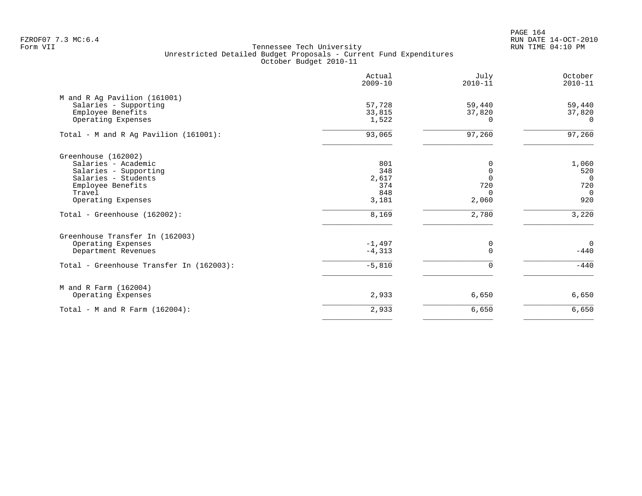PAGE 164 FZROF07 7.3 MC:6.4 RUN DATE 14-OCT-2010

|                                          | Actual<br>$2009 - 10$ | July<br>$2010 - 11$ | October<br>$2010 - 11$ |
|------------------------------------------|-----------------------|---------------------|------------------------|
| M and R Ag Pavilion (161001)             |                       |                     |                        |
| Salaries - Supporting                    | 57,728                | 59,440              | 59,440                 |
| Employee Benefits                        | 33,815                | 37,820              | 37,820                 |
| Operating Expenses                       | 1,522                 | $\Omega$            | $\Omega$               |
| Total - M and R Ag Pavilion (161001):    | 93,065                | 97,260              | 97,260                 |
| Greenhouse (162002)                      |                       |                     |                        |
| Salaries - Academic                      | 801                   | 0                   | 1,060                  |
| Salaries - Supporting                    | 348                   | $\Omega$            | 520                    |
| Salaries - Students                      | 2,617                 | $\Omega$            | $\mathbf 0$            |
| Employee Benefits                        | 374                   | 720                 | 720                    |
| Travel                                   | 848                   | $\Omega$            | $\Omega$               |
| Operating Expenses                       | 3,181                 | 2,060               | 920                    |
| Total - Greenhouse (162002):             | 8,169                 | 2,780               | 3,220                  |
| Greenhouse Transfer In (162003)          |                       |                     |                        |
| Operating Expenses                       | $-1,497$              | 0                   | $\mathbf 0$            |
| Department Revenues                      | $-4,313$              | $\Omega$            | $-440$                 |
| Total - Greenhouse Transfer In (162003): | $-5,810$              | $\Omega$            | $-440$                 |
| M and R Farm (162004)                    |                       |                     |                        |
| Operating Expenses                       | 2,933                 | 6,650               | 6,650                  |
| Total - M and R Farm $(162004)$ :        | 2,933                 | 6,650               | 6,650                  |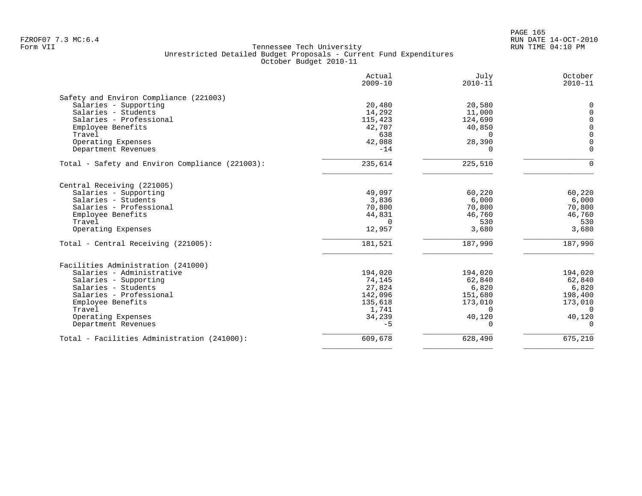|                                                 | Actual<br>$2009 - 10$ | July<br>$2010 - 11$ | October<br>$2010 - 11$ |
|-------------------------------------------------|-----------------------|---------------------|------------------------|
| Safety and Environ Compliance (221003)          |                       |                     |                        |
| Salaries - Supporting                           | 20,480                | 20,580              | $\Omega$               |
| Salaries - Students                             | 14,292                | 11,000              | $\Omega$               |
| Salaries - Professional                         | 115,423               | 124,690             | $\mathbf 0$            |
| Employee Benefits                               | 42,707                | 40,850              | $\mathbf 0$            |
| Travel                                          | 638                   | $\Omega$            | $\mathbf{0}$           |
| Operating Expenses                              | 42,088                | 28,390              | $\Omega$               |
| Department Revenues                             | $-14$                 | $\Omega$            | $\Omega$               |
| Total - Safety and Environ Compliance (221003): | 235,614               | 225,510             | $\Omega$               |
| Central Receiving (221005)                      |                       |                     |                        |
| Salaries - Supporting                           | 49,097                | 60,220              | 60,220                 |
| Salaries - Students                             | 3,836                 | 6,000               | 6,000                  |
| Salaries - Professional                         | 70,800                | 70,800              | 70,800                 |
| Employee Benefits                               | 44,831                | 46,760              | 46,760                 |
| Travel                                          | $\Omega$              | 530                 | 530                    |
| Operating Expenses                              | 12,957                | 3,680               | 3,680                  |
| Total - Central Receiving (221005):             | 181,521               | 187,990             | 187,990                |
| Facilities Administration (241000)              |                       |                     |                        |
| Salaries - Administrative                       | 194,020               | 194,020             | 194,020                |
| Salaries - Supporting                           | 74,145                | 62,840              | 62,840                 |
| Salaries - Students                             | 27,824                | 6,820               | 6,820                  |
| Salaries - Professional                         | 142,096               | 151,680             | 198,400                |
| Employee Benefits                               | 135,618               | 173,010             | 173,010                |
| Travel                                          | 1,741                 | $\Omega$            | $\Omega$               |
| Operating Expenses                              | 34,239                | 40,120              | 40,120                 |
| Department Revenues                             | $-5$                  | $\Omega$            | $\Omega$               |
| Total - Facilities Administration (241000):     | 609,678               | 628,490             | 675,210                |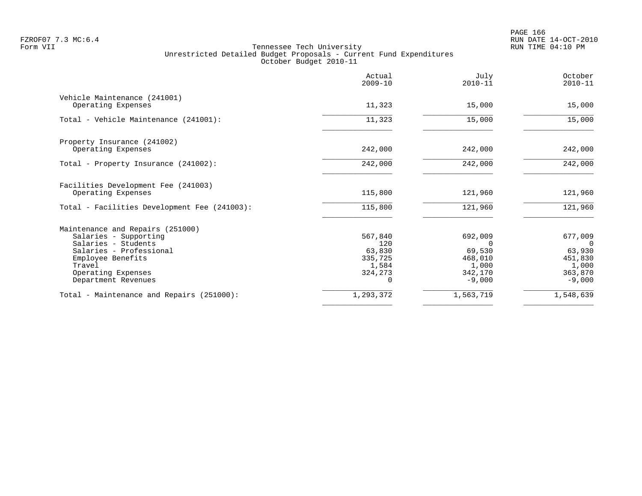|                                                           | Actual<br>$2009 - 10$ | July<br>$2010 - 11$ | October<br>$2010 - 11$ |
|-----------------------------------------------------------|-----------------------|---------------------|------------------------|
| Vehicle Maintenance (241001)<br>Operating Expenses        | 11,323                | 15,000              | 15,000                 |
| Total - Vehicle Maintenance (241001):                     | 11,323                | 15,000              | 15,000                 |
| Property Insurance (241002)<br>Operating Expenses         | 242,000               | 242,000             | 242,000                |
| Total - Property Insurance (241002):                      | 242,000               | 242,000             | 242,000                |
| Facilities Development Fee (241003)<br>Operating Expenses | 115,800               | 121,960             | 121,960                |
| Total - Facilities Development Fee (241003):              | 115,800               | 121,960             | 121,960                |
| Maintenance and Repairs (251000)                          |                       |                     |                        |
| Salaries - Supporting                                     | 567,840               | 692,009             | 677,009                |
| Salaries - Students                                       | 120                   | $\Omega$            | $\Omega$               |
| Salaries - Professional                                   | 63,830                | 69,530              | 63,930                 |
| Employee Benefits                                         | 335,725               | 468,010             | 451,830                |
| Travel                                                    | 1,584                 | 1,000               | 1,000                  |
| Operating Expenses<br>Department Revenues                 | 324,273               | 342,170<br>$-9,000$ | 363,870<br>$-9,000$    |
| Total - Maintenance and Repairs (251000):                 | 1,293,372             | 1,563,719           | 1,548,639              |
|                                                           |                       |                     |                        |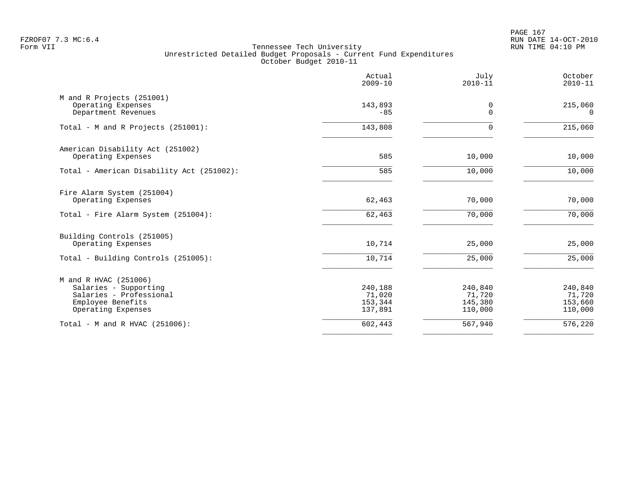PAGE 167 FZROF07 7.3 MC:6.4 RUN DATE 14-OCT-2010

|                                                                                                                      | Actual<br>$2009 - 10$                   | July<br>$2010 - 11$                     | October<br>$2010 - 11$                  |
|----------------------------------------------------------------------------------------------------------------------|-----------------------------------------|-----------------------------------------|-----------------------------------------|
| M and R Projects (251001)<br>Operating Expenses<br>Department Revenues                                               | 143,893<br>$-85$                        | 0<br>$\Omega$                           | 215,060<br>$\Omega$                     |
| Total - M and R Projects (251001):                                                                                   | 143,808                                 | $\Omega$                                | 215,060                                 |
| American Disability Act (251002)<br>Operating Expenses                                                               | 585                                     | 10,000                                  | 10,000                                  |
| Total - American Disability Act (251002):                                                                            | 585                                     | 10,000                                  | 10,000                                  |
| Fire Alarm System (251004)<br>Operating Expenses                                                                     | 62,463                                  | 70,000                                  | 70,000                                  |
| Total - Fire Alarm System (251004):                                                                                  | 62,463                                  | 70,000                                  | 70,000                                  |
| Building Controls (251005)<br>Operating Expenses                                                                     | 10,714                                  | 25,000                                  | 25,000                                  |
| Total - Building Controls (251005):                                                                                  | 10,714                                  | 25,000                                  | 25,000                                  |
| M and R HVAC (251006)<br>Salaries - Supporting<br>Salaries - Professional<br>Employee Benefits<br>Operating Expenses | 240,188<br>71,020<br>153,344<br>137,891 | 240,840<br>71,720<br>145,380<br>110,000 | 240,840<br>71,720<br>153,660<br>110,000 |
| Total - M and R HVAC (251006):                                                                                       | 602,443                                 | 567,940                                 | $\overline{576}$ , 220                  |
|                                                                                                                      |                                         |                                         |                                         |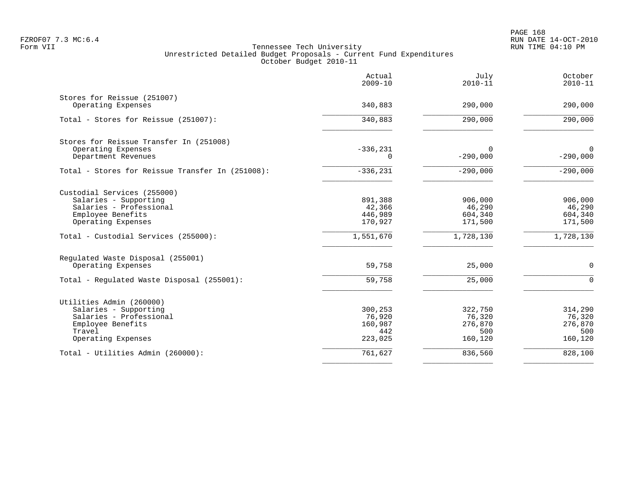PAGE 168 FZROF07 7.3 MC:6.4 RUN DATE 14-OCT-2010

|                                                   | Actual<br>$2009 - 10$ | July<br>$2010 - 11$ | October<br>$2010 - 11$ |
|---------------------------------------------------|-----------------------|---------------------|------------------------|
| Stores for Reissue (251007)<br>Operating Expenses | 340,883               | 290,000             | 290,000                |
|                                                   |                       |                     |                        |
| Total - Stores for Reissue (251007):              | 340,883               | 290,000             | $\overline{290}$ , 000 |
| Stores for Reissue Transfer In (251008)           |                       |                     |                        |
| Operating Expenses                                | $-336, 231$           | $\Omega$            | $\mathbf 0$            |
| Department Revenues                               | $\mathbf 0$           | $-290,000$          | $-290,000$             |
| Total - Stores for Reissue Transfer In (251008):  | $-336, 231$           | $-290,000$          | $-290,000$             |
| Custodial Services (255000)                       |                       |                     |                        |
| Salaries - Supporting                             | 891,388               | 906,000             | 906,000                |
| Salaries - Professional                           | 42,366                | 46,290              | 46,290                 |
| Employee Benefits                                 | 446,989               | 604,340             | 604,340                |
| Operating Expenses                                | 170,927               | 171,500             | 171,500                |
| Total - Custodial Services (255000):              | 1,551,670             | 1,728,130           | 1,728,130              |
| Regulated Waste Disposal (255001)                 |                       |                     |                        |
| Operating Expenses                                | 59,758                | 25,000              | $\mathbf 0$            |
| Total - Regulated Waste Disposal (255001):        | 59,758                | 25,000              | $\Omega$               |
| Utilities Admin (260000)                          |                       |                     |                        |
| Salaries - Supporting                             | 300,253               | 322,750             | 314,290                |
| Salaries - Professional                           | 76,920                | 76,320              | 76,320                 |
| Employee Benefits                                 | 160,987               | 276,870             | 276,870                |
| Travel                                            | 442                   | 500                 | 500                    |
| Operating Expenses                                | 223,025               | 160,120             | 160,120                |
| Total - Utilities Admin (260000):                 | 761,627               | 836,560             | 828,100                |
|                                                   |                       |                     |                        |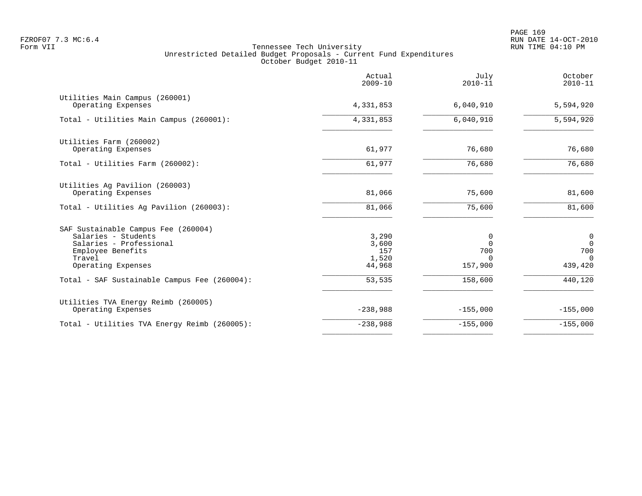|                                                                                                                                            | Actual<br>$2009 - 10$                    | July<br>$2010 - 11$                         | October<br>$2010 - 11$                                       |
|--------------------------------------------------------------------------------------------------------------------------------------------|------------------------------------------|---------------------------------------------|--------------------------------------------------------------|
| Utilities Main Campus (260001)<br>Operating Expenses                                                                                       | 4,331,853                                | 6,040,910                                   | 5,594,920                                                    |
| Total - Utilities Main Campus (260001):                                                                                                    | 4,331,853                                | 6,040,910                                   | 5,594,920                                                    |
| Utilities Farm (260002)<br>Operating Expenses                                                                                              | 61,977                                   | 76,680                                      | 76,680                                                       |
| Total - Utilities Farm (260002):                                                                                                           | 61,977                                   | 76,680                                      | 76,680                                                       |
| Utilities Ag Pavilion (260003)<br>Operating Expenses<br>Total - Utilities Ag Pavilion (260003):                                            | 81,066<br>81,066                         | 75,600<br>75,600                            | 81,600<br>81,600                                             |
|                                                                                                                                            |                                          |                                             |                                                              |
| SAF Sustainable Campus Fee (260004)<br>Salaries - Students<br>Salaries - Professional<br>Employee Benefits<br>Travel<br>Operating Expenses | 3,290<br>3,600<br>157<br>1,520<br>44,968 | 0<br>$\Omega$<br>700<br>$\Omega$<br>157,900 | $\overline{0}$<br>$\overline{0}$<br>700<br>$\cap$<br>439,420 |
| Total - SAF Sustainable Campus Fee (260004):                                                                                               | 53,535                                   | 158,600                                     | 440,120                                                      |
| Utilities TVA Energy Reimb (260005)<br>Operating Expenses                                                                                  | $-238,988$                               | $-155,000$                                  | $-155,000$                                                   |
| Total - Utilities TVA Energy Reimb (260005):                                                                                               | $-238,988$                               | $-155,000$                                  | $-155,000$                                                   |
|                                                                                                                                            |                                          |                                             |                                                              |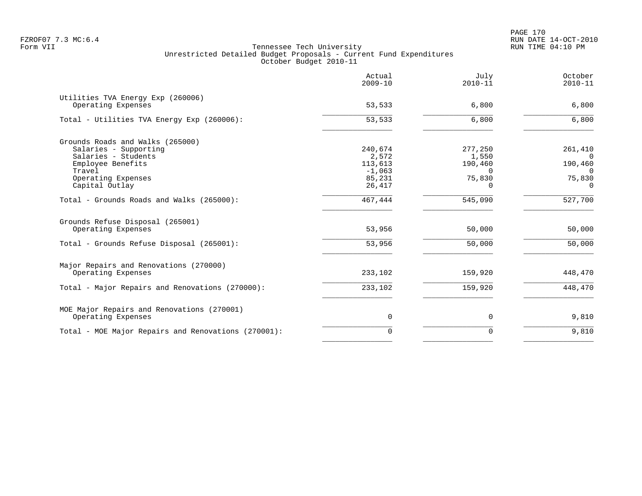|                                                         | Actual<br>$2009 - 10$ | July<br>$2010 - 11$ | October<br>$2010 - 11$ |
|---------------------------------------------------------|-----------------------|---------------------|------------------------|
| Utilities TVA Energy Exp (260006)<br>Operating Expenses | 53,533                | 6,800               | 6,800                  |
| Total - Utilities TVA Energy Exp (260006):              | 53,533                | 6,800               | 6,800                  |
| Grounds Roads and Walks (265000)                        |                       |                     |                        |
| Salaries - Supporting                                   | 240,674               | 277,250             | 261,410                |
| Salaries - Students                                     | 2,572                 | 1,550               | $\Omega$               |
| Employee Benefits                                       | 113,613               | 190,460             | 190,460                |
| Travel<br>Operating Expenses                            | $-1,063$<br>85,231    | $\Omega$<br>75,830  | $\Omega$<br>75,830     |
| Capital Outlay                                          | 26,417                | $\Omega$            | $\Omega$               |
| Total - Grounds Roads and Walks (265000):               | 467,444               | 545,090             | 527,700                |
| Grounds Refuse Disposal (265001)<br>Operating Expenses  | 53,956                | 50,000              | 50,000                 |
|                                                         |                       |                     |                        |
| Total - Grounds Refuse Disposal (265001):               | 53,956                | 50,000              | 50,000                 |
| Major Repairs and Renovations (270000)                  |                       |                     |                        |
| Operating Expenses                                      | 233,102               | 159,920             | 448,470                |
| Total - Major Repairs and Renovations (270000):         | 233,102               | 159,920             | 448,470                |
| MOE Major Repairs and Renovations (270001)              |                       |                     |                        |
| Operating Expenses                                      | $\mathbf 0$           | 0                   | 9,810                  |
| Total - MOE Major Repairs and Renovations (270001):     | $\Omega$              | $\Omega$            | 9,810                  |
|                                                         |                       |                     |                        |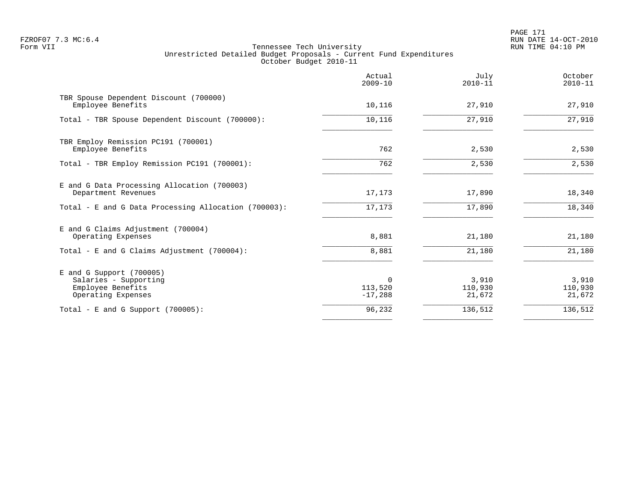# PAGE 171 FZROF07 7.3 MC:6.4 RUN DATE 14-OCT-2010

|                                                                                                | Actual<br>$2009 - 10$            | July<br>$2010 - 11$        | October<br>$2010 - 11$     |
|------------------------------------------------------------------------------------------------|----------------------------------|----------------------------|----------------------------|
| TBR Spouse Dependent Discount (700000)<br>Employee Benefits                                    | 10,116                           | 27,910                     | 27,910                     |
| Total - TBR Spouse Dependent Discount (700000):                                                | 10,116                           | 27,910                     | 27,910                     |
| TBR Employ Remission PC191 (700001)<br>Employee Benefits                                       | 762                              | 2,530                      | 2,530                      |
| Total - TBR Employ Remission PC191 (700001):                                                   | 762                              | 2,530                      | 2,530                      |
| E and G Data Processing Allocation (700003)<br>Department Revenues                             | 17,173                           | 17,890                     | 18,340                     |
| Total - E and G Data Processing Allocation (700003):                                           | 17,173                           | 17,890                     | 18,340                     |
| E and G Claims Adjustment (700004)<br>Operating Expenses                                       | 8,881                            | 21,180                     | 21,180                     |
| Total - E and G Claims Adjustment $(700004)$ :                                                 | 8,881                            | 21,180                     | 21,180                     |
| $E$ and G Support (700005)<br>Salaries - Supporting<br>Employee Benefits<br>Operating Expenses | $\Omega$<br>113,520<br>$-17,288$ | 3,910<br>110,930<br>21,672 | 3,910<br>110,930<br>21,672 |
| Total - E and G Support $(700005)$ :                                                           | 96,232                           | 136,512                    | 136,512                    |
|                                                                                                |                                  |                            |                            |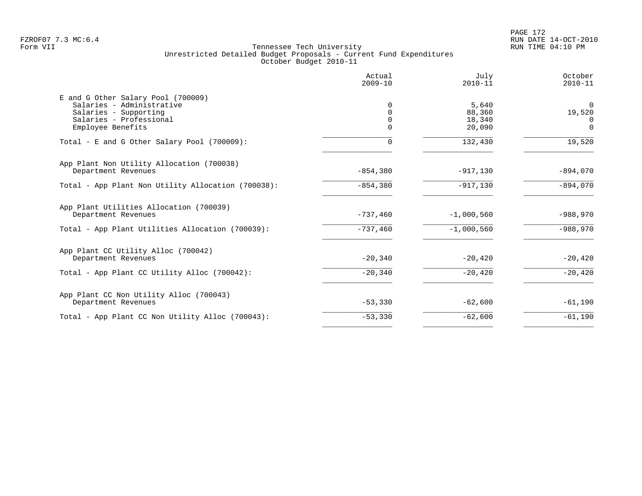|                                                                                                                                          | Actual<br>$2009 - 10$       | July<br>$2010 - 11$                 | October<br>$2010 - 11$                     |
|------------------------------------------------------------------------------------------------------------------------------------------|-----------------------------|-------------------------------------|--------------------------------------------|
| E and G Other Salary Pool (700009)<br>Salaries - Administrative<br>Salaries - Supporting<br>Salaries - Professional<br>Employee Benefits | 0<br><sup>n</sup><br>0<br>0 | 5,640<br>88,360<br>18,340<br>20,090 | $\Omega$<br>19,520<br>$\Omega$<br>$\Omega$ |
| Total - E and G Other Salary Pool (700009):                                                                                              | 0                           | 132,430                             | 19,520                                     |
| App Plant Non Utility Allocation (700038)<br>Department Revenues                                                                         | $-854,380$                  | $-917,130$                          | $-894,070$                                 |
| Total - App Plant Non Utility Allocation (700038):                                                                                       | $-854,380$                  | $-917, 130$                         | $-894,070$                                 |
| App Plant Utilities Allocation (700039)<br>Department Revenues                                                                           | $-737,460$                  | $-1,000,560$                        | $-988,970$                                 |
| Total - App Plant Utilities Allocation (700039):                                                                                         | $-737,460$                  | $-1,000,560$                        | $-988,970$                                 |
| App Plant CC Utility Alloc (700042)<br>Department Revenues                                                                               | $-20,340$                   | $-20,420$                           | $-20,420$                                  |
| Total - App Plant CC Utility Alloc (700042):                                                                                             | $-20,340$                   | $-20, 420$                          | $-20,420$                                  |
| App Plant CC Non Utility Alloc (700043)<br>Department Revenues                                                                           | $-53,330$                   | $-62,600$                           | $-61,190$                                  |
| Total - App Plant CC Non Utility Alloc (700043):                                                                                         | $-53,330$                   | $-62,600$                           | $-61,190$                                  |
|                                                                                                                                          |                             |                                     |                                            |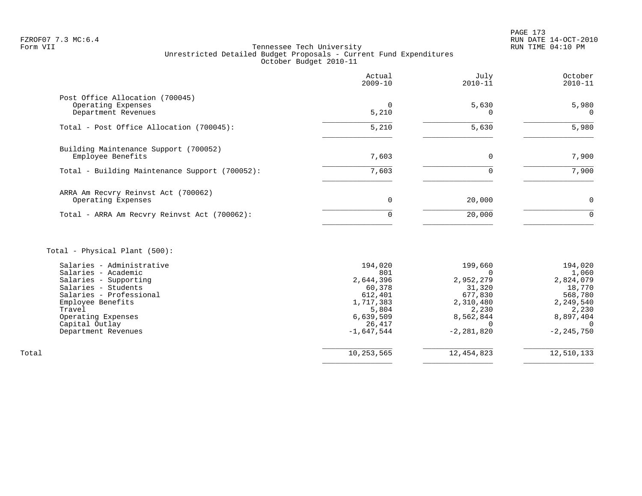# FZROF07 7.3 MC:6.4 RUN DATE 14-OCT-2010<br>Form VII RUN DATE 14-OCT-2010 RUN DATE 14-OCT-2010 Tennessee Tech University Unrestricted Detailed Budget Proposals - Current Fund Expenditures October Budget 2010-11

|                                                                              | Actual<br>$2009 - 10$ | July<br>$2010 - 11$ | October<br>$2010 - 11$ |
|------------------------------------------------------------------------------|-----------------------|---------------------|------------------------|
| Post Office Allocation (700045)<br>Operating Expenses<br>Department Revenues | 5,210                 | 5,630               | 5,980<br>$\Omega$      |
| Total - Post Office Allocation (700045):                                     | 5,210                 | 5,630               | 5,980                  |
| Building Maintenance Support (700052)<br>Employee Benefits                   | 7,603                 | $\Omega$            | 7,900                  |
| Total - Building Maintenance Support (700052):                               | 7,603                 |                     | 7,900                  |
| ARRA Am Recvry Reinvst Act (700062)<br>Operating Expenses                    | 0                     | 20,000              | $\Omega$               |
| Total - ARRA Am Recvry Reinvst Act (700062):                                 | 0                     | 20,000              | 0                      |
|                                                                              |                       |                     |                        |

# Total - Physical Plant (500):

|       | Salaries - Administrative | 194,020      | 199,660      | 194,020        |
|-------|---------------------------|--------------|--------------|----------------|
|       | Salaries - Academic       | 801          |              | 1,060          |
|       | Salaries - Supporting     | 2,644,396    | 2,952,279    | 2,824,079      |
|       | Salaries - Students       | 60,378       | 31,320       | 18,770         |
|       | Salaries - Professional   | 612,401      | 677,830      | 568,780        |
|       | Employee Benefits         | 1,717,383    | 2,310,480    | 2,249,540      |
|       | Travel                    | 5,804        | 2,230        | 2,230          |
|       | Operating Expenses        | 6,639,509    | 8,562,844    | 8,897,404      |
|       | Capital Outlay            | 26,417       |              |                |
|       | Department Revenues       | $-1,647,544$ | $-2,281,820$ | $-2, 245, 750$ |
|       |                           |              |              |                |
| Total |                           | 10,253,565   | 12,454,823   | 12,510,133     |
|       |                           |              |              |                |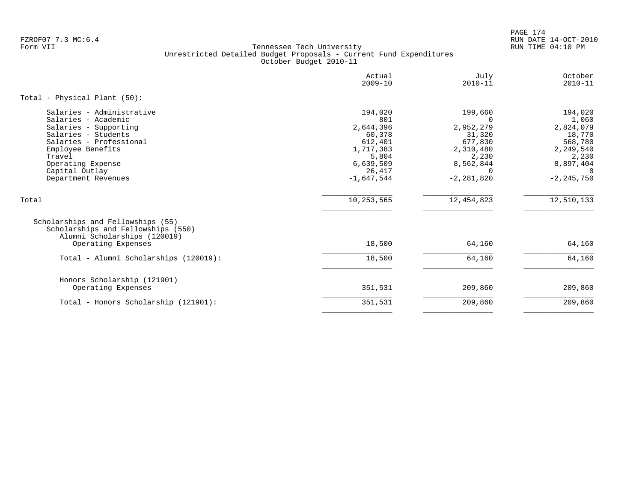PAGE 174 FZROF07 7.3 MC:6.4 RUN DATE 14-OCT-2010

|                                                                                                                                                                                                                          | Actual<br>$2009 - 10$                                                                                         | July<br>$2010 - 11$                                                                                        | October<br>$2010 - 11$                                                                                              |
|--------------------------------------------------------------------------------------------------------------------------------------------------------------------------------------------------------------------------|---------------------------------------------------------------------------------------------------------------|------------------------------------------------------------------------------------------------------------|---------------------------------------------------------------------------------------------------------------------|
| Total - Physical Plant (50):                                                                                                                                                                                             |                                                                                                               |                                                                                                            |                                                                                                                     |
| Salaries - Administrative<br>Salaries - Academic<br>Salaries - Supporting<br>Salaries - Students<br>Salaries - Professional<br>Employee Benefits<br>Travel<br>Operating Expense<br>Capital Outlay<br>Department Revenues | 194,020<br>801<br>2,644,396<br>60,378<br>612,401<br>1,717,383<br>5,804<br>6,639,509<br>26,417<br>$-1.647.544$ | 199,660<br>$\Omega$<br>2,952,279<br>31,320<br>677,830<br>2,310,480<br>2,230<br>8,562,844<br>$-2, 281, 820$ | 194,020<br>1,060<br>2,824,079<br>18,770<br>568,780<br>2,249,540<br>2,230<br>8,897,404<br>$\Omega$<br>$-2, 245, 750$ |
| Total                                                                                                                                                                                                                    | 10,253,565                                                                                                    | 12, 454, 823                                                                                               | 12,510,133                                                                                                          |
| Scholarships and Fellowships (55)<br>Scholarships and Fellowships (550)<br>Alumni Scholarships (120019)<br>Operating Expenses                                                                                            | 18,500                                                                                                        | 64,160                                                                                                     | 64,160                                                                                                              |
| Total - Alumni Scholarships (120019):                                                                                                                                                                                    | 18,500                                                                                                        | 64,160                                                                                                     | 64,160                                                                                                              |
| Honors Scholarship (121901)<br>Operating Expenses                                                                                                                                                                        | 351,531                                                                                                       | 209,860                                                                                                    | 209,860                                                                                                             |
| Total - Honors Scholarship (121901):                                                                                                                                                                                     | 351,531                                                                                                       | 209,860                                                                                                    | 209,860                                                                                                             |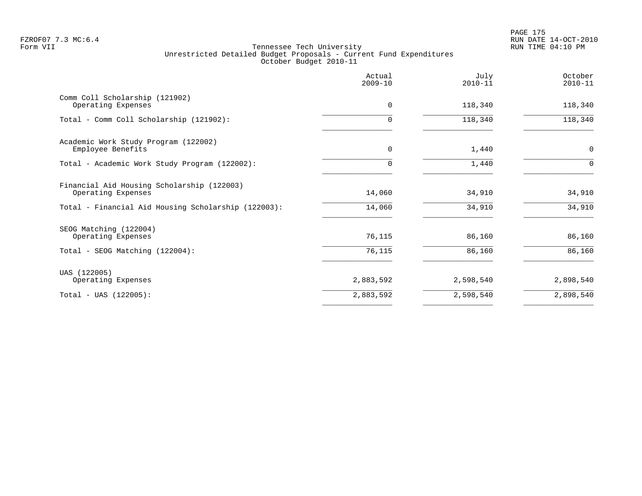|                                                                  | Actual<br>$2009 - 10$ | July<br>$2010 - 11$ | October<br>$2010 - 11$ |
|------------------------------------------------------------------|-----------------------|---------------------|------------------------|
| Comm Coll Scholarship (121902)<br>Operating Expenses             | 0                     | 118,340             | 118,340                |
| Total - Comm Coll Scholarship (121902):                          | 0                     | 118,340             | 118,340                |
| Academic Work Study Program (122002)<br>Employee Benefits        | $\mathbf 0$           | 1,440               | $\mathsf{O}$           |
| Total - Academic Work Study Program (122002):                    | O                     | 1,440               | $\Omega$               |
| Financial Aid Housing Scholarship (122003)<br>Operating Expenses | 14,060                | 34,910              | 34,910                 |
| Total - Financial Aid Housing Scholarship (122003):              | 14,060                | 34,910              | 34,910                 |
| SEOG Matching (122004)<br>Operating Expenses                     | 76,115                | 86,160              | 86,160                 |
| Total - SEOG Matching (122004):                                  | 76,115                | 86,160              | 86,160                 |
| UAS (122005)<br>Operating Expenses                               | 2,883,592             | 2,598,540           | 2,898,540              |
| $Total - UAS (122005):$                                          | 2,883,592             | 2,598,540           | 2,898,540              |
|                                                                  |                       |                     |                        |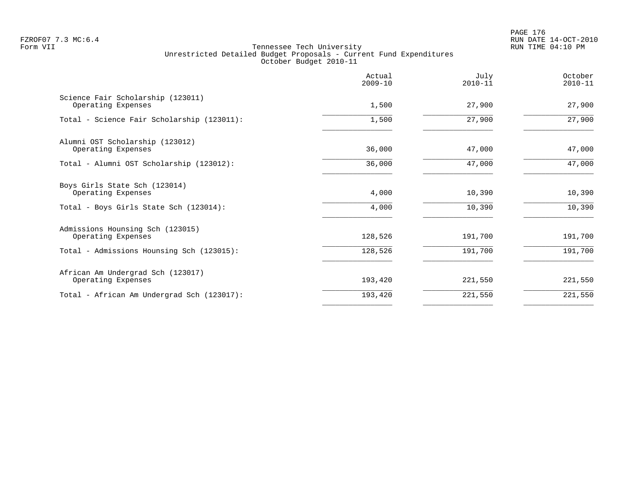PAGE 176 FZROF07 7.3 MC:6.4 RUN DATE 14-OCT-2010

|                                                         | Actual<br>$2009 - 10$ | July<br>$2010 - 11$ | October<br>$2010 - 11$ |
|---------------------------------------------------------|-----------------------|---------------------|------------------------|
| Science Fair Scholarship (123011)<br>Operating Expenses | 1,500                 | 27,900              | 27,900                 |
| Total - Science Fair Scholarship (123011):              | 1,500                 | 27,900              | 27,900                 |
| Alumni OST Scholarship (123012)<br>Operating Expenses   | 36,000                | 47,000              | 47,000                 |
| Total - Alumni OST Scholarship (123012):                | 36,000                | 47,000              | 47,000                 |
| Boys Girls State Sch (123014)<br>Operating Expenses     | 4,000                 | 10,390              | 10,390                 |
| Total - Boys Girls State Sch (123014):                  | 4,000                 | 10,390              | 10,390                 |
| Admissions Hounsing Sch (123015)<br>Operating Expenses  | 128,526               | 191,700             | 191,700                |
| Total - Admissions Hounsing Sch (123015):               | 128,526               | 191,700             | 191,700                |
| African Am Undergrad Sch (123017)<br>Operating Expenses | 193,420               | 221,550             | 221,550                |
| Total - African Am Undergrad Sch (123017):              | 193,420               | 221,550             | 221,550                |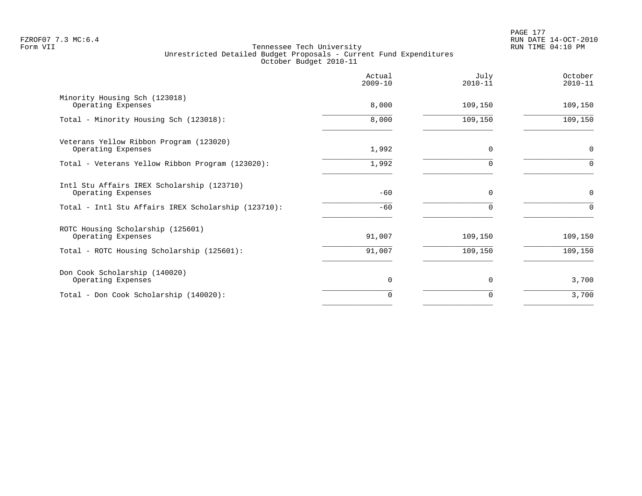|                                                                  | Actual<br>$2009 - 10$ | July<br>$2010 - 11$ | October<br>$2010 - 11$ |
|------------------------------------------------------------------|-----------------------|---------------------|------------------------|
| Minority Housing Sch (123018)<br>Operating Expenses              | 8,000                 | 109,150             | 109,150                |
| Total - Minority Housing Sch (123018):                           | 8,000                 | 109,150             | 109,150                |
| Veterans Yellow Ribbon Program (123020)<br>Operating Expenses    | 1,992                 | 0                   | $\mathbf 0$            |
| Total - Veterans Yellow Ribbon Program (123020):                 | 1,992                 | $\Omega$            | $\Omega$               |
| Intl Stu Affairs IREX Scholarship (123710)<br>Operating Expenses | $-60$                 | $\Omega$            | $\mathbf 0$            |
| Total - Intl Stu Affairs IREX Scholarship (123710):              | $-60$                 | $\Omega$            | $\Omega$               |
| ROTC Housing Scholarship (125601)<br>Operating Expenses          | 91,007                | 109,150             | 109,150                |
| Total - ROTC Housing Scholarship (125601):                       | 91,007                | 109,150             | 109,150                |
| Don Cook Scholarship (140020)<br>Operating Expenses              | $\mathbf 0$           | 0                   | 3,700                  |
| Total - Don Cook Scholarship (140020):                           | 0                     | 0                   | 3,700                  |
|                                                                  |                       |                     |                        |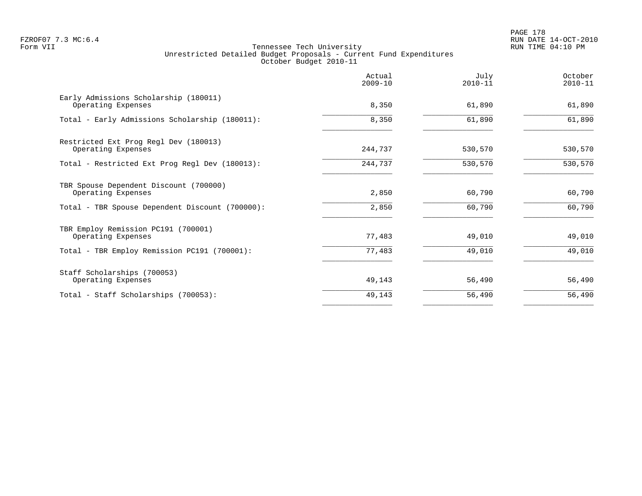PAGE 178 FZROF07 7.3 MC:6.4 RUN DATE 14-OCT-2010

|                                                              | Actual<br>$2009 - 10$ | July<br>$2010 - 11$ | October<br>$2010 - 11$ |
|--------------------------------------------------------------|-----------------------|---------------------|------------------------|
| Early Admissions Scholarship (180011)<br>Operating Expenses  | 8,350                 | 61,890              | 61,890                 |
| Total - Early Admissions Scholarship (180011):               | 8,350                 | 61,890              | 61,890                 |
| Restricted Ext Prog Regl Dev (180013)<br>Operating Expenses  | 244,737               | 530,570             | 530,570                |
| Total - Restricted Ext Prog Regl Dev (180013):               | 244,737               | 530,570             | 530,570                |
| TBR Spouse Dependent Discount (700000)<br>Operating Expenses | 2,850                 | 60,790              | 60,790                 |
| Total - TBR Spouse Dependent Discount (700000):              | 2,850                 | 60,790              | 60,790                 |
| TBR Employ Remission PC191 (700001)<br>Operating Expenses    | 77,483                | 49,010              | 49,010                 |
| Total - TBR Employ Remission PC191 (700001):                 | 77,483                | 49,010              | 49,010                 |
| Staff Scholarships (700053)<br>Operating Expenses            | 49,143                | 56,490              | 56,490                 |
| Total - Staff Scholarships (700053):                         | 49,143                | 56,490              | 56,490                 |
|                                                              |                       |                     |                        |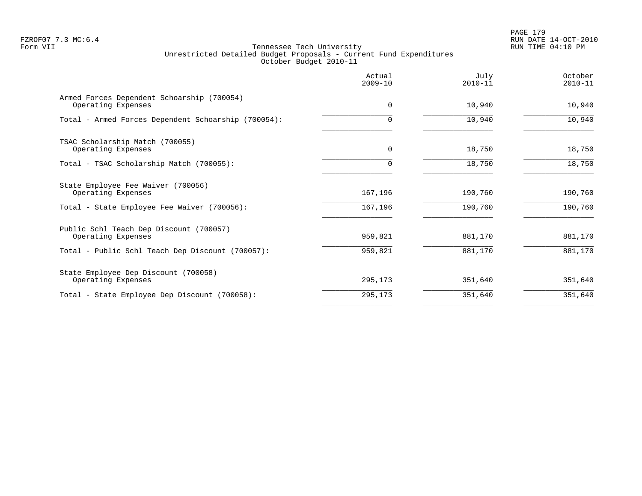PAGE 179 FZROF07 7.3 MC:6.4 RUN DATE 14-OCT-2010

|                                                                  | Actual<br>$2009 - 10$ | July<br>$2010 - 11$ | October<br>$2010 - 11$ |
|------------------------------------------------------------------|-----------------------|---------------------|------------------------|
| Armed Forces Dependent Schoarship (700054)<br>Operating Expenses | $\mathbf 0$           | 10,940              | 10,940                 |
| Total - Armed Forces Dependent Schoarship (700054):              | O                     | 10,940              | 10,940                 |
| TSAC Scholarship Match (700055)<br>Operating Expenses            | $\mathbf 0$           | 18,750              | 18,750                 |
| Total - TSAC Scholarship Match (700055):                         | $\Omega$              | 18,750              | 18,750                 |
| State Employee Fee Waiver (700056)<br>Operating Expenses         | 167,196               | 190,760             | 190,760                |
| Total - State Employee Fee Waiver (700056):                      | 167,196               | 190,760             | 190,760                |
| Public Schl Teach Dep Discount (700057)<br>Operating Expenses    | 959,821               | 881,170             | 881,170                |
| Total - Public Schl Teach Dep Discount (700057):                 | 959,821               | 881,170             | 881,170                |
| State Employee Dep Discount (700058)<br>Operating Expenses       | 295,173               | 351,640             | 351,640                |
| Total - State Employee Dep Discount (700058):                    | 295,173               | 351,640             | 351,640                |
|                                                                  |                       |                     |                        |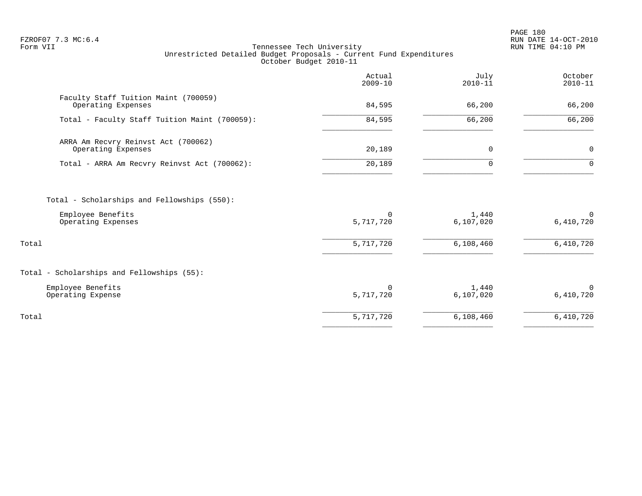PAGE 180 FZROF07 7.3 MC:6.4 RUN DATE 14-OCT-2010

|                                                                                        | Actual<br>$2009 - 10$ | July<br>$2010 - 11$ | October<br>$2010 - 11$   |
|----------------------------------------------------------------------------------------|-----------------------|---------------------|--------------------------|
| Faculty Staff Tuition Maint (700059)<br>Operating Expenses                             | 84,595                | 66,200              | 66,200                   |
| Total - Faculty Staff Tuition Maint (700059):                                          | 84,595                | 66,200              | 66,200                   |
| ARRA Am Recvry Reinvst Act (700062)<br>Operating Expenses                              | 20,189                | $\mathbf 0$         | $\mathbf 0$              |
| Total - ARRA Am Recvry Reinvst Act (700062):                                           | 20,189                | $\Omega$            | $\Omega$                 |
| Total - Scholarships and Fellowships (550):<br>Employee Benefits<br>Operating Expenses | 0<br>5,717,720        | 1,440<br>6,107,020  | $\mathbf 0$<br>6,410,720 |
| Total                                                                                  | 5,717,720             | 6,108,460           | 6,410,720                |
| Total - Scholarships and Fellowships (55):                                             |                       |                     |                          |
| Employee Benefits<br>Operating Expense                                                 | 0<br>5,717,720        | 1,440<br>6,107,020  | $\Omega$<br>6,410,720    |
| Total                                                                                  | 5,717,720             | 6,108,460           | 6,410,720                |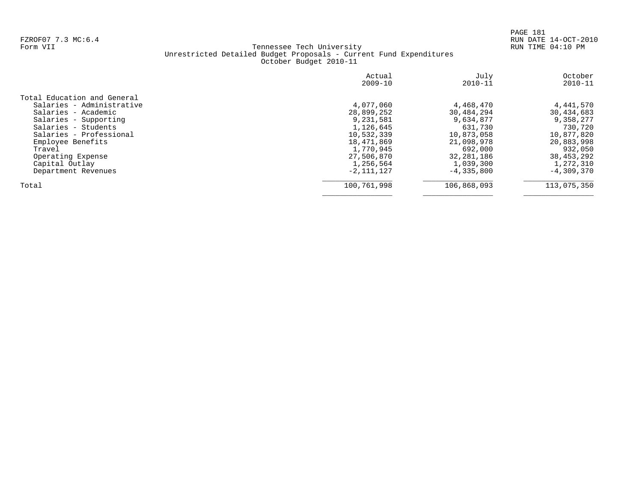PAGE 181 FZROF07 7.3 MC:6.4 RUN DATE 14-OCT-2010

|                             | Actual<br>$2009 - 10$ | July<br>$2010 - 11$ | October<br>$2010 - 11$ |
|-----------------------------|-----------------------|---------------------|------------------------|
| Total Education and General |                       |                     |                        |
| Salaries - Administrative   | 4,077,060             | 4,468,470           | 4,441,570              |
| Salaries - Academic         | 28,899,252            | 30,484,294          | 30,434,683             |
| Salaries - Supporting       | 9,231,581             | 9,634,877           | 9,358,277              |
| Salaries - Students         | 1,126,645             | 631,730             | 730,720                |
| Salaries - Professional     | 10,532,339            | 10,873,058          | 10,877,820             |
| Employee Benefits           | 18,471,869            | 21,098,978          | 20,883,998             |
| Travel                      | 1,770,945             | 692,000             | 932,050                |
| Operating Expense           | 27,506,870            | 32, 281, 186        | 38,453,292             |
| Capital Outlay              | 1,256,564             | 1,039,300           | 1,272,310              |
| Department Revenues         | $-2,111,127$          | $-4, 335, 800$      | $-4,309,370$           |
| Total                       | 100,761,998           | 106,868,093         | 113,075,350            |
|                             |                       |                     |                        |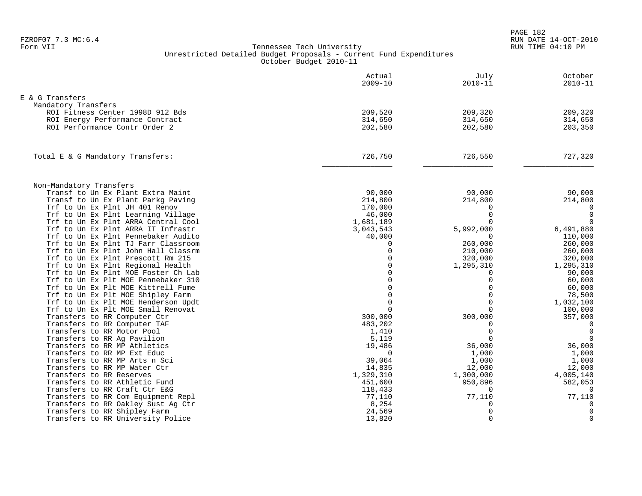PAGE 182 FZROF07 7.3 MC:6.4 RUN DATE 14-OCT-2010

| E & G Transfers<br>Mandatory Transfers<br>209,520<br>ROI Fitness Center 1998D 912 Bds<br>209,320<br>209,320<br>314,650<br>314,650<br>ROI Energy Performance Contract<br>314,650<br>ROI Performance Contr Order 2<br>202,580<br>202,580<br>203,350<br>726,750<br>727,320<br>726,550<br>Total E & G Mandatory Transfers:<br>Non-Mandatory Transfers<br>90,000<br>90,000<br>90,000<br>Transf to Un Ex Plant Extra Maint<br>Transf to Un Ex Plant Parkg Paving<br>214,800<br>214,800<br>214,800<br>Trf to Un Ex Plnt JH 401 Renov<br>170,000<br>0<br>$\Omega$<br>$\overline{0}$<br>46,000<br>$\Omega$<br>Trf to Un Ex Plnt Learning Village<br>Trf to Un Ex Plnt ARRA Central Cool<br>1,681,189<br>$\Omega$<br>Trf to Un Ex Plnt ARRA IT Infrastr<br>3,043,543<br>5,992,000<br>6,491,880<br>Trf to Un Ex Plnt Pennebaker Audito<br>40,000<br>110,000<br>Trf to Un Ex Plnt TJ Farr Classroom<br>260,000<br>$\mathbf 0$<br>260,000<br>Trf to Un Ex Plnt John Hall Classrm<br>260,000<br>$\Omega$<br>210,000<br>Trf to Un Ex Plnt Prescott Rm 215<br>$\Omega$<br>320,000<br>320,000<br>Trf to Un Ex Plnt Regional Health<br>$\Omega$<br>1,295,310<br>1,295,310<br>$\cap$<br>Trf to Un Ex Plnt MOE Foster Ch Lab<br>90,000<br>$\Omega$<br>60,000<br>Trf to Un Ex Plt MOE Pennebaker 310<br>$\Omega$<br>$\Omega$<br>Trf to Un Ex Plt MOE Kittrell Fume<br>$\Omega$<br>60,000<br>78,500<br>Trf to Un Ex Plt MOE Shipley Farm<br>$\cap$<br>$\Omega$<br>Trf to Un Ex Plt MOE Henderson Updt<br>$\Omega$<br>1,032,100<br>$\Omega$<br>Trf to Un Ex Plt MOE Small Renovat<br>$\Omega$<br>100,000<br>Transfers to RR Computer Ctr<br>300,000<br>300,000<br>357,000<br>Transfers to RR Computer TAF<br>483,202<br>0<br>0<br>$\mathbf 0$<br>Transfers to RR Motor Pool<br>1,410<br>$\mathbf 0$<br>$\mathbf 0$<br>Transfers to RR Ag Pavilion<br>5,119<br>$\mathbf 0$<br>Transfers to RR MP Athletics<br>36,000<br>19,486<br>36,000<br>Transfers to RR MP Ext Educ<br>$\Omega$<br>1,000<br>1,000<br>39,064<br>Transfers to RR MP Arts n Sci<br>1,000<br>1,000<br>Transfers to RR MP Water Ctr<br>14,835<br>12,000<br>12,000<br>4,005,140<br>Transfers to RR Reserves<br>1,329,310<br>1,300,000<br>Transfers to RR Athletic Fund<br>451,600<br>950,896<br>582,053<br>Transfers to RR Craft Ctr E&G<br>$\overline{0}$<br>118,433<br>0<br>77,110<br>Transfers to RR Com Equipment Repl<br>77,110<br>77,110<br>Transfers to RR Oakley Sust Aq Ctr<br>8,254<br>$\mathbf 0$<br>0<br>$\mathbf 0$<br>$\mathbf 0$<br>Transfers to RR Shipley Farm<br>24,569 | Actual<br>$2009 - 10$ | July<br>$2010 - 11$ | October<br>$2010 - 11$ |
|---------------------------------------------------------------------------------------------------------------------------------------------------------------------------------------------------------------------------------------------------------------------------------------------------------------------------------------------------------------------------------------------------------------------------------------------------------------------------------------------------------------------------------------------------------------------------------------------------------------------------------------------------------------------------------------------------------------------------------------------------------------------------------------------------------------------------------------------------------------------------------------------------------------------------------------------------------------------------------------------------------------------------------------------------------------------------------------------------------------------------------------------------------------------------------------------------------------------------------------------------------------------------------------------------------------------------------------------------------------------------------------------------------------------------------------------------------------------------------------------------------------------------------------------------------------------------------------------------------------------------------------------------------------------------------------------------------------------------------------------------------------------------------------------------------------------------------------------------------------------------------------------------------------------------------------------------------------------------------------------------------------------------------------------------------------------------------------------------------------------------------------------------------------------------------------------------------------------------------------------------------------------------------------------------------------------------------------------------------------------------------------------------------------------------------------------------------------------------------------------------------------------------------|-----------------------|---------------------|------------------------|
|                                                                                                                                                                                                                                                                                                                                                                                                                                                                                                                                                                                                                                                                                                                                                                                                                                                                                                                                                                                                                                                                                                                                                                                                                                                                                                                                                                                                                                                                                                                                                                                                                                                                                                                                                                                                                                                                                                                                                                                                                                                                                                                                                                                                                                                                                                                                                                                                                                                                                                                                 |                       |                     |                        |
|                                                                                                                                                                                                                                                                                                                                                                                                                                                                                                                                                                                                                                                                                                                                                                                                                                                                                                                                                                                                                                                                                                                                                                                                                                                                                                                                                                                                                                                                                                                                                                                                                                                                                                                                                                                                                                                                                                                                                                                                                                                                                                                                                                                                                                                                                                                                                                                                                                                                                                                                 |                       |                     |                        |
|                                                                                                                                                                                                                                                                                                                                                                                                                                                                                                                                                                                                                                                                                                                                                                                                                                                                                                                                                                                                                                                                                                                                                                                                                                                                                                                                                                                                                                                                                                                                                                                                                                                                                                                                                                                                                                                                                                                                                                                                                                                                                                                                                                                                                                                                                                                                                                                                                                                                                                                                 |                       |                     |                        |
|                                                                                                                                                                                                                                                                                                                                                                                                                                                                                                                                                                                                                                                                                                                                                                                                                                                                                                                                                                                                                                                                                                                                                                                                                                                                                                                                                                                                                                                                                                                                                                                                                                                                                                                                                                                                                                                                                                                                                                                                                                                                                                                                                                                                                                                                                                                                                                                                                                                                                                                                 |                       |                     |                        |
|                                                                                                                                                                                                                                                                                                                                                                                                                                                                                                                                                                                                                                                                                                                                                                                                                                                                                                                                                                                                                                                                                                                                                                                                                                                                                                                                                                                                                                                                                                                                                                                                                                                                                                                                                                                                                                                                                                                                                                                                                                                                                                                                                                                                                                                                                                                                                                                                                                                                                                                                 |                       |                     |                        |
|                                                                                                                                                                                                                                                                                                                                                                                                                                                                                                                                                                                                                                                                                                                                                                                                                                                                                                                                                                                                                                                                                                                                                                                                                                                                                                                                                                                                                                                                                                                                                                                                                                                                                                                                                                                                                                                                                                                                                                                                                                                                                                                                                                                                                                                                                                                                                                                                                                                                                                                                 |                       |                     |                        |
|                                                                                                                                                                                                                                                                                                                                                                                                                                                                                                                                                                                                                                                                                                                                                                                                                                                                                                                                                                                                                                                                                                                                                                                                                                                                                                                                                                                                                                                                                                                                                                                                                                                                                                                                                                                                                                                                                                                                                                                                                                                                                                                                                                                                                                                                                                                                                                                                                                                                                                                                 |                       |                     |                        |
|                                                                                                                                                                                                                                                                                                                                                                                                                                                                                                                                                                                                                                                                                                                                                                                                                                                                                                                                                                                                                                                                                                                                                                                                                                                                                                                                                                                                                                                                                                                                                                                                                                                                                                                                                                                                                                                                                                                                                                                                                                                                                                                                                                                                                                                                                                                                                                                                                                                                                                                                 |                       |                     |                        |
|                                                                                                                                                                                                                                                                                                                                                                                                                                                                                                                                                                                                                                                                                                                                                                                                                                                                                                                                                                                                                                                                                                                                                                                                                                                                                                                                                                                                                                                                                                                                                                                                                                                                                                                                                                                                                                                                                                                                                                                                                                                                                                                                                                                                                                                                                                                                                                                                                                                                                                                                 |                       |                     |                        |
|                                                                                                                                                                                                                                                                                                                                                                                                                                                                                                                                                                                                                                                                                                                                                                                                                                                                                                                                                                                                                                                                                                                                                                                                                                                                                                                                                                                                                                                                                                                                                                                                                                                                                                                                                                                                                                                                                                                                                                                                                                                                                                                                                                                                                                                                                                                                                                                                                                                                                                                                 |                       |                     |                        |
|                                                                                                                                                                                                                                                                                                                                                                                                                                                                                                                                                                                                                                                                                                                                                                                                                                                                                                                                                                                                                                                                                                                                                                                                                                                                                                                                                                                                                                                                                                                                                                                                                                                                                                                                                                                                                                                                                                                                                                                                                                                                                                                                                                                                                                                                                                                                                                                                                                                                                                                                 |                       |                     |                        |
|                                                                                                                                                                                                                                                                                                                                                                                                                                                                                                                                                                                                                                                                                                                                                                                                                                                                                                                                                                                                                                                                                                                                                                                                                                                                                                                                                                                                                                                                                                                                                                                                                                                                                                                                                                                                                                                                                                                                                                                                                                                                                                                                                                                                                                                                                                                                                                                                                                                                                                                                 |                       |                     |                        |
|                                                                                                                                                                                                                                                                                                                                                                                                                                                                                                                                                                                                                                                                                                                                                                                                                                                                                                                                                                                                                                                                                                                                                                                                                                                                                                                                                                                                                                                                                                                                                                                                                                                                                                                                                                                                                                                                                                                                                                                                                                                                                                                                                                                                                                                                                                                                                                                                                                                                                                                                 |                       |                     |                        |
|                                                                                                                                                                                                                                                                                                                                                                                                                                                                                                                                                                                                                                                                                                                                                                                                                                                                                                                                                                                                                                                                                                                                                                                                                                                                                                                                                                                                                                                                                                                                                                                                                                                                                                                                                                                                                                                                                                                                                                                                                                                                                                                                                                                                                                                                                                                                                                                                                                                                                                                                 |                       |                     |                        |
|                                                                                                                                                                                                                                                                                                                                                                                                                                                                                                                                                                                                                                                                                                                                                                                                                                                                                                                                                                                                                                                                                                                                                                                                                                                                                                                                                                                                                                                                                                                                                                                                                                                                                                                                                                                                                                                                                                                                                                                                                                                                                                                                                                                                                                                                                                                                                                                                                                                                                                                                 |                       |                     |                        |
|                                                                                                                                                                                                                                                                                                                                                                                                                                                                                                                                                                                                                                                                                                                                                                                                                                                                                                                                                                                                                                                                                                                                                                                                                                                                                                                                                                                                                                                                                                                                                                                                                                                                                                                                                                                                                                                                                                                                                                                                                                                                                                                                                                                                                                                                                                                                                                                                                                                                                                                                 |                       |                     |                        |
|                                                                                                                                                                                                                                                                                                                                                                                                                                                                                                                                                                                                                                                                                                                                                                                                                                                                                                                                                                                                                                                                                                                                                                                                                                                                                                                                                                                                                                                                                                                                                                                                                                                                                                                                                                                                                                                                                                                                                                                                                                                                                                                                                                                                                                                                                                                                                                                                                                                                                                                                 |                       |                     |                        |
|                                                                                                                                                                                                                                                                                                                                                                                                                                                                                                                                                                                                                                                                                                                                                                                                                                                                                                                                                                                                                                                                                                                                                                                                                                                                                                                                                                                                                                                                                                                                                                                                                                                                                                                                                                                                                                                                                                                                                                                                                                                                                                                                                                                                                                                                                                                                                                                                                                                                                                                                 |                       |                     |                        |
|                                                                                                                                                                                                                                                                                                                                                                                                                                                                                                                                                                                                                                                                                                                                                                                                                                                                                                                                                                                                                                                                                                                                                                                                                                                                                                                                                                                                                                                                                                                                                                                                                                                                                                                                                                                                                                                                                                                                                                                                                                                                                                                                                                                                                                                                                                                                                                                                                                                                                                                                 |                       |                     |                        |
|                                                                                                                                                                                                                                                                                                                                                                                                                                                                                                                                                                                                                                                                                                                                                                                                                                                                                                                                                                                                                                                                                                                                                                                                                                                                                                                                                                                                                                                                                                                                                                                                                                                                                                                                                                                                                                                                                                                                                                                                                                                                                                                                                                                                                                                                                                                                                                                                                                                                                                                                 |                       |                     |                        |
|                                                                                                                                                                                                                                                                                                                                                                                                                                                                                                                                                                                                                                                                                                                                                                                                                                                                                                                                                                                                                                                                                                                                                                                                                                                                                                                                                                                                                                                                                                                                                                                                                                                                                                                                                                                                                                                                                                                                                                                                                                                                                                                                                                                                                                                                                                                                                                                                                                                                                                                                 |                       |                     |                        |
|                                                                                                                                                                                                                                                                                                                                                                                                                                                                                                                                                                                                                                                                                                                                                                                                                                                                                                                                                                                                                                                                                                                                                                                                                                                                                                                                                                                                                                                                                                                                                                                                                                                                                                                                                                                                                                                                                                                                                                                                                                                                                                                                                                                                                                                                                                                                                                                                                                                                                                                                 |                       |                     |                        |
|                                                                                                                                                                                                                                                                                                                                                                                                                                                                                                                                                                                                                                                                                                                                                                                                                                                                                                                                                                                                                                                                                                                                                                                                                                                                                                                                                                                                                                                                                                                                                                                                                                                                                                                                                                                                                                                                                                                                                                                                                                                                                                                                                                                                                                                                                                                                                                                                                                                                                                                                 |                       |                     |                        |
|                                                                                                                                                                                                                                                                                                                                                                                                                                                                                                                                                                                                                                                                                                                                                                                                                                                                                                                                                                                                                                                                                                                                                                                                                                                                                                                                                                                                                                                                                                                                                                                                                                                                                                                                                                                                                                                                                                                                                                                                                                                                                                                                                                                                                                                                                                                                                                                                                                                                                                                                 |                       |                     |                        |
|                                                                                                                                                                                                                                                                                                                                                                                                                                                                                                                                                                                                                                                                                                                                                                                                                                                                                                                                                                                                                                                                                                                                                                                                                                                                                                                                                                                                                                                                                                                                                                                                                                                                                                                                                                                                                                                                                                                                                                                                                                                                                                                                                                                                                                                                                                                                                                                                                                                                                                                                 |                       |                     |                        |
|                                                                                                                                                                                                                                                                                                                                                                                                                                                                                                                                                                                                                                                                                                                                                                                                                                                                                                                                                                                                                                                                                                                                                                                                                                                                                                                                                                                                                                                                                                                                                                                                                                                                                                                                                                                                                                                                                                                                                                                                                                                                                                                                                                                                                                                                                                                                                                                                                                                                                                                                 |                       |                     |                        |
|                                                                                                                                                                                                                                                                                                                                                                                                                                                                                                                                                                                                                                                                                                                                                                                                                                                                                                                                                                                                                                                                                                                                                                                                                                                                                                                                                                                                                                                                                                                                                                                                                                                                                                                                                                                                                                                                                                                                                                                                                                                                                                                                                                                                                                                                                                                                                                                                                                                                                                                                 |                       |                     |                        |
|                                                                                                                                                                                                                                                                                                                                                                                                                                                                                                                                                                                                                                                                                                                                                                                                                                                                                                                                                                                                                                                                                                                                                                                                                                                                                                                                                                                                                                                                                                                                                                                                                                                                                                                                                                                                                                                                                                                                                                                                                                                                                                                                                                                                                                                                                                                                                                                                                                                                                                                                 |                       |                     |                        |
|                                                                                                                                                                                                                                                                                                                                                                                                                                                                                                                                                                                                                                                                                                                                                                                                                                                                                                                                                                                                                                                                                                                                                                                                                                                                                                                                                                                                                                                                                                                                                                                                                                                                                                                                                                                                                                                                                                                                                                                                                                                                                                                                                                                                                                                                                                                                                                                                                                                                                                                                 |                       |                     |                        |
|                                                                                                                                                                                                                                                                                                                                                                                                                                                                                                                                                                                                                                                                                                                                                                                                                                                                                                                                                                                                                                                                                                                                                                                                                                                                                                                                                                                                                                                                                                                                                                                                                                                                                                                                                                                                                                                                                                                                                                                                                                                                                                                                                                                                                                                                                                                                                                                                                                                                                                                                 |                       |                     |                        |
|                                                                                                                                                                                                                                                                                                                                                                                                                                                                                                                                                                                                                                                                                                                                                                                                                                                                                                                                                                                                                                                                                                                                                                                                                                                                                                                                                                                                                                                                                                                                                                                                                                                                                                                                                                                                                                                                                                                                                                                                                                                                                                                                                                                                                                                                                                                                                                                                                                                                                                                                 |                       |                     |                        |
|                                                                                                                                                                                                                                                                                                                                                                                                                                                                                                                                                                                                                                                                                                                                                                                                                                                                                                                                                                                                                                                                                                                                                                                                                                                                                                                                                                                                                                                                                                                                                                                                                                                                                                                                                                                                                                                                                                                                                                                                                                                                                                                                                                                                                                                                                                                                                                                                                                                                                                                                 |                       |                     |                        |
|                                                                                                                                                                                                                                                                                                                                                                                                                                                                                                                                                                                                                                                                                                                                                                                                                                                                                                                                                                                                                                                                                                                                                                                                                                                                                                                                                                                                                                                                                                                                                                                                                                                                                                                                                                                                                                                                                                                                                                                                                                                                                                                                                                                                                                                                                                                                                                                                                                                                                                                                 |                       |                     |                        |
|                                                                                                                                                                                                                                                                                                                                                                                                                                                                                                                                                                                                                                                                                                                                                                                                                                                                                                                                                                                                                                                                                                                                                                                                                                                                                                                                                                                                                                                                                                                                                                                                                                                                                                                                                                                                                                                                                                                                                                                                                                                                                                                                                                                                                                                                                                                                                                                                                                                                                                                                 |                       |                     |                        |
|                                                                                                                                                                                                                                                                                                                                                                                                                                                                                                                                                                                                                                                                                                                                                                                                                                                                                                                                                                                                                                                                                                                                                                                                                                                                                                                                                                                                                                                                                                                                                                                                                                                                                                                                                                                                                                                                                                                                                                                                                                                                                                                                                                                                                                                                                                                                                                                                                                                                                                                                 |                       |                     |                        |
|                                                                                                                                                                                                                                                                                                                                                                                                                                                                                                                                                                                                                                                                                                                                                                                                                                                                                                                                                                                                                                                                                                                                                                                                                                                                                                                                                                                                                                                                                                                                                                                                                                                                                                                                                                                                                                                                                                                                                                                                                                                                                                                                                                                                                                                                                                                                                                                                                                                                                                                                 |                       |                     |                        |
| $\mathbf 0$<br>$\Omega$<br>Transfers to RR University Police<br>13,820                                                                                                                                                                                                                                                                                                                                                                                                                                                                                                                                                                                                                                                                                                                                                                                                                                                                                                                                                                                                                                                                                                                                                                                                                                                                                                                                                                                                                                                                                                                                                                                                                                                                                                                                                                                                                                                                                                                                                                                                                                                                                                                                                                                                                                                                                                                                                                                                                                                          |                       |                     |                        |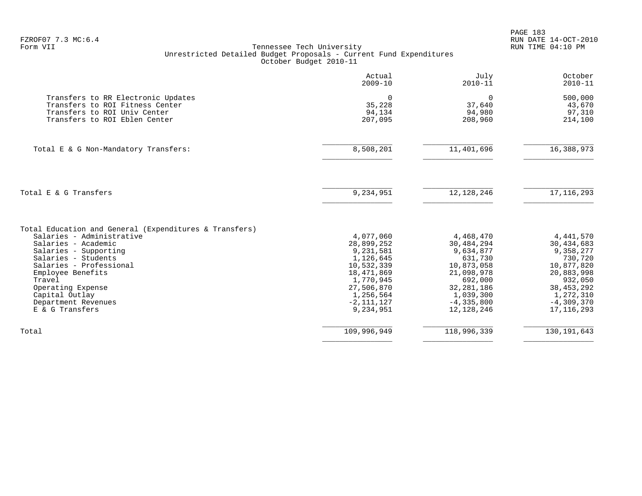|                                                                                                                                        | Actual<br>$2009 - 10$                   | July<br>$2010 - 11$                        | October<br>$2010 - 11$                 |
|----------------------------------------------------------------------------------------------------------------------------------------|-----------------------------------------|--------------------------------------------|----------------------------------------|
| Transfers to RR Electronic Updates<br>Transfers to ROI Fitness Center<br>Transfers to ROI Univ Center<br>Transfers to ROI Eblen Center | $\Omega$<br>35,228<br>94,134<br>207,095 | $\mathbf 0$<br>37,640<br>94,980<br>208,960 | 500,000<br>43,670<br>97,310<br>214,100 |
| Total E & G Non-Mandatory Transfers:                                                                                                   | 8,508,201                               | 11,401,696                                 | 16,388,973                             |
| Total E & G Transfers                                                                                                                  | 9,234,951                               | 12, 128, 246                               | 17, 116, 293                           |
| Total Education and General (Expenditures & Transfers)                                                                                 |                                         |                                            |                                        |
| Salaries - Administrative                                                                                                              | 4,077,060                               | 4,468,470                                  | 4, 441, 570                            |
| Salaries - Academic                                                                                                                    | 28,899,252                              | 30,484,294                                 | 30,434,683                             |
| Salaries - Supporting                                                                                                                  | 9,231,581                               | 9,634,877                                  | 9,358,277                              |
| Salaries - Students                                                                                                                    | 1,126,645                               | 631,730                                    | 730,720                                |
| Salaries - Professional                                                                                                                | 10,532,339                              | 10,873,058                                 | 10,877,820                             |
| Employee Benefits                                                                                                                      | 18,471,869                              | 21,098,978                                 | 20,883,998                             |
| Travel                                                                                                                                 | 1,770,945                               | 692,000                                    | 932,050                                |
| Operating Expense                                                                                                                      | 27,506,870                              | 32, 281, 186                               | 38, 453, 292                           |
| Capital Outlay                                                                                                                         | 1,256,564                               | 1,039,300                                  | 1,272,310                              |
| Department Revenues<br>E & G Transfers                                                                                                 | $-2, 111, 127$<br>9,234,951             | $-4, 335, 800$<br>12, 128, 246             | $-4,309,370$<br>17, 116, 293           |
| Total                                                                                                                                  | 109,996,949                             | 118,996,339                                | 130, 191, 643                          |
|                                                                                                                                        |                                         |                                            |                                        |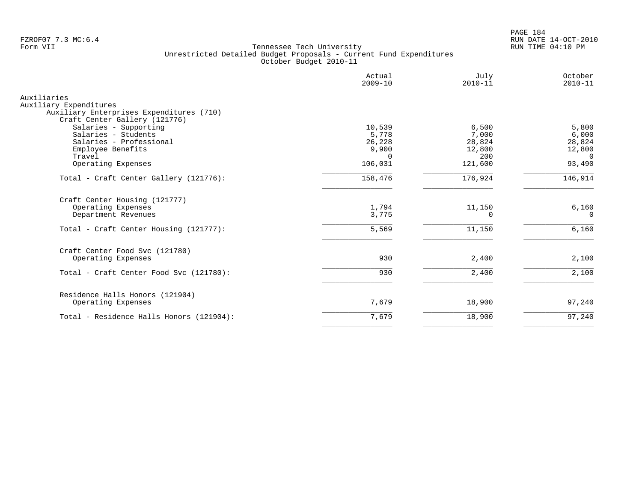PAGE 184 FZROF07 7.3 MC:6.4 RUN DATE 14-OCT-2010

|                                                                    | Actual<br>$2009 - 10$ | July<br>$2010 - 11$ | October<br>$2010 - 11$ |
|--------------------------------------------------------------------|-----------------------|---------------------|------------------------|
| Auxiliaries                                                        |                       |                     |                        |
| Auxiliary Expenditures<br>Auxiliary Enterprises Expenditures (710) |                       |                     |                        |
| Craft Center Gallery (121776)                                      |                       |                     |                        |
| Salaries - Supporting                                              | 10,539                | 6,500               | 5,800                  |
| Salaries - Students                                                | 5,778                 | 7,000               | 6,000                  |
| Salaries - Professional                                            | 26,228                | 28,824              | 28,824                 |
| Employee Benefits<br>Travel                                        | 9,900<br>$\Omega$     | 12,800<br>200       | 12,800                 |
| Operating Expenses                                                 | 106,031               | 121,600             | $\Omega$<br>93,490     |
|                                                                    |                       |                     |                        |
| Total - Craft Center Gallery (121776):                             | 158,476               | 176,924             | 146,914                |
| Craft Center Housing (121777)                                      |                       |                     |                        |
| Operating Expenses                                                 | 1,794                 | 11,150              | 6,160                  |
| Department Revenues                                                | 3,775                 | 0                   | 0                      |
| Total - Craft Center Housing (121777):                             | 5,569                 | 11,150              | 6,160                  |
| Craft Center Food Svc (121780)                                     |                       |                     |                        |
| Operating Expenses                                                 | 930                   | 2,400               | 2,100                  |
| Total - Craft Center Food Svc (121780):                            | 930                   | 2,400               | 2,100                  |
| Residence Halls Honors (121904)                                    |                       |                     |                        |
| Operating Expenses                                                 | 7,679                 | 18,900              | 97,240                 |
| Total - Residence Halls Honors (121904):                           | 7,679                 | 18,900              | 97,240                 |
|                                                                    |                       |                     |                        |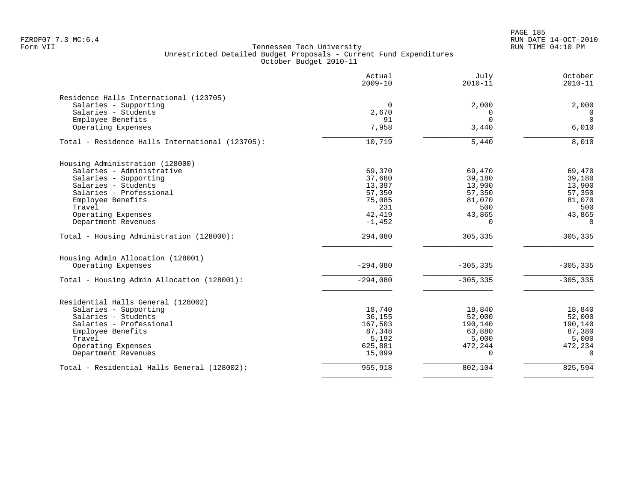PAGE 185 FZROF07 7.3 MC:6.4 RUN DATE 14-OCT-2010

|                                                 | Actual<br>$2009 - 10$ | July<br>$2010 - 11$ | October<br>$2010 - 11$ |
|-------------------------------------------------|-----------------------|---------------------|------------------------|
| Residence Halls International (123705)          |                       |                     |                        |
| Salaries - Supporting                           | 0                     | 2,000               | 2,000                  |
| Salaries - Students                             | 2,670                 | 0                   | 0                      |
| Employee Benefits                               | 91                    | $\Omega$            | $\Omega$               |
| Operating Expenses                              | 7,958                 | 3,440               | 6,010                  |
| Total - Residence Halls International (123705): | 10,719                | 5,440               | 8,010                  |
| Housing Administration (128000)                 |                       |                     |                        |
| Salaries - Administrative                       | 69,370                | 69,470              | 69,470                 |
| Salaries - Supporting                           | 37,680                | 39,180              | 39,180                 |
| Salaries - Students                             | 13,397                | 13,900              | 13,900                 |
| Salaries - Professional                         | 57,350                | 57,350              | 57,350                 |
| Employee Benefits                               | 75,085                | 81,070              | 81,070                 |
| Travel                                          | 231                   | 500                 | 500                    |
| Operating Expenses                              | 42,419                | 43,865              | 43,865                 |
| Department Revenues                             | $-1,452$              | $\Omega$            | $\Omega$               |
| Total - Housing Administration (128000):        | 294,080               | 305,335             | 305,335                |
| Housing Admin Allocation (128001)               |                       |                     |                        |
| Operating Expenses                              | $-294,080$            | $-305, 335$         | $-305, 335$            |
| Total - Housing Admin Allocation (128001):      | $-294,080$            | $-305, 335$         | $-305, 335$            |
| Residential Halls General (128002)              |                       |                     |                        |
| Salaries - Supporting                           | 18,740                | 18,840              | 18,840                 |
| Salaries - Students                             | 36,155                | 52,000              | 52,000                 |
| Salaries - Professional                         | 167,503               | 190,140             | 190,140                |
| Employee Benefits                               | 87,348                | 63,880              | 87,380                 |
| Travel                                          | 5,192                 | 5,000               | 5,000                  |
| Operating Expenses                              | 625,881               | 472,244             | 472,234                |
| Department Revenues                             | 15,099                | $\Omega$            | $\cap$                 |
| Total - Residential Halls General (128002):     | 955,918               | 802,104             | 825,594                |
|                                                 |                       |                     |                        |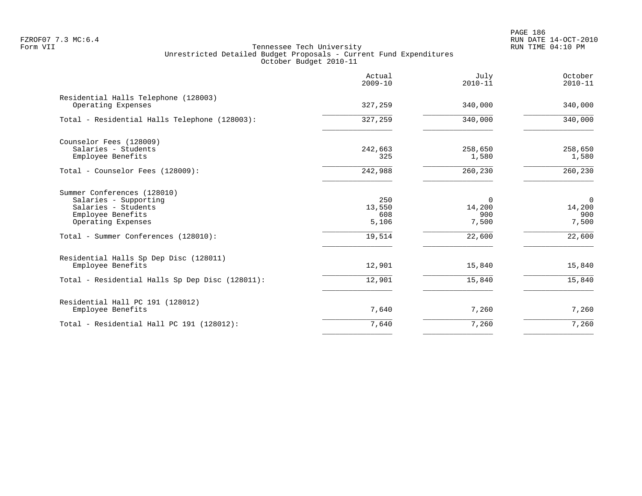PAGE 186 FZROF07 7.3 MC:6.4 RUN DATE 14-OCT-2010

|                                                                                                                        | Actual<br>$2009 - 10$         | July<br>$2010 - 11$                | October<br>$2010 - 11$                   |
|------------------------------------------------------------------------------------------------------------------------|-------------------------------|------------------------------------|------------------------------------------|
| Residential Halls Telephone (128003)<br>Operating Expenses                                                             | 327,259                       | 340,000                            | 340,000                                  |
| Total - Residential Halls Telephone (128003):                                                                          | 327,259                       | 340,000                            | 340,000                                  |
| Counselor Fees (128009)<br>Salaries - Students<br>Employee Benefits                                                    | 242,663<br>325                | 258,650<br>1,580                   | 258,650<br>1,580                         |
| Total - Counselor Fees (128009):                                                                                       | 242,988                       | 260,230                            | 260,230                                  |
| Summer Conferences (128010)<br>Salaries - Supporting<br>Salaries - Students<br>Employee Benefits<br>Operating Expenses | 250<br>13,550<br>608<br>5,106 | $\Omega$<br>14,200<br>900<br>7,500 | $\overline{0}$<br>14,200<br>900<br>7,500 |
| Total - Summer Conferences (128010):                                                                                   | 19,514                        | 22,600                             | 22,600                                   |
| Residential Halls Sp Dep Disc (128011)<br>Employee Benefits                                                            | 12,901                        | 15,840                             | 15,840                                   |
| Total - Residential Halls Sp Dep Disc (128011):                                                                        | 12,901                        | 15,840                             | 15,840                                   |
| Residential Hall PC 191 (128012)<br>Employee Benefits                                                                  | 7,640                         | 7,260                              | 7,260                                    |
| Total - Residential Hall PC 191 (128012):                                                                              | 7,640                         | 7,260                              | 7,260                                    |
|                                                                                                                        |                               |                                    |                                          |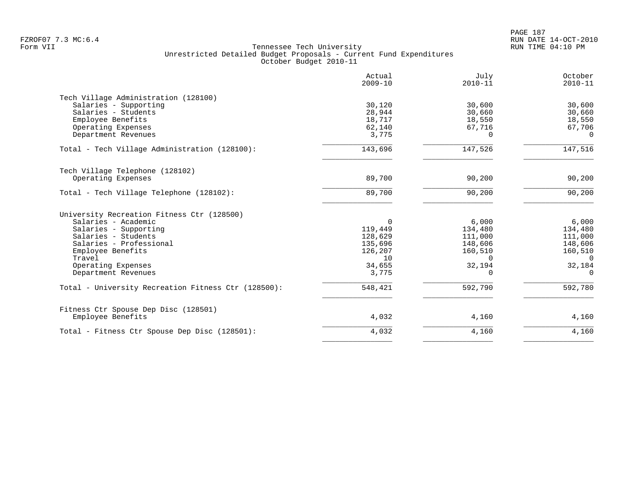|                                                     | Actual<br>$2009 - 10$ | July<br>$2010 - 11$ | October<br>$2010 - 11$ |
|-----------------------------------------------------|-----------------------|---------------------|------------------------|
| Tech Village Administration (128100)                |                       |                     |                        |
| Salaries - Supporting                               | 30,120                | 30,600              | 30,600                 |
| Salaries - Students                                 | 28,944                | 30,660              | 30,660                 |
| Employee Benefits                                   | 18,717                | 18,550              | 18,550                 |
| Operating Expenses                                  | 62,140                | 67,716              | 67,706                 |
| Department Revenues                                 | 3,775                 | $\Omega$            | $\Omega$               |
| Total - Tech Village Administration (128100):       | 143,696               | 147,526             | 147,516                |
| Tech Village Telephone (128102)                     |                       |                     |                        |
| Operating Expenses                                  | 89,700                | 90,200              | 90,200                 |
| Total - Tech Village Telephone (128102):            | 89,700                | 90,200              | 90,200                 |
| University Recreation Fitness Ctr (128500)          |                       |                     |                        |
| Salaries - Academic                                 | $\Omega$              | 6,000               | 6,000                  |
| Salaries - Supporting                               | 119,449               | 134,480             | 134,480                |
| Salaries - Students                                 | 128,629               | 111,000             | 111,000                |
| Salaries - Professional                             | 135,696               | 148,606             | 148,606                |
| Employee Benefits                                   | 126,207               | 160,510             | 160,510                |
| Travel                                              | 10                    | $\Omega$            | $\Omega$               |
| Operating Expenses                                  | 34,655                | 32,194              | 32,184                 |
| Department Revenues                                 | 3,775                 | $\Omega$            | $\Omega$               |
| Total - University Recreation Fitness Ctr (128500): | 548,421               | 592,790             | 592,780                |
| Fitness Ctr Spouse Dep Disc (128501)                |                       |                     |                        |
| Employee Benefits                                   | 4,032                 | 4,160               | 4,160                  |
| Total - Fitness Ctr Spouse Dep Disc (128501):       | 4,032                 | 4,160               | 4,160                  |
|                                                     |                       |                     |                        |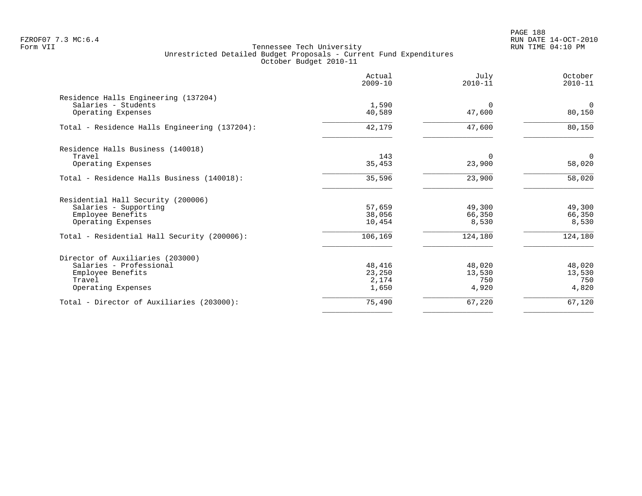PAGE 188 FZROF07 7.3 MC:6.4 RUN DATE 14-OCT-2010

|                                                             | Actual<br>$2009 - 10$ | July<br>$2010 - 11$ | October<br>$2010 - 11$   |
|-------------------------------------------------------------|-----------------------|---------------------|--------------------------|
| Residence Halls Engineering (137204)<br>Salaries - Students | 1,590                 | $\Omega$            | $\mathbf 0$              |
| Operating Expenses                                          | 40,589                | 47,600              | 80,150                   |
| Total - Residence Halls Engineering (137204):               | 42,179                | 47,600              | 80,150                   |
| Residence Halls Business (140018)                           |                       |                     |                          |
| Travel<br>Operating Expenses                                | 143<br>35,453         | $\Omega$<br>23,900  | $\overline{0}$<br>58,020 |
| Total - Residence Halls Business (140018):                  | 35,596                | 23,900              | 58,020                   |
| Residential Hall Security (200006)                          |                       |                     |                          |
| Salaries - Supporting                                       | 57,659                | 49,300              | 49,300                   |
| Employee Benefits                                           | 38,056                | 66,350              | 66,350                   |
| Operating Expenses                                          | 10,454                | 8,530               | 8,530                    |
| Total - Residential Hall Security (200006):                 | 106,169               | 124,180             | 124,180                  |
| Director of Auxiliaries (203000)                            |                       |                     |                          |
| Salaries - Professional                                     | 48,416                | 48,020              | 48,020                   |
| Employee Benefits                                           | 23,250                | 13,530              | 13,530                   |
| Travel<br>Operating Expenses                                | 2,174<br>1,650        | 750<br>4,920        | 750<br>4,820             |
|                                                             |                       |                     |                          |
| Total - Director of Auxiliaries (203000):                   | 75,490                | 67,220              | 67,120                   |
|                                                             |                       |                     |                          |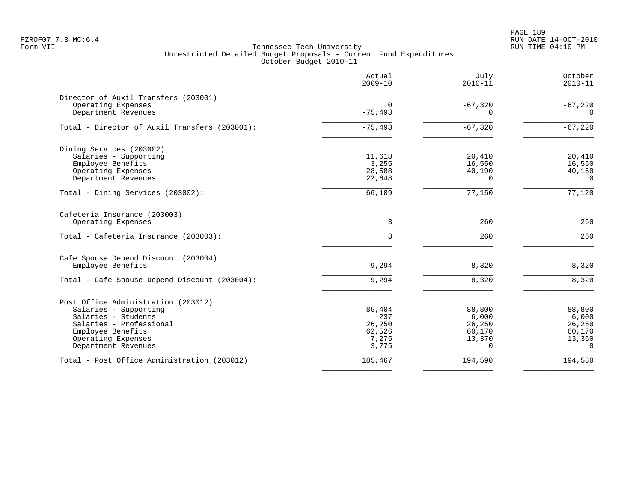PAGE 189 FZROF07 7.3 MC:6.4 RUN DATE 14-OCT-2010

|                                               | Actual<br>$2009 - 10$ | July<br>$2010 - 11$ | October<br>$2010 - 11$ |
|-----------------------------------------------|-----------------------|---------------------|------------------------|
| Director of Auxil Transfers (203001)          |                       |                     |                        |
| Operating Expenses                            | 0                     | $-67,320$           | $-67,220$              |
| Department Revenues                           | $-75, 493$            | $\Omega$            | $\Omega$               |
| Total - Director of Auxil Transfers (203001): | $-75,493$             | $-67,320$           | $-67,220$              |
| Dining Services (203002)                      |                       |                     |                        |
| Salaries - Supporting                         | 11,618                | 20,410              | 20,410                 |
| Employee Benefits                             | 3,255                 | 16,550              | 16,550                 |
| Operating Expenses                            | 28,588                | 40,190              | 40,160                 |
| Department Revenues                           | 22,648                | $\Omega$            | $\Omega$               |
| Total - Dining Services (203002):             | 66,109                | 77,150              | 77,120                 |
| Cafeteria Insurance (203003)                  |                       |                     |                        |
| Operating Expenses                            | 3                     | 260                 | 260                    |
| Total - Cafeteria Insurance (203003):         | $\mathbf{3}$          | 260                 | 260                    |
| Cafe Spouse Depend Discount (203004)          |                       |                     |                        |
| Employee Benefits                             | 9,294                 | 8,320               | 8,320                  |
| Total - Cafe Spouse Depend Discount (203004): | 9,294                 | 8,320               | 8,320                  |
| Post Office Administration (203012)           |                       |                     |                        |
| Salaries - Supporting                         | 85,404                | 88,800              | 88,800                 |
| Salaries - Students                           | 237                   | 6,000               | 6,000                  |
| Salaries - Professional                       | 26,250                | 26,250              | 26,250                 |
| Employee Benefits                             | 62,526                | 60,170              | 60,170                 |
| Operating Expenses                            | 7,275                 | 13,370              | 13,360                 |
| Department Revenues                           | 3,775                 | $\Omega$            | $\Omega$               |
| Total - Post Office Administration (203012):  | 185,467               | 194,590             | 194,580                |
|                                               |                       |                     |                        |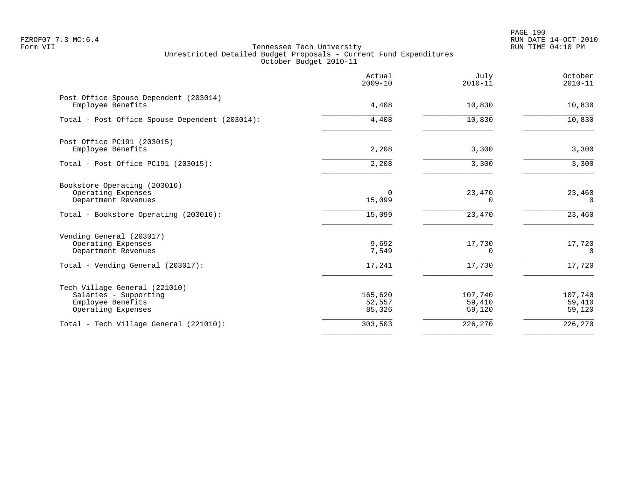PAGE 190 FZROF07 7.3 MC:6.4 RUN DATE 14-OCT-2010

|                                                                                                            | Actual<br>$2009 - 10$       | July<br>$2010 - 11$          | October<br>$2010 - 11$       |
|------------------------------------------------------------------------------------------------------------|-----------------------------|------------------------------|------------------------------|
| Post Office Spouse Dependent (203014)<br>Employee Benefits                                                 | 4,408                       | 10,830                       | 10,830                       |
| Total - Post Office Spouse Dependent (203014):                                                             | 4,408                       | 10,830                       | 10,830                       |
| Post Office PC191 (203015)<br>Employee Benefits                                                            | 2,208                       | 3,300                        | 3,300                        |
| Total - Post Office PC191 (203015):                                                                        | 2,208                       | 3,300                        | 3,300                        |
| Bookstore Operating (203016)<br>Operating Expenses<br>Department Revenues                                  | 0<br>15,099                 | 23,470<br>$\Omega$           | 23,460<br>$\Omega$           |
| Total - Bookstore Operating (203016):                                                                      | 15,099                      | 23,470                       | 23,460                       |
| Vending General (203017)<br>Operating Expenses<br>Department Revenues<br>Total - Vending General (203017): | 9,692<br>7,549<br>17,241    | 17,730<br>$\Omega$<br>17,730 | 17,720<br>$\Omega$<br>17,720 |
|                                                                                                            |                             |                              |                              |
| Tech Village General (221010)<br>Salaries - Supporting<br>Employee Benefits<br>Operating Expenses          | 165,620<br>52,557<br>85,326 | 107,740<br>59,410<br>59,120  | 107,740<br>59,410<br>59,120  |
| Total - Tech Village General (221010):                                                                     | 303,503                     | 226,270                      | 226,270                      |
|                                                                                                            |                             |                              |                              |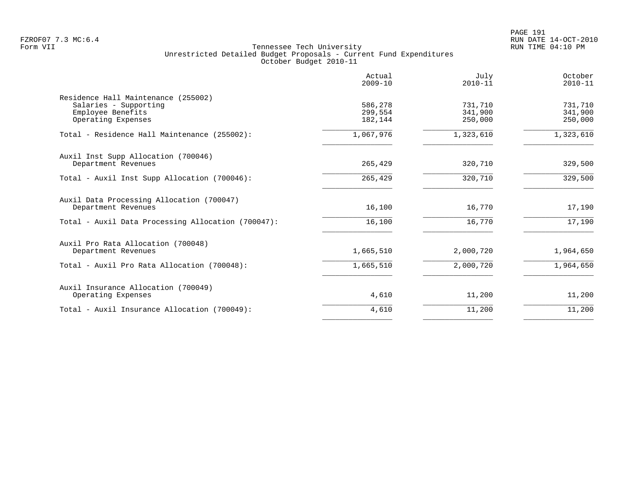PAGE 191 FZROF07 7.3 MC:6.4 RUN DATE 14-OCT-2010

|                                                                                                         | Actual<br>$2009 - 10$         | July<br>$2010 - 11$           | October<br>$2010 - 11$        |
|---------------------------------------------------------------------------------------------------------|-------------------------------|-------------------------------|-------------------------------|
| Residence Hall Maintenance (255002)<br>Salaries - Supporting<br>Employee Benefits<br>Operating Expenses | 586,278<br>299,554<br>182,144 | 731,710<br>341,900<br>250,000 | 731,710<br>341,900<br>250,000 |
| Total - Residence Hall Maintenance (255002):                                                            | 1,067,976                     | 1,323,610                     | 1,323,610                     |
| Auxil Inst Supp Allocation (700046)<br>Department Revenues                                              | 265,429                       | 320,710                       | 329,500                       |
| Total - Auxil Inst Supp Allocation (700046):                                                            | 265,429                       | 320,710                       | 329,500                       |
| Auxil Data Processing Allocation (700047)<br>Department Revenues                                        | 16,100                        | 16,770                        | 17,190                        |
| Total - Auxil Data Processing Allocation (700047):                                                      | 16,100                        | 16,770                        | 17,190                        |
| Auxil Pro Rata Allocation (700048)<br>Department Revenues                                               | 1,665,510                     | 2,000,720                     | 1,964,650                     |
| Total - Auxil Pro Rata Allocation (700048):                                                             | 1,665,510                     | 2,000,720                     | 1,964,650                     |
| Auxil Insurance Allocation (700049)<br>Operating Expenses                                               | 4,610                         | 11,200                        | 11,200                        |
| Total - Auxil Insurance Allocation (700049):                                                            | 4,610                         | 11,200                        | 11,200                        |
|                                                                                                         |                               |                               |                               |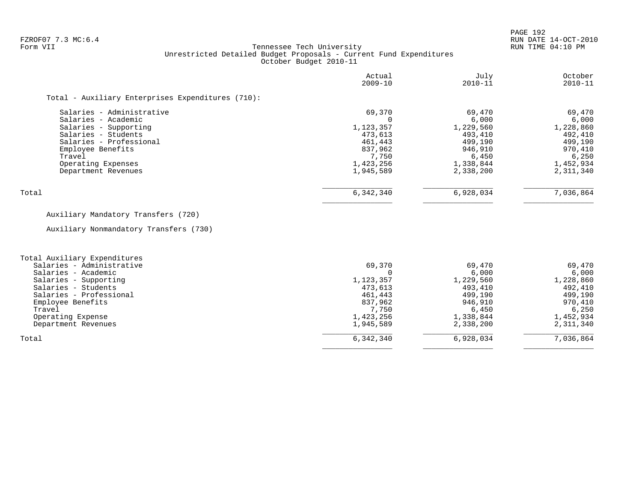PAGE 192

# FZROF07 7.3 MC:6.4 RUN DATE 14-OCT-2010<br>Form VII RUN TIME 04:10 PM Tennessee Tech University Unrestricted Detailed Budget Proposals - Current Fund Expenditures October Budget 2010-11

| Actual<br>$2009 - 10$ | July<br>$2010 - 11$ | October<br>$2010 - 11$ |
|-----------------------|---------------------|------------------------|
|                       |                     |                        |
| 69,370                | 69,470              | 69,470                 |
|                       |                     | 6,000                  |
|                       |                     | 1,228,860              |
| 473,613               | 493,410             | 492,410                |
| 461,443               | 499,190             | 499,190                |
| 837,962               | 946,910             | 970,410                |
| 7,750                 | 6,450               | 6.250                  |
| 1,423,256             | 1,338,844           | 1,452,934              |
| 1,945,589             | 2,338,200           | 2,311,340              |
| 6,342,340             | 6,928,034           | 7,036,864              |
|                       | 1,123,357           | 6,000<br>1,229,560     |

# Auxiliary Mandatory Transfers (720)

Auxiliary Nonmandatory Transfers (730)

| Total Auxiliary Expenditures |           |           |           |
|------------------------------|-----------|-----------|-----------|
| Salaries - Administrative    | 69,370    | 69,470    | 69,470    |
| Salaries - Academic          |           | 6,000     | 6,000     |
| Salaries - Supporting        | 1,123,357 | 1,229,560 | 1,228,860 |
| Salaries - Students          | 473,613   | 493,410   | 492,410   |
| Salaries - Professional      | 461,443   | 499,190   | 499,190   |
| Employee Benefits            | 837,962   | 946,910   | 970,410   |
| Travel                       | 7,750     | 6,450     | 6,250     |
| Operating Expense            | 1,423,256 | 1,338,844 | 1,452,934 |
| Department Revenues          | 1,945,589 | 2,338,200 | 2,311,340 |
| Total                        | 6,342,340 | 6,928,034 | 7,036,864 |
|                              |           |           |           |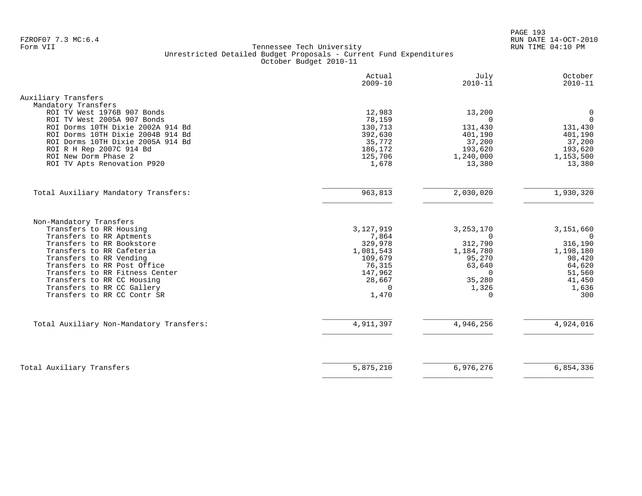PAGE 193 FZROF07 7.3 MC:6.4 RUN DATE 14-OCT-2010

|                                                            | Actual<br>$2009 - 10$ | July<br>$2010 - 11$  | October<br>$2010 - 11$ |
|------------------------------------------------------------|-----------------------|----------------------|------------------------|
| Auxiliary Transfers                                        |                       |                      |                        |
| Mandatory Transfers                                        |                       |                      |                        |
| ROI TV West 1976B 907 Bonds<br>ROI TV West 2005A 907 Bonds | 12,983                | 13,200               | 0<br>$\Omega$          |
| ROI Dorms 10TH Dixie 2002A 914 Bd                          | 78,159<br>130,713     | 0<br>131,430         | 131,430                |
| ROI Dorms 10TH Dixie 2004B 914 Bd                          | 392,630               | 401,190              | 401,190                |
| ROI Dorms 10TH Dixie 2005A 914 Bd                          | 35,772                | 37,200               | 37,200                 |
| ROI R H Rep 2007C 914 Bd                                   | 186,172               | 193,620              | 193,620                |
| ROI New Dorm Phase 2                                       | 125,706               | 1,240,000            | 1,153,500              |
| ROI TV Apts Renovation P920                                | 1,678                 | 13,380               | 13,380                 |
| Total Auxiliary Mandatory Transfers:                       | 963,813               | 2,030,020            | 1,930,320              |
|                                                            |                       |                      |                        |
| Non-Mandatory Transfers                                    |                       |                      |                        |
| Transfers to RR Housing                                    | 3,127,919             | 3, 253, 170          | 3,151,660              |
| Transfers to RR Aptments                                   | 7,864                 | $\Omega$             | $\Omega$               |
| Transfers to RR Bookstore<br>Transfers to RR Cafeteria     | 329,978<br>1,081,543  | 312,790<br>1,184,780 | 316,190<br>1,198,180   |
| Transfers to RR Vending                                    | 109,679               | 95,270               | 98,420                 |
| Transfers to RR Post Office                                | 76,315                | 63,640               | 64,620                 |
| Transfers to RR Fitness Center                             | 147,962               | $\Omega$             | 51,560                 |
| Transfers to RR CC Housing                                 | 28,667                | 35,280               | 41,450                 |
| Transfers to RR CC Gallery                                 | $\Omega$              | 1,326                | 1,636                  |
| Transfers to RR CC Contr SR                                | 1,470                 | $\Omega$             | 300                    |
| Total Auxiliary Non-Mandatory Transfers:                   | 4,911,397             | 4,946,256            | 4,924,016              |
|                                                            |                       |                      |                        |
|                                                            |                       |                      |                        |
| Total Auxiliary Transfers                                  | 5,875,210             | 6,976,276            | 6,854,336              |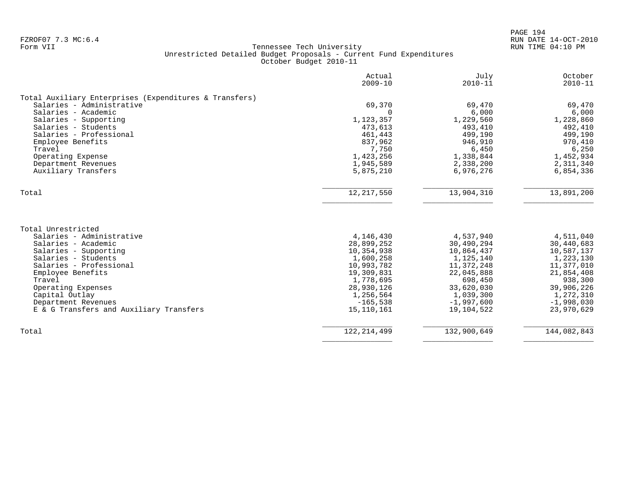|                                                                                                                                                   | Actual<br>$2009 - 10$                                            | July<br>$2010 - 11$                                              | October<br>$2010 - 11$                                           |
|---------------------------------------------------------------------------------------------------------------------------------------------------|------------------------------------------------------------------|------------------------------------------------------------------|------------------------------------------------------------------|
| Total Auxiliary Enterprises (Expenditures & Transfers)                                                                                            |                                                                  |                                                                  |                                                                  |
| Salaries - Administrative                                                                                                                         | 69,370                                                           | 69,470                                                           | 69,470                                                           |
| Salaries - Academic                                                                                                                               | $\Omega$                                                         | 6,000                                                            | 6,000                                                            |
| Salaries - Supporting                                                                                                                             | 1,123,357                                                        | 1,229,560                                                        | 1,228,860                                                        |
| Salaries - Students                                                                                                                               | 473,613                                                          | 493,410                                                          | 492,410                                                          |
| Salaries - Professional                                                                                                                           | 461,443                                                          | 499,190                                                          | 499,190                                                          |
| Employee Benefits                                                                                                                                 | 837,962                                                          | 946,910                                                          | 970,410                                                          |
| Travel                                                                                                                                            | 7,750                                                            | 6,450                                                            | 6,250                                                            |
| Operating Expense                                                                                                                                 | 1,423,256                                                        | 1,338,844                                                        | 1,452,934                                                        |
| Department Revenues                                                                                                                               | 1,945,589                                                        | 2,338,200                                                        | 2,311,340                                                        |
| Auxiliary Transfers                                                                                                                               | 5,875,210                                                        | 6,976,276                                                        | 6,854,336                                                        |
| Total                                                                                                                                             | 12, 217, 550                                                     | 13,904,310                                                       | 13,891,200                                                       |
| Total Unrestricted<br>Salaries - Administrative<br>Salaries - Academic<br>Salaries - Supporting<br>Salaries - Students<br>Salaries - Professional | 4,146,430<br>28,899,252<br>10,354,938<br>1,600,258<br>10,993,782 | 4,537,940<br>30,490,294<br>10,864,437<br>1,125,140<br>11,372,248 | 4,511,040<br>30,440,683<br>10,587,137<br>1,223,130<br>11,377,010 |
| Employee Benefits                                                                                                                                 | 19,309,831                                                       | 22,045,888                                                       | 21,854,408                                                       |
| Travel                                                                                                                                            | 1,778,695                                                        | 698,450                                                          | 938,300                                                          |
| Operating Expenses                                                                                                                                | 28,930,126                                                       | 33,620,030                                                       | 39,906,226                                                       |
| Capital Outlay                                                                                                                                    | 1,256,564                                                        | 1,039,300                                                        | 1,272,310                                                        |
| Department Revenues                                                                                                                               | $-165, 538$                                                      | $-1,997,600$                                                     | $-1,998,030$                                                     |
| E & G Transfers and Auxiliary Transfers                                                                                                           | 15, 110, 161                                                     | 19,104,522                                                       | 23,970,629                                                       |
| Total                                                                                                                                             | 122, 214, 499                                                    | 132,900,649                                                      | 144,082,843                                                      |